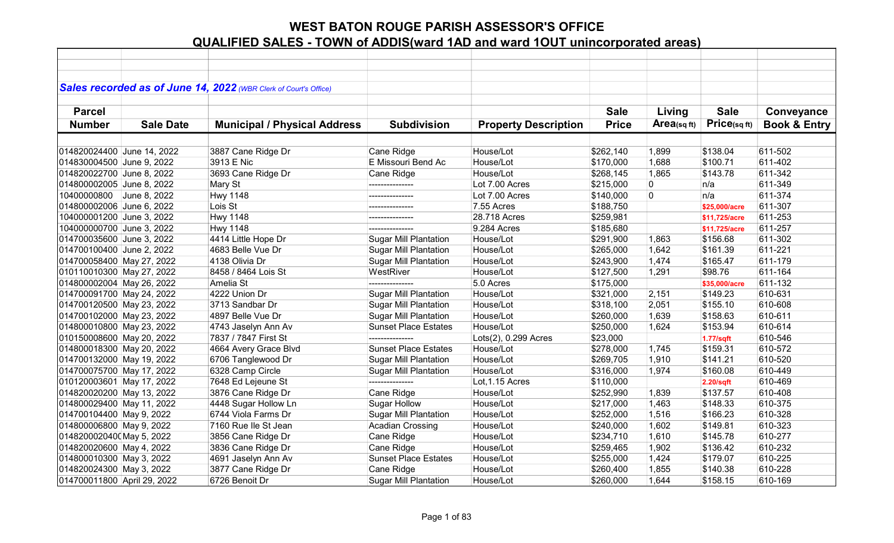|                             |                  | Sales recorded as of June 14, 2022 (WBR Clerk of Court's Office) |                              |                             |              |                |               |                         |
|-----------------------------|------------------|------------------------------------------------------------------|------------------------------|-----------------------------|--------------|----------------|---------------|-------------------------|
|                             |                  |                                                                  |                              |                             |              |                |               |                         |
| <b>Parcel</b>               |                  |                                                                  |                              |                             | <b>Sale</b>  | Living         | <b>Sale</b>   | Conveyance              |
| <b>Number</b>               | <b>Sale Date</b> | <b>Municipal / Physical Address</b>                              | <b>Subdivision</b>           | <b>Property Description</b> | <b>Price</b> | Area(sq $ft$ ) | Price(sqft)   | <b>Book &amp; Entry</b> |
|                             |                  |                                                                  |                              |                             |              |                |               |                         |
| 014820024400 June 14, 2022  |                  | 3887 Cane Ridge Dr                                               | Cane Ridge                   | House/Lot                   | \$262,140    | 1,899          | \$138.04      | 611-502                 |
| 014830004500 June 9, 2022   |                  | 3913 E Nic                                                       | E Missouri Bend Ac           | House/Lot                   | \$170,000    | 1,688          | \$100.71      | 611-402                 |
| 014820022700 June 8, 2022   |                  | 3693 Cane Ridge Dr                                               | Cane Ridge                   | House/Lot                   | \$268,145    | 1,865          | \$143.78      | 611-342                 |
| 014800002005 June 8, 2022   |                  | Mary St                                                          | ---------------              | Lot 7.00 Acres              | \$215,000    | $\overline{0}$ | n/a           | 611-349                 |
| 10400000800                 | June 8, 2022     | <b>Hwy 1148</b>                                                  | ---------------              | Lot 7.00 Acres              | \$140,000    | $\overline{0}$ | n/a           | 611-374                 |
| 014800002006 June 6, 2022   |                  | Lois St                                                          | ---------------              | 7.55 Acres                  | \$188,750    |                | \$25,000/acre | 611-307                 |
| 104000001200 June 3, 2022   |                  | <b>Hwy 1148</b>                                                  |                              | 28.718 Acres                | \$259,981    |                | \$11,725/acre | 611-253                 |
| 104000000700 June 3, 2022   |                  | <b>Hwy 1148</b>                                                  | ---------------              | 9.284 Acres                 | \$185,680    |                | \$11,725/acre | 611-257                 |
| 014700035600 June 3, 2022   |                  | 4414 Little Hope Dr                                              | <b>Sugar Mill Plantation</b> | House/Lot                   | \$291,900    | 1,863          | \$156.68      | 611-302                 |
| 014700100400 June 2, 2022   |                  | 4683 Belle Vue Dr                                                | <b>Sugar Mill Plantation</b> | House/Lot                   | \$265,000    | 1,642          | \$161.39      | 611-221                 |
| 014700058400 May 27, 2022   |                  | 4138 Olivia Dr                                                   | <b>Sugar Mill Plantation</b> | House/Lot                   | \$243,900    | 1,474          | \$165.47      | 611-179                 |
| 010110010300 May 27, 2022   |                  | 8458 / 8464 Lois St                                              | WestRiver                    | House/Lot                   | \$127,500    | 1,291          | \$98.76       | 611-164                 |
| 014800002004 May 26, 2022   |                  | Amelia St                                                        |                              | 5.0 Acres                   | \$175,000    |                | \$35,000/acre | 611-132                 |
| 014700091700 May 24, 2022   |                  | 4222 Union Dr                                                    | <b>Sugar Mill Plantation</b> | House/Lot                   | \$321,000    | 2,151          | \$149.23      | 610-631                 |
| 014700120500 May 23, 2022   |                  | 3713 Sandbar Dr                                                  | <b>Sugar Mill Plantation</b> | House/Lot                   | \$318,100    | 2,051          | \$155.10      | 610-608                 |
| 014700102000 May 23, 2022   |                  | 4897 Belle Vue Dr                                                | <b>Sugar Mill Plantation</b> | House/Lot                   | \$260,000    | 1,639          | \$158.63      | 610-611                 |
| 014800010800 May 23, 2022   |                  | 4743 Jaselyn Ann Av                                              | <b>Sunset Place Estates</b>  | House/Lot                   | \$250,000    | 1,624          | \$153.94      | 610-614                 |
| 010150008600 May 20, 2022   |                  | 7837 / 7847 First St                                             |                              | Lots(2), 0.299 Acres        | \$23,000     |                | 1.77/sqft     | 610-546                 |
| 014800018300 May 20, 2022   |                  | 4664 Avery Grace Blvd                                            | <b>Sunset Place Estates</b>  | House/Lot                   | \$278,000    | 1,745          | \$159.31      | 610-572                 |
| 014700132000 May 19, 2022   |                  | 6706 Tanglewood Dr                                               | <b>Sugar Mill Plantation</b> | House/Lot                   | \$269,705    | 1,910          | \$141.21      | 610-520                 |
| 014700075700 May 17, 2022   |                  | 6328 Camp Circle                                                 | <b>Sugar Mill Plantation</b> | House/Lot                   | \$316,000    | 1,974          | \$160.08      | 610-449                 |
| 010120003601 May 17, 2022   |                  | 7648 Ed Lejeune St                                               | ---------------              | Lot, 1.15 Acres             | \$110,000    |                | $2.20$ /sqft  | 610-469                 |
| 014820020200 May 13, 2022   |                  | 3876 Cane Ridge Dr                                               | Cane Ridge                   | House/Lot                   | \$252,990    | 1,839          | \$137.57      | 610-408                 |
| 014800029400 May 11, 2022   |                  | 4448 Sugar Hollow Ln                                             | <b>Sugar Hollow</b>          | House/Lot                   | \$217,000    | 1,463          | \$148.33      | 610-375                 |
| 014700104400 May 9, 2022    |                  | 6744 Viola Farms Dr                                              | <b>Sugar Mill Plantation</b> | House/Lot                   | \$252,000    | 1,516          | \$166.23      | 610-328                 |
| 014800006800 May 9, 2022    |                  | 7160 Rue Ile St Jean                                             | <b>Acadian Crossing</b>      | House/Lot                   | \$240,000    | 1,602          | \$149.81      | 610-323                 |
| 0148200020400 May 5, 2022   |                  | 3856 Cane Ridge Dr                                               | Cane Ridge                   | House/Lot                   | \$234,710    | 1,610          | \$145.78      | 610-277                 |
| 014820020600 May 4, 2022    |                  | 3836 Cane Ridge Dr                                               | Cane Ridge                   | House/Lot                   | \$259,465    | 1,902          | \$136.42      | 610-232                 |
| 014800010300 May 3, 2022    |                  | 4691 Jaselyn Ann Av                                              | <b>Sunset Place Estates</b>  | House/Lot                   | \$255,000    | 1,424          | \$179.07      | 610-225                 |
| 014820024300 May 3, 2022    |                  | 3877 Cane Ridge Dr                                               | Cane Ridge                   | House/Lot                   | \$260,400    | 1,855          | \$140.38      | 610-228                 |
| 014700011800 April 29, 2022 |                  | 6726 Benoit Dr                                                   | <b>Sugar Mill Plantation</b> | House/Lot                   | \$260,000    | 1,644          | \$158.15      | 610-169                 |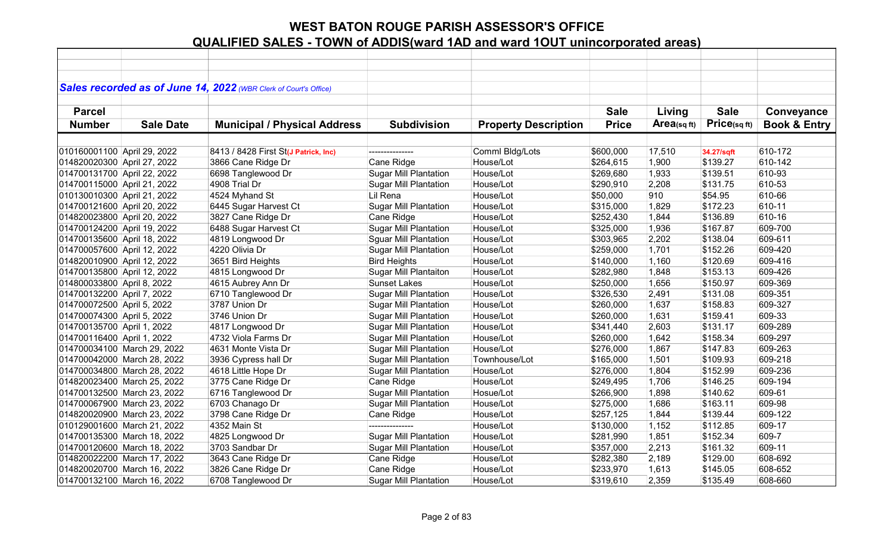|                             |                             | Sales recorded as of June 14, 2022 (WBR Clerk of Court's Office) |                              |                             |              |                         |             |                         |
|-----------------------------|-----------------------------|------------------------------------------------------------------|------------------------------|-----------------------------|--------------|-------------------------|-------------|-------------------------|
|                             |                             |                                                                  |                              |                             |              |                         |             |                         |
| <b>Parcel</b>               |                             |                                                                  |                              |                             | <b>Sale</b>  | Living                  | <b>Sale</b> | Conveyance              |
| <b>Number</b>               | <b>Sale Date</b>            | <b>Municipal / Physical Address</b>                              | <b>Subdivision</b>           | <b>Property Description</b> | <b>Price</b> | Area <sub>(sq ft)</sub> | Price(sqft) | <b>Book &amp; Entry</b> |
|                             |                             |                                                                  |                              |                             |              |                         |             |                         |
| 010160001100 April 29, 2022 |                             | 8413 / 8428 First St(J Patrick, Inc)                             | ---------------              | Comml Bldg/Lots             | \$600,000    | 17,510                  | 34.27/sqft  | 610-172                 |
| 014820020300 April 27, 2022 |                             | 3866 Cane Ridge Dr                                               | Cane Ridge                   | House/Lot                   | \$264,615    | 1,900                   | \$139.27    | 610-142                 |
| 014700131700 April 22, 2022 |                             | 6698 Tanglewood Dr                                               | <b>Sugar Mill Plantation</b> | House/Lot                   | \$269,680    | 1,933                   | \$139.51    | 610-93                  |
| 014700115000 April 21, 2022 |                             | 4908 Trial Dr                                                    | <b>Sugar Mill Plantation</b> | House/Lot                   | \$290,910    | 2,208                   | \$131.75    | 610-53                  |
| 010130010300 April 21, 2022 |                             | 4524 Myhand St                                                   | Lil Rena                     | House/Lot                   | \$50,000     | 910                     | \$54.95     | 610-66                  |
| 014700121600 April 20, 2022 |                             | 6445 Sugar Harvest Ct                                            | <b>Sugar Mill Plantation</b> | House/Lot                   | \$315,000    | 1,829                   | \$172.23    | 610-11                  |
| 014820023800 April 20, 2022 |                             | 3827 Cane Ridge Dr                                               | Cane Ridge                   | House/Lot                   | \$252,430    | 1,844                   | \$136.89    | 610-16                  |
| 014700124200 April 19, 2022 |                             | 6488 Sugar Harvest Ct                                            | <b>Sugar Mill Plantation</b> | House/Lot                   | \$325,000    | 1,936                   | \$167.87    | 609-700                 |
| 014700135600 April 18, 2022 |                             | 4819 Longwood Dr                                                 | <b>Sguar Mill Plantation</b> | House/Lot                   | \$303,965    | 2,202                   | \$138.04    | 609-611                 |
| 014700057600 April 12, 2022 |                             | 4220 Olivia Dr                                                   | <b>Sugar Mill Plantation</b> | House/Lot                   | \$259,000    | 1,701                   | \$152.26    | 609-420                 |
| 014820010900 April 12, 2022 |                             | 3651 Bird Heights                                                | <b>Bird Heights</b>          | House/Lot                   | \$140,000    | 1,160                   | \$120.69    | 609-416                 |
| 014700135800 April 12, 2022 |                             | 4815 Longwood Dr                                                 | <b>Sugar Mill Plantaiton</b> | House/Lot                   | \$282,980    | 1,848                   | \$153.13    | 609-426                 |
| 014800033800 April 8, 2022  |                             | 4615 Aubrey Ann Dr                                               | <b>Sunset Lakes</b>          | House/Lot                   | \$250,000    | 1,656                   | \$150.97    | 609-369                 |
| 014700132200 April 7, 2022  |                             | 6710 Tanglewood Dr                                               | <b>Sugar Mill Plantation</b> | House/Lot                   | \$326,530    | 2,491                   | \$131.08    | 609-351                 |
| 014700072500 April 5, 2022  |                             | 3787 Union Dr                                                    | <b>Sugar Mill Plantation</b> | House/Lot                   | \$260,000    | 1,637                   | \$158.83    | 609-327                 |
| 014700074300 April 5, 2022  |                             | 3746 Union Dr                                                    | <b>Sugar Mill Plantation</b> | House/Lot                   | \$260,000    | 1,631                   | \$159.41    | 609-33                  |
| 014700135700 April 1, 2022  |                             | 4817 Longwood Dr                                                 | Sugar Mill Plantation        | House/Lot                   | \$341,440    | 2,603                   | \$131.17    | 609-289                 |
| 014700116400 April 1, 2022  |                             | 4732 Viola Farms Dr                                              | <b>Sugar Mill Plantation</b> | House/Lot                   | \$260,000    | 1,642                   | \$158.34    | 609-297                 |
|                             | 014700034100 March 29, 2022 | 4631 Monte Vista Dr                                              | <b>Sugar Mill Plantation</b> | House/Lot                   | \$276,000    | 1,867                   | \$147.83    | 609-263                 |
|                             | 014700042000 March 28, 2022 | 3936 Cypress hall Dr                                             | <b>Sugar Mill Plantation</b> | Townhouse/Lot               | \$165,000    | 1,501                   | \$109.93    | 609-218                 |
|                             | 014700034800 March 28, 2022 | 4618 Little Hope Dr                                              | <b>Sugar Mill Plantation</b> | House/Lot                   | \$276,000    | 1,804                   | \$152.99    | 609-236                 |
|                             | 014820023400 March 25, 2022 | 3775 Cane Ridge Dr                                               | Cane Ridge                   | House/Lot                   | \$249,495    | 1,706                   | \$146.25    | 609-194                 |
|                             | 014700132500 March 23, 2022 | 6716 Tanglewood Dr                                               | <b>Sugar Mill Plantation</b> | Hosue/Lot                   | \$266,900    | 1,898                   | \$140.62    | 609-61                  |
|                             | 014700067900 March 23, 2022 | 6703 Chanago Dr                                                  | <b>Sugar Mill Plantation</b> | House/Lot                   | \$275,000    | 1,686                   | \$163.11    | 609-98                  |
|                             | 014820020900 March 23, 2022 | 3798 Cane Ridge Dr                                               | Cane Ridge                   | House/Lot                   | \$257,125    | 1,844                   | \$139.44    | 609-122                 |
|                             | 010129001600 March 21, 2022 | 4352 Main St                                                     |                              | House/Lot                   | \$130,000    | 1,152                   | \$112.85    | 609-17                  |
|                             | 014700135300 March 18, 2022 | 4825 Longwood Dr                                                 | <b>Sugar Mill Plantation</b> | House/Lot                   | \$281,990    | 1,851                   | \$152.34    | 609-7                   |
|                             | 014700120600 March 18, 2022 | 3703 Sandbar Dr                                                  | <b>Sugar Mill Plantation</b> | House/Lot                   | \$357,000    | 2,213                   | \$161.32    | 609-11                  |
|                             | 014820022200 March 17, 2022 | 3643 Cane Ridge Dr                                               | Cane Ridge                   | House/Lot                   | \$282,380    | 2,189                   | \$129.00    | 608-692                 |
|                             | 014820020700 March 16, 2022 | 3826 Cane Ridge Dr                                               | Cane Ridge                   | House/Lot                   | \$233,970    | 1,613                   | \$145.05    | 608-652                 |
|                             | 014700132100 March 16, 2022 | 6708 Tanglewood Dr                                               | <b>Sugar Mill Plantation</b> | House/Lot                   | \$319,610    | 2,359                   | \$135.49    | 608-660                 |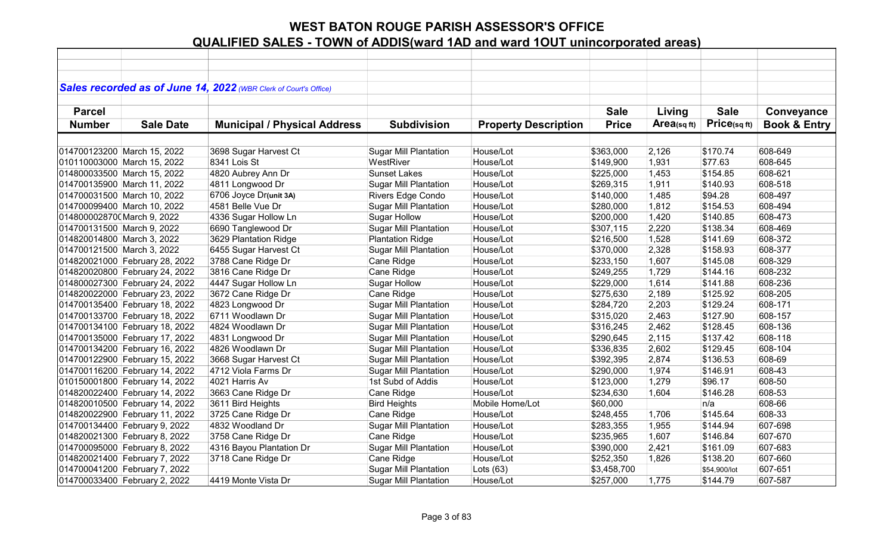|                             |                                | Sales recorded as of June 14, 2022 (WBR Clerk of Court's Office) |                              |                             |              |            |              |                         |
|-----------------------------|--------------------------------|------------------------------------------------------------------|------------------------------|-----------------------------|--------------|------------|--------------|-------------------------|
|                             |                                |                                                                  |                              |                             |              |            |              |                         |
| <b>Parcel</b>               |                                |                                                                  |                              |                             | <b>Sale</b>  | Living     | <b>Sale</b>  | Conveyance              |
| <b>Number</b>               | <b>Sale Date</b>               | <b>Municipal / Physical Address</b>                              | <b>Subdivision</b>           | <b>Property Description</b> | <b>Price</b> | Area(sqft) | Price(sq ft) | <b>Book &amp; Entry</b> |
|                             |                                |                                                                  |                              |                             |              |            |              |                         |
|                             | 014700123200 March 15, 2022    | 3698 Sugar Harvest Ct                                            | <b>Sugar Mill Plantation</b> | House/Lot                   | \$363,000    | 2,126      | \$170.74     | 608-649                 |
|                             | 010110003000 March 15, 2022    | 8341 Lois St                                                     | WestRiver                    | House/Lot                   | \$149,900    | 1,931      | \$77.63      | 608-645                 |
|                             | 014800033500 March 15, 2022    | 4820 Aubrey Ann Dr                                               | <b>Sunset Lakes</b>          | House/Lot                   | \$225,000    | 1,453      | \$154.85     | 608-621                 |
|                             | 014700135900 March 11, 2022    | 4811 Longwood Dr                                                 | <b>Sugar Mill Plantation</b> | House/Lot                   | \$269,315    | 1,911      | \$140.93     | 608-518                 |
|                             | 014700031500 March 10, 2022    | 6706 Joyce Dr(unit 3A)                                           | Rivers Edge Condo            | House/Lot                   | \$140,000    | 1,485      | \$94.28      | 608-497                 |
|                             | 014700099400 March 10, 2022    | 4581 Belle Vue Dr                                                | <b>Sugar Mill Plantation</b> | House/Lot                   | \$280,000    | 1,812      | \$154.53     | 608-494                 |
| 0148000028700 March 9, 2022 |                                | 4336 Sugar Hollow Ln                                             | <b>Sugar Hollow</b>          | House/Lot                   | \$200,000    | 1,420      | \$140.85     | 608-473                 |
| 014700131500 March 9, 2022  |                                | 6690 Tanglewood Dr                                               | <b>Sugar Mill Plantation</b> | House/Lot                   | \$307,115    | 2,220      | \$138.34     | 608-469                 |
| 014820014800 March 3, 2022  |                                | 3629 Plantation Ridge                                            | <b>Plantation Ridge</b>      | House/Lot                   | \$216,500    | 1,528      | \$141.69     | 608-372                 |
| 014700121500 March 3, 2022  |                                | 6455 Sugar Harvest Ct                                            | <b>Sugar Mill Plantation</b> | House/Lot                   | \$370,000    | 2,328      | \$158.93     | 608-377                 |
|                             | 014820021000 February 28, 2022 | 3788 Cane Ridge Dr                                               | Cane Ridge                   | House/Lot                   | \$233,150    | 1,607      | \$145.08     | 608-329                 |
|                             | 014820020800 February 24, 2022 | 3816 Cane Ridge Dr                                               | Cane Ridge                   | House/Lot                   | \$249,255    | 1,729      | \$144.16     | 608-232                 |
|                             | 014800027300 February 24, 2022 | 4447 Sugar Hollow Ln                                             | <b>Sugar Hollow</b>          | House/Lot                   | \$229,000    | 1,614      | \$141.88     | 608-236                 |
|                             | 014820022000 February 23, 2022 | 3672 Cane Ridge Dr                                               | Cane Ridge                   | House/Lot                   | \$275,630    | 2,189      | \$125.92     | 608-205                 |
|                             | 014700135400 February 18, 2022 | 4823 Longwood Dr                                                 | <b>Sugar Mill Plantation</b> | House/Lot                   | \$284,720    | 2,203      | \$129.24     | 608-171                 |
|                             | 014700133700 February 18, 2022 | 6711 Woodlawn Dr                                                 | <b>Sugar Mill Plantation</b> | House/Lot                   | \$315,020    | 2,463      | \$127.90     | 608-157                 |
|                             | 014700134100 February 18, 2022 | 4824 Woodlawn Dr                                                 | <b>Sugar Mill Plantation</b> | House/Lot                   | \$316,245    | 2,462      | \$128.45     | 608-136                 |
|                             | 014700135000 February 17, 2022 | 4831 Longwood Dr                                                 | <b>Sugar Mill Plantation</b> | House/Lot                   | \$290,645    | 2,115      | \$137.42     | 608-118                 |
|                             | 014700134200 February 16, 2022 | 4826 Woodlawn Dr                                                 | <b>Sugar Mill Plantation</b> | House/Lot                   | \$336,835    | 2,602      | \$129.45     | 608-104                 |
|                             | 014700122900 February 15, 2022 | 3668 Sugar Harvest Ct                                            | <b>Sugar Mill Plantation</b> | House/Lot                   | \$392,395    | 2,874      | \$136.53     | 608-69                  |
|                             | 014700116200 February 14, 2022 | 4712 Viola Farms Dr                                              | <b>Sugar Mill Plantation</b> | House/Lot                   | \$290,000    | 1,974      | \$146.91     | 608-43                  |
|                             | 010150001800 February 14, 2022 | 4021 Harris Av                                                   | 1st Subd of Addis            | House/Lot                   | \$123,000    | 1,279      | \$96.17      | 608-50                  |
|                             | 014820022400 February 14, 2022 | 3663 Cane Ridge Dr                                               | Cane Ridge                   | House/Lot                   | \$234,630    | 1,604      | \$146.28     | 608-53                  |
|                             | 014820010500 February 14, 2022 | 3611 Bird Heights                                                | <b>Bird Heights</b>          | Mobile Home/Lot             | \$60,000     |            | n/a          | 608-66                  |
|                             | 014820022900 February 11, 2022 | 3725 Cane Ridge Dr                                               | Cane Ridge                   | House/Lot                   | \$248,455    | 1,706      | \$145.64     | 608-33                  |
|                             | 014700134400 February 9, 2022  | 4832 Woodland Dr                                                 | <b>Sugar Mill Plantation</b> | House/Lot                   | \$283,355    | 1,955      | \$144.94     | 607-698                 |
|                             | 014820021300 February 8, 2022  | 3758 Cane Ridge Dr                                               | Cane Ridge                   | House/Lot                   | \$235,965    | 1,607      | \$146.84     | 607-670                 |
|                             | 014700095000 February 8, 2022  | 4316 Bayou Plantation Dr                                         | <b>Sugar Mill Plantation</b> | House/Lot                   | \$390,000    | 2,421      | \$161.09     | 607-683                 |
|                             | 014820021400 February 7, 2022  | 3718 Cane Ridge Dr                                               | Cane Ridge                   | House/Lot                   | \$252,350    | 1,826      | \$138.20     | 607-660                 |
|                             | 014700041200 February 7, 2022  |                                                                  | <b>Sugar Mill Plantation</b> | Lots $(63)$                 | \$3,458,700  |            | \$54,900/lot | 607-651                 |
|                             | 014700033400 February 2, 2022  | 4419 Monte Vista Dr                                              | <b>Sugar Mill Plantation</b> | House/Lot                   | \$257,000    | 1,775      | \$144.79     | 607-587                 |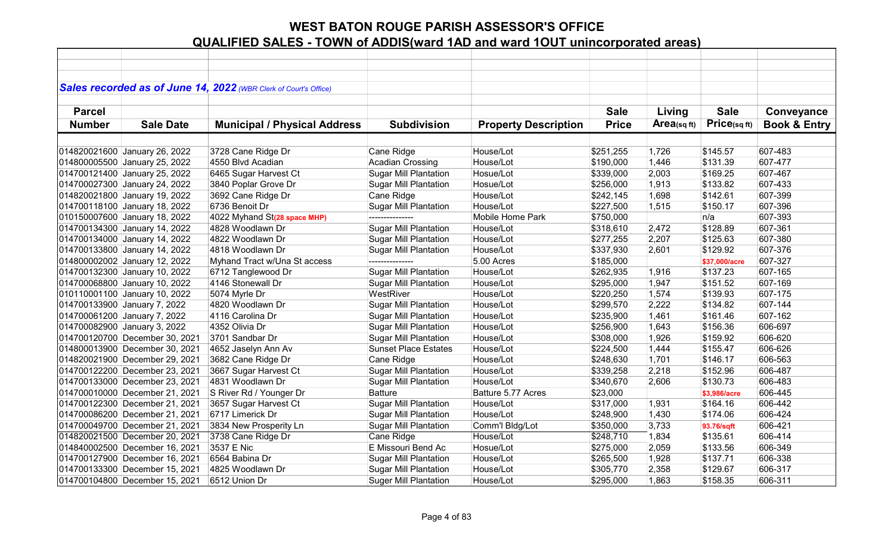|               |                                | Sales recorded as of June 14, 2022 (WBR Clerk of Court's Office) |                              |                             |              |            |               |                         |
|---------------|--------------------------------|------------------------------------------------------------------|------------------------------|-----------------------------|--------------|------------|---------------|-------------------------|
|               |                                |                                                                  |                              |                             |              |            |               |                         |
| <b>Parcel</b> |                                |                                                                  |                              |                             | <b>Sale</b>  | Living     | <b>Sale</b>   | Conveyance              |
| <b>Number</b> | <b>Sale Date</b>               | <b>Municipal / Physical Address</b>                              | <b>Subdivision</b>           | <b>Property Description</b> | <b>Price</b> | Area(sqft) | Price(sqft)   | <b>Book &amp; Entry</b> |
|               |                                |                                                                  |                              |                             |              |            |               |                         |
|               | 014820021600 January 26, 2022  | 3728 Cane Ridge Dr                                               | Cane Ridge                   | House/Lot                   | \$251,255    | 1,726      | \$145.57      | 607-483                 |
|               | 014800005500 January 25, 2022  | 4550 Blvd Acadian                                                | <b>Acadian Crossing</b>      | House/Lot                   | \$190,000    | 1,446      | \$131.39      | 607-477                 |
|               | 014700121400 January 25, 2022  | 6465 Sugar Harvest Ct                                            | <b>Sugar Mill Plantation</b> | Hosue/Lot                   | \$339,000    | 2,003      | \$169.25      | 607-467                 |
|               | 014700027300 January 24, 2022  | 3840 Poplar Grove Dr                                             | <b>Sugar Mill Plantation</b> | Hosue/Lot                   | \$256,000    | 1,913      | \$133.82      | 607-433                 |
|               | 014820021800 January 19, 2022  | 3692 Cane Ridge Dr                                               | Cane Ridge                   | House/Lot                   | \$242,145    | 1,698      | \$142.61      | 607-399                 |
|               | 014700118100 January 18, 2022  | 6736 Benoit Dr                                                   | <b>Sugar Mill Plantation</b> | House/Lot                   | \$227,500    | 1,515      | \$150.17      | 607-396                 |
|               | 010150007600 January 18, 2022  | 4022 Myhand St(28 space MHP)                                     | ---------------              | Mobile Home Park            | \$750,000    |            | n/a           | 607-393                 |
|               | 014700134300 January 14, 2022  | 4828 Woodlawn Dr                                                 | <b>Sugar Mill Plantation</b> | House/Lot                   | \$318,610    | 2,472      | \$128.89      | 607-361                 |
|               | 014700134000 January 14, 2022  | 4822 Woodlawn Dr                                                 | <b>Sugar Mill Plantation</b> | House/Lot                   | \$277,255    | 2,207      | \$125.63      | 607-380                 |
|               | 014700133800 January 14, 2022  | 4818 Woodlawn Dr                                                 | <b>Sugar Mill Plantation</b> | House/Lot                   | \$337,930    | 2,601      | \$129.92      | 607-376                 |
|               | 014800002002 January 12, 2022  | Myhand Tract w/Una St access                                     | ---------------              | 5.00 Acres                  | \$185,000    |            | \$37,000/acre | 607-327                 |
|               | 014700132300 January 10, 2022  | 6712 Tanglewood Dr                                               | <b>Sugar Mill Plantation</b> | House/Lot                   | \$262,935    | 1,916      | \$137.23      | 607-165                 |
|               | 014700068800 January 10, 2022  | 4146 Stonewall Dr                                                | <b>Sugar Mill Plantation</b> | House/Lot                   | \$295,000    | 1,947      | \$151.52      | 607-169                 |
|               | 010110001100 January 10, 2022  | 5074 Myrle Dr                                                    | WestRiver                    | House/Lot                   | \$220,250    | 1,574      | \$139.93      | 607-175                 |
|               | 014700133900 January 7, 2022   | 4820 Woodlawn Dr                                                 | <b>Sugar Mill Plantation</b> | House/Lot                   | \$299,570    | 2,222      | \$134.82      | 607-144                 |
|               | 014700061200 January 7, 2022   | 4116 Carolina Dr                                                 | <b>Sugar Mill Plantation</b> | House/Lot                   | \$235,900    | 1,461      | \$161.46      | 607-162                 |
|               | 014700082900 January 3, 2022   | 4352 Olivia Dr                                                   | <b>Sugar Mill Plantation</b> | House/Lot                   | \$256,900    | 1,643      | \$156.36      | 606-697                 |
|               | 014700120700 December 30, 2021 | 3701 Sandbar Dr                                                  | <b>Sugar Mill Plantation</b> | House/Lot                   | \$308,000    | 1,926      | \$159.92      | 606-620                 |
|               | 014800013900 December 30, 2021 | 4652 Jaselyn Ann Av                                              | <b>Sunset Place Estates</b>  | House/Lot                   | \$224,500    | 1,444      | \$155.47      | 606-626                 |
|               | 014820021900 December 29, 2021 | 3682 Cane Ridge Dr                                               | Cane Ridge                   | House/Lot                   | \$248,630    | 1,701      | \$146.17      | 606-563                 |
|               | 014700122200 December 23, 2021 | 3667 Sugar Harvest Ct                                            | <b>Sugar Mill Plantation</b> | House/Lot                   | \$339,258    | 2,218      | \$152.96      | 606-487                 |
|               | 014700133000 December 23, 2021 | 4831 Woodlawn Dr                                                 | <b>Sugar Mill Plantation</b> | House/Lot                   | \$340,670    | 2,606      | \$130.73      | 606-483                 |
|               | 014700010000 December 21, 2021 | S River Rd / Younger Dr                                          | <b>Batture</b>               | Batture 5.77 Acres          | \$23,000     |            | \$3,986/acre  | 606-445                 |
|               | 014700122300 December 21, 2021 | 3657 Sugar Harvest Ct                                            | <b>Sugar Mill Plantation</b> | House/Lot                   | \$317,000    | 1,931      | \$164.16      | 606-442                 |
|               | 014700086200 December 21, 2021 | 6717 Limerick Dr                                                 | <b>Sugar Mill Plantation</b> | House/Lot                   | \$248,900    | 1,430      | \$174.06      | 606-424                 |
|               | 014700049700 December 21, 2021 | 3834 New Prosperity Ln                                           | <b>Sugar Mill Plantation</b> | Comm'l Bldg/Lot             | \$350,000    | 3,733      | 93.76/sqft    | 606-421                 |
|               | 014820021500 December 20, 2021 | 3738 Cane Ridge Dr                                               | Cane Ridge                   | House/Lot                   | \$248,710    | 1,834      | \$135.61      | 606-414                 |
|               | 014840002500 December 16, 2021 | 3537 E Nic                                                       | E Missouri Bend Ac           | Hosue/Lot                   | \$275,000    | 2,059      | \$133.56      | 606-349                 |
|               | 014700127900 December 16, 2021 | 6564 Babina Dr                                                   | <b>Sugar Mill Plantation</b> | House/Lot                   | \$265,500    | 1,928      | \$137.71      | 606-338                 |
|               | 014700133300 December 15, 2021 | 4825 Woodlawn Dr                                                 | <b>Sugar Mill Plantation</b> | House/Lot                   | \$305,770    | 2,358      | \$129.67      | 606-317                 |
|               | 014700104800 December 15, 2021 | 6512 Union Dr                                                    | <b>Suger Mill Plantation</b> | House/Lot                   | \$295,000    | 1,863      | \$158.35      | 606-311                 |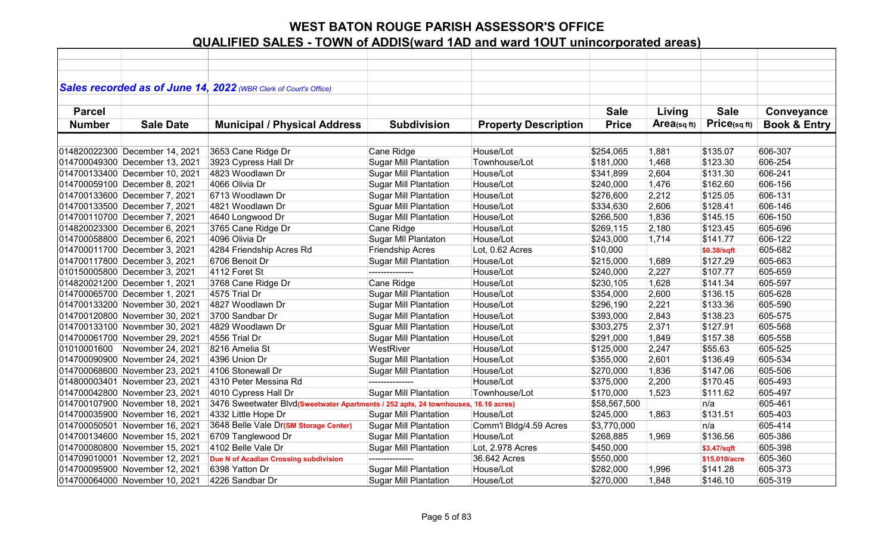|               |                                | Sales recorded as of June 14, 2022 (WBR Clerk of Court's Office)                   |                              |                             |              |            |               |                         |
|---------------|--------------------------------|------------------------------------------------------------------------------------|------------------------------|-----------------------------|--------------|------------|---------------|-------------------------|
|               |                                |                                                                                    |                              |                             |              |            |               |                         |
| <b>Parcel</b> |                                |                                                                                    |                              |                             | <b>Sale</b>  | Living     | <b>Sale</b>   | Conveyance              |
| <b>Number</b> | <b>Sale Date</b>               | <b>Municipal / Physical Address</b>                                                | <b>Subdivision</b>           | <b>Property Description</b> | <b>Price</b> | Area(sqft) | Price(sqft)   | <b>Book &amp; Entry</b> |
|               |                                |                                                                                    |                              |                             |              |            |               |                         |
|               | 014820022300 December 14, 2021 | 3653 Cane Ridge Dr                                                                 | Cane Ridge                   | House/Lot                   | \$254,065    | 1,881      | \$135.07      | 606-307                 |
|               | 014700049300 December 13, 2021 | 3923 Cypress Hall Dr                                                               | <b>Sugar Mill Plantation</b> | Townhouse/Lot               | \$181,000    | 1,468      | \$123.30      | 606-254                 |
|               | 014700133400 December 10, 2021 | 4823 Woodlawn Dr                                                                   | <b>Sugar Mill Plantation</b> | House/Lot                   | \$341,899    | 2,604      | \$131.30      | 606-241                 |
|               | 014700059100 December 8, 2021  | 4066 Olivia Dr                                                                     | <b>Sugar Mill Plantation</b> | House/Lot                   | \$240,000    | 1,476      | \$162.60      | 606-156                 |
|               | 014700133600 December 7, 2021  | 6713 Woodlawn Dr                                                                   | <b>Sugar Mill Plantation</b> | House/Lot                   | \$276,600    | 2,212      | \$125.05      | 606-131                 |
|               | 014700133500 December 7, 2021  | 4821 Woodlawn Dr                                                                   | <b>Sguar Mill Plantation</b> | House/Lot                   | \$334,630    | 2,606      | \$128.41      | 606-146                 |
|               | 014700110700 December 7, 2021  | 4640 Longwood Dr                                                                   | <b>Sugar Mill Plantation</b> | House/Lot                   | \$266,500    | 1,836      | \$145.15      | 606-150                 |
|               | 014820023300 December 6, 2021  | 3765 Cane Ridge Dr                                                                 | Cane Ridge                   | House/Lot                   | \$269,115    | 2,180      | \$123.45      | 605-696                 |
|               | 014700058800 December 6, 2021  | 4096 Olivia Dr                                                                     | Sugar MII Plantaton          | House/Lot                   | \$243,000    | 1,714      | \$141.77      | 606-122                 |
|               | 014700011700 December 3, 2021  | 4284 Friendship Acres Rd                                                           | Friendship Acres             | Lot, 0.62 Acres             | \$10,000     |            | \$0.38/sqft   | 605-682                 |
|               | 014700117800 December 3, 2021  | 6706 Benoit Dr                                                                     | <b>Sugar Mill Plantation</b> | House/Lot                   | \$215,000    | 1,689      | \$127.29      | 605-663                 |
|               | 010150005800 December 3, 2021  | 4112 Foret St                                                                      | ---------------              | House/Lot                   | \$240,000    | 2,227      | \$107.77      | 605-659                 |
|               | 014820021200 December 1, 2021  | 3768 Cane Ridge Dr                                                                 | Cane Ridge                   | House/Lot                   | \$230,105    | 1,628      | \$141.34      | 605-597                 |
|               | 014700065700 December 1, 2021  | 4575 Trial Dr                                                                      | <b>Sugar Mill Plantation</b> | House/Lot                   | \$354,000    | 2,600      | \$136.15      | 605-628                 |
|               | 014700133200 November 30, 2021 | 4827 Woodlawn Dr                                                                   | <b>Sugar Mill Plantation</b> | House/Lot                   | \$296,190    | 2,221      | \$133.36      | 605-590                 |
|               | 014700120800 November 30, 2021 | 3700 Sandbar Dr                                                                    | <b>Sugar Mill Plantation</b> | House/Lot                   | \$393,000    | 2,843      | \$138.23      | 605-575                 |
|               | 014700133100 November 30, 2021 | 4829 Woodlawn Dr                                                                   | <b>Squar Mill Plantation</b> | House/Lot                   | \$303,275    | 2,371      | \$127.91      | 605-568                 |
|               | 014700061700 November 29, 2021 | 4556 Trial Dr                                                                      | <b>Sugar Mill Plantation</b> | House/Lot                   | \$291,000    | 1,849      | \$157.38      | 605-558                 |
| 01010001600   | November 24, 2021              | 8216 Amelia St                                                                     | WestRiver                    | House/Lot                   | \$125,000    | 2,247      | \$55.63       | 605-525                 |
|               | 014700090900 November 24, 2021 | 4396 Union Dr                                                                      | <b>Sugar Mill Plantation</b> | House/Lot                   | \$355,000    | 2,601      | \$136.49      | 605-534                 |
|               | 014700068600 November 23, 2021 | 4106 Stonewall Dr                                                                  | <b>Sugar Mill Plantation</b> | House/Lot                   | \$270,000    | 1,836      | \$147.06      | 605-506                 |
|               | 014800003401 November 23, 2021 | 4310 Peter Messina Rd                                                              | ---------------              | House/Lot                   | \$375,000    | 2,200      | \$170.45      | 605-493                 |
|               | 014700042800 November 23, 2021 | 4010 Cypress Hall Dr                                                               | <b>Sugar Mill Plantation</b> | Townhouse/Lot               | \$170,000    | 1,523      | \$111.62      | 605-497                 |
|               | 014700107900 November 18, 2021 | 3476 Sweetwater Blvd(Sweetwater Apartments / 252 apts, 24 townhouses, 16.16 acres) |                              |                             | \$58,567,500 |            | n/a           | 605-461                 |
|               | 014700035900 November 16, 2021 | 4332 Little Hope Dr                                                                | <b>Sugar Mill Plantation</b> | House/Lot                   | \$245,000    | 1,863      | \$131.51      | 605-403                 |
|               | 014700050501 November 16, 2021 | 3648 Belle Vale Dr(SM Storage Center)                                              | <b>Sugar Mill Plantation</b> | Comm'l Bldg/4.59 Acres      | \$3,770,000  |            | n/a           | 605-414                 |
|               | 014700134600 November 15, 2021 | 6709 Tanglewood Dr                                                                 | <b>Sugar Mill Plantation</b> | House/Lot                   | \$268,885    | 1,969      | \$136.56      | 605-386                 |
|               | 014700080800 November 15, 2021 | 4102 Belle Vale Dr                                                                 | <b>Sugar Mill Plantation</b> | Lot, 2.978 Acres            | \$450,000    |            | \$3.47/sqft   | 605-398                 |
|               | 014709010001 November 12, 2021 | Due N of Acadian Crossing subdivision                                              | ---------------              | 36.642 Acres                | \$550,000    |            | \$15,010/acre | 605-360                 |
|               | 014700095900 November 12, 2021 | 6398 Yatton Dr                                                                     | <b>Sugar Mill Plantation</b> | House/Lot                   | \$282,000    | 1,996      | \$141.28      | 605-373                 |
|               | 014700064000 November 10, 2021 | 4226 Sandbar Dr                                                                    | <b>Sugar Mill Plantation</b> | House/Lot                   | \$270,000    | 1,848      | \$146.10      | 605-319                 |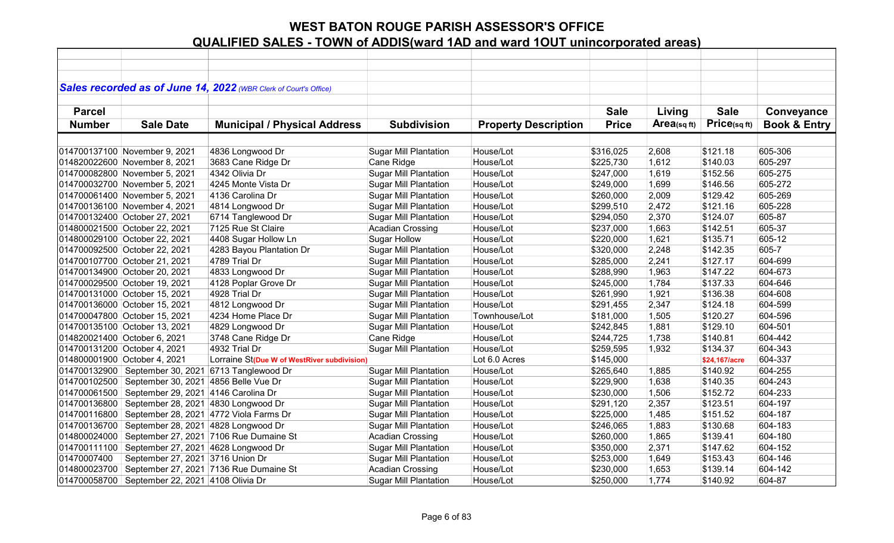|               |                                                  | Sales recorded as of June 14, 2022 (WBR Clerk of Court's Office) |                                                  |                             |              |            |               |                         |
|---------------|--------------------------------------------------|------------------------------------------------------------------|--------------------------------------------------|-----------------------------|--------------|------------|---------------|-------------------------|
|               |                                                  |                                                                  |                                                  |                             |              |            |               |                         |
| <b>Parcel</b> |                                                  |                                                                  |                                                  |                             | <b>Sale</b>  | Living     | <b>Sale</b>   | Conveyance              |
| <b>Number</b> | <b>Sale Date</b>                                 | <b>Municipal / Physical Address</b>                              | <b>Subdivision</b>                               | <b>Property Description</b> | <b>Price</b> | Area(sqft) | Price(sqft)   | <b>Book &amp; Entry</b> |
|               |                                                  |                                                                  |                                                  |                             |              |            |               |                         |
|               | 014700137100 November 9, 2021                    | 4836 Longwood Dr                                                 | <b>Sugar Mill Plantation</b>                     | House/Lot                   | \$316,025    | 2,608      | \$121.18      | 605-306                 |
|               | 014820022600 November 8, 2021                    | 3683 Cane Ridge Dr                                               | Cane Ridge                                       | House/Lot                   | \$225,730    | 1,612      | \$140.03      | 605-297                 |
|               | 014700082800 November 5, 2021                    | 4342 Olivia Dr                                                   | <b>Sugar Mill Plantation</b>                     | House/Lot                   | \$247,000    | 1,619      | \$152.56      | 605-275                 |
|               | 014700032700 November 5, 2021                    | 4245 Monte Vista Dr                                              | <b>Sugar Mill Plantation</b>                     | House/Lot                   | \$249,000    | 1,699      | \$146.56      | 605-272                 |
|               | 014700061400 November 5, 2021                    | 4136 Carolina Dr                                                 | <b>Sugar Mill Plantation</b>                     | House/Lot                   | \$260,000    | 2,009      | \$129.42      | 605-269                 |
|               | 014700136100 November 4, 2021                    | 4814 Longwood Dr                                                 | <b>Sugar Mill Plantation</b>                     | House/Lot                   | \$299,510    | 2,472      | \$121.16      | 605-228                 |
|               | 014700132400 October 27, 2021                    | 6714 Tanglewood Dr                                               | <b>Sugar Mill Plantation</b>                     | House/Lot                   | \$294,050    | 2,370      | \$124.07      | 605-87                  |
|               | 014800021500 October 22, 2021                    | 7125 Rue St Claire                                               | Acadian Crossing                                 | House/Lot                   | \$237,000    | 1,663      | \$142.51      | 605-37                  |
|               | 014800029100 October 22, 2021                    | 4408 Sugar Hollow Ln                                             | <b>Sugar Hollow</b>                              | House/Lot                   | \$220,000    | 1,621      | \$135.71      | 605-12                  |
|               | 014700092500 October 22, 2021                    | 4283 Bayou Plantation Dr                                         | <b>Sugar Mill Plantation</b>                     | House/Lot                   | \$320,000    | 2,248      | \$142.35      | 605-7                   |
|               | 014700107700 October 21, 2021                    | 4789 Trial Dr                                                    | <b>Sugar Mill Plantation</b>                     | House/Lot                   | \$285,000    | 2,241      | \$127.17      | 604-699                 |
|               | 014700134900 October 20, 2021                    | 4833 Longwood Dr                                                 | <b>Sugar Mill Plantation</b>                     | House/Lot                   | \$288,990    | 1,963      | \$147.22      | 604-673                 |
|               | 014700029500 October 19, 2021                    | 4128 Poplar Grove Dr                                             | <b>Sugar Mill Plantation</b>                     | House/Lot                   | \$245,000    | 1,784      | \$137.33      | 604-646                 |
|               | 014700131000 October 15, 2021                    | 4928 Trial Dr                                                    | <b>Sugar Mill Plantation</b>                     | House/Lot                   | \$261,990    | 1,921      | \$136.38      | 604-608                 |
|               | 014700136000 October 15, 2021                    | 4812 Longwood Dr                                                 | <b>Sugar Mill Plantation</b>                     | House/Lot                   | \$291,455    | 2,347      | \$124.18      | 604-599                 |
|               | 014700047800 October 15, 2021                    | 4234 Home Place Dr                                               | <b>Sugar Mill Plantation</b>                     | Townhouse/Lot               | \$181,000    | 1,505      | \$120.27      | 604-596                 |
|               | 014700135100 October 13, 2021                    | 4829 Longwood Dr                                                 | <b>Sugar Mill Plantation</b>                     | House/Lot                   | \$242,845    | 1,881      | \$129.10      | 604-501                 |
|               | 014820021400 October 6, 2021                     | 3748 Cane Ridge Dr                                               | Cane Ridge                                       | House/Lot                   | \$244,725    | 1,738      | \$140.81      | 604-442                 |
|               | 014700131200 October 4, 2021                     | 4932 Trial Dr                                                    | <b>Sugar Mill Plantation</b>                     | House/Lot                   | \$259,595    | 1,932      | \$134.37      | 604-343                 |
|               | 014800001900 October 4, 2021                     | Lorraine St(Due W of WestRiver subdivision)                      |                                                  | Lot 6.0 Acres               | \$145,000    |            | \$24,167/acre | 604-337                 |
| 014700132900  | September 30, 2021                               | 6713 Tanglewood Dr                                               | <b>Sugar Mill Plantation</b>                     | House/Lot                   | \$265,640    | 1,885      | \$140.92      | 604-255                 |
| 014700102500  | September 30, 2021 4856 Belle Vue Dr             |                                                                  | <b>Sugar Mill Plantation</b>                     | House/Lot                   | \$229,900    | 1,638      | \$140.35      | 604-243                 |
| 014700061500  | September 29, 2021 4146 Carolina Dr              |                                                                  | <b>Sugar Mill Plantation</b>                     | House/Lot                   | \$230,000    | 1,506      | \$152.72      | 604-233                 |
|               | 014700136800 September 28, 2021 4830 Longwood Dr |                                                                  | <b>Sugar Mill Plantation</b>                     | House/Lot                   | \$291,120    | 2,357      | \$123.51      | 604-197                 |
| 014700116800  |                                                  | September 28, 2021 4772 Viola Farms Dr                           | <b>Sugar Mill Plantation</b>                     | House/Lot                   | \$225,000    | 1,485      | \$151.52      | 604-187                 |
| 014700136700  | September 28, 2021 4828 Longwood Dr              |                                                                  | <b>Sugar Mill Plantation</b>                     | House/Lot                   | \$246,065    | 1,883      | \$130.68      | 604-183                 |
| 014800024000  |                                                  | September 27, 2021 7106 Rue Dumaine St                           | <b>Acadian Crossing</b>                          | House/Lot                   | \$260,000    | 1,865      | \$139.41      | 604-180                 |
|               | 014700111100 September 27, 2021 4628 Longwood Dr |                                                                  | <b>Sugar Mill Plantation</b>                     | House/Lot                   | \$350,000    | 2,371      | \$147.62      | 604-152                 |
| 01470007400   | September 27, 2021 3716 Union Dr                 |                                                                  |                                                  | House/Lot                   |              | 1,649      | \$153.43      | 604-146                 |
|               |                                                  |                                                                  | <b>Sugar Mill Plantation</b><br>Acadian Crossing | House/Lot                   | \$253,000    |            |               |                         |
| 014800023700  |                                                  | September 27, 2021 7136 Rue Dumaine St                           |                                                  |                             | \$230,000    | 1,653      | \$139.14      | 604-142                 |
|               | 014700058700 September 22, 2021 4108 Olivia Dr   |                                                                  | <b>Sugar Mill Plantation</b>                     | House/Lot                   | \$250,000    | 1,774      | \$140.92      | 604-87                  |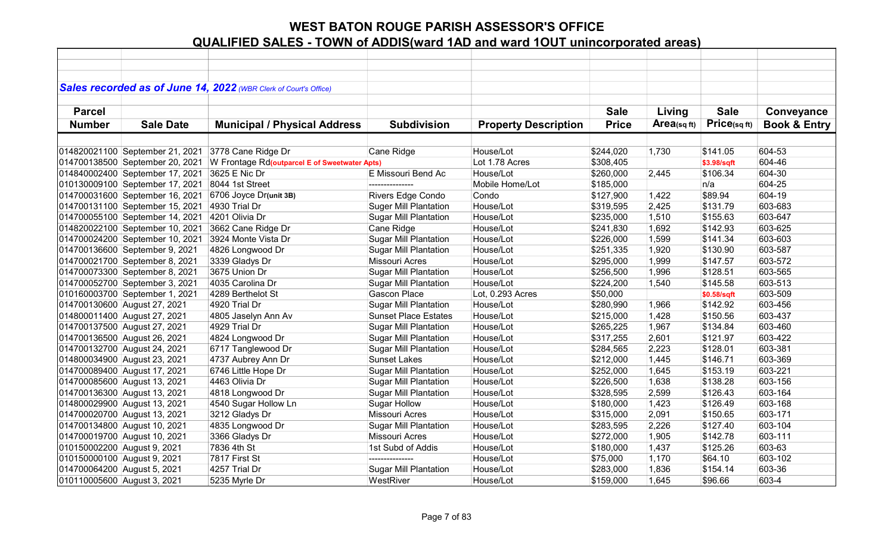|                             |                                 | Sales recorded as of June 14, 2022 (WBR Clerk of Court's Office) |                              |                             |              |            |             |                         |
|-----------------------------|---------------------------------|------------------------------------------------------------------|------------------------------|-----------------------------|--------------|------------|-------------|-------------------------|
| <b>Parcel</b>               |                                 |                                                                  |                              |                             | <b>Sale</b>  | Living     | <b>Sale</b> | Conveyance              |
|                             |                                 |                                                                  |                              |                             |              |            |             |                         |
| <b>Number</b>               | <b>Sale Date</b>                | <b>Municipal / Physical Address</b>                              | <b>Subdivision</b>           | <b>Property Description</b> | <b>Price</b> | Area(sqft) | Price(sqft) | <b>Book &amp; Entry</b> |
|                             |                                 |                                                                  |                              |                             |              |            |             |                         |
|                             | 014820021100 September 21, 2021 | 3778 Cane Ridge Dr                                               | Cane Ridge                   | House/Lot                   | \$244,020    | 1,730      | \$141.05    | 604-53                  |
|                             | 014700138500 September 20, 2021 | W Frontage Rd(outparcel E of Sweetwater Apts)                    |                              | Lot 1.78 Acres              | \$308,405    |            | \$3.98/sqft | 604-46                  |
|                             | 014840002400 September 17, 2021 | 3625 E Nic Dr                                                    | E Missouri Bend Ac           | House/Lot                   | \$260,000    | 2,445      | \$106.34    | 604-30                  |
|                             | 010130009100 September 17, 2021 | 8044 1st Street                                                  | ---------------              | Mobile Home/Lot             | \$185,000    |            | n/a         | 604-25                  |
|                             | 014700031600 September 16, 2021 | 6706 Joyce Dr(unit 3B)                                           | Rivers Edge Condo            | Condo                       | \$127,900    | 1,422      | \$89.94     | 604-19                  |
|                             | 014700131100 September 15, 2021 | 4930 Trial Dr                                                    | <b>Suger Mill Plantation</b> | House/Lot                   | \$319,595    | 2,425      | \$131.79    | 603-683                 |
|                             | 014700055100 September 14, 2021 | 4201 Olivia Dr                                                   | <b>Sugar Mill Plantation</b> | House/Lot                   | \$235,000    | 1,510      | \$155.63    | 603-647                 |
|                             | 014820022100 September 10, 2021 | 3662 Cane Ridge Dr                                               | Cane Ridge                   | House/Lot                   | \$241,830    | 1,692      | \$142.93    | 603-625                 |
|                             | 014700024200 September 10, 2021 | 3924 Monte Vista Dr                                              | <b>Sugar Mill Plantation</b> | House/Lot                   | \$226,000    | 1,599      | \$141.34    | 603-603                 |
|                             | 014700136600 September 9, 2021  | 4826 Longwood Dr                                                 | <b>Sugar Mill Plantation</b> | House/Lot                   | \$251,335    | 1,920      | \$130.90    | 603-587                 |
|                             | 014700021700 September 8, 2021  | 3339 Gladys Dr                                                   | Missouri Acres               | House/Lot                   | \$295,000    | 1,999      | \$147.57    | 603-572                 |
|                             | 014700073300 September 8, 2021  | 3675 Union Dr                                                    | <b>Sugar Mill Plantation</b> | House/Lot                   | \$256,500    | 1,996      | \$128.51    | 603-565                 |
|                             | 014700052700 September 3, 2021  | 4035 Carolina Dr                                                 | <b>Sugar Mill Plantation</b> | House/Lot                   | \$224,200    | 1,540      | \$145.58    | 603-513                 |
|                             | 010160003700 September 1, 2021  | 4289 Berthelot St                                                | Gascon Place                 | Lot, 0.293 Acres            | \$50,000     |            | \$0.58/sqft | 603-509                 |
|                             | 014700130600 August 27, 2021    | 4920 Trial Dr                                                    | <b>Sugar Mill Plantation</b> | House/Lot                   | \$280,990    | 1,966      | \$142.92    | 603-456                 |
|                             | 014800011400 August 27, 2021    | 4805 Jaselyn Ann Av                                              | <b>Sunset Place Estates</b>  | House/Lot                   | \$215,000    | 1,428      | \$150.56    | 603-437                 |
|                             | 014700137500 August 27, 2021    | 4929 Trial Dr                                                    | <b>Sugar Mill Plantation</b> | House/Lot                   | \$265,225    | 1,967      | \$134.84    | 603-460                 |
|                             | 014700136500 August 26, 2021    | 4824 Longwood Dr                                                 | <b>Sugar Mill Plantation</b> | House/Lot                   | \$317,255    | 2,601      | \$121.97    | 603-422                 |
|                             | 014700132700 August 24, 2021    | 6717 Tanglewood Dr                                               | <b>Sugar Mill Plantation</b> | House/Lot                   | \$284,565    | 2,223      | \$128.01    | 603-381                 |
|                             | 014800034900 August 23, 2021    | 4737 Aubrey Ann Dr                                               | <b>Sunset Lakes</b>          | House/Lot                   | \$212,000    | 1,445      | \$146.71    | 603-369                 |
|                             | 014700089400 August 17, 2021    | 6746 Little Hope Dr                                              | <b>Sugar Mill Plantation</b> | House/Lot                   | \$252,000    | 1,645      | \$153.19    | 603-221                 |
|                             | 014700085600 August 13, 2021    | 4463 Olivia Dr                                                   | <b>Sugar Mill Plantation</b> | House/Lot                   | \$226,500    | 1,638      | \$138.28    | 603-156                 |
|                             | 014700136300 August 13, 2021    | 4818 Longwood Dr                                                 | <b>Sugar Mill Plantation</b> | House/Lot                   | \$328,595    | 2,599      | \$126.43    | 603-164                 |
|                             | 014800029900 August 13, 2021    | 4540 Sugar Hollow Ln                                             | <b>Sugar Hollow</b>          | House/Lot                   | \$180,000    | 1,423      | \$126.49    | 603-168                 |
|                             | 014700020700 August 13, 2021    | 3212 Gladys Dr                                                   | <b>Missouri Acres</b>        | House/Lot                   | \$315,000    | 2,091      | \$150.65    | 603-171                 |
|                             | 014700134800 August 10, 2021    | 4835 Longwood Dr                                                 | <b>Sugar Mill Plantation</b> | House/Lot                   | \$283,595    | 2,226      | \$127.40    | 603-104                 |
|                             | 014700019700 August 10, 2021    | 3366 Gladys Dr                                                   | Missouri Acres               | House/Lot                   | \$272,000    | 1,905      | \$142.78    | 603-111                 |
| 010150002200 August 9, 2021 |                                 | 7836 4th St                                                      | 1st Subd of Addis            | House/Lot                   | \$180,000    | 1,437      | \$125.26    | 603-63                  |
| 010150000100 August 9, 2021 |                                 | 7817 First St                                                    | ---------------              | House/Lot                   | \$75,000     | 1,170      | \$64.10     | 603-102                 |
| 014700064200 August 5, 2021 |                                 | 4257 Trial Dr                                                    | <b>Sugar Mill Plantation</b> | House/Lot                   | \$283,000    | 1,836      | \$154.14    | 603-36                  |
| 010110005600 August 3, 2021 |                                 | 5235 Myrle Dr                                                    | WestRiver                    | House/Lot                   | \$159,000    | 1,645      | \$96.66     | 603-4                   |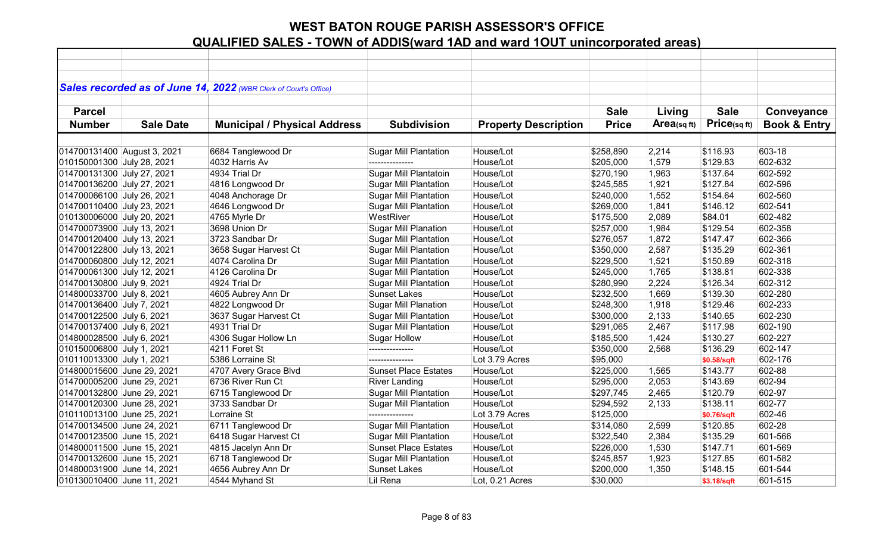|                             |                  | Sales recorded as of June 14, 2022 (WBR Clerk of Court's Office) |                              |                             |              |            |             |                         |
|-----------------------------|------------------|------------------------------------------------------------------|------------------------------|-----------------------------|--------------|------------|-------------|-------------------------|
|                             |                  |                                                                  |                              |                             |              |            |             |                         |
| <b>Parcel</b>               |                  |                                                                  |                              |                             | <b>Sale</b>  | Living     | <b>Sale</b> | Conveyance              |
| <b>Number</b>               | <b>Sale Date</b> | <b>Municipal / Physical Address</b>                              | <b>Subdivision</b>           | <b>Property Description</b> | <b>Price</b> | Area(sqft) | Price(sqft) | <b>Book &amp; Entry</b> |
|                             |                  |                                                                  |                              |                             |              |            |             |                         |
| 014700131400 August 3, 2021 |                  | 6684 Tanglewood Dr                                               | <b>Sugar Mill Plantation</b> | House/Lot                   | \$258,890    | 2,214      | \$116.93    | 603-18                  |
| 010150001300 July 28, 2021  |                  | 4032 Harris Av                                                   | ---------------              | House/Lot                   | \$205,000    | 1,579      | \$129.83    | 602-632                 |
| 014700131300 July 27, 2021  |                  | 4934 Trial Dr                                                    | Sugar Mill Plantatoin        | House/Lot                   | \$270,190    | 1,963      | \$137.64    | 602-592                 |
| 014700136200 July 27, 2021  |                  | 4816 Longwood Dr                                                 | <b>Sugar Mill Plantation</b> | House/Lot                   | \$245,585    | 1,921      | \$127.84    | 602-596                 |
| 014700066100 July 26, 2021  |                  | 4048 Anchorage Dr                                                | <b>Sugar Mill Plantation</b> | House/Lot                   | \$240,000    | 1,552      | \$154.64    | 602-560                 |
| 014700110400 July 23, 2021  |                  | 4646 Longwood Dr                                                 | <b>Sugar Mill Plantation</b> | House/Lot                   | \$269,000    | 1,841      | \$146.12    | 602-541                 |
| 010130006000 July 20, 2021  |                  | 4765 Myrle Dr                                                    | WestRiver                    | House/Lot                   | \$175,500    | 2,089      | \$84.01     | 602-482                 |
| 014700073900 July 13, 2021  |                  | 3698 Union Dr                                                    | <b>Sugar Mill Planation</b>  | House/Lot                   | \$257,000    | 1,984      | \$129.54    | 602-358                 |
| 014700120400 July 13, 2021  |                  | 3723 Sandbar Dr                                                  | <b>Sugar Mill Plantation</b> | House/Lot                   | \$276,057    | 1,872      | \$147.47    | 602-366                 |
| 014700122800 July 13, 2021  |                  | 3658 Sugar Harvest Ct                                            | <b>Sugar Mill Plantation</b> | House/Lot                   | \$350,000    | 2,587      | \$135.29    | 602-361                 |
| 014700060800 July 12, 2021  |                  | 4074 Carolina Dr                                                 | <b>Sugar Mill Plantation</b> | House/Lot                   | \$229,500    | 1,521      | \$150.89    | 602-318                 |
| 014700061300 July 12, 2021  |                  | 4126 Carolina Dr                                                 | <b>Sugar Mill Plantation</b> | House/Lot                   | \$245,000    | 1,765      | \$138.81    | 602-338                 |
| 014700130800 July 9, 2021   |                  | 4924 Trial Dr                                                    | <b>Sugar Mill Plantation</b> | House/Lot                   | \$280,990    | 2,224      | \$126.34    | 602-312                 |
| 014800033700 July 8, 2021   |                  | 4605 Aubrey Ann Dr                                               | <b>Sunset Lakes</b>          | House/Lot                   | \$232,500    | 1,669      | \$139.30    | 602-280                 |
| 014700136400 July 7, 2021   |                  | 4822 Longwood Dr                                                 | <b>Sugar Mill Planation</b>  | House/Lot                   | \$248,300    | 1,918      | \$129.46    | 602-233                 |
| 014700122500 July 6, 2021   |                  | 3637 Sugar Harvest Ct                                            | <b>Sugar Mill Plantation</b> | House/Lot                   | \$300,000    | 2,133      | \$140.65    | 602-230                 |
| 014700137400 July 6, 2021   |                  | 4931 Trial Dr                                                    | <b>Sugar Mill Plantation</b> | House/Lot                   | \$291,065    | 2,467      | \$117.98    | 602-190                 |
| 014800028500 July 6, 2021   |                  | 4306 Sugar Hollow Ln                                             | <b>Sugar Hollow</b>          | House/Lot                   | \$185,500    | 1,424      | \$130.27    | 602-227                 |
| 010150006800 July 1, 2021   |                  | 4211 Foret St                                                    | ---------------              | House/Lot                   | \$350,000    | 2,568      | \$136.29    | 602-147                 |
| 010110013300 July 1, 2021   |                  | 5386 Lorraine St                                                 | ---------------              | Lot 3.79 Acres              | \$95,000     |            | \$0.58/sqft | 602-176                 |
| 014800015600 June 29, 2021  |                  | 4707 Avery Grace Blvd                                            | <b>Sunset Place Estates</b>  | House/Lot                   | \$225,000    | 1,565      | \$143.77    | 602-88                  |
| 014700005200 June 29, 2021  |                  | 6736 River Run Ct                                                | <b>River Landing</b>         | House/Lot                   | \$295,000    | 2,053      | \$143.69    | 602-94                  |
| 014700132800 June 29, 2021  |                  | 6715 Tanglewood Dr                                               | <b>Sugar Mill Plantation</b> | House/Lot                   | \$297,745    | 2,465      | \$120.79    | 602-97                  |
| 014700120300 June 28, 2021  |                  | 3733 Sandbar Dr                                                  | <b>Sugar Mill Plantation</b> | House/Lot                   | \$294,592    | 2,133      | \$138.11    | 602-77                  |
| 010110013100 June 25, 2021  |                  | Lorraine St                                                      | ---------------              | Lot 3.79 Acres              | \$125,000    |            | \$0.76/sqft | 602-46                  |
| 014700134500 June 24, 2021  |                  | 6711 Tanglewood Dr                                               | <b>Sugar Mill Plantation</b> | House/Lot                   | \$314,080    | 2,599      | \$120.85    | 602-28                  |
| 014700123500 June 15, 2021  |                  | 6418 Sugar Harvest Ct                                            | <b>Sugar Mill Plantation</b> | House/Lot                   | \$322,540    | 2,384      | \$135.29    | 601-566                 |
| 014800011500 June 15, 2021  |                  | 4815 Jacelyn Ann Dr                                              | <b>Sunset Place Estates</b>  | House/Lot                   | \$226,000    | 1,530      | \$147.71    | 601-569                 |
| 014700132600 June 15, 2021  |                  | 6718 Tanglewood Dr                                               | Sugar Mill Plantation        | House/Lot                   | \$245,857    | 1,923      | \$127.85    | 601-582                 |
| 014800031900 June 14, 2021  |                  | 4656 Aubrey Ann Dr                                               | <b>Sunset Lakes</b>          | House/Lot                   | \$200,000    | 1,350      | \$148.15    | 601-544                 |
| 010130010400 June 11, 2021  |                  | 4544 Myhand St                                                   | Lil Rena                     | Lot, 0.21 Acres             | \$30,000     |            | \$3.18/sqft | 601-515                 |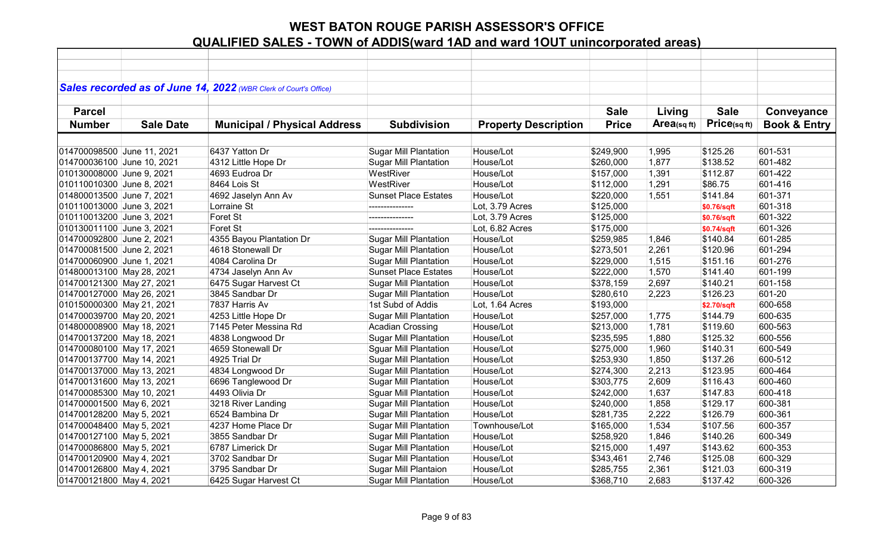|                            |                  | Sales recorded as of June 14, 2022 (WBR Clerk of Court's Office) |                              |                             |              |                |             |                         |
|----------------------------|------------------|------------------------------------------------------------------|------------------------------|-----------------------------|--------------|----------------|-------------|-------------------------|
|                            |                  |                                                                  |                              |                             |              |                |             |                         |
| <b>Parcel</b>              |                  |                                                                  |                              |                             | <b>Sale</b>  | Living         | <b>Sale</b> | Conveyance              |
| <b>Number</b>              | <b>Sale Date</b> | <b>Municipal / Physical Address</b>                              | <b>Subdivision</b>           | <b>Property Description</b> | <b>Price</b> | Area(sq $ft$ ) | Price(sqft) | <b>Book &amp; Entry</b> |
|                            |                  |                                                                  |                              |                             |              |                |             |                         |
| 014700098500 June 11, 2021 |                  | 6437 Yatton Dr                                                   | <b>Sugar Mill Plantation</b> | House/Lot                   | \$249,900    | 1,995          | \$125.26    | 601-531                 |
| 014700036100 June 10, 2021 |                  | 4312 Little Hope Dr                                              | <b>Sugar Mill Plantation</b> | House/Lot                   | \$260,000    | 1,877          | \$138.52    | 601-482                 |
| 010130008000 June 9, 2021  |                  | 4693 Eudroa Dr                                                   | WestRiver                    | House/Lot                   | \$157,000    | 1,391          | \$112.87    | 601-422                 |
| 010110010300 June 8, 2021  |                  | 8464 Lois St                                                     | WestRiver                    | House/Lot                   | \$112,000    | 1,291          | \$86.75     | 601-416                 |
| 014800013500 June 7, 2021  |                  | 4692 Jaselyn Ann Av                                              | <b>Sunset Place Estates</b>  | House/Lot                   | \$220,000    | 1,551          | \$141.84    | 601-371                 |
| 010110013000 June 3, 2021  |                  | Lorraine St                                                      | ---------------              | Lot, 3.79 Acres             | \$125,000    |                | \$0.76/sqft | 601-318                 |
| 010110013200 June 3, 2021  |                  | Foret St                                                         | ---------------              | Lot, 3.79 Acres             | \$125,000    |                | \$0.76/sqft | 601-322                 |
| 010130011100 June 3, 2021  |                  | Foret St                                                         | ---------------              | Lot, 6.82 Acres             | \$175,000    |                | \$0.74/sqft | 601-326                 |
| 014700092800 June 2, 2021  |                  | 4355 Bayou Plantation Dr                                         | <b>Sugar Mill Plantation</b> | House/Lot                   | \$259,985    | 1,846          | \$140.84    | 601-285                 |
| 014700081500 June 2, 2021  |                  | 4618 Stonewall Dr                                                | <b>Sugar Mill Plantation</b> | House/Lot                   | \$273,501    | 2,261          | \$120.96    | 601-294                 |
| 014700060900 June 1, 2021  |                  | 4084 Carolina Dr                                                 | <b>Sugar Mill Plantation</b> | House/Lot                   | \$229,000    | 1,515          | \$151.16    | 601-276                 |
| 014800013100 May 28, 2021  |                  | 4734 Jaselyn Ann Av                                              | <b>Sunset Place Estates</b>  | House/Lot                   | \$222,000    | 1,570          | \$141.40    | 601-199                 |
| 014700121300 May 27, 2021  |                  | 6475 Sugar Harvest Ct                                            | <b>Sugar Mill Plantation</b> | House/Lot                   | \$378,159    | 2,697          | \$140.21    | 601-158                 |
| 014700127000 May 26, 2021  |                  | 3845 Sandbar Dr                                                  | <b>Sugar Mill Plantation</b> | House/Lot                   | \$280,610    | 2,223          | \$126.23    | 601-20                  |
| 010150000300 May 21, 2021  |                  | 7837 Harris Av                                                   | 1st Subd of Addis            | Lot, 1.64 Acres             | \$193,000    |                | \$2.70/sqft | 600-658                 |
| 014700039700 May 20, 2021  |                  | 4253 Little Hope Dr                                              | <b>Sugar Mill Plantation</b> | House/Lot                   | \$257,000    | 1,775          | \$144.79    | 600-635                 |
| 014800008900 May 18, 2021  |                  | 7145 Peter Messina Rd                                            | <b>Acadian Crossing</b>      | House/Lot                   | \$213,000    | 1,781          | \$119.60    | 600-563                 |
| 014700137200 May 18, 2021  |                  | 4838 Longwood Dr                                                 | <b>Sugar Mill Plantation</b> | House/Lot                   | \$235,595    | 1,880          | \$125.32    | 600-556                 |
| 014700080100 May 17, 2021  |                  | 4659 Stonewall Dr                                                | <b>Sguar Mill Plantation</b> | House/Lot                   | \$275,000    | 1,960          | \$140.31    | 600-549                 |
| 014700137700 May 14, 2021  |                  | 4925 Trial Dr                                                    | <b>Sugar Mill Plantation</b> | House/Lot                   | \$253,930    | 1,850          | \$137.26    | 600-512                 |
| 014700137000 May 13, 2021  |                  | 4834 Longwood Dr                                                 | <b>Sugar Mill Plantation</b> | House/Lot                   | \$274,300    | 2,213          | \$123.95    | 600-464                 |
| 014700131600 May 13, 2021  |                  | 6696 Tanglewood Dr                                               | <b>Sugar Mill Plantation</b> | House/Lot                   | \$303,775    | 2,609          | \$116.43    | 600-460                 |
| 014700085300 May 10, 2021  |                  | 4493 Olivia Dr                                                   | <b>Sguar Mill Plantation</b> | House/Lot                   | \$242,000    | 1,637          | \$147.83    | 600-418                 |
| 014700001500 May 6, 2021   |                  | 3218 River Landing                                               | <b>Sugar Mill Plantation</b> | House/Lot                   | \$240,000    | 1,858          | \$129.17    | 600-381                 |
| 014700128200 May 5, 2021   |                  | 6524 Bambina Dr                                                  | <b>Sugar Mill Plantation</b> | House/Lot                   | \$281,735    | 2,222          | \$126.79    | 600-361                 |
| 014700048400 May 5, 2021   |                  | 4237 Home Place Dr                                               | Sugar Mill Plantation        | Townhouse/Lot               | \$165,000    | 1,534          | \$107.56    | 600-357                 |
| 014700127100 May 5, 2021   |                  | 3855 Sandbar Dr                                                  | <b>Sugar Mill Plantation</b> | House/Lot                   | \$258,920    | 1,846          | \$140.26    | 600-349                 |
| 014700086800 May 5, 2021   |                  | 6787 Limerick Dr                                                 | <b>Sugar Mill Plantation</b> | House/Lot                   | \$215,000    | 1,497          | \$143.62    | 600-353                 |
| 014700120900 May 4, 2021   |                  | 3702 Sandbar Dr                                                  | <b>Sugar Mill Plantation</b> | House/Lot                   | \$343,461    | 2,746          | \$125.08    | 600-329                 |
| 014700126800 May 4, 2021   |                  | 3795 Sandbar Dr                                                  | Sugar Mill Plantaion         | House/Lot                   | \$285,755    | 2,361          | \$121.03    | 600-319                 |
| 014700121800 May 4, 2021   |                  | 6425 Sugar Harvest Ct                                            | <b>Sugar Mill Plantation</b> | House/Lot                   | \$368,710    | 2,683          | \$137.42    | 600-326                 |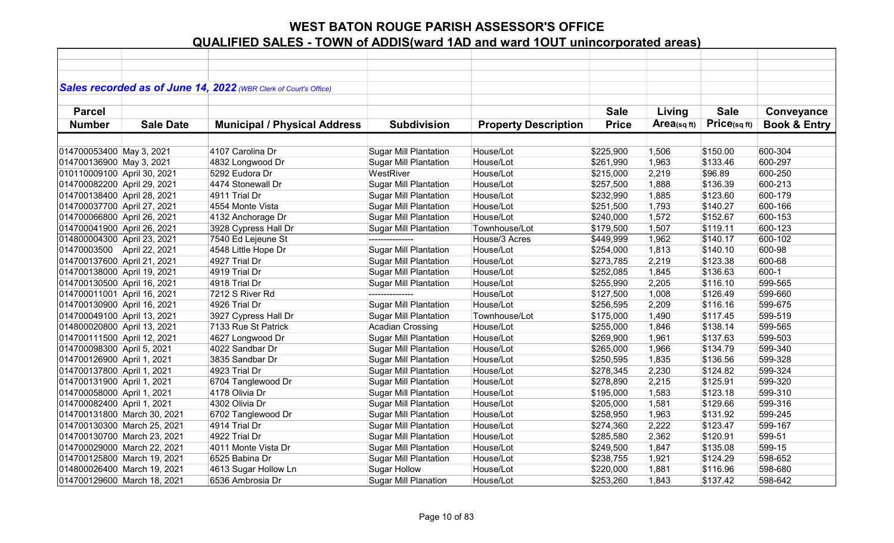|                             |                             | Sales recorded as of June 14, 2022 (WBR Clerk of Court's Office) |                              |                             |              |            |             |                         |
|-----------------------------|-----------------------------|------------------------------------------------------------------|------------------------------|-----------------------------|--------------|------------|-------------|-------------------------|
| <b>Parcel</b>               |                             |                                                                  |                              |                             | <b>Sale</b>  | Living     | <b>Sale</b> | Conveyance              |
| <b>Number</b>               | <b>Sale Date</b>            | <b>Municipal / Physical Address</b>                              | <b>Subdivision</b>           | <b>Property Description</b> | <b>Price</b> | Area(sqft) | Price(sqft) | <b>Book &amp; Entry</b> |
|                             |                             |                                                                  |                              |                             |              |            |             |                         |
| 014700053400 May 3, 2021    |                             | 4107 Carolina Dr                                                 | <b>Sugar Mill Plantation</b> | House/Lot                   | \$225,900    | 1,506      | \$150.00    | 600-304                 |
| 014700136900 May 3, 2021    |                             | 4832 Longwood Dr                                                 | <b>Sugar Mill Plantation</b> | House/Lot                   | \$261,990    | 1,963      | \$133.46    | 600-297                 |
| 010110009100 April 30, 2021 |                             | 5292 Eudora Dr                                                   | WestRiver                    | House/Lot                   | \$215,000    | 2,219      | \$96.89     | 600-250                 |
| 014700082200 April 29, 2021 |                             | 4474 Stonewall Dr                                                | <b>Sugar Mill Plantation</b> | House/Lot                   | \$257,500    | 1,888      | \$136.39    | 600-213                 |
| 014700138400 April 28, 2021 |                             | 4911 Trial Dr                                                    | <b>Sugar Mill Plantation</b> | House/Lot                   | \$232,990    | 1,885      | \$123.60    | 600-179                 |
| 014700037700 April 27, 2021 |                             | 4554 Monte Vista                                                 | <b>Sugar Mill Plantation</b> | House/Lot                   | \$251,500    | 1,793      | \$140.27    | 600-166                 |
| 014700066800 April 26, 2021 |                             | 4132 Anchorage Dr                                                | <b>Sugar Mill Plantation</b> | House/Lot                   | \$240,000    | 1,572      | \$152.67    | 600-153                 |
| 014700041900 April 26, 2021 |                             | 3928 Cypress Hall Dr                                             | <b>Sugar Mill Plantation</b> | Townhouse/Lot               | \$179,500    | 1,507      | \$119.11    | 600-123                 |
| 014800004300 April 23, 2021 |                             | 7540 Ed Lejeune St                                               | ---------------              | House/3 Acres               | \$449,999    | 1,962      | \$140.17    | 600-102                 |
| 01470003500 April 22, 2021  |                             | 4548 Little Hope Dr                                              | <b>Sugar Mill Plantation</b> | House/Lot                   | \$254,000    | 1,813      | \$140.10    | 600-98                  |
| 014700137600 April 21, 2021 |                             | 4927 Trial Dr                                                    | <b>Sugar Mill Plantation</b> | House/Lot                   | \$273,785    | 2,219      | \$123.38    | 600-68                  |
| 014700138000 April 19, 2021 |                             | 4919 Trial Dr                                                    | <b>Sugar Mill Plantation</b> | House/Lot                   | \$252,085    | 1,845      | \$136.63    | 600-1                   |
| 014700130500 April 16, 2021 |                             | 4918 Trial Dr                                                    | <b>Sugar Mill Plantation</b> | House/Lot                   | \$255,990    | 2,205      | \$116.10    | 599-565                 |
| 014700011001 April 16, 2021 |                             | 7212 S River Rd                                                  |                              | House/Lot                   | \$127,500    | 1,008      | \$126.49    | 599-660                 |
| 014700130900 April 16, 2021 |                             | 4926 Trial Dr                                                    | <b>Sugar Mill Plantation</b> | House/Lot                   | \$256,595    | 2,209      | \$116.16    | 599-675                 |
| 014700049100 April 13, 2021 |                             | 3927 Cypress Hall Dr                                             | <b>Sugar Mill Plantation</b> | Townhouse/Lot               | \$175,000    | 1,490      | \$117.45    | 599-519                 |
| 014800020800 April 13, 2021 |                             | 7133 Rue St Patrick                                              | <b>Acadian Crossing</b>      | House/Lot                   | \$255,000    | 1,846      | \$138.14    | 599-565                 |
| 014700111500 April 12, 2021 |                             | 4627 Longwood Dr                                                 | <b>Sugar Mill Plantation</b> | House/Lot                   | \$269,900    | 1,961      | \$137.63    | 599-503                 |
| 014700098300 April 5, 2021  |                             | 4022 Sandbar Dr                                                  | <b>Sugar Mill Plantation</b> | House/Lot                   | \$265,000    | 1,966      | \$134.79    | 599-340                 |
| 014700126900 April 1, 2021  |                             | 3835 Sandbar Dr                                                  | <b>Sugar Mill Plantation</b> | House/Lot                   | \$250,595    | 1,835      | \$136.56    | 599-328                 |
| 014700137800 April 1, 2021  |                             | 4923 Trial Dr                                                    | <b>Sugar Mill Plantation</b> | House/Lot                   | \$278,345    | 2,230      | \$124.82    | 599-324                 |
| 014700131900 April 1, 2021  |                             | 6704 Tanglewood Dr                                               | <b>Sugar Mill Plantation</b> | House/Lot                   | \$278,890    | 2,215      | \$125.91    | 599-320                 |
| 014700058000 April 1, 2021  |                             | 4178 Olivia Dr                                                   | <b>Sugar Mill Plantation</b> | House/Lot                   | \$195,000    | 1,583      | \$123.18    | 599-310                 |
| 014700082400 April 1, 2021  |                             | 4302 Olivia Dr                                                   | <b>Sugar Mill Plantation</b> | House/Lot                   | \$205,000    | 1,581      | \$129.66    | 599-316                 |
| 014700131800 March 30, 2021 |                             | 6702 Tanglewood Dr                                               | <b>Sugar Mill Plantation</b> | House/Lot                   | \$258,950    | 1,963      | \$131.92    | 599-245                 |
| 014700130300 March 25, 2021 |                             | 4914 Trial Dr                                                    | <b>Sugar Mill Plantation</b> | House/Lot                   | \$274,360    | 2,222      | \$123.47    | 599-167                 |
| 014700130700 March 23, 2021 |                             | 4922 Trial Dr                                                    | <b>Sugar Mill Plantation</b> | House/Lot                   | \$285,580    | 2,362      | \$120.91    | 599-51                  |
|                             | 014700029000 March 22, 2021 | 4011 Monte Vista Dr                                              | <b>Sugar Mill Plantation</b> | House/Lot                   | \$249,500    | 1,847      | \$135.08    | 599-15                  |
|                             | 014700125800 March 19, 2021 | 6525 Babina Dr                                                   | <b>Sugar Mill Plantation</b> | House/Lot                   | \$238,755    | 1,921      | \$124.29    | 598-652                 |
| 014800026400 March 19, 2021 |                             | 4613 Sugar Hollow Ln                                             | <b>Sugar Hollow</b>          | House/Lot                   | \$220,000    | 1,881      | \$116.96    | 598-680                 |
| 014700129600 March 18, 2021 |                             | 6536 Ambrosia Dr                                                 | <b>Sugar Mill Planation</b>  | House/Lot                   | \$253,260    | 1,843      | \$137.42    | 598-642                 |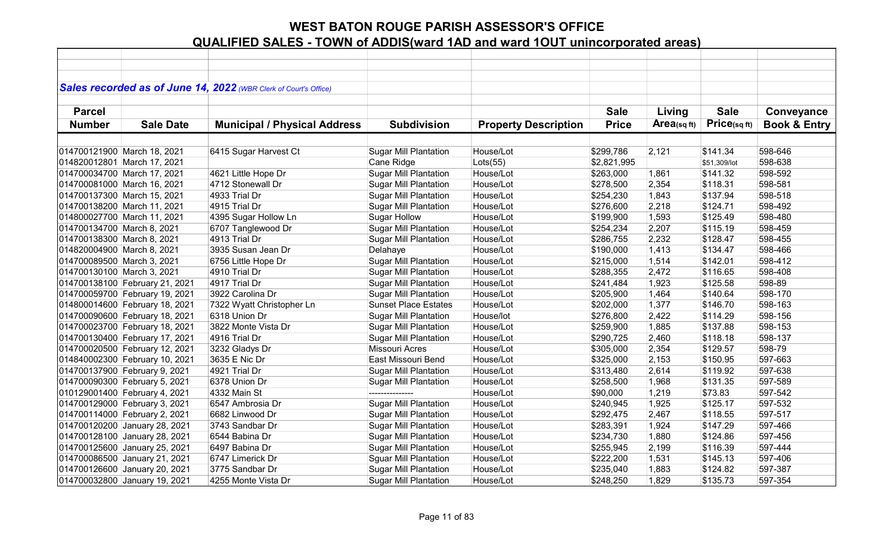|                             |                                | Sales recorded as of June 14, 2022 (WBR Clerk of Court's Office) |                              |                             |              |            |              |                         |
|-----------------------------|--------------------------------|------------------------------------------------------------------|------------------------------|-----------------------------|--------------|------------|--------------|-------------------------|
|                             |                                |                                                                  |                              |                             |              |            |              |                         |
| <b>Parcel</b>               |                                |                                                                  |                              |                             | <b>Sale</b>  | Living     | <b>Sale</b>  | Conveyance              |
| <b>Number</b>               | <b>Sale Date</b>               | <b>Municipal / Physical Address</b>                              | <b>Subdivision</b>           | <b>Property Description</b> | <b>Price</b> | Area(sqft) | Price(sqft)  | <b>Book &amp; Entry</b> |
|                             |                                |                                                                  |                              |                             |              |            |              |                         |
|                             | 014700121900 March 18, 2021    | 6415 Sugar Harvest Ct                                            | <b>Sugar Mill Plantation</b> | House/Lot                   | \$299,786    | 2,121      | \$141.34     | 598-646                 |
|                             | 014820012801 March 17, 2021    |                                                                  | Cane Ridge                   | Lots(55)                    | \$2,821,995  |            | \$51,309/lot | 598-638                 |
|                             | 014700034700 March 17, 2021    | 4621 Little Hope Dr                                              | <b>Sugar Mill Plantation</b> | House/Lot                   | \$263,000    | 1,861      | \$141.32     | 598-592                 |
|                             | 014700081000 March 16, 2021    | 4712 Stonewall Dr                                                | <b>Sugar Mill Plantation</b> | House/Lot                   | \$278,500    | 2,354      | \$118.31     | 598-581                 |
| 014700137300 March 15, 2021 |                                | 4933 Trial Dr                                                    | <b>Sugar Mill Plantation</b> | House/Lot                   | \$254,230    | 1,843      | \$137.94     | 598-518                 |
|                             | 014700138200 March 11, 2021    | 4915 Trial Dr                                                    | <b>Sugar Mill Plantation</b> | House/Lot                   | \$276,600    | 2,218      | \$124.71     | 598-492                 |
|                             | 014800027700 March 11, 2021    | 4395 Sugar Hollow Ln                                             | <b>Sugar Hollow</b>          | House/Lot                   | \$199,900    | 1,593      | \$125.49     | 598-480                 |
| 014700134700 March 8, 2021  |                                | 6707 Tanglewood Dr                                               | <b>Sugar Mill Plantation</b> | House/Lot                   | \$254,234    | 2,207      | \$115.19     | 598-459                 |
| 014700138300 March 8, 2021  |                                | 4913 Trial Dr                                                    | <b>Sugar Mill Plantation</b> | House/Lot                   | \$286,755    | 2,232      | \$128.47     | 598-455                 |
| 014820004900 March 8, 2021  |                                | 3935 Susan Jean Dr                                               | Delahaye                     | House/Lot                   | \$190,000    | 1,413      | \$134.47     | 598-466                 |
| 014700089500 March 3, 2021  |                                | 6756 Little Hope Dr                                              | <b>Sugar Mill Plantation</b> | House/Lot                   | \$215,000    | 1,514      | \$142.01     | 598-412                 |
| 014700130100 March 3, 2021  |                                | 4910 Trial Dr                                                    | <b>Sugar Mill Plantation</b> | House/Lot                   | \$288,355    | 2,472      | \$116.65     | 598-408                 |
|                             | 014700138100 February 21, 2021 | 4917 Trial Dr                                                    | <b>Sugar Mill Plantation</b> | House/Lot                   | \$241,484    | 1,923      | \$125.58     | 598-89                  |
|                             | 014700059700 February 19, 2021 | 3922 Carolina Dr                                                 | <b>Sugar Mill Plantation</b> | House/Lot                   | \$205,900    | 1,464      | \$140.64     | 598-170                 |
|                             | 014800014600 February 18, 2021 | 7322 Wyatt Christopher Ln                                        | <b>Sunset Place Estates</b>  | House/Lot                   | \$202,000    | 1,377      | \$146.70     | 598-163                 |
|                             | 014700090600 February 18, 2021 | 6318 Union Dr                                                    | <b>Sugar Mill Plantation</b> | House/lot                   | \$276,800    | 2,422      | \$114.29     | 598-156                 |
|                             | 014700023700 February 18, 2021 | 3822 Monte Vista Dr                                              | <b>Sugar Mill Plantation</b> | House/Lot                   | \$259,900    | 1,885      | \$137.88     | 598-153                 |
|                             | 014700130400 February 17, 2021 | 4916 Trial Dr                                                    | Sugar Mill Plantation        | House/Lot                   | \$290,725    | 2,460      | \$118.18     | 598-137                 |
|                             | 014700020500 February 12, 2021 | 3232 Gladys Dr                                                   | Missouri Acres               | House/Lot                   | \$305,000    | 2,354      | \$129.57     | 598-79                  |
|                             | 014840002300 February 10, 2021 | 3635 E Nic Dr                                                    | East Missouri Bend           | House/Lot                   | \$325,000    | 2,153      | \$150.95     | 597-663                 |
|                             | 014700137900 February 9, 2021  | 4921 Trial Dr                                                    | <b>Sugar Mill Plantation</b> | House/Lot                   | \$313,480    | 2,614      | \$119.92     | 597-638                 |
|                             | 014700090300 February 5, 2021  | 6378 Union Dr                                                    | <b>Sugar Mill Plantation</b> | House/Lot                   | \$258,500    | 1,968      | \$131.35     | 597-589                 |
|                             | 010129001400 February 4, 2021  | 4332 Main St                                                     | ---------------              | House/Lot                   | \$90,000     | 1,219      | \$73.83      | 597-542                 |
|                             | 014700129000 February 3, 2021  | 6547 Ambrosia Dr                                                 | <b>Sugar Mill Plantation</b> | House/Lot                   | \$240,945    | 1,925      | \$125.17     | 597-532                 |
|                             | 014700114000 February 2, 2021  | 6682 Linwood Dr                                                  | Sugar Mill Plantation        | House/Lot                   | \$292,475    | 2,467      | \$118.55     | 597-517                 |
|                             | 014700120200 January 28, 2021  | 3743 Sandbar Dr                                                  | <b>Sugar Mill Plantation</b> | House/Lot                   | \$283,391    | 1,924      | \$147.29     | 597-466                 |
|                             | 014700128100 January 28, 2021  | 6544 Babina Dr                                                   | <b>Sugar Mill Plantation</b> | House/Lot                   | \$234,730    | 1,880      | \$124.86     | 597-456                 |
|                             | 014700125600 January 25, 2021  | 6497 Babina Dr                                                   | <b>Sugar Mill Plantation</b> | House/Lot                   | \$255,945    | 2,199      | \$116.39     | 597-444                 |
|                             | 014700086500 January 21, 2021  | 6747 Limerick Dr                                                 | <b>Sguar Mill Plantation</b> | House/Lot                   | \$222,200    | 1,531      | \$145.13     | 597-406                 |
|                             | 014700126600 January 20, 2021  | 3775 Sandbar Dr                                                  | <b>Sugar Mill Plantation</b> | House/Lot                   | \$235,040    | 1,883      | \$124.82     | 597-387                 |
|                             | 014700032800 January 19, 2021  | 4255 Monte Vista Dr                                              | <b>Sugar Mill Plantation</b> | House/Lot                   | \$248,250    | 1,829      | \$135.73     | 597-354                 |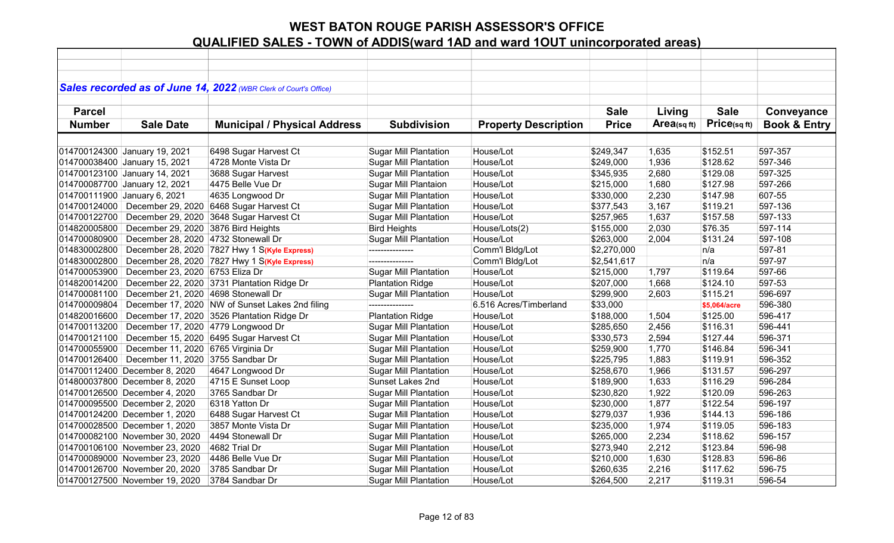|               |                                     | Sales recorded as of June 14, 2022 (WBR Clerk of Court's Office) |                              |                             |              |            |              |                         |
|---------------|-------------------------------------|------------------------------------------------------------------|------------------------------|-----------------------------|--------------|------------|--------------|-------------------------|
|               |                                     |                                                                  |                              |                             |              |            |              |                         |
| <b>Parcel</b> |                                     |                                                                  |                              |                             | <b>Sale</b>  | Living     | <b>Sale</b>  | Conveyance              |
| <b>Number</b> | <b>Sale Date</b>                    | <b>Municipal / Physical Address</b>                              | <b>Subdivision</b>           | <b>Property Description</b> | <b>Price</b> | Area(sqft) | Price(sq ft) | <b>Book &amp; Entry</b> |
|               |                                     |                                                                  |                              |                             |              |            |              |                         |
|               | 014700124300 January 19, 2021       | 6498 Sugar Harvest Ct                                            | <b>Sugar Mill Plantation</b> | House/Lot                   | \$249,347    | 1,635      | \$152.51     | 597-357                 |
|               | 014700038400 January 15, 2021       | 4728 Monte Vista Dr                                              | <b>Sugar Mill Plantation</b> | House/Lot                   | \$249,000    | 1,936      | \$128.62     | 597-346                 |
|               | 014700123100 January 14, 2021       | 3688 Sugar Harvest                                               | <b>Sugar Mill Plantation</b> | House/Lot                   | \$345,935    | 2,680      | \$129.08     | 597-325                 |
|               | 014700087700 January 12, 2021       | 4475 Belle Vue Dr                                                | Sugar Mill Plantaion         | House/Lot                   | \$215,000    | 1,680      | \$127.98     | 597-266                 |
|               | 014700111900 January 6, 2021        | 4635 Longwood Dr                                                 | <b>Sugar Mill Plantation</b> | House/Lot                   | \$330,000    | 2,230      | \$147.98     | 607-55                  |
| 014700124000  | December 29, 2020                   | 6468 Sugar Harvest Ct                                            | <b>Sugar Mill Plantation</b> | House/Lot                   | \$377,543    | 3,167      | \$119.21     | 597-136                 |
| 014700122700  |                                     | December 29, 2020 3648 Sugar Harvest Ct                          | Sugar Mill Plantation        | House/Lot                   | \$257,965    | 1,637      | \$157.58     | 597-133                 |
| 014820005800  | December 29, 2020 3876 Bird Heights |                                                                  | <b>Bird Heights</b>          | House/Lots(2)               | \$155,000    | 2,030      | \$76.35      | 597-114                 |
| 014700080900  | December 28, 2020 4732 Stonewall Dr |                                                                  | <b>Sugar Mill Plantation</b> | House/Lot                   | \$263,000    | 2,004      | \$131.24     | 597-108                 |
| 014830002800  |                                     | December 28, 2020 7827 Hwy 1 S(Kyle Express)                     | ---------------              | Comm'l Bldg/Lot             | \$2,270,000  |            | n/a          | 597-81                  |
| 014830002800  |                                     | December 28, 2020 7827 Hwy 1 S(Kyle Express)                     | ---------------              | Comm'l Bldg/Lot             | \$2,541,617  |            | n/a          | 597-97                  |
| 014700053900  | December 23, 2020 6753 Eliza Dr     |                                                                  | <b>Sugar Mill Plantation</b> | House/Lot                   | \$215,000    | 1,797      | \$119.64     | 597-66                  |
| 014820014200  |                                     | December 22, 2020 3731 Plantation Ridge Dr                       | <b>Plantation Ridge</b>      | House/Lot                   | \$207,000    | 1,668      | \$124.10     | 597-53                  |
| 014700081100  | December 21, 2020 4698 Stonewall Dr |                                                                  | <b>Sugar Mill Plantation</b> | House/Lot                   | \$299,900    | 2,603      | \$115.21     | 596-697                 |
| 014700009804  |                                     | December 17, 2020 NW of Sunset Lakes 2nd filing                  |                              | 6.516 Acres/Timberland      | \$33,000     |            | \$5,064/acre | 596-380                 |
| 014820016600  |                                     | December 17, 2020 3526 Plantation Ridge Dr                       | <b>Plantation Ridge</b>      | House/Lot                   | \$188,000    | 1,504      | \$125.00     | 596-417                 |
| 014700113200  | December 17, 2020 4779 Longwood Dr  |                                                                  | <b>Sugar Mill Plantation</b> | House/Lot                   | \$285,650    | 2,456      | \$116.31     | 596-441                 |
| 014700121100  |                                     | December 15, 2020 6495 Sugar Harvest Ct                          | <b>Sugar Mill Plantation</b> | House/Lot                   | \$330,573    | 2,594      | \$127.44     | 596-371                 |
| 014700055900  | December 11, 2020 6765 Virginia Dr  |                                                                  | <b>Sugar Mill Plantation</b> | House/Lot                   | \$259,900    | 1,770      | \$146.84     | 596-341                 |
| 014700126400  | December 11, 2020 3755 Sandbar Dr   |                                                                  | <b>Sugar Mill Plantation</b> | House/Lot                   | \$225,795    | 1,883      | \$119.91     | 596-352                 |
|               | 014700112400 December 8, 2020       | 4647 Longwood Dr                                                 | <b>Sugar Mill Plantation</b> | House/Lot                   | \$258,670    | 1,966      | \$131.57     | 596-297                 |
|               | 014800037800 December 8, 2020       | 4715 E Sunset Loop                                               | Sunset Lakes 2nd             | House/Lot                   | \$189,900    | 1,633      | \$116.29     | 596-284                 |
|               | 014700126500 December 4, 2020       | 3765 Sandbar Dr                                                  | <b>Sugar Mill Plantation</b> | House/Lot                   | \$230,820    | 1,922      | \$120.09     | 596-263                 |
|               | 014700095500 December 2, 2020       | 6318 Yatton Dr                                                   | <b>Sugar Mill Plantation</b> | House/Lot                   | \$230,000    | 1,877      | \$122.54     | 596-197                 |
|               | 014700124200 December 1, 2020       | 6488 Sugar Harvest Ct                                            | <b>Sugar Mill Plantation</b> | House/Lot                   | \$279,037    | 1,936      | \$144.13     | 596-186                 |
|               | 014700028500 December 1, 2020       | 3857 Monte Vista Dr                                              | <b>Sugar Mill Plantation</b> | House/Lot                   | \$235,000    | 1,974      | \$119.05     | 596-183                 |
|               | 014700082100 November 30, 2020      | 4494 Stonewall Dr                                                | <b>Sugar Mill Plantation</b> | House/Lot                   | \$265,000    | 2,234      | \$118.62     | 596-157                 |
|               | 014700106100 November 23, 2020      | 4682 Trial Dr                                                    | <b>Sugar Mill Plantation</b> | House/Lot                   | \$273,940    | 2,212      | \$123.84     | 596-98                  |
|               | 014700089000 November 23, 2020      | 4486 Belle Vue Dr                                                | <b>Sugar Mill Plantation</b> | House/Lot                   | \$210,000    | 1,630      | \$128.83     | 596-86                  |
|               | 014700126700 November 20, 2020      | 3785 Sandbar Dr                                                  | <b>Sugar Mill Plantation</b> | House/Lot                   | \$260,635    | 2,216      | \$117.62     | 596-75                  |
|               | 014700127500 November 19, 2020      | 3784 Sandbar Dr                                                  | <b>Sugar Mill Plantation</b> | House/Lot                   | \$264,500    | 2,217      | \$119.31     | 596-54                  |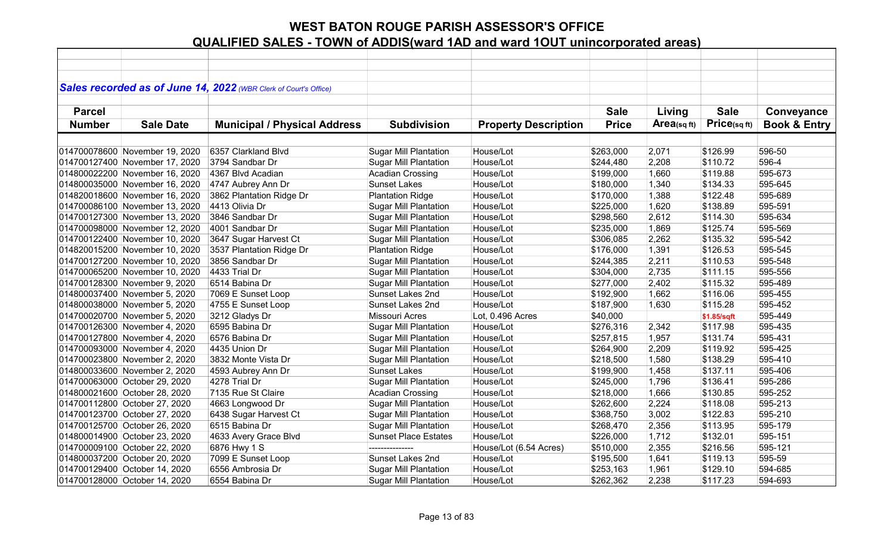|               |                                | Sales recorded as of June 14, 2022 (WBR Clerk of Court's Office) |                              |                             |              |            |             |                         |
|---------------|--------------------------------|------------------------------------------------------------------|------------------------------|-----------------------------|--------------|------------|-------------|-------------------------|
|               |                                |                                                                  |                              |                             |              |            |             |                         |
| <b>Parcel</b> |                                |                                                                  |                              |                             | <b>Sale</b>  | Living     | <b>Sale</b> | Conveyance              |
| <b>Number</b> | <b>Sale Date</b>               | <b>Municipal / Physical Address</b>                              | <b>Subdivision</b>           | <b>Property Description</b> | <b>Price</b> | Area(sqft) | Price(sqft) | <b>Book &amp; Entry</b> |
|               |                                |                                                                  |                              |                             |              |            |             |                         |
|               | 014700078600 November 19, 2020 | 6357 Clarkland Blvd                                              | <b>Sugar Mill Plantation</b> | House/Lot                   | \$263,000    | 2,071      | \$126.99    | 596-50                  |
|               | 014700127400 November 17, 2020 | 3794 Sandbar Dr                                                  | <b>Sugar Mill Plantation</b> | House/Lot                   | \$244,480    | 2,208      | \$110.72    | 596-4                   |
|               | 014800022200 November 16, 2020 | 4367 Blvd Acadian                                                | <b>Acadian Crossing</b>      | House/Lot                   | \$199,000    | 1,660      | \$119.88    | 595-673                 |
|               | 014800035000 November 16, 2020 | 4747 Aubrey Ann Dr                                               | <b>Sunset Lakes</b>          | House/Lot                   | \$180,000    | 1,340      | \$134.33    | 595-645                 |
|               | 014820018600 November 16, 2020 | 3862 Plantation Ridge Dr                                         | <b>Plantation Ridge</b>      | House/Lot                   | \$170,000    | 1,388      | \$122.48    | 595-689                 |
|               | 014700086100 November 13, 2020 | 4413 Olivia Dr                                                   | <b>Sugar Mill Plantation</b> | House/Lot                   | \$225,000    | 1,620      | \$138.89    | 595-591                 |
|               | 014700127300 November 13, 2020 | 3846 Sandbar Dr                                                  | <b>Sugar Mill Plantation</b> | House/Lot                   | \$298,560    | 2,612      | \$114.30    | 595-634                 |
|               | 014700098000 November 12, 2020 | 4001 Sandbar Dr                                                  | <b>Sugar Mill Plantation</b> | House/Lot                   | \$235,000    | 1,869      | \$125.74    | 595-569                 |
|               | 014700122400 November 10, 2020 | 3647 Sugar Harvest Ct                                            | <b>Sugar Mill Plantation</b> | House/Lot                   | \$306,085    | 2,262      | \$135.32    | 595-542                 |
|               | 014820015200 November 10, 2020 | 3537 Plantation Ridge Dr                                         | <b>Plantation Ridge</b>      | House/Lot                   | \$176,000    | 1,391      | \$126.53    | 595-545                 |
|               | 014700127200 November 10, 2020 | 3856 Sandbar Dr                                                  | <b>Sugar Mill Plantation</b> | House/Lot                   | \$244,385    | 2,211      | \$110.53    | 595-548                 |
|               | 014700065200 November 10, 2020 | 4433 Trial Dr                                                    | <b>Sugar Mill Plantation</b> | House/Lot                   | \$304,000    | 2,735      | \$111.15    | 595-556                 |
|               | 014700128300 November 9, 2020  | 6514 Babina Dr                                                   | <b>Sugar Mill Plantation</b> | House/Lot                   | \$277,000    | 2,402      | \$115.32    | 595-489                 |
|               | 014800037400 November 5, 2020  | 7069 E Sunset Loop                                               | Sunset Lakes 2nd             | House/Lot                   | \$192,900    | 1,662      | \$116.06    | 595-455                 |
|               | 014800038000 November 5, 2020  | 4755 E Sunset Loop                                               | Sunset Lakes 2nd             | House/Lot                   | \$187,900    | 1,630      | \$115.28    | 595-452                 |
|               | 014700020700 November 5, 2020  | 3212 Gladys Dr                                                   | Missouri Acres               | Lot, 0.496 Acres            | \$40,000     |            | \$1.85/sqft | 595-449                 |
|               | 014700126300 November 4, 2020  | 6595 Babina Dr                                                   | <b>Sugar Mill Plantation</b> | House/Lot                   | \$276,316    | 2,342      | \$117.98    | 595-435                 |
|               | 014700127800 November 4, 2020  | 6576 Babina Dr                                                   | <b>Sugar Mill Plantation</b> | House/Lot                   | \$257,815    | 1,957      | \$131.74    | 595-431                 |
|               | 014700093000 November 4, 2020  | 4435 Union Dr                                                    | <b>Sugar Mill Plantation</b> | House/Lot                   | \$264,900    | 2,209      | \$119.92    | 595-425                 |
|               | 014700023800 November 2, 2020  | 3832 Monte Vista Dr                                              | <b>Sugar Mill Plantation</b> | House/Lot                   | \$218,500    | 1,580      | \$138.29    | 595-410                 |
|               | 014800033600 November 2, 2020  | 4593 Aubrey Ann Dr                                               | <b>Sunset Lakes</b>          | House/Lot                   | \$199,900    | 1,458      | \$137.11    | 595-406                 |
|               | 014700063000 October 29, 2020  | 4278 Trial Dr                                                    | <b>Sugar Mill Plantation</b> | House/Lot                   | \$245,000    | 1,796      | \$136.41    | 595-286                 |
|               | 014800021600 October 28, 2020  | 7135 Rue St Claire                                               | <b>Acadian Crossing</b>      | House/Lot                   | \$218,000    | 1,666      | \$130.85    | 595-252                 |
|               | 014700112800 October 27, 2020  | 4663 Longwood Dr                                                 | <b>Sugar Mill Plantation</b> | House/Lot                   | \$262,600    | 2,224      | \$118.08    | 595-213                 |
|               | 014700123700 October 27, 2020  | 6438 Sugar Harvest Ct                                            | <b>Sugar Mill Plantation</b> | House/Lot                   | \$368,750    | 3,002      | \$122.83    | 595-210                 |
|               | 014700125700 October 26, 2020  | 6515 Babina Dr                                                   | <b>Sugar Mill Plantation</b> | House/Lot                   | \$268,470    | 2,356      | \$113.95    | 595-179                 |
|               | 014800014900 October 23, 2020  | 4633 Avery Grace Blvd                                            | <b>Sunset Place Estates</b>  | House/Lot                   | \$226,000    | 1,712      | \$132.01    | 595-151                 |
|               | 014700009100 October 22, 2020  | 6876 Hwy 1 S                                                     | ---------------              | House/Lot (6.54 Acres)      | \$510,000    | 2,355      | \$216.56    | 595-121                 |
|               | 014800037200 October 20, 2020  | 7099 E Sunset Loop                                               | Sunset Lakes 2nd             | House/Lot                   | \$195,500    | 1,641      | \$119.13    | 595-59                  |
|               | 014700129400 October 14, 2020  | 6556 Ambrosia Dr                                                 | <b>Sugar Mill Plantation</b> | House/Lot                   | \$253,163    | 1,961      | \$129.10    | 594-685                 |
|               | 014700128000 October 14, 2020  | 6554 Babina Dr                                                   | <b>Sugar Mill Plantation</b> | House/Lot                   | \$262,362    | 2,238      | \$117.23    | 594-693                 |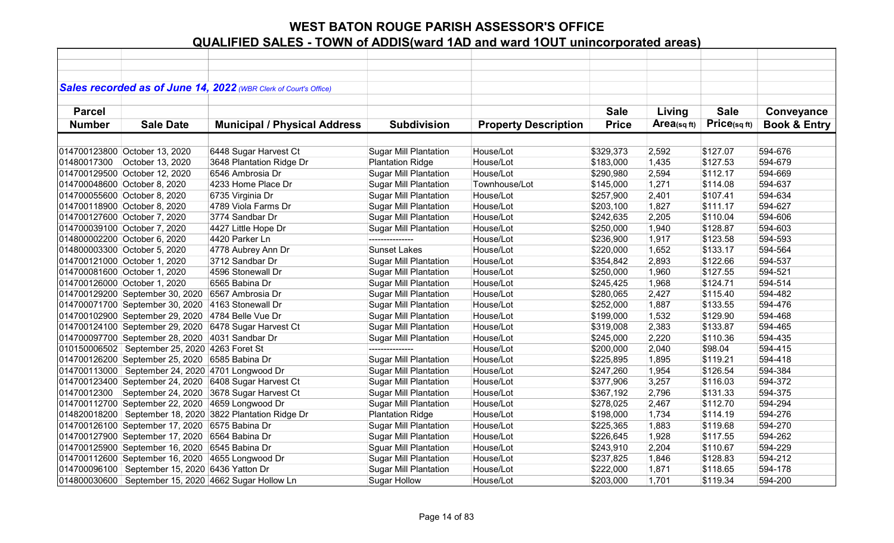|               |                                                  | Sales recorded as of June 14, 2022 (WBR Clerk of Court's Office) |                              |                             |              |                |             |                         |
|---------------|--------------------------------------------------|------------------------------------------------------------------|------------------------------|-----------------------------|--------------|----------------|-------------|-------------------------|
|               |                                                  |                                                                  |                              |                             |              |                |             |                         |
| <b>Parcel</b> |                                                  |                                                                  |                              |                             | <b>Sale</b>  | Living         | <b>Sale</b> | Conveyance              |
| <b>Number</b> | <b>Sale Date</b>                                 | <b>Municipal / Physical Address</b>                              | <b>Subdivision</b>           | <b>Property Description</b> | <b>Price</b> | Area(sq $ft$ ) | Price(sqft) | <b>Book &amp; Entry</b> |
|               |                                                  |                                                                  |                              |                             |              |                |             |                         |
|               | 014700123800 October 13, 2020                    | 6448 Sugar Harvest Ct                                            | <b>Sugar Mill Plantation</b> | House/Lot                   | \$329,373    | 2,592          | \$127.07    | 594-676                 |
| 01480017300   | October 13, 2020                                 | 3648 Plantation Ridge Dr                                         | <b>Plantation Ridge</b>      | House/Lot                   | \$183,000    | 1,435          | \$127.53    | 594-679                 |
|               | 014700129500 October 12, 2020                    | 6546 Ambrosia Dr                                                 | <b>Sugar Mill Plantation</b> | House/Lot                   | \$290,980    | 2,594          | \$112.17    | 594-669                 |
|               | 014700048600 October 8, 2020                     | 4233 Home Place Dr                                               | <b>Sugar Mill Plantation</b> | Townhouse/Lot               | \$145,000    | 1,271          | \$114.08    | 594-637                 |
|               | 014700055600 October 8, 2020                     | 6735 Virginia Dr                                                 | <b>Sugar Mill Plantation</b> | House/Lot                   | \$257,900    | 2,401          | \$107.41    | 594-634                 |
|               | 014700118900 October 8, 2020                     | 4789 Viola Farms Dr                                              | <b>Sugar Mill Plantation</b> | House/Lot                   | \$203,100    | 1,827          | \$111.17    | 594-627                 |
|               | 014700127600 October 7, 2020                     | 3774 Sandbar Dr                                                  | <b>Sugar Mill Plantation</b> | House/Lot                   | \$242,635    | 2,205          | \$110.04    | 594-606                 |
|               | 014700039100 October 7, 2020                     | 4427 Little Hope Dr                                              | <b>Sugar Mill Plantation</b> | House/Lot                   | \$250,000    | 1,940          | \$128.87    | 594-603                 |
|               | 014800002200 October 6, 2020                     | 4420 Parker Ln                                                   | ---------------              | House/Lot                   | \$236,900    | 1,917          | \$123.58    | 594-593                 |
|               | 014800003300 October 5, 2020                     | 4778 Aubrey Ann Dr                                               | <b>Sunset Lakes</b>          | House/Lot                   | \$220,000    | 1,652          | \$133.17    | 594-564                 |
|               | 014700121000 October 1, 2020                     | 3712 Sandbar Dr                                                  | <b>Sugar Mill Plantation</b> | House/Lot                   | \$354,842    | 2,893          | \$122.66    | 594-537                 |
|               | 014700081600 October 1, 2020                     | 4596 Stonewall Dr                                                | <b>Sugar Mill Plantation</b> | House/Lot                   | \$250,000    | 1,960          | \$127.55    | 594-521                 |
|               | 014700126000 October 1, 2020                     | 6565 Babina Dr                                                   | <b>Sugar Mill Plantation</b> | House/Lot                   | \$245,425    | 1,968          | \$124.71    | 594-514                 |
|               | 014700129200 September 30, 2020                  | 6567 Ambrosia Dr                                                 | <b>Sugar Mill Plantation</b> | House/Lot                   | \$280,065    | 2,427          | \$115.40    | 594-482                 |
|               | 014700071700 September 30, 2020                  | 4163 Stonewall Dr                                                | <b>Sugar Mill Plantation</b> | House/Lot                   | \$252,000    | 1,887          | \$133.55    | 594-476                 |
|               | 014700102900 September 29, 2020                  | 4784 Belle Vue Dr                                                | <b>Sugar Mill Plantation</b> | House/Lot                   | \$199,000    | 1,532          | \$129.90    | 594-468                 |
|               | 014700124100 September 29, 2020                  | 6478 Sugar Harvest Ct                                            | <b>Sugar Mill Plantation</b> | House/Lot                   | \$319,008    | 2,383          | \$133.87    | 594-465                 |
|               | 014700097700 September 28, 2020                  | 4031 Sandbar Dr                                                  | <b>Sugar Mill Plantation</b> | House/Lot                   | \$245,000    | 2,220          | \$110.36    | 594-435                 |
|               | 010150006502   September 25, 2020 4263 Foret St  |                                                                  | ---------------              | House/Lot                   | \$200,000    | 2,040          | \$98.04     | 594-415                 |
|               | 014700126200 September 25, 2020 6585 Babina Dr   |                                                                  | <b>Sugar Mill Plantation</b> | House/Lot                   | \$225,895    | 1,895          | \$119.21    | 594-418                 |
|               | 014700113000 September 24, 2020 4701 Longwood Dr |                                                                  | <b>Sugar Mill Plantation</b> | House/Lot                   | \$247,260    | 1,954          | \$126.54    | 594-384                 |
|               | 014700123400 September 24, 2020                  | 6408 Sugar Harvest Ct                                            | <b>Sugar Mill Plantation</b> | House/Lot                   | \$377,906    | 3,257          | \$116.03    | 594-372                 |
| 01470012300   | September 24, 2020                               | 3678 Sugar Harvest Ct                                            | <b>Sugar Mill Plantation</b> | House/Lot                   | \$367,192    | 2,796          | \$131.33    | 594-375                 |
|               | 014700112700 September 22, 2020                  | 4659 Longwood Dr                                                 | <b>Sugar Mill Plantation</b> | House/Lot                   | \$278,025    | 2,467          | \$112.70    | 594-294                 |
|               |                                                  | 014820018200   September 18, 2020   3822 Plantation Ridge Dr     | <b>Plantation Ridge</b>      | House/Lot                   | \$198,000    | 1,734          | \$114.19    | 594-276                 |
|               | 014700126100 September 17, 2020 6575 Babina Dr   |                                                                  | <b>Sugar Mill Plantation</b> | House/Lot                   | \$225,365    | 1,883          | \$119.68    | 594-270                 |
|               | 014700127900 September 17, 2020                  | 6564 Babina Dr                                                   | Sugar Mill Plantation        | House/Lot                   | \$226,645    | 1,928          | \$117.55    | 594-262                 |
|               | 014700125900 September 16, 2020 6545 Babina Dr   |                                                                  | <b>Sguar Mill Plantation</b> | House/Lot                   | \$243,910    | 2,204          | \$110.67    | 594-229                 |
|               | 014700112600 September 16, 2020 4655 Longwood Dr |                                                                  | <b>Sugar Mill Plantation</b> | House/Lot                   | \$237,825    | 1,846          | \$128.83    | 594-212                 |
|               | 014700096100   September 15, 2020 6436 Yatton Dr |                                                                  | <b>Sugar Mill Plantation</b> | House/Lot                   | \$222,000    | 1,871          | \$118.65    | 594-178                 |
|               |                                                  | 014800030600 September 15, 2020 4662 Sugar Hollow Ln             | <b>Sugar Hollow</b>          | House/Lot                   | \$203,000    | 1,701          | \$119.34    | 594-200                 |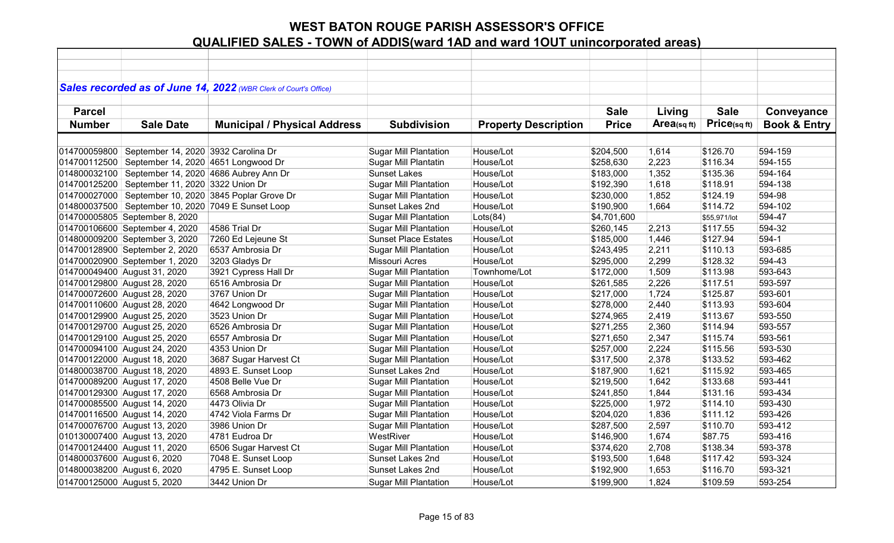|                             |                                                        | Sales recorded as of June 14, 2022 (WBR Clerk of Court's Office) |                              |                             |              |            |              |                         |
|-----------------------------|--------------------------------------------------------|------------------------------------------------------------------|------------------------------|-----------------------------|--------------|------------|--------------|-------------------------|
|                             |                                                        |                                                                  |                              |                             |              |            |              |                         |
| <b>Parcel</b>               |                                                        |                                                                  |                              |                             | <b>Sale</b>  | Living     | <b>Sale</b>  | Conveyance              |
| <b>Number</b>               | <b>Sale Date</b>                                       | <b>Municipal / Physical Address</b>                              | <b>Subdivision</b>           | <b>Property Description</b> | <b>Price</b> | Area(sqft) | Price(sqft)  | <b>Book &amp; Entry</b> |
|                             |                                                        |                                                                  |                              |                             |              |            |              |                         |
| 014700059800                | September 14, 2020 3932 Carolina Dr                    |                                                                  | <b>Sugar Mill Plantation</b> | House/Lot                   | \$204,500    | 1,614      | \$126.70     | 594-159                 |
| 014700112500                | September 14, 2020 4651 Longwood Dr                    |                                                                  | Sugar Mill Plantatin         | House/Lot                   | \$258,630    | 2,223      | \$116.34     | 594-155                 |
| 014800032100                | September 14, 2020 4686 Aubrey Ann Dr                  |                                                                  | <b>Sunset Lakes</b>          | House/Lot                   | \$183,000    | 1,352      | \$135.36     | 594-164                 |
| 014700125200                | September 11, 2020 3322 Union Dr                       |                                                                  | <b>Sugar Mill Plantation</b> | House/Lot                   | \$192,390    | 1,618      | \$118.91     | 594-138                 |
|                             |                                                        | 014700027000 September 10, 2020 3845 Poplar Grove Dr             | <b>Sugar Mill Plantation</b> | House/Lot                   | \$230,000    | 1,852      | \$124.19     | 594-98                  |
|                             | 014800037500   September 10, 2020   7049 E Sunset Loop |                                                                  | Sunset Lakes 2nd             | House/Lot                   | \$190,900    | 1,664      | \$114.72     | 594-102                 |
|                             | 014700005805 September 8, 2020                         |                                                                  | <b>Sugar Mill Plantation</b> | Lots(84)                    | \$4,701,600  |            | \$55,971/lot | 594-47                  |
|                             | 014700106600 September 4, 2020                         | 4586 Trial Dr                                                    | <b>Sugar Mill Plantation</b> | House/Lot                   | \$260,145    | 2,213      | \$117.55     | 594-32                  |
|                             | 014800009200 September 3, 2020                         | 7260 Ed Lejeune St                                               | <b>Sunset Place Estates</b>  | House/Lot                   | \$185,000    | 1,446      | \$127.94     | 594-1                   |
|                             | 014700128900 September 2, 2020                         | 6537 Ambrosia Dr                                                 | <b>Sugar Mill Plantation</b> | House/Lot                   | \$243,495    | 2,211      | \$110.13     | 593-685                 |
|                             | 014700020900 September 1, 2020                         | 3203 Gladys Dr                                                   | <b>Missouri Acres</b>        | House/Lot                   | \$295,000    | 2,299      | \$128.32     | 594-43                  |
|                             | 014700049400 August 31, 2020                           | 3921 Cypress Hall Dr                                             | <b>Sugar Mill Plantation</b> | Townhome/Lot                | \$172,000    | 1,509      | \$113.98     | 593-643                 |
|                             | 014700129800 August 28, 2020                           | 6516 Ambrosia Dr                                                 | <b>Sugar Mill Plantation</b> | House/Lot                   | \$261,585    | 2,226      | \$117.51     | 593-597                 |
|                             | 014700072600 August 28, 2020                           | 3767 Union Dr                                                    | <b>Sugar Mill Plantation</b> | House/Lot                   | \$217,000    | 1,724      | \$125.87     | 593-601                 |
|                             | 014700110600 August 28, 2020                           | 4642 Longwood Dr                                                 | <b>Sugar Mill Plantation</b> | House/Lot                   | \$278,000    | 2,440      | \$113.93     | 593-604                 |
|                             | 014700129900 August 25, 2020                           | 3523 Union Dr                                                    | <b>Sugar Mill Plantation</b> | House/Lot                   | \$274,965    | 2,419      | \$113.67     | 593-550                 |
|                             | 014700129700 August 25, 2020                           | 6526 Ambrosia Dr                                                 | <b>Sugar Mill Plantation</b> | House/Lot                   | \$271,255    | 2,360      | \$114.94     | 593-557                 |
|                             | 014700129100 August 25, 2020                           | 6557 Ambrosia Dr                                                 | <b>Sugar Mill Plantation</b> | House/Lot                   | \$271,650    | 2,347      | \$115.74     | 593-561                 |
|                             | 014700094100 August 24, 2020                           | 4353 Union Dr                                                    | <b>Sugar Mill Plantation</b> | House/Lot                   | \$257,000    | 2,224      | \$115.56     | 593-530                 |
|                             | 014700122000 August 18, 2020                           | 3687 Sugar Harvest Ct                                            | <b>Sugar Mill Plantation</b> | House/Lot                   | \$317,500    | 2,378      | \$133.52     | 593-462                 |
|                             | 014800038700 August 18, 2020                           | 4893 E. Sunset Loop                                              | Sunset Lakes 2nd             | House/Lot                   | \$187,900    | 1,621      | \$115.92     | 593-465                 |
|                             | 014700089200 August 17, 2020                           | 4508 Belle Vue Dr                                                | <b>Sugar Mill Plantation</b> | House/Lot                   | \$219,500    | 1,642      | \$133.68     | 593-441                 |
|                             | 014700129300 August 17, 2020                           | 6568 Ambrosia Dr                                                 | <b>Sugar Mill Plantation</b> | House/Lot                   | \$241,850    | 1,844      | \$131.16     | 593-434                 |
|                             | 014700085500 August 14, 2020                           | 4473 Olivia Dr                                                   | <b>Sugar Mill Plantation</b> | House/Lot                   | \$225,000    | 1,972      | \$114.10     | 593-430                 |
|                             | 014700116500 August 14, 2020                           | 4742 Viola Farms Dr                                              | <b>Sugar Mill Plantation</b> | House/Lot                   | \$204,020    | 1,836      | \$111.12     | 593-426                 |
|                             | 014700076700 August 13, 2020                           | 3986 Union Dr                                                    | <b>Sugar Mill Plantation</b> | House/Lot                   | \$287,500    | 2,597      | \$110.70     | 593-412                 |
|                             | 010130007400 August 13, 2020                           | 4781 Eudroa Dr                                                   | WestRiver                    | House/Lot                   | \$146,900    | 1,674      | \$87.75      | 593-416                 |
|                             | 014700124400 August 11, 2020                           | 6506 Sugar Harvest Ct                                            | <b>Sugar Mill Plantation</b> | House/Lot                   | \$374,620    | 2,708      | \$138.34     | 593-378                 |
| 014800037600 August 6, 2020 |                                                        | 7048 E. Sunset Loop                                              | Sunset Lakes 2nd             | House/Lot                   | \$193,500    | 1,648      | \$117.42     | 593-324                 |
| 014800038200 August 6, 2020 |                                                        | 4795 E. Sunset Loop                                              | Sunset Lakes 2nd             | House/Lot                   | \$192,900    | 1,653      | \$116.70     | 593-321                 |
| 014700125000 August 5, 2020 |                                                        | 3442 Union Dr                                                    | <b>Sugar Mill Plantation</b> | House/Lot                   | \$199,900    | 1,824      | \$109.59     | 593-254                 |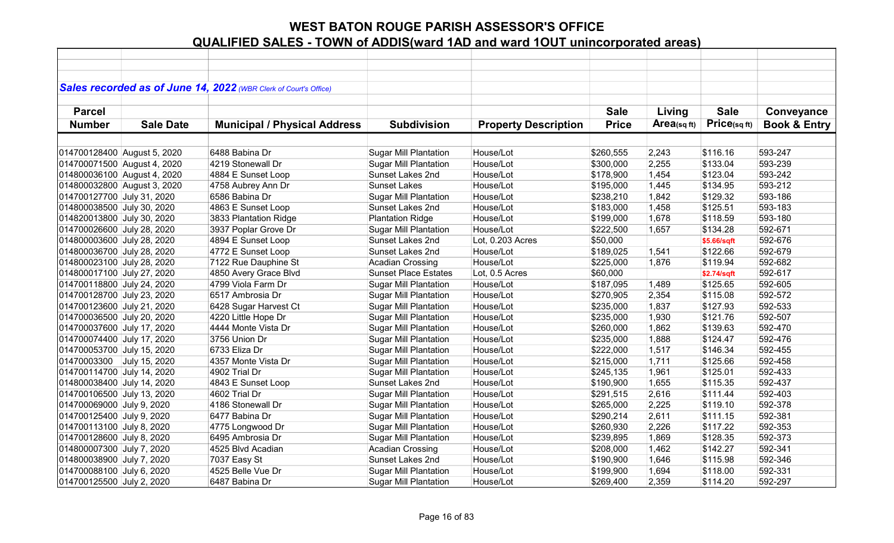|                             |                  | Sales recorded as of June 14, 2022 (WBR Clerk of Court's Office) |                              |                             |              |                |             |                         |
|-----------------------------|------------------|------------------------------------------------------------------|------------------------------|-----------------------------|--------------|----------------|-------------|-------------------------|
|                             |                  |                                                                  |                              |                             |              |                |             |                         |
| <b>Parcel</b>               |                  |                                                                  |                              |                             | <b>Sale</b>  | Living         | <b>Sale</b> | Conveyance              |
| <b>Number</b>               | <b>Sale Date</b> | <b>Municipal / Physical Address</b>                              | <b>Subdivision</b>           | <b>Property Description</b> | <b>Price</b> | Area(sq $ft$ ) | Price(sqft) | <b>Book &amp; Entry</b> |
|                             |                  |                                                                  |                              |                             |              |                |             |                         |
| 014700128400 August 5, 2020 |                  | 6488 Babina Dr                                                   | <b>Sugar Mill Plantation</b> | House/Lot                   | \$260,555    | 2,243          | \$116.16    | 593-247                 |
| 014700071500 August 4, 2020 |                  | 4219 Stonewall Dr                                                | <b>Sugar Mill Plantation</b> | House/Lot                   | \$300,000    | 2,255          | \$133.04    | 593-239                 |
| 014800036100 August 4, 2020 |                  | 4884 E Sunset Loop                                               | Sunset Lakes 2nd             | House/Lot                   | \$178,900    | 1,454          | \$123.04    | 593-242                 |
| 014800032800 August 3, 2020 |                  |                                                                  | <b>Sunset Lakes</b>          | House/Lot                   | \$195,000    | 1,445          | \$134.95    | 593-212                 |
| 014700127700 July 31, 2020  |                  | 4758 Aubrey Ann Dr                                               |                              | House/Lot                   |              |                | \$129.32    | 593-186                 |
|                             |                  | 6586 Babina Dr                                                   | <b>Sugar Mill Plantation</b> |                             | \$238,210    | 1,842          |             |                         |
| 014800038500 July 30, 2020  |                  | 4863 E Sunset Loop                                               | Sunset Lakes 2nd             | House/Lot                   | \$183,000    | 1,458          | \$125.51    | 593-183                 |
| 014820013800 July 30, 2020  |                  | 3833 Plantation Ridge                                            | <b>Plantation Ridge</b>      | House/Lot                   | \$199,000    | 1,678          | \$118.59    | 593-180                 |
| 014700026600 July 28, 2020  |                  | 3937 Poplar Grove Dr                                             | <b>Sugar Mill Plantation</b> | House/Lot                   | \$222,500    | 1,657          | \$134.28    | 592-671                 |
| 014800003600 July 28, 2020  |                  | 4894 E Sunset Loop                                               | Sunset Lakes 2nd             | Lot, 0.203 Acres            | \$50,000     |                | \$5.66/sqft | 592-676                 |
| 014800036700 July 28, 2020  |                  | 4772 E Sunset Loop                                               | <b>Sunset Lakes 2nd</b>      | House/Lot                   | \$189,025    | 1,541          | \$122.66    | 592-679                 |
| 014800023100 July 28, 2020  |                  | 7122 Rue Dauphine St                                             | <b>Acadian Crossing</b>      | House/Lot                   | \$225,000    | 1,876          | \$119.94    | 592-682                 |
| 014800017100 July 27, 2020  |                  | 4850 Avery Grace Blvd                                            | <b>Sunset Place Estates</b>  | Lot, 0.5 Acres              | \$60,000     |                | \$2.74/sqft | 592-617                 |
| 014700118800 July 24, 2020  |                  | 4799 Viola Farm Dr                                               | <b>Sugar Mill Plantation</b> | House/Lot                   | \$187,095    | 1,489          | \$125.65    | 592-605                 |
| 014700128700 July 23, 2020  |                  | 6517 Ambrosia Dr                                                 | <b>Sugar Mill Plantation</b> | House/Lot                   | \$270,905    | 2,354          | \$115.08    | 592-572                 |
| 014700123600 July 21, 2020  |                  | 6428 Sugar Harvest Ct                                            | <b>Sugar Mill Plantation</b> | House/Lot                   | \$235,000    | 1,837          | \$127.93    | 592-533                 |
| 014700036500 July 20, 2020  |                  | 4220 Little Hope Dr                                              | <b>Sugar Mill Plantation</b> | House/Lot                   | \$235,000    | 1,930          | \$121.76    | 592-507                 |
| 014700037600 July 17, 2020  |                  | 4444 Monte Vista Dr                                              | <b>Sugar Mill Plantation</b> | House/Lot                   | \$260,000    | 1,862          | \$139.63    | 592-470                 |
| 014700074400 July 17, 2020  |                  | 3756 Union Dr                                                    | <b>Sugar Mill Plantation</b> | House/Lot                   | \$235,000    | 1,888          | \$124.47    | 592-476                 |
| 014700053700 July 15, 2020  |                  | 6733 Eliza Dr                                                    | <b>Sugar Mill Plantation</b> | House/Lot                   | \$222,000    | 1,517          | \$146.34    | 592-455                 |
| 01470003300 July 15, 2020   |                  | 4357 Monte Vista Dr                                              | <b>Sugar Mill Plantation</b> | House/Lot                   | \$215,000    | 1,711          | \$125.66    | 592-458                 |
| 014700114700 July 14, 2020  |                  | 4902 Trial Dr                                                    | <b>Sugar Mill Plantation</b> | House/Lot                   | \$245,135    | 1,961          | \$125.01    | 592-433                 |
| 014800038400 July 14, 2020  |                  | 4843 E Sunset Loop                                               | Sunset Lakes 2nd             | House/Lot                   | \$190,900    | 1,655          | \$115.35    | 592-437                 |
| 014700106500 July 13, 2020  |                  | 4602 Trial Dr                                                    | <b>Sugar Mill Plantation</b> | House/Lot                   | \$291,515    | 2,616          | \$111.44    | 592-403                 |
| 014700069000 July 9, 2020   |                  | 4186 Stonewall Dr                                                | <b>Sugar Mill Plantation</b> | House/Lot                   | \$265,000    | 2,225          | \$119.10    | 592-378                 |
| 014700125400 July 9, 2020   |                  | 6477 Babina Dr                                                   | <b>Sugar Mill Plantation</b> | House/Lot                   | \$290,214    | 2,611          | \$111.15    | 592-381                 |
| 014700113100 July 8, 2020   |                  | 4775 Longwood Dr                                                 | <b>Sugar Mill Plantation</b> | House/Lot                   | \$260,930    | 2,226          | \$117.22    | 592-353                 |
| 014700128600 July 8, 2020   |                  | 6495 Ambrosia Dr                                                 | <b>Sugar Mill Plantation</b> | House/Lot                   | \$239,895    | 1,869          | \$128.35    | 592-373                 |
| 014800007300 July 7, 2020   |                  | 4525 Blvd Acadian                                                | <b>Acadian Crossing</b>      | House/Lot                   | \$208,000    | 1,462          | \$142.27    | 592-341                 |
| 014800038900 July 7, 2020   |                  | 7037 Easy St                                                     | Sunset Lakes 2nd             | House/Lot                   | \$190,900    | 1,646          | \$115.98    | 592-346                 |
| 014700088100 July 6, 2020   |                  | 4525 Belle Vue Dr                                                | <b>Sugar Mill Plantation</b> | House/Lot                   | \$199,900    | 1,694          | \$118.00    | 592-331                 |
| 014700125500 July 2, 2020   |                  | 6487 Babina Dr                                                   | <b>Sugar Mill Plantation</b> | House/Lot                   | \$269,400    | 2,359          | \$114.20    | 592-297                 |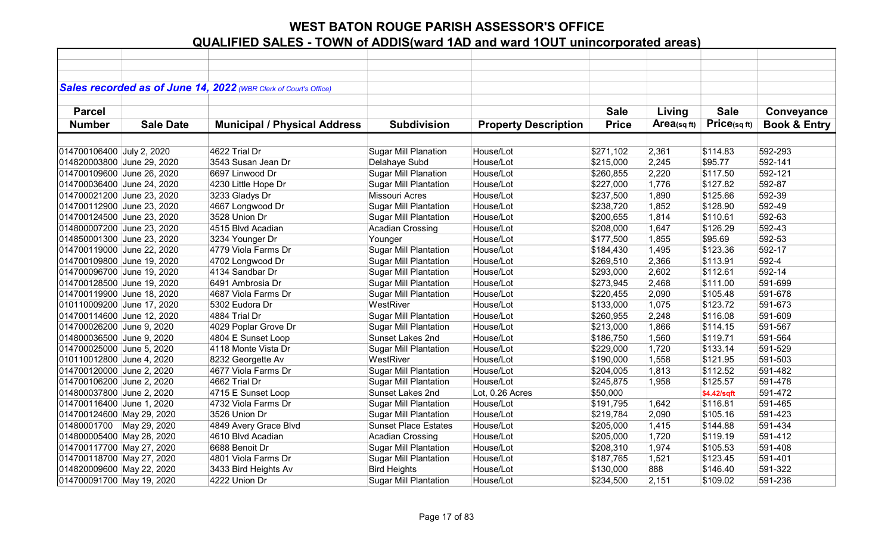|                            |                  | Sales recorded as of June 14, 2022 (WBR Clerk of Court's Office) |                              |                             |              |            |             |                         |
|----------------------------|------------------|------------------------------------------------------------------|------------------------------|-----------------------------|--------------|------------|-------------|-------------------------|
| <b>Parcel</b>              |                  |                                                                  |                              |                             | <b>Sale</b>  | Living     | <b>Sale</b> | Conveyance              |
| <b>Number</b>              | <b>Sale Date</b> | <b>Municipal / Physical Address</b>                              | <b>Subdivision</b>           | <b>Property Description</b> | <b>Price</b> | Area(sqft) | Price(sqft) | <b>Book &amp; Entry</b> |
|                            |                  |                                                                  |                              |                             |              |            |             |                         |
| 014700106400 July 2, 2020  |                  | 4622 Trial Dr                                                    | <b>Sugar Mill Planation</b>  | House/Lot                   | \$271,102    | 2,361      | \$114.83    | 592-293                 |
| 014820003800 June 29, 2020 |                  | 3543 Susan Jean Dr                                               | Delahaye Subd                | House/Lot                   | \$215,000    | 2,245      | \$95.77     | 592-141                 |
| 014700109600 June 26, 2020 |                  | 6697 Linwood Dr                                                  | <b>Sugar Mill Planation</b>  | House/Lot                   | \$260,855    | 2,220      | \$117.50    | 592-121                 |
| 014700036400 June 24, 2020 |                  | 4230 Little Hope Dr                                              | <b>Sugar Mill Plantation</b> | House/Lot                   | \$227,000    | 1,776      | \$127.82    | 592-87                  |
| 014700021200 June 23, 2020 |                  | 3233 Gladys Dr                                                   | Missouri Acres               | House/Lot                   | \$237,500    | 1,890      | \$125.66    | 592-39                  |
| 014700112900 June 23, 2020 |                  | 4667 Longwood Dr                                                 | <b>Sugar Mill Plantation</b> | House/Lot                   | \$238,720    | 1,852      | \$128.90    | 592-49                  |
| 014700124500 June 23, 2020 |                  | 3528 Union Dr                                                    | <b>Sugar Mill Plantation</b> | House/Lot                   | \$200,655    | 1,814      | \$110.61    | 592-63                  |
| 014800007200 June 23, 2020 |                  | 4515 Blvd Acadian                                                | <b>Acadian Crossing</b>      | House/Lot                   | \$208,000    | 1,647      | \$126.29    | 592-43                  |
| 014850001300 June 23, 2020 |                  | 3234 Younger Dr                                                  | Younger                      | House/Lot                   | \$177,500    | 1,855      | \$95.69     | 592-53                  |
| 014700119000 June 22, 2020 |                  | 4779 Viola Farms Dr                                              | <b>Sugar Mill Plantation</b> | House/Lot                   | \$184,430    | 1,495      | \$123.36    | 592-17                  |
| 014700109800 June 19, 2020 |                  | 4702 Longwood Dr                                                 | <b>Sugar Mill Plantation</b> | House/Lot                   | \$269,510    | 2,366      | \$113.91    | 592-4                   |
| 014700096700 June 19, 2020 |                  | 4134 Sandbar Dr                                                  | <b>Sugar Mill Plantation</b> | House/Lot                   | \$293,000    | 2,602      | \$112.61    | 592-14                  |
| 014700128500 June 19, 2020 |                  | 6491 Ambrosia Dr                                                 | <b>Sugar Mill Plantation</b> | House/Lot                   | \$273,945    | 2,468      | \$111.00    | 591-699                 |
| 014700119900 June 18, 2020 |                  | 4687 Viola Farms Dr                                              | <b>Sugar Mill Plantation</b> | House/Lot                   | \$220,455    | 2,090      | \$105.48    | 591-678                 |
| 010110009200 June 17, 2020 |                  | 5302 Eudora Dr                                                   | WestRiver                    | House/Lot                   | \$133,000    | 1,075      | \$123.72    | 591-673                 |
| 014700114600 June 12, 2020 |                  | 4884 Trial Dr                                                    | <b>Sugar Mill Plantation</b> | House/Lot                   | \$260,955    | 2,248      | \$116.08    | 591-609                 |
| 014700026200 June 9, 2020  |                  | 4029 Poplar Grove Dr                                             | <b>Sugar Mill Plantation</b> | House/Lot                   | \$213,000    | 1,866      | \$114.15    | 591-567                 |
| 014800036500 June 9, 2020  |                  | 4804 E Sunset Loop                                               | Sunset Lakes 2nd             | House/Lot                   | \$186,750    | 1,560      | \$119.71    | 591-564                 |
| 014700025000 June 5, 2020  |                  | 4118 Monte Vista Dr                                              | <b>Sugar Mill Plantation</b> | House/Lot                   | \$229,000    | 1,720      | \$133.14    | 591-529                 |
| 010110012800 June 4, 2020  |                  | 8232 Georgette Av                                                | WestRiver                    | House/Lot                   | \$190,000    | 1,558      | \$121.95    | 591-503                 |
| 014700120000 June 2, 2020  |                  | 4677 Viola Farms Dr                                              | <b>Sugar Mill Plantation</b> | House/Lot                   | \$204,005    | 1,813      | \$112.52    | 591-482                 |
| 014700106200 June 2, 2020  |                  | 4662 Trial Dr                                                    | <b>Sugar Mill Plantation</b> | House/Lot                   | \$245,875    | 1,958      | \$125.57    | 591-478                 |
| 014800037800 June 2, 2020  |                  | 4715 E Sunset Loop                                               | Sunset Lakes 2nd             | Lot, 0.26 Acres             | \$50,000     |            | \$4.42/sqft | 591-472                 |
| 014700116400 June 1, 2020  |                  | 4732 Viola Farms Dr                                              | <b>Sugar Mill Plantation</b> | House/Lot                   | \$191,795    | 1,642      | \$116.81    | 591-465                 |
| 014700124600 May 29, 2020  |                  | 3526 Union Dr                                                    | <b>Sugar Mill Plantation</b> | House/Lot                   | \$219,784    | 2,090      | \$105.16    | 591-423                 |
| 01480001700 May 29, 2020   |                  | 4849 Avery Grace Blvd                                            | <b>Sunset Place Estates</b>  | House/Lot                   | \$205,000    | 1,415      | \$144.88    | 591-434                 |
| 014800005400 May 28, 2020  |                  | 4610 Blvd Acadian                                                | <b>Acadian Crossing</b>      | House/Lot                   | \$205,000    | 1,720      | \$119.19    | 591-412                 |
| 014700117700 May 27, 2020  |                  | 6688 Benoit Dr                                                   | <b>Sugar Mill Plantation</b> | House/Lot                   | \$208,310    | 1,974      | \$105.53    | 591-408                 |
| 014700118700 May 27, 2020  |                  | 4801 Viola Farms Dr                                              | <b>Sugar Mill Plantation</b> | House/Lot                   | \$187,765    | 1,521      | \$123.45    | 591-401                 |
| 014820009600 May 22, 2020  |                  | 3433 Bird Heights Av                                             | <b>Bird Heights</b>          | House/Lot                   | \$130,000    | 888        | \$146.40    | 591-322                 |
| 014700091700 May 19, 2020  |                  | 4222 Union Dr                                                    | <b>Sugar Mill Plantation</b> | House/Lot                   | \$234,500    | 2,151      | \$109.02    | 591-236                 |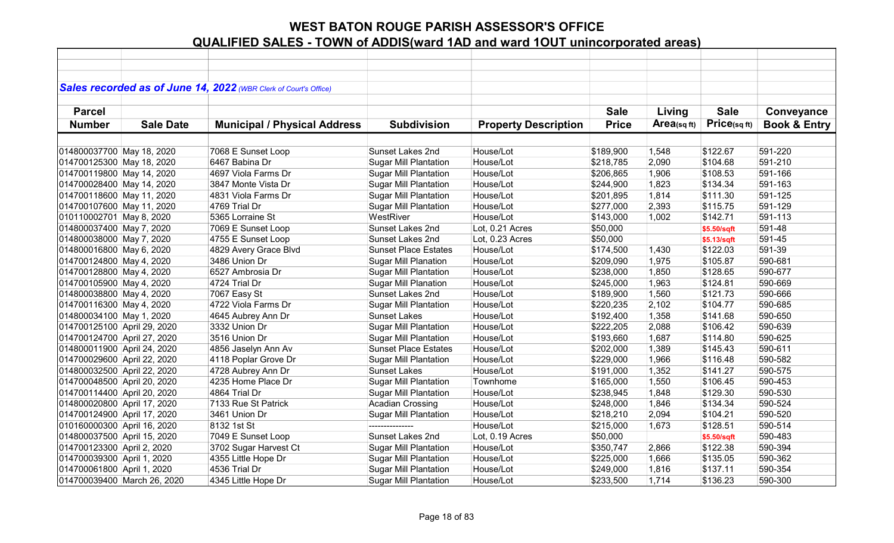|                             |                  | Sales recorded as of June 14, 2022 (WBR Clerk of Court's Office) |                              |                             |              |             |              |                         |
|-----------------------------|------------------|------------------------------------------------------------------|------------------------------|-----------------------------|--------------|-------------|--------------|-------------------------|
|                             |                  |                                                                  |                              |                             |              |             |              |                         |
| <b>Parcel</b>               |                  |                                                                  |                              |                             | <b>Sale</b>  | Living      | <b>Sale</b>  | Conveyance              |
| <b>Number</b>               | <b>Sale Date</b> | <b>Municipal / Physical Address</b>                              | <b>Subdivision</b>           | <b>Property Description</b> | <b>Price</b> | Area(sq ft) | Price(sq ft) | <b>Book &amp; Entry</b> |
|                             |                  |                                                                  |                              |                             |              |             |              |                         |
| 014800037700 May 18, 2020   |                  | 7068 E Sunset Loop                                               | Sunset Lakes 2nd             | House/Lot                   | \$189,900    | 1,548       | \$122.67     | 591-220                 |
| 014700125300 May 18, 2020   |                  | 6467 Babina Dr                                                   | <b>Sugar Mill Plantation</b> | House/Lot                   | \$218,785    | 2,090       | \$104.68     | 591-210                 |
| 014700119800 May 14, 2020   |                  | 4697 Viola Farms Dr                                              | <b>Sugar Mill Plantation</b> | House/Lot                   | \$206,865    | 1,906       | \$108.53     | 591-166                 |
| 014700028400 May 14, 2020   |                  | 3847 Monte Vista Dr                                              | <b>Sugar Mill Plantation</b> | House/Lot                   | \$244,900    | 1,823       | \$134.34     | 591-163                 |
| 014700118600 May 11, 2020   |                  | 4831 Viola Farms Dr                                              | <b>Sugar Mill Plantation</b> | House/Lot                   | \$201,895    | 1,814       | \$111.30     | 591-125                 |
| 014700107600 May 11, 2020   |                  | 4769 Trial Dr                                                    | <b>Sugar Mill Plantation</b> | House/Lot                   | \$277,000    | 2,393       | \$115.75     | 591-129                 |
| 010110002701 May 8, 2020    |                  | 5365 Lorraine St                                                 | WestRiver                    | House/Lot                   | \$143,000    | 1,002       | \$142.71     | 591-113                 |
| 014800037400 May 7, 2020    |                  | 7069 E Sunset Loop                                               | Sunset Lakes 2nd             | Lot, 0.21 Acres             | \$50,000     |             | \$5.50/sqft  | 591-48                  |
| 014800038000 May 7, 2020    |                  | 4755 E Sunset Loop                                               | Sunset Lakes 2nd             | Lot, 0.23 Acres             | \$50,000     |             | \$5.13/sqft  | 591-45                  |
| 014800016800 May 6, 2020    |                  | 4829 Avery Grace Blvd                                            | <b>Sunset Place Estates</b>  | House/Lot                   | \$174,500    | 1,430       | \$122.03     | 591-39                  |
| 014700124800 May 4, 2020    |                  | 3486 Union Dr                                                    | <b>Sugar Mill Planation</b>  | House/Lot                   | \$209,090    | 1,975       | \$105.87     | 590-681                 |
| 014700128800 May 4, 2020    |                  | 6527 Ambrosia Dr                                                 | <b>Sugar Mill Plantation</b> | House/Lot                   | \$238,000    | 1,850       | \$128.65     | 590-677                 |
| 014700105900 May 4, 2020    |                  | 4724 Trial Dr                                                    | <b>Sugar Mill Planation</b>  | House/Lot                   | \$245,000    | 1,963       | \$124.81     | 590-669                 |
| 014800038800 May 4, 2020    |                  | 7067 Easy St                                                     | Sunset Lakes 2nd             | House/Lot                   | \$189,900    | 1,560       | \$121.73     | 590-666                 |
| 014700116300 May 4, 2020    |                  | 4722 Viola Farms Dr                                              | <b>Sugar Mill Plantation</b> | House/Lot                   | \$220,235    | 2,102       | \$104.77     | 590-685                 |
| 014800034100 May 1, 2020    |                  | 4645 Aubrey Ann Dr                                               | <b>Sunset Lakes</b>          | House/Lot                   | \$192,400    | 1,358       | \$141.68     | 590-650                 |
| 014700125100 April 29, 2020 |                  | 3332 Union Dr                                                    | <b>Sugar Mill Plantation</b> | House/Lot                   | \$222,205    | 2,088       | \$106.42     | 590-639                 |
| 014700124700 April 27, 2020 |                  | 3516 Union Dr                                                    | <b>Sugar Mill Plantation</b> | House/Lot                   | \$193,660    | 1,687       | \$114.80     | 590-625                 |
| 014800011900 April 24, 2020 |                  | 4856 Jaselyn Ann Av                                              | <b>Sunset Place Estates</b>  | House/Lot                   | \$202,000    | 1,389       | \$145.43     | 590-611                 |
| 014700029600 April 22, 2020 |                  | 4118 Poplar Grove Dr                                             | <b>Sugar Mill Plantation</b> | House/Lot                   | \$229,000    | 1,966       | \$116.48     | 590-582                 |
| 014800032500 April 22, 2020 |                  | 4728 Aubrey Ann Dr                                               | <b>Sunset Lakes</b>          | House/Lot                   | \$191,000    | 1,352       | \$141.27     | 590-575                 |
| 014700048500 April 20, 2020 |                  | 4235 Home Place Dr                                               | <b>Sugar Mill Plantation</b> | Townhome                    | \$165,000    | 1,550       | \$106.45     | 590-453                 |
| 014700114400 April 20, 2020 |                  | 4864 Trial Dr                                                    | <b>Sugar Mill Plantation</b> | House/Lot                   | \$238,945    | 1,848       | \$129.30     | 590-530                 |
| 014800020800 April 17, 2020 |                  | 7133 Rue St Patrick                                              | Acadian Crossing             | House/Lot                   | \$248,000    | 1,846       | \$134.34     | 590-524                 |
| 014700124900 April 17, 2020 |                  | 3461 Union Dr                                                    | <b>Sugar Mill Plantation</b> | House/Lot                   | \$218,210    | 2,094       | \$104.21     | 590-520                 |
| 010160000300 April 16, 2020 |                  | 8132 1st St                                                      | ---------------              | House/Lot                   | \$215,000    | 1,673       | \$128.51     | 590-514                 |
| 014800037500 April 15, 2020 |                  | 7049 E Sunset Loop                                               | Sunset Lakes 2nd             | Lot, 0.19 Acres             | \$50,000     |             | \$5.50/sqft  | 590-483                 |
| 014700123300 April 2, 2020  |                  | 3702 Sugar Harvest Ct                                            | <b>Sugar Mill Plantation</b> | House/Lot                   | \$350,747    | 2,866       | \$122.38     | 590-394                 |
| 014700039300 April 1, 2020  |                  | 4355 Little Hope Dr                                              | <b>Sugar Mill Plantation</b> | House/Lot                   | \$225,000    | 1,666       | \$135.05     | 590-362                 |
| 014700061800 April 1, 2020  |                  | 4536 Trial Dr                                                    | <b>Sugar Mill Plantation</b> | House/Lot                   | \$249,000    | 1,816       | \$137.11     | 590-354                 |
| 014700039400 March 26, 2020 |                  | 4345 Little Hope Dr                                              | <b>Sugar Mill Plantation</b> | House/Lot                   | \$233,500    | 1,714       | \$136.23     | 590-300                 |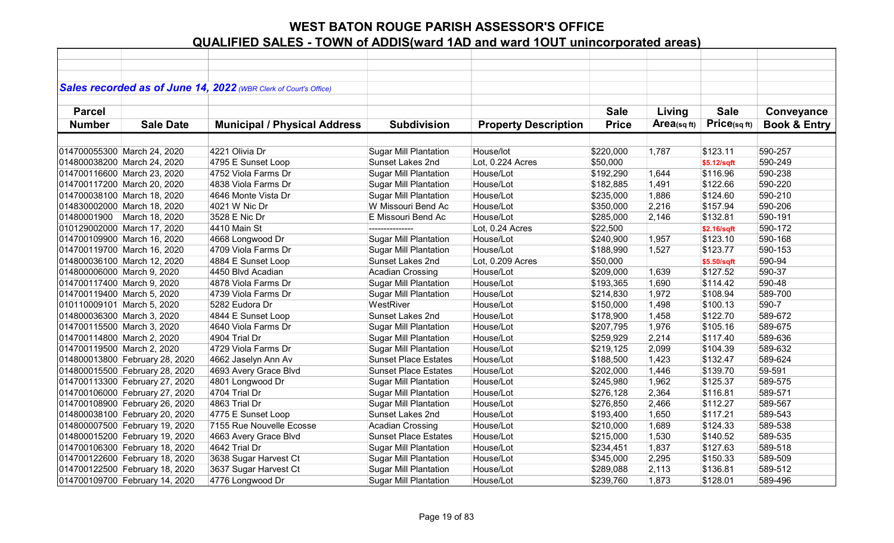|                            |                                | Sales recorded as of June 14, 2022 (WBR Clerk of Court's Office) |                              |                             |              |            |             |                         |
|----------------------------|--------------------------------|------------------------------------------------------------------|------------------------------|-----------------------------|--------------|------------|-------------|-------------------------|
| <b>Parcel</b>              |                                |                                                                  |                              |                             | <b>Sale</b>  | Living     | <b>Sale</b> | Conveyance              |
| <b>Number</b>              | <b>Sale Date</b>               | <b>Municipal / Physical Address</b>                              | <b>Subdivision</b>           | <b>Property Description</b> | <b>Price</b> | Area(sqft) | Price(sqft) | <b>Book &amp; Entry</b> |
|                            |                                |                                                                  |                              |                             |              |            |             |                         |
|                            | 014700055300 March 24, 2020    | 4221 Olivia Dr                                                   | <b>Sugar Mill Plantation</b> | House/lot                   | \$220,000    | 1,787      | \$123.11    | 590-257                 |
|                            | 014800038200 March 24, 2020    | 4795 E Sunset Loop                                               | Sunset Lakes 2nd             | Lot, 0.224 Acres            | \$50,000     |            | \$5.12/sqft | 590-249                 |
|                            | 014700116600 March 23, 2020    | 4752 Viola Farms Dr                                              | <b>Sugar Mill Plantation</b> | House/Lot                   | \$192,290    | 1,644      | \$116.96    | 590-238                 |
|                            | 014700117200 March 20, 2020    | 4838 Viola Farms Dr                                              | <b>Sugar Mill Plantation</b> | House/Lot                   | \$182,885    | 1,491      | \$122.66    | 590-220                 |
|                            | 014700038100 March 18, 2020    | 4646 Monte Vista Dr                                              | <b>Sugar Mill Plantation</b> | House/Lot                   | \$235,000    | 1,886      | \$124.60    | 590-210                 |
|                            | 014830002000 March 18, 2020    | 4021 W Nic Dr                                                    | W Missouri Bend Ac           | House/Lot                   | \$350,000    | 2,216      | \$157.94    | 590-206                 |
|                            | 01480001900 March 18, 2020     | 3528 E Nic Dr                                                    | E Missouri Bend Ac           | House/Lot                   | \$285,000    | 2,146      | \$132.81    | 590-191                 |
|                            | 010129002000 March 17, 2020    | 4410 Main St                                                     | ---------------              | Lot, 0.24 Acres             | \$22,500     |            | \$2.16/sqft | 590-172                 |
|                            | 014700109900 March 16, 2020    | 4668 Longwood Dr                                                 | <b>Sugar Mill Plantation</b> | House/Lot                   | \$240,900    | 1,957      | \$123.10    | 590-168                 |
|                            | 014700119700 March 16, 2020    | 4709 Viola Farms Dr                                              | <b>Sugar Mill Plantation</b> | House/Lot                   | \$188,990    | 1,527      | \$123.77    | 590-153                 |
|                            | 014800036100 March 12, 2020    | 4884 E Sunset Loop                                               | Sunset Lakes 2nd             | Lot, 0.209 Acres            | \$50,000     |            | \$5.50/sqft | 590-94                  |
| 014800006000 March 9, 2020 |                                | 4450 Blvd Acadian                                                | <b>Acadian Crossing</b>      | House/Lot                   | \$209,000    | 1,639      | \$127.52    | 590-37                  |
| 014700117400 March 9, 2020 |                                | 4878 Viola Farms Dr                                              | <b>Sugar Mill Plantation</b> | House/Lot                   | \$193,365    | 1,690      | \$114.42    | 590-48                  |
| 014700119400 March 5, 2020 |                                | 4739 Viola Farms Dr                                              | <b>Sugar Mill Plantation</b> | House/Lot                   | \$214,830    | 1,972      | \$108.94    | 589-700                 |
| 010110009101 March 5, 2020 |                                | 5282 Eudora Dr                                                   | WestRiver                    | House/Lot                   | \$150,000    | 1,498      | \$100.13    | 590-7                   |
| 014800036300 March 3, 2020 |                                | 4844 E Sunset Loop                                               | Sunset Lakes 2nd             | House/Lot                   | \$178,900    | 1,458      | \$122.70    | 589-672                 |
| 014700115500 March 3, 2020 |                                | 4640 Viola Farms Dr                                              | <b>Sugar Mill Plantation</b> | House/Lot                   | \$207,795    | 1,976      | \$105.16    | 589-675                 |
| 014700114800 March 2, 2020 |                                | 4904 Trial Dr                                                    | <b>Sugar Mill Plantation</b> | House/Lot                   | \$259,929    | 2,214      | \$117.40    | 589-636                 |
| 014700119500 March 2, 2020 |                                | 4729 Viola Farms Dr                                              | <b>Sugar Mill Plantation</b> | House/Lot                   | \$219,125    | 2,099      | \$104.39    | 589-632                 |
|                            | 014800013800 February 28, 2020 | 4662 Jaselyn Ann Av                                              | <b>Sunset Place Estates</b>  | House/Lot                   | \$188,500    | 1,423      | \$132.47    | 589-624                 |
|                            | 014800015500 February 28, 2020 | 4693 Avery Grace Blvd                                            | <b>Sunset Place Estates</b>  | House/Lot                   | \$202,000    | 1,446      | \$139.70    | 59-591                  |
|                            | 014700113300 February 27, 2020 | 4801 Longwood Dr                                                 | <b>Sugar Mill Plantation</b> | House/Lot                   | \$245,980    | 1,962      | \$125.37    | 589-575                 |
|                            | 014700106000 February 27, 2020 | 4704 Trial Dr                                                    | <b>Sugar Mill Plantation</b> | House/Lot                   | \$276,128    | 2,364      | \$116.81    | 589-571                 |
|                            | 014700108900 February 26, 2020 | 4863 Trial Dr                                                    | <b>Sugar Mill Plantation</b> | House/Lot                   | \$276,850    | 2,466      | \$112.27    | 589-567                 |
|                            | 014800038100 February 20, 2020 | 4775 E Sunset Loop                                               | Sunset Lakes 2nd             | House/Lot                   | \$193,400    | 1,650      | \$117.21    | 589-543                 |
|                            | 014800007500 February 19, 2020 | 7155 Rue Nouvelle Ecosse                                         | <b>Acadian Crossing</b>      | House/Lot                   | \$210,000    | 1,689      | \$124.33    | 589-538                 |
|                            | 014800015200 February 19, 2020 | 4663 Avery Grace Blvd                                            | <b>Sunset Place Estates</b>  | House/Lot                   | \$215,000    | 1,530      | \$140.52    | 589-535                 |
|                            | 014700106300 February 18, 2020 | 4642 Trial Dr                                                    | <b>Sugar Mill Plantation</b> | House/Lot                   | \$234,451    | 1,837      | \$127.63    | 589-518                 |
|                            | 014700122600 February 18, 2020 | 3638 Sugar Harvest Ct                                            | <b>Sugar Mill Plantation</b> | House/Lot                   | \$345,000    | 2,295      | \$150.33    | 589-509                 |
|                            | 014700122500 February 18, 2020 | 3637 Sugar Harvest Ct                                            | <b>Sugar Mill Plantation</b> | House/Lot                   | \$289,088    | 2,113      | \$136.81    | 589-512                 |
|                            | 014700109700 February 14, 2020 | 4776 Longwood Dr                                                 | <b>Sugar Mill Plantation</b> | House/Lot                   | \$239,760    | 1,873      | \$128.01    | 589-496                 |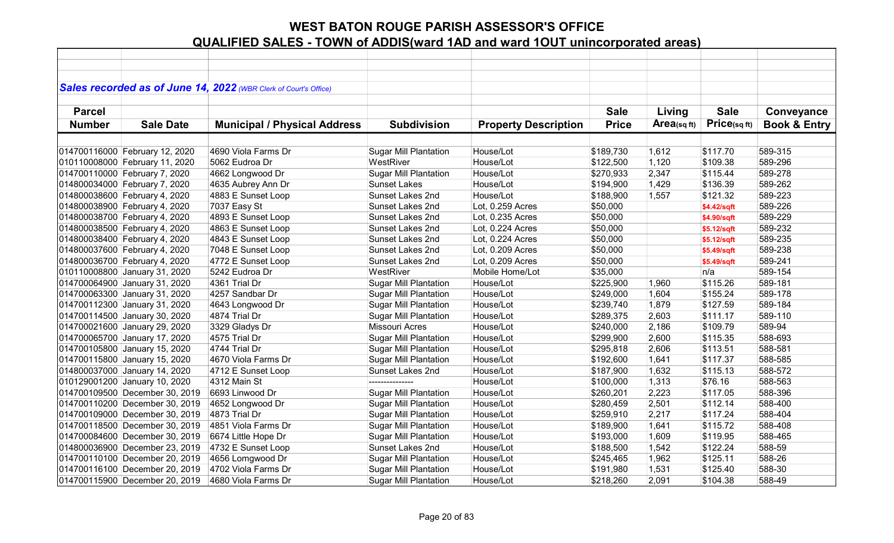|               |                                                                | Sales recorded as of June 14, 2022 (WBR Clerk of Court's Office) |                              |                                      |              |            |              |                         |
|---------------|----------------------------------------------------------------|------------------------------------------------------------------|------------------------------|--------------------------------------|--------------|------------|--------------|-------------------------|
|               |                                                                |                                                                  |                              |                                      |              |            |              |                         |
| <b>Parcel</b> |                                                                |                                                                  |                              |                                      | <b>Sale</b>  | Living     | <b>Sale</b>  | Conveyance              |
| <b>Number</b> | <b>Sale Date</b>                                               | <b>Municipal / Physical Address</b>                              | <b>Subdivision</b>           | <b>Property Description</b>          | <b>Price</b> | Area(sqft) | Price(sq ft) | <b>Book &amp; Entry</b> |
|               |                                                                |                                                                  |                              |                                      |              |            |              |                         |
|               | 014700116000 February 12, 2020                                 | 4690 Viola Farms Dr                                              | <b>Sugar Mill Plantation</b> | House/Lot                            | \$189,730    | 1,612      | \$117.70     | 589-315                 |
|               | 010110008000 February 11, 2020                                 | 5062 Eudroa Dr                                                   | WestRiver                    | House/Lot                            | \$122,500    | 1,120      | \$109.38     | 589-296                 |
|               | 014700110000 February 7, 2020                                  | 4662 Longwood Dr                                                 | <b>Sugar Mill Plantation</b> | House/Lot                            | \$270,933    | 2,347      | \$115.44     | 589-278                 |
|               | 014800034000 February 7, 2020                                  | 4635 Aubrey Ann Dr                                               | <b>Sunset Lakes</b>          | House/Lot                            | \$194,900    | 1,429      | \$136.39     | 589-262                 |
|               | 014800038600 February 4, 2020                                  | 4883 E Sunset Loop                                               | Sunset Lakes 2nd             | House/Lot                            | \$188,900    | 1,557      | \$121.32     | 589-223                 |
|               |                                                                |                                                                  | Sunset Lakes 2nd             | Lot, 0.259 Acres                     | \$50,000     |            |              | 589-226                 |
|               | 014800038900 February 4, 2020<br>014800038700 February 4, 2020 | 7037 Easy St                                                     | Sunset Lakes 2nd             | Lot, 0.235 Acres                     | \$50,000     |            | \$4.42/sqft  | 589-229                 |
|               |                                                                | 4893 E Sunset Loop                                               | Sunset Lakes 2nd             |                                      |              |            | \$4.90/sqft  | 589-232                 |
|               | 014800038500 February 4, 2020                                  | 4863 E Sunset Loop                                               | <b>Sunset Lakes 2nd</b>      | Lot, 0.224 Acres                     | \$50,000     |            | \$5.12/sqft  | 589-235                 |
|               | 014800038400 February 4, 2020                                  | 4843 E Sunset Loop                                               | Sunset Lakes 2nd             | Lot, 0.224 Acres<br>Lot, 0.209 Acres | \$50,000     |            | \$5.12/sqft  | 589-238                 |
|               | 014800037600 February 4, 2020                                  | 7048 E Sunset Loop                                               |                              |                                      | \$50,000     |            | \$5.49/sqft  |                         |
|               | 014800036700 February 4, 2020                                  | 4772 E Sunset Loop                                               | Sunset Lakes 2nd             | Lot, 0.209 Acres                     | \$50,000     |            | \$5.49/sqft  | 589-241                 |
|               | 010110008800 January 31, 2020                                  | 5242 Eudroa Dr                                                   | WestRiver                    | Mobile Home/Lot                      | \$35,000     |            | n/a          | 589-154                 |
|               | 014700064900 January 31, 2020                                  | 4361 Trial Dr                                                    | <b>Sugar Mill Plantation</b> | House/Lot                            | \$225,900    | 1,960      | \$115.26     | 589-181                 |
|               | 014700063300 January 31, 2020                                  | 4257 Sandbar Dr                                                  | <b>Sugar Mill Plantation</b> | House/Lot                            | \$249,000    | 1,604      | \$155.24     | 589-178                 |
|               | 014700112300 January 31, 2020                                  | 4643 Longwood Dr                                                 | <b>Sugar Mill Plantation</b> | House/Lot                            | \$239,740    | 1,879      | \$127.59     | 589-184                 |
|               | 014700114500 January 30, 2020                                  | 4874 Trial Dr                                                    | <b>Sugar Mill Plantation</b> | House/Lot                            | \$289,375    | 2,603      | \$111.17     | 589-110                 |
|               | 014700021600 January 29, 2020                                  | 3329 Gladys Dr                                                   | <b>Missouri Acres</b>        | House/Lot                            | \$240,000    | 2,186      | \$109.79     | 589-94                  |
|               | 014700065700 January 17, 2020                                  | 4575 Trial Dr                                                    | <b>Sugar Mill Plantation</b> | House/Lot                            | \$299,900    | 2,600      | \$115.35     | 588-693                 |
|               | 014700105800 January 15, 2020                                  | 4744 Trial Dr                                                    | <b>Sugar Mill Plantation</b> | House/Lot                            | \$295,818    | 2,606      | \$113.51     | 588-581                 |
|               | 014700115800 January 15, 2020                                  | 4670 Viola Farms Dr                                              | <b>Sugar Mill Plantation</b> | House/Lot                            | \$192,600    | 1,641      | \$117.37     | 588-585                 |
|               | 014800037000 January 14, 2020                                  | 4712 E Sunset Loop                                               | <b>Sunset Lakes 2nd</b>      | House/Lot                            | \$187,900    | 1,632      | \$115.13     | 588-572                 |
|               | 010129001200 January 10, 2020                                  | 4312 Main St                                                     | ---------------              | House/Lot                            | \$100,000    | 1,313      | \$76.16      | 588-563                 |
|               | 014700109500 December 30, 2019                                 | 6693 Linwood Dr                                                  | <b>Sugar Mill Plantation</b> | House/Lot                            | \$260,201    | 2,223      | \$117.05     | 588-396                 |
|               | 014700110200 December 30, 2019                                 | 4652 Longwood Dr                                                 | <b>Sugar Mill Plantation</b> | House/Lot                            | \$280,459    | 2,501      | \$112.14     | 588-400                 |
|               | 014700109000 December 30, 2019                                 | 4873 Trial Dr                                                    | <b>Sugar Mill Plantation</b> | House/Lot                            | \$259,910    | 2,217      | \$117.24     | 588-404                 |
|               | 014700118500 December 30, 2019                                 | 4851 Viola Farms Dr                                              | <b>Sugar Mill Plantation</b> | House/Lot                            | \$189,900    | 1,641      | \$115.72     | 588-408                 |
|               | 014700084600 December 30, 2019                                 | 6674 Little Hope Dr                                              | <b>Sugar Mill Plantation</b> | House/Lot                            | \$193,000    | 1,609      | \$119.95     | 588-465                 |
|               | 014800036900 December 23, 2019                                 | 4732 E Sunset Loop                                               | Sunset Lakes 2nd             | House/Lot                            | \$188,500    | 1,542      | \$122.24     | 588-59                  |
|               | 014700110100 December 20, 2019                                 | 4656 Lomgwood Dr                                                 | <b>Sugar Mill Plantation</b> | House/Lot                            | \$245,465    | 1,962      | \$125.11     | 588-26                  |
|               | 014700116100 December 20, 2019                                 | 4702 Viola Farms Dr                                              | <b>Sugar Mill Plantation</b> | House/Lot                            | \$191,980    | 1,531      | \$125.40     | 588-30                  |
|               | 014700115900 December 20, 2019                                 | 4680 Viola Farms Dr                                              | <b>Sugar Mill Plantation</b> | House/Lot                            | \$218,260    | 2,091      | \$104.38     | 588-49                  |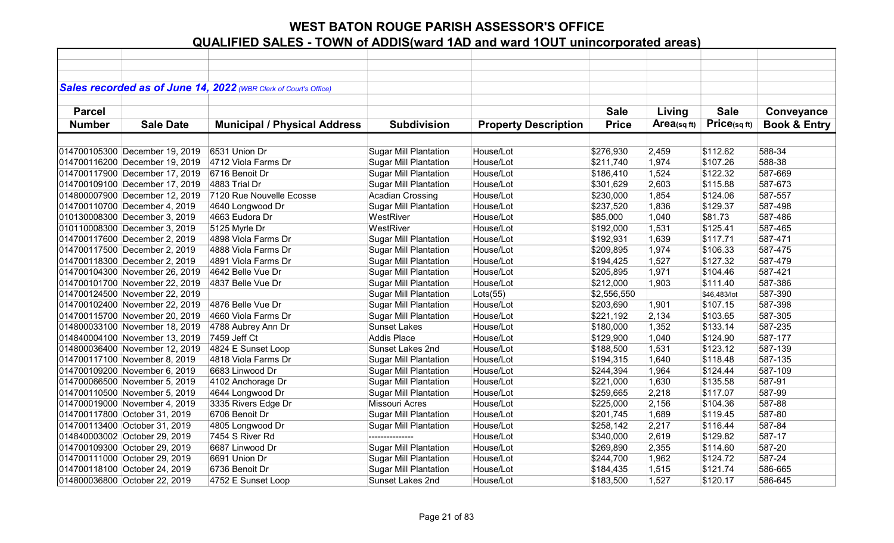|               |                                | Sales recorded as of June 14, 2022 (WBR Clerk of Court's Office) |                              |                             |              |            |              |                         |
|---------------|--------------------------------|------------------------------------------------------------------|------------------------------|-----------------------------|--------------|------------|--------------|-------------------------|
|               |                                |                                                                  |                              |                             |              |            |              |                         |
| <b>Parcel</b> |                                |                                                                  |                              |                             | <b>Sale</b>  | Living     | <b>Sale</b>  | Conveyance              |
| <b>Number</b> | <b>Sale Date</b>               | <b>Municipal / Physical Address</b>                              | <b>Subdivision</b>           | <b>Property Description</b> | <b>Price</b> | Area(sqft) | Price(sqft)  | <b>Book &amp; Entry</b> |
|               |                                |                                                                  |                              |                             |              |            |              |                         |
|               | 014700105300 December 19, 2019 | 6531 Union Dr                                                    | <b>Sugar Mill Plantation</b> | House/Lot                   | \$276,930    | 2,459      | \$112.62     | 588-34                  |
|               | 014700116200 December 19, 2019 | 4712 Viola Farms Dr                                              | <b>Sugar Mill Plantation</b> | House/Lot                   | \$211,740    | 1,974      | \$107.26     | 588-38                  |
|               | 014700117900 December 17, 2019 | 6716 Benoit Dr                                                   | <b>Sugar Mill Plantation</b> | House/Lot                   | \$186,410    | 1,524      | \$122.32     | 587-669                 |
|               | 014700109100 December 17, 2019 | 4883 Trial Dr                                                    | <b>Sugar Mill Plantation</b> | House/Lot                   | \$301,629    | 2,603      | \$115.88     | 587-673                 |
|               | 014800007900 December 12, 2019 | 7120 Rue Nouvelle Ecosse                                         | <b>Acadian Crossing</b>      | House/Lot                   | \$230,000    | 1,854      | \$124.06     | 587-557                 |
|               | 014700110700 December 4, 2019  | 4640 Longwood Dr                                                 | <b>Sugar Mill Plantation</b> | House/Lot                   | \$237,520    | 1,836      | \$129.37     | 587-498                 |
|               | 010130008300 December 3, 2019  | 4663 Eudora Dr                                                   | WestRiver                    | House/Lot                   | \$85,000     | 1,040      | \$81.73      | 587-486                 |
|               | 010110008300 December 3, 2019  | 5125 Myrle Dr                                                    | WestRiver                    | House/Lot                   | \$192,000    | 1,531      | \$125.41     | 587-465                 |
|               | 014700117600 December 2, 2019  | 4898 Viola Farms Dr                                              | <b>Sugar Mill Plantation</b> | House/Lot                   | \$192,931    | 1,639      | \$117.71     | 587-471                 |
|               | 014700117500 December 2, 2019  | 4888 Viola Farms Dr                                              | <b>Sugar Mill Plantation</b> | House/Lot                   | \$209,895    | 1,974      | \$106.33     | 587-475                 |
|               | 014700118300 December 2, 2019  | 4891 Viola Farms Dr                                              | <b>Sugar Mill Plantation</b> | House/Lot                   | \$194,425    | 1,527      | \$127.32     | 587-479                 |
|               | 014700104300 November 26, 2019 | 4642 Belle Vue Dr                                                | <b>Sugar Mill Plantation</b> | House/Lot                   | \$205,895    | 1,971      | \$104.46     | 587-421                 |
|               | 014700101700 November 22, 2019 | 4837 Belle Vue Dr                                                | <b>Sugar Mill Plantation</b> | House/Lot                   | \$212,000    | 1,903      | \$111.40     | 587-386                 |
|               | 014700124500 November 22, 2019 |                                                                  | <b>Sugar Mill Plantation</b> | $ $ Lots $(55)$             | \$2,556,550  |            | \$46,483/lot | 587-390                 |
|               | 014700102400 November 22, 2019 | 4876 Belle Vue Dr                                                | <b>Sugar Mill Plantation</b> | House/Lot                   | \$203,690    | 1,901      | \$107.15     | 587-398                 |
|               | 014700115700 November 20, 2019 | 4660 Viola Farms Dr                                              | <b>Sugar Mill Plantation</b> | House/Lot                   | \$221,192    | 2,134      | \$103.65     | 587-305                 |
|               | 014800033100 November 18, 2019 | 4788 Aubrey Ann Dr                                               | <b>Sunset Lakes</b>          | House/Lot                   | \$180,000    | 1,352      | \$133.14     | 587-235                 |
|               | 014840004100 November 13, 2019 | 7459 Jeff Ct                                                     | Addis Place                  | House/Lot                   | \$129,900    | 1,040      | \$124.90     | 587-177                 |
|               | 014800036400 November 12, 2019 | 4824 E Sunset Loop                                               | Sunset Lakes 2nd             | House/Lot                   | \$188,500    | 1,531      | \$123.12     | 587-139                 |
|               | 014700117100 November 8, 2019  | 4818 Viola Farms Dr                                              | Sugar Mill Plantation        | House/Lot                   | \$194,315    | 1,640      | \$118.48     | 587-135                 |
|               | 014700109200 November 6, 2019  | 6683 Linwood Dr                                                  | <b>Sugar Mill Plantation</b> | House/Lot                   | \$244,394    | 1,964      | \$124.44     | 587-109                 |
|               | 014700066500 November 5, 2019  | 4102 Anchorage Dr                                                | <b>Sugar Mill Plantation</b> | House/Lot                   | \$221,000    | 1,630      | \$135.58     | 587-91                  |
|               | 014700110500 November 5, 2019  | 4644 Longwood Dr                                                 | <b>Sugar Mill Plantation</b> | House/Lot                   | \$259,665    | 2,218      | \$117.07     | 587-99                  |
|               | 014700019000 November 4, 2019  | 3335 Rivers Edge Dr                                              | Missouri Acres               | House/Lot                   | \$225,000    | 2,156      | \$104.36     | 587-88                  |
|               | 014700117800 October 31, 2019  | 6706 Benoit Dr                                                   | <b>Sugar Mill Plantation</b> | House/Lot                   | \$201,745    | 1,689      | \$119.45     | 587-80                  |
|               | 014700113400 October 31, 2019  | 4805 Longwood Dr                                                 | <b>Sugar Mill Plantation</b> | House/Lot                   | \$258,142    | 2,217      | \$116.44     | 587-84                  |
|               | 014840003002 October 29, 2019  | 7454 S River Rd                                                  |                              | House/Lot                   | \$340,000    | 2,619      | \$129.82     | 587-17                  |
|               | 014700109300 October 29, 2019  | 6687 Linwood Dr                                                  | <b>Sugar Mill Plantation</b> | House/Lot                   | \$269,890    | 2,355      | \$114.60     | 587-20                  |
|               | 014700111000 October 29, 2019  | 6691 Union Dr                                                    | <b>Sugar Mill Plantation</b> | House/Lot                   | \$244,700    | 1,962      | \$124.72     | 587-24                  |
|               | 014700118100 October 24, 2019  | 6736 Benoit Dr                                                   | <b>Sugar Mill Plantation</b> | House/Lot                   | \$184,435    | 1,515      | \$121.74     | 586-665                 |
|               | 014800036800 October 22, 2019  | 4752 E Sunset Loop                                               | Sunset Lakes 2nd             | House/Lot                   | \$183,500    | 1,527      | \$120.17     | 586-645                 |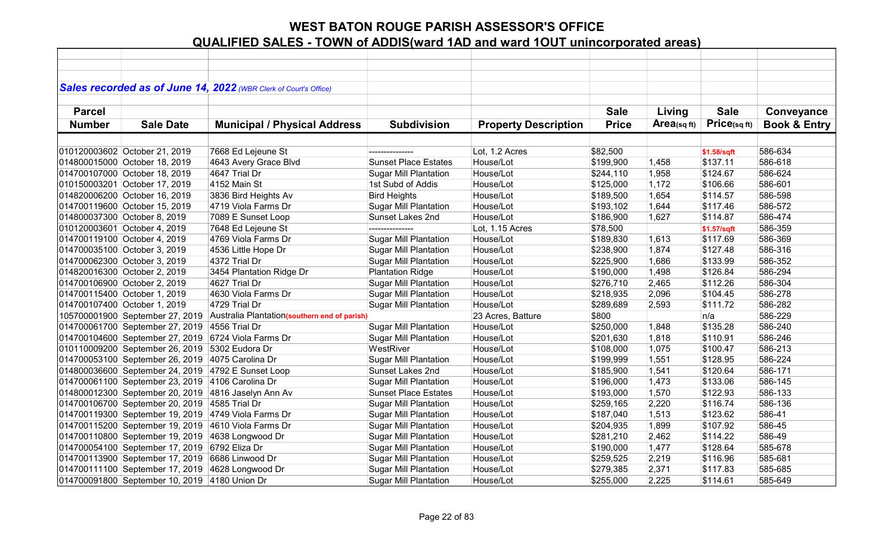|               |                                                 | Sales recorded as of June 14, 2022 (WBR Clerk of Court's Office) |                              |                             |              |             |              |                         |
|---------------|-------------------------------------------------|------------------------------------------------------------------|------------------------------|-----------------------------|--------------|-------------|--------------|-------------------------|
|               |                                                 |                                                                  |                              |                             |              |             |              |                         |
| <b>Parcel</b> |                                                 |                                                                  |                              |                             | <b>Sale</b>  | Living      | <b>Sale</b>  | Conveyance              |
| <b>Number</b> | <b>Sale Date</b>                                | <b>Municipal / Physical Address</b>                              | <b>Subdivision</b>           | <b>Property Description</b> | <b>Price</b> | Area(sq ft) | Price(sq ft) | <b>Book &amp; Entry</b> |
|               |                                                 |                                                                  |                              |                             |              |             |              |                         |
|               | 010120003602 October 21, 2019                   | 7668 Ed Lejeune St                                               |                              | Lot, 1.2 Acres              | \$82,500     |             | \$1.58/sqft  | 586-634                 |
|               | 014800015000 October 18, 2019                   | 4643 Avery Grace Blvd                                            | <b>Sunset Place Estates</b>  | House/Lot                   | \$199,900    | 1,458       | \$137.11     | 586-618                 |
|               | 014700107000 October 18, 2019                   | 4647 Trial Dr                                                    | <b>Sugar Mill Plantation</b> | House/Lot                   | \$244,110    | 1,958       | \$124.67     | 586-624                 |
|               | 010150003201 October 17, 2019                   | 4152 Main St                                                     | 1st Subd of Addis            | House/Lot                   | \$125,000    | 1,172       | \$106.66     | 586-601                 |
|               | 014820006200 October 16, 2019                   | 3836 Bird Heights Av                                             | <b>Bird Heights</b>          | House/Lot                   | \$189,500    | 1,654       | \$114.57     | 586-598                 |
|               | 014700119600 October 15, 2019                   | 4719 Viola Farms Dr                                              | <b>Sugar Mill Plantation</b> | House/Lot                   | \$193,102    | 1,644       | \$117.46     | 586-572                 |
|               | 014800037300 October 8, 2019                    | 7089 E Sunset Loop                                               | Sunset Lakes 2nd             | House/Lot                   | \$186,900    | 1,627       | \$114.87     | 586-474                 |
|               | 010120003601 October 4, 2019                    | 7648 Ed Lejeune St                                               | ---------------              | Lot, 1.15 Acres             | \$78,500     |             | \$1.57/sqft  | 586-359                 |
|               | 014700119100 October 4, 2019                    | 4769 Viola Farms Dr                                              | <b>Sugar Mill Plantation</b> | House/Lot                   | \$189,830    | 1,613       | \$117.69     | 586-369                 |
|               | 014700035100 October 3, 2019                    | 4536 Little Hope Dr                                              | <b>Sugar Mill Plantation</b> | House/Lot                   | \$238,900    | 1,874       | \$127.48     | 586-316                 |
|               | 014700062300 October 3, 2019                    | 4372 Trial Dr                                                    | <b>Sugar Mill Plantation</b> | House/Lot                   | \$225,900    | 1,686       | \$133.99     | 586-352                 |
|               | 014820016300 October 2, 2019                    | 3454 Plantation Ridge Dr                                         | <b>Plantation Ridge</b>      | House/Lot                   | \$190,000    | 1,498       | \$126.84     | 586-294                 |
|               | 014700106900 October 2, 2019                    | 4627 Trial Dr                                                    | <b>Sugar Mill Plantation</b> | House/Lot                   | \$276,710    | 2,465       | \$112.26     | 586-304                 |
|               | 014700115400 October 1, 2019                    | 4630 Viola Farms Dr                                              | <b>Sugar Mill Plantation</b> | House/Lot                   | \$218,935    | 2,096       | \$104.45     | 586-278                 |
|               | 014700107400 October 1, 2019                    | 4729 Trial Dr                                                    | <b>Sugar Mill Plantation</b> | House/Lot                   | \$289,689    | 2,593       | \$111.72     | 586-282                 |
|               | 105700001900 September 27, 2019                 | Australia Plantation(southern end of parish)                     |                              | 23 Acres, Batture           | \$800        |             | n/a          | 586-229                 |
|               | 014700061700 September 27, 2019                 | 4556 Trial Dr                                                    | <b>Sugar Mill Plantation</b> | House/Lot                   | \$250,000    | 1,848       | \$135.28     | 586-240                 |
|               |                                                 | 014700104600 September 27, 2019 6724 Viola Farms Dr              | <b>Sugar Mill Plantation</b> | House/Lot                   | \$201,630    | 1,818       | \$110.91     | 586-246                 |
|               | 010110009200 September 26, 2019                 | 5302 Eudora Dr                                                   | WestRiver                    | House/Lot                   | \$108,000    | 1,075       | \$100.47     | 586-213                 |
|               | 014700053100 September 26, 2019                 | 4075 Carolina Dr                                                 | <b>Sugar Mill Plantation</b> | House/Lot                   | \$199,999    | 1,551       | \$128.95     | 586-224                 |
|               | 014800036600 September 24, 2019                 | 4792 E Sunset Loop                                               | Sunset Lakes 2nd             | House/Lot                   | \$185,900    | 1,541       | \$120.64     | 586-171                 |
|               | 014700061100 September 23, 2019                 | 4106 Carolina Dr                                                 | <b>Sugar Mill Plantation</b> | House/Lot                   | \$196,000    | 1,473       | \$133.06     | 586-145                 |
|               | 014800012300 September 20, 2019                 | 4816 Jaselyn Ann Av                                              | <b>Sunset Place Estates</b>  | House/Lot                   | \$193,000    | 1,570       | \$122.93     | 586-133                 |
|               | 014700106700 September 20, 2019                 | 4585 Trial Dr                                                    | <b>Sugar Mill Plantation</b> | House/Lot                   | \$259,165    | 2,220       | \$116.74     | 586-136                 |
|               | 014700119300 September 19, 2019                 | 4749 Viola Farms Dr                                              | <b>Sugar Mill Plantation</b> | House/Lot                   | \$187,040    | 1,513       | \$123.62     | 586-41                  |
|               | 014700115200 September 19, 2019                 | 4610 Viola Farms Dr                                              | <b>Sugar Mill Plantation</b> | House/Lot                   | \$204,935    | 1,899       | \$107.92     | 586-45                  |
|               | 014700110800 September 19, 2019                 | 4638 Longwood Dr                                                 | <b>Sugar Mill Plantation</b> | House/Lot                   | \$281,210    | 2,462       | \$114.22     | 586-49                  |
|               | 014700054100 September 17, 2019 6792 Eliza Dr   |                                                                  | <b>Sugar Mill Plantation</b> | House/Lot                   | \$190,000    | 1,477       | \$128.64     | 585-678                 |
|               | 014700113900 September 17, 2019 6686 Linwood Dr |                                                                  | <b>Sugar Mill Plantation</b> | House/Lot                   | \$259,525    | 2,219       | \$116.96     | 585-681                 |
|               | 014700111100 September 17, 2019                 | 4628 Longwood Dr                                                 | <b>Sugar Mill Plantation</b> | House/Lot                   | \$279,385    | 2,371       | \$117.83     | 585-685                 |
|               | 014700091800 September 10, 2019 4180 Union Dr   |                                                                  | <b>Sugar Mill Plantation</b> | House/Lot                   | \$255,000    | 2,225       | \$114.61     | 585-649                 |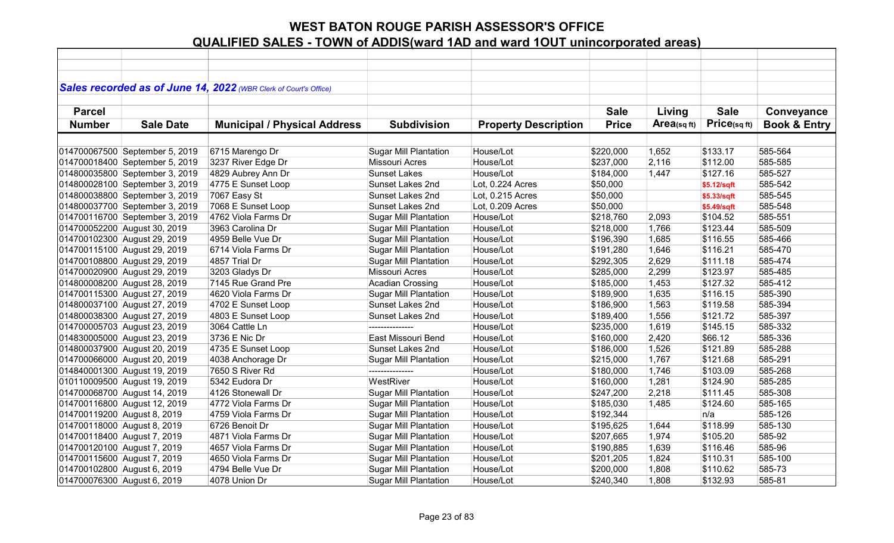|                             |                                | Sales recorded as of June 14, 2022 (WBR Clerk of Court's Office) |                              |                             |              |             |             |                         |
|-----------------------------|--------------------------------|------------------------------------------------------------------|------------------------------|-----------------------------|--------------|-------------|-------------|-------------------------|
|                             |                                |                                                                  |                              |                             |              |             |             |                         |
| <b>Parcel</b>               |                                |                                                                  |                              |                             | <b>Sale</b>  | Living      | <b>Sale</b> | Conveyance              |
| <b>Number</b>               | <b>Sale Date</b>               | <b>Municipal / Physical Address</b>                              | <b>Subdivision</b>           | <b>Property Description</b> | <b>Price</b> | Area(sq ft) | Price(sqft) | <b>Book &amp; Entry</b> |
|                             |                                |                                                                  |                              |                             |              |             |             |                         |
|                             | 014700067500 September 5, 2019 | 6715 Marengo Dr                                                  | <b>Sugar Mill Plantation</b> | House/Lot                   | \$220,000    | 1,652       | \$133.17    | 585-564                 |
|                             | 014700018400 September 5, 2019 | 3237 River Edge Dr                                               | Missouri Acres               | House/Lot                   | \$237,000    | 2,116       | \$112.00    | 585-585                 |
|                             | 014800035800 September 3, 2019 | 4829 Aubrey Ann Dr                                               | <b>Sunset Lakes</b>          | House/Lot                   | \$184,000    | 1,447       | \$127.16    | 585-527                 |
|                             | 014800028100 September 3, 2019 | 4775 E Sunset Loop                                               | Sunset Lakes 2nd             | Lot, 0.224 Acres            | \$50,000     |             | \$5.12/sqft | 585-542                 |
|                             | 014800038800 September 3, 2019 | 7067 Easy St                                                     | Sunset Lakes 2nd             | Lot, 0.215 Acres            | \$50,000     |             | \$5.33/sqft | 585-545                 |
|                             | 014800037700 September 3, 2019 | 7068 E Sunset Loop                                               | Sunset Lakes 2nd             | Lot, 0.209 Acres            | \$50,000     |             | \$5.49/sqft | 585-548                 |
|                             | 014700116700 September 3, 2019 | 4762 Viola Farms Dr                                              | <b>Sugar Mill Plantation</b> | House/Lot                   | \$218,760    | 2,093       | \$104.52    | 585-551                 |
|                             | 014700052200 August 30, 2019   | 3963 Carolina Dr                                                 | <b>Sugar Mill Plantation</b> | House/Lot                   | \$218,000    | 1,766       | \$123.44    | 585-509                 |
|                             | 014700102300 August 29, 2019   | 4959 Belle Vue Dr                                                | <b>Sugar Mill Plantation</b> | House/Lot                   | \$196,390    | 1,685       | \$116.55    | 585-466                 |
|                             | 014700115100 August 29, 2019   | 6714 Viola Farms Dr                                              | Sugar Mill Plantation        | House/Lot                   | \$191,280    | 1,646       | \$116.21    | 585-470                 |
|                             | 014700108800 August 29, 2019   | 4857 Trial Dr                                                    | <b>Sugar Mill Plantation</b> | House/Lot                   | \$292,305    | 2,629       | \$111.18    | 585-474                 |
|                             | 014700020900 August 29, 2019   | 3203 Gladys Dr                                                   | <b>Missouri Acres</b>        | House/Lot                   | \$285,000    | 2,299       | \$123.97    | 585-485                 |
|                             | 014800008200 August 28, 2019   | 7145 Rue Grand Pre                                               | <b>Acadian Crossing</b>      | House/Lot                   | \$185,000    | 1,453       | \$127.32    | 585-412                 |
|                             | 014700115300 August 27, 2019   | 4620 Viola Farms Dr                                              | <b>Sugar Mill Plantation</b> | House/Lot                   | \$189,900    | 1,635       | \$116.15    | 585-390                 |
|                             | 014800037100 August 27, 2019   | 4702 E Sunset Loop                                               | Sunset Lakes 2nd             | House/Lot                   | \$186,900    | 1,563       | \$119.58    | 585-394                 |
|                             | 014800038300 August 27, 2019   | 4803 E Sunset Loop                                               | Sunset Lakes 2nd             | House/Lot                   | \$189,400    | 1,556       | \$121.72    | 585-397                 |
|                             | 014700005703 August 23, 2019   | 3064 Cattle Ln                                                   |                              | House/Lot                   | \$235,000    | 1,619       | \$145.15    | 585-332                 |
|                             | 014830005000 August 23, 2019   | 3736 E Nic Dr                                                    | East Missouri Bend           | House/Lot                   | \$160,000    | 2,420       | \$66.12     | 585-336                 |
|                             | 014800037900 August 20, 2019   | 4735 E Sunset Loop                                               | Sunset Lakes 2nd             | House/Lot                   | \$186,000    | 1,526       | \$121.89    | 585-288                 |
|                             | 014700066000 August 20, 2019   | 4038 Anchorage Dr                                                | <b>Sugar Mill Plantation</b> | House/Lot                   | \$215,000    | 1,767       | \$121.68    | 585-291                 |
|                             | 014840001300 August 19, 2019   | 7650 S River Rd                                                  |                              | House/Lot                   | \$180,000    | 1,746       | \$103.09    | 585-268                 |
|                             | 010110009500 August 19, 2019   | 5342 Eudora Dr                                                   | WestRiver                    | House/Lot                   | \$160,000    | 1,281       | \$124.90    | 585-285                 |
|                             | 014700068700 August 14, 2019   | 4126 Stonewall Dr                                                | <b>Sugar Mill Plantation</b> | House/Lot                   | \$247,200    | 2,218       | \$111.45    | 585-308                 |
|                             | 014700116800 August 12, 2019   | 4772 Viola Farms Dr                                              | <b>Sugar Mill Plantation</b> | House/Lot                   | \$185,030    | 1,485       | \$124.60    | 585-165                 |
| 014700119200 August 8, 2019 |                                | 4759 Viola Farms Dr                                              | <b>Sugar Mill Plantation</b> | House/Lot                   | \$192,344    |             | n/a         | 585-126                 |
| 014700118000 August 8, 2019 |                                | 6726 Benoit Dr                                                   | <b>Sugar Mill Plantation</b> | House/Lot                   | \$195,625    | 1,644       | \$118.99    | 585-130                 |
| 014700118400 August 7, 2019 |                                | 4871 Viola Farms Dr                                              | <b>Sugar Mill Plantation</b> | House/Lot                   | \$207,665    | 1,974       | \$105.20    | 585-92                  |
| 014700120100 August 7, 2019 |                                | 4657 Viola Farms Dr                                              | <b>Sugar Mill Plantation</b> | House/Lot                   | \$190,885    | 1,639       | \$116.46    | 585-96                  |
| 014700115600 August 7, 2019 |                                | 4650 Viola Farms Dr                                              | <b>Sugar Mill Plantation</b> | House/Lot                   | \$201,205    | 1,824       | \$110.31    | 585-100                 |
| 014700102800 August 6, 2019 |                                | 4794 Belle Vue Dr                                                | Sugar Mill Plantation        | House/Lot                   | \$200,000    | 1,808       | \$110.62    | 585-73                  |
| 014700076300 August 6, 2019 |                                | 4078 Union Dr                                                    | <b>Sugar Mill Plantation</b> | House/Lot                   | \$240,340    | 1,808       | \$132.93    | 585-81                  |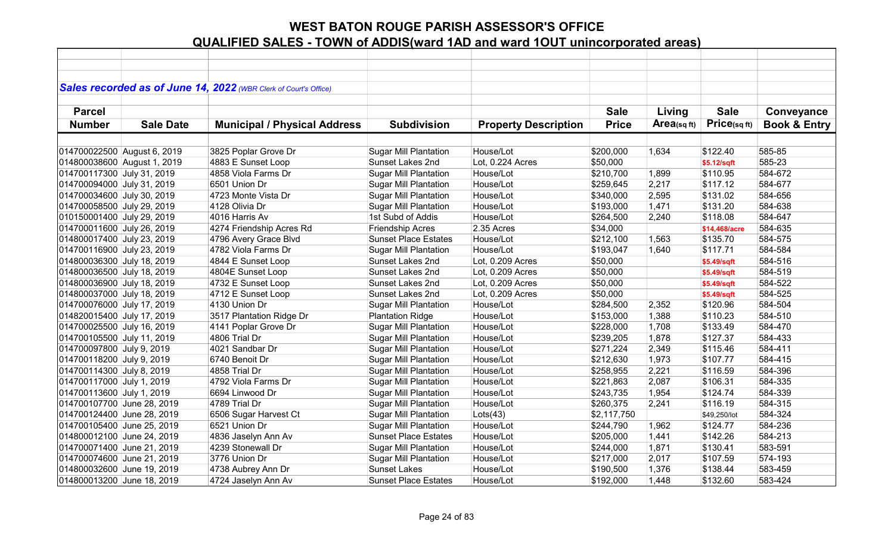|                             |                  | Sales recorded as of June 14, 2022 (WBR Clerk of Court's Office) |                              |                             |              |                |               |                         |
|-----------------------------|------------------|------------------------------------------------------------------|------------------------------|-----------------------------|--------------|----------------|---------------|-------------------------|
|                             |                  |                                                                  |                              |                             |              |                |               |                         |
| <b>Parcel</b>               |                  |                                                                  |                              |                             | <b>Sale</b>  | Living         | <b>Sale</b>   | Conveyance              |
| <b>Number</b>               | <b>Sale Date</b> | <b>Municipal / Physical Address</b>                              | <b>Subdivision</b>           | <b>Property Description</b> | <b>Price</b> | Area(sq $ft$ ) | Price(sqft)   | <b>Book &amp; Entry</b> |
|                             |                  |                                                                  |                              |                             |              |                |               |                         |
| 014700022500 August 6, 2019 |                  | 3825 Poplar Grove Dr                                             | <b>Sugar Mill Plantation</b> | House/Lot                   | \$200,000    | 1,634          | \$122.40      | 585-85                  |
| 014800038600 August 1, 2019 |                  | 4883 E Sunset Loop                                               | Sunset Lakes 2nd             | Lot, 0.224 Acres            | \$50,000     |                | \$5.12/sqft   | 585-23                  |
| 014700117300 July 31, 2019  |                  | 4858 Viola Farms Dr                                              | <b>Sugar Mill Plantation</b> | House/Lot                   | \$210,700    | 1,899          | \$110.95      | 584-672                 |
| 014700094000 July 31, 2019  |                  | 6501 Union Dr                                                    | <b>Sugar Mill Plantation</b> | House/Lot                   | \$259,645    | 2,217          | \$117.12      | 584-677                 |
| 014700034600 July 30, 2019  |                  | 4723 Monte Vista Dr                                              | <b>Sugar Mill Plantation</b> | House/Lot                   | \$340,000    | 2,595          | \$131.02      | 584-656                 |
| 014700058500 July 29, 2019  |                  | 4128 Olivia Dr                                                   | <b>Sugar Mill Plantation</b> | House/Lot                   | \$193,000    | 1,471          | \$131.20      | 584-638                 |
| 010150001400 July 29, 2019  |                  | 4016 Harris Av                                                   | 1st Subd of Addis            | House/Lot                   | \$264,500    | 2,240          | \$118.08      | 584-647                 |
| 014700011600 July 26, 2019  |                  | 4274 Friendship Acres Rd                                         | <b>Friendship Acres</b>      | 2.35 Acres                  | \$34,000     |                | \$14,468/acre | 584-635                 |
| 014800017400 July 23, 2019  |                  | 4796 Avery Grace Blvd                                            | <b>Sunset Place Estates</b>  | House/Lot                   | \$212,100    | 1,563          | \$135.70      | 584-575                 |
| 014700116900 July 23, 2019  |                  | 4782 Viola Farms Dr                                              | <b>Sugar Mill Plantation</b> | House/Lot                   | \$193,047    | 1,640          | \$117.71      | 584-584                 |
| 014800036300 July 18, 2019  |                  | 4844 E Sunset Loop                                               | Sunset Lakes 2nd             | Lot, 0.209 Acres            | \$50,000     |                | \$5.49/sqft   | 584-516                 |
| 014800036500 July 18, 2019  |                  | 4804E Sunset Loop                                                | Sunset Lakes 2nd             | Lot, 0.209 Acres            | \$50,000     |                | \$5.49/sqft   | 584-519                 |
| 014800036900 July 18, 2019  |                  | 4732 E Sunset Loop                                               | Sunset Lakes 2nd             | Lot, 0.209 Acres            | \$50,000     |                | \$5.49/sqft   | 584-522                 |
| 014800037000 July 18, 2019  |                  | 4712 E Sunset Loop                                               | Sunset Lakes 2nd             | Lot, 0.209 Acres            | \$50,000     |                | \$5.49/sqft   | 584-525                 |
| 014700076000 July 17, 2019  |                  | 4130 Union Dr                                                    | <b>Sugar Mill Plantation</b> | House/Lot                   | \$284,500    | 2,352          | \$120.96      | 584-504                 |
| 014820015400 July 17, 2019  |                  | 3517 Plantation Ridge Dr                                         | <b>Plantation Ridge</b>      | House/Lot                   | \$153,000    | 1,388          | \$110.23      | 584-510                 |
| 014700025500 July 16, 2019  |                  | 4141 Poplar Grove Dr                                             | <b>Sugar Mill Plantation</b> | House/Lot                   | \$228,000    | 1,708          | \$133.49      | 584-470                 |
| 014700105500 July 11, 2019  |                  | 4806 Trial Dr                                                    | <b>Sugar Mill Plantation</b> | House/Lot                   | \$239,205    | 1,878          | \$127.37      | 584-433                 |
| 014700097800 July 9, 2019   |                  | 4021 Sandbar Dr                                                  | <b>Sugar Mill Plantation</b> | House/Lot                   | \$271,224    | 2,349          | \$115.46      | 584-411                 |
| 014700118200 July 9, 2019   |                  | 6740 Benoit Dr                                                   | <b>Sugar Mill Plantation</b> | House/Lot                   | \$212,630    | 1,973          | \$107.77      | 584-415                 |
| 014700114300 July 8, 2019   |                  | 4858 Trial Dr                                                    | <b>Sugar Mill Plantation</b> | House/Lot                   | \$258,955    | 2,221          | \$116.59      | 584-396                 |
| 014700117000 July 1, 2019   |                  | 4792 Viola Farms Dr                                              | <b>Sugar Mill Plantation</b> | House/Lot                   | \$221,863    | 2,087          | \$106.31      | 584-335                 |
| 014700113600 July 1, 2019   |                  | 6694 Linwood Dr                                                  | <b>Sugar Mill Plantation</b> | House/Lot                   | \$243,735    | 1,954          | \$124.74      | 584-339                 |
| 014700107700 June 28, 2019  |                  | 4789 Trial Dr                                                    | <b>Sugar Mill Plantation</b> | House/Lot                   | \$260,375    | 2,241          | \$116.19      | 584-315                 |
| 014700124400 June 28, 2019  |                  | 6506 Sugar Harvest Ct                                            | <b>Sugar Mill Plantation</b> | Lots(43)                    | \$2,117,750  |                | \$49,250/lot  | 584-324                 |
| 014700105400 June 25, 2019  |                  | 6521 Union Dr                                                    | <b>Sugar Mill Plantation</b> | House/Lot                   | \$244,790    | 1,962          | \$124.77      | 584-236                 |
| 014800012100 June 24, 2019  |                  | 4836 Jaselyn Ann Av                                              | <b>Sunset Place Estates</b>  | House/Lot                   | \$205,000    | 1,441          | \$142.26      | 584-213                 |
| 014700071400 June 21, 2019  |                  | 4239 Stonewall Dr                                                | <b>Sugar Mill Plantation</b> | House/Lot                   | \$244,000    | 1,871          | \$130.41      | 583-591                 |
| 014700074600 June 21, 2019  |                  | 3776 Union Dr                                                    | <b>Sugar Mill Plantation</b> | House/Lot                   | \$217,000    | 2,017          | \$107.59      | 574-193                 |
| 014800032600 June 19, 2019  |                  | 4738 Aubrey Ann Dr                                               | <b>Sunset Lakes</b>          | House/Lot                   | \$190,500    | 1,376          | \$138.44      | 583-459                 |
| 014800013200 June 18, 2019  |                  | 4724 Jaselyn Ann Av                                              | <b>Sunset Place Estates</b>  | House/Lot                   | \$192,000    | 1,448          | \$132.60      | 583-424                 |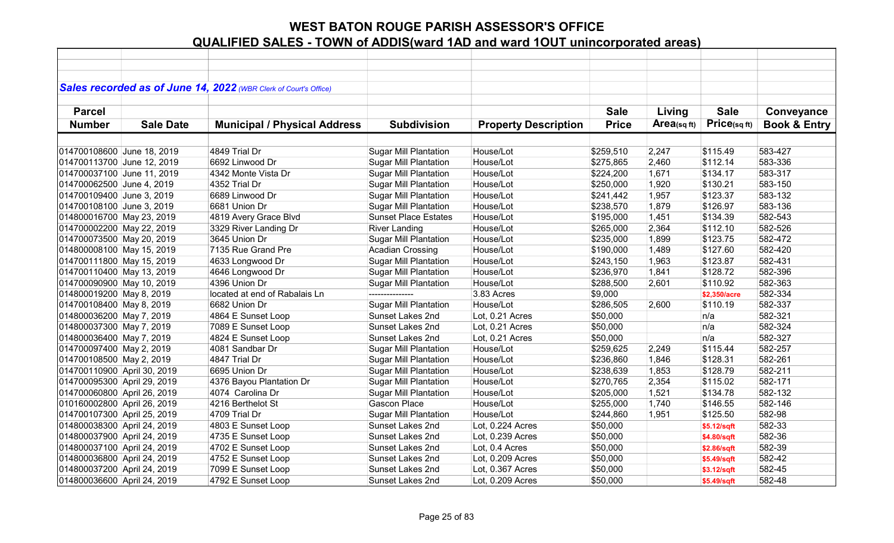|                             |                  | Sales recorded as of June 14, 2022 (WBR Clerk of Court's Office) |                              |                             |              |            |              |                         |
|-----------------------------|------------------|------------------------------------------------------------------|------------------------------|-----------------------------|--------------|------------|--------------|-------------------------|
|                             |                  |                                                                  |                              |                             |              |            |              |                         |
| <b>Parcel</b>               |                  |                                                                  |                              |                             | <b>Sale</b>  | Living     | <b>Sale</b>  | Conveyance              |
| <b>Number</b>               | <b>Sale Date</b> | <b>Municipal / Physical Address</b>                              | <b>Subdivision</b>           | <b>Property Description</b> | <b>Price</b> | Area(sqft) | Price(sqft)  | <b>Book &amp; Entry</b> |
|                             |                  |                                                                  |                              |                             |              |            |              |                         |
|                             |                  |                                                                  |                              |                             |              |            |              |                         |
| 014700108600 June 18, 2019  |                  | 4849 Trial Dr                                                    | <b>Sugar Mill Plantation</b> | House/Lot                   | \$259,510    | 2,247      | \$115.49     | 583-427                 |
| 014700113700 June 12, 2019  |                  | 6692 Linwood Dr                                                  | <b>Sugar Mill Plantation</b> | House/Lot                   | \$275,865    | 2,460      | \$112.14     | 583-336                 |
| 014700037100 June 11, 2019  |                  | 4342 Monte Vista Dr                                              | <b>Sugar Mill Plantation</b> | House/Lot                   | \$224,200    | 1,671      | \$134.17     | 583-317                 |
| 014700062500 June 4, 2019   |                  | 4352 Trial Dr                                                    | <b>Sugar Mill Plantation</b> | House/Lot                   | \$250,000    | 1,920      | \$130.21     | 583-150                 |
| 014700109400 June 3, 2019   |                  | 6689 Linwood Dr                                                  | <b>Sugar Mill Plantation</b> | House/Lot                   | \$241,442    | 1,957      | \$123.37     | 583-132                 |
| 014700108100 June 3, 2019   |                  | 6681 Union Dr                                                    | <b>Sugar Mill Plantation</b> | House/Lot                   | \$238,570    | 1,879      | \$126.97     | 583-136                 |
| 014800016700 May 23, 2019   |                  | 4819 Avery Grace Blvd                                            | <b>Sunset Place Estates</b>  | House/Lot                   | \$195,000    | 1,451      | \$134.39     | 582-543                 |
| 014700002200 May 22, 2019   |                  | 3329 River Landing Dr                                            | <b>River Landing</b>         | House/Lot                   | \$265,000    | 2,364      | \$112.10     | 582-526                 |
| 014700073500 May 20, 2019   |                  | 3645 Union Dr                                                    | <b>Sugar Mill Plantation</b> | House/Lot                   | \$235,000    | 1,899      | \$123.75     | 582-472                 |
| 014800008100 May 15, 2019   |                  | 7135 Rue Grand Pre                                               | <b>Acadian Crossing</b>      | House/Lot                   | \$190,000    | 1,489      | \$127.60     | 582-420                 |
| 014700111800 May 15, 2019   |                  | 4633 Longwood Dr                                                 | <b>Sugar Mill Plantation</b> | House/Lot                   | \$243,150    | 1,963      | \$123.87     | 582-431                 |
| 014700110400 May 13, 2019   |                  | 4646 Longwood Dr                                                 | <b>Sugar Mill Plantation</b> | House/Lot                   | \$236,970    | 1,841      | \$128.72     | 582-396                 |
| 014700090900 May 10, 2019   |                  | 4396 Union Dr                                                    | <b>Sugar Mill Plantation</b> | House/Lot                   | \$288,500    | 2,601      | \$110.92     | 582-363                 |
| 014800019200 May 8, 2019    |                  | located at end of Rabalais Ln                                    | ---------------              | 3.83 Acres                  | \$9,000      |            | \$2,350/acre | 582-334                 |
| 014700108400 May 8, 2019    |                  | 6682 Union Dr                                                    | Sugar Mill Plantation        | House/Lot                   | \$286,505    | 2,600      | \$110.19     | 582-337                 |
| 014800036200 May 7, 2019    |                  | 4864 E Sunset Loop                                               | Sunset Lakes 2nd             | Lot, 0.21 Acres             | \$50,000     |            | n/a          | 582-321                 |
| 014800037300 May 7, 2019    |                  | 7089 E Sunset Loop                                               | Sunset Lakes 2nd             | Lot, 0.21 Acres             | \$50,000     |            | n/a          | 582-324                 |
| 014800036400 May 7, 2019    |                  | 4824 E Sunset Loop                                               | Sunset Lakes 2nd             | Lot, 0.21 Acres             | \$50,000     |            | n/a          | 582-327                 |
| 014700097400 May 2, 2019    |                  | 4081 Sandbar Dr                                                  | <b>Sugar Mill Plantation</b> | House/Lot                   | \$259,625    | 2,249      | \$115.44     | 582-257                 |
| 014700108500 May 2, 2019    |                  | 4847 Trial Dr                                                    | <b>Sugar Mill Plantation</b> | House/Lot                   | \$236,860    | 1,846      | \$128.31     | 582-261                 |
| 014700110900 April 30, 2019 |                  | 6695 Union Dr                                                    | <b>Sugar Mill Plantation</b> | House/Lot                   | \$238,639    | 1,853      | \$128.79     | 582-211                 |
| 014700095300 April 29, 2019 |                  | 4376 Bayou Plantation Dr                                         | <b>Sugar Mill Plantation</b> | House/Lot                   | \$270,765    | 2,354      | \$115.02     | 582-171                 |
| 014700060800 April 26, 2019 |                  | 4074 Carolina Dr                                                 | <b>Sugar Mill Plantation</b> | House/Lot                   | \$205,000    | 1,521      | \$134.78     | 582-132                 |
| 010160002800 April 26, 2019 |                  | 4216 Berthelot St                                                | Gascon Place                 | House/Lot                   | \$255,000    | 1,740      | \$146.55     | 582-146                 |
| 014700107300 April 25, 2019 |                  | 4709 Trial Dr                                                    | <b>Sugar Mill Plantation</b> | House/Lot                   | \$244,860    | 1,951      | \$125.50     | 582-98                  |
| 014800038300 April 24, 2019 |                  | 4803 E Sunset Loop                                               | Sunset Lakes 2nd             | Lot, 0.224 Acres            | \$50,000     |            | \$5.12/sqft  | 582-33                  |
| 014800037900 April 24, 2019 |                  | 4735 E Sunset Loop                                               | Sunset Lakes 2nd             | Lot, 0.239 Acres            | \$50,000     |            | \$4.80/sqft  | 582-36                  |
| 014800037100 April 24, 2019 |                  | 4702 E Sunset Loop                                               | Sunset Lakes 2nd             | Lot, 0.4 Acres              | \$50,000     |            | \$2.86/sqft  | 582-39                  |
| 014800036800 April 24, 2019 |                  | 4752 E Sunset Loop                                               | Sunset Lakes 2nd             | Lot, 0.209 Acres            | \$50,000     |            | \$5.49/sqft  | 582-42                  |
| 014800037200 April 24, 2019 |                  | 7099 E Sunset Loop                                               | Sunset Lakes 2nd             | Lot, 0.367 Acres            | \$50,000     |            | \$3.12/sqft  | 582-45                  |
| 014800036600 April 24, 2019 |                  | 4792 E Sunset Loop                                               | <b>Sunset Lakes 2nd</b>      | Lot, 0.209 Acres            | \$50,000     |            | \$5.49/sqft  | 582-48                  |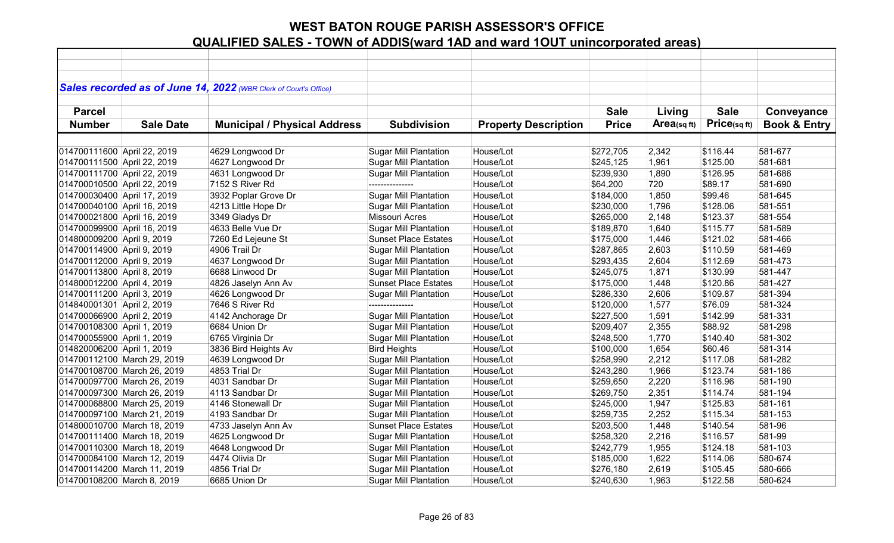|                             |                  | Sales recorded as of June 14, 2022 (WBR Clerk of Court's Office) |                              |                             |              |            |              |                         |
|-----------------------------|------------------|------------------------------------------------------------------|------------------------------|-----------------------------|--------------|------------|--------------|-------------------------|
|                             |                  |                                                                  |                              |                             |              |            |              |                         |
| <b>Parcel</b>               |                  |                                                                  |                              |                             | <b>Sale</b>  | Living     | <b>Sale</b>  | Conveyance              |
| <b>Number</b>               | <b>Sale Date</b> | <b>Municipal / Physical Address</b>                              | <b>Subdivision</b>           | <b>Property Description</b> | <b>Price</b> | Area(sqft) | Price(sq ft) | <b>Book &amp; Entry</b> |
|                             |                  |                                                                  |                              |                             |              |            |              |                         |
|                             |                  |                                                                  |                              | House/Lot                   |              |            |              | 581-677                 |
| 014700111600 April 22, 2019 |                  | 4629 Longwood Dr                                                 | <b>Sugar Mill Plantation</b> |                             | \$272,705    | 2,342      | \$116.44     | 581-681                 |
| 014700111500 April 22, 2019 |                  | 4627 Longwood Dr                                                 | <b>Sugar Mill Plantation</b> | House/Lot                   | \$245,125    | 1,961      | \$125.00     |                         |
| 014700111700 April 22, 2019 |                  | 4631 Longwood Dr                                                 | <b>Sugar Mill Plantation</b> | House/Lot                   | \$239,930    | 1,890      | \$126.95     | 581-686                 |
| 014700010500 April 22, 2019 |                  | 7152 S River Rd                                                  | ---------------              | House/Lot                   | \$64,200     | 720        | \$89.17      | 581-690                 |
| 014700030400 April 17, 2019 |                  | 3932 Poplar Grove Dr                                             | <b>Sugar Mill Plantation</b> | House/Lot                   | \$184,000    | 1,850      | \$99.46      | 581-645                 |
| 014700040100 April 16, 2019 |                  | 4213 Little Hope Dr                                              | <b>Sugar Mill Plantation</b> | House/Lot                   | \$230,000    | 1,796      | \$128.06     | 581-551                 |
| 014700021800 April 16, 2019 |                  | 3349 Gladys Dr                                                   | Missouri Acres               | House/Lot                   | \$265,000    | 2,148      | \$123.37     | 581-554                 |
| 014700099900 April 16, 2019 |                  | 4633 Belle Vue Dr                                                | <b>Sugar Mill Plantation</b> | House/Lot                   | \$189,870    | 1,640      | \$115.77     | 581-589                 |
| 014800009200 April 9, 2019  |                  | 7260 Ed Lejeune St                                               | <b>Sunset Place Estates</b>  | House/Lot                   | \$175,000    | 1,446      | \$121.02     | 581-466                 |
| 014700114900 April 9, 2019  |                  | 4906 Trail Dr                                                    | <b>Sugar Mill Plantation</b> | House/Lot                   | \$287,865    | 2,603      | \$110.59     | 581-469                 |
| 014700112000 April 9, 2019  |                  | 4637 Longwood Dr                                                 | <b>Sugar Mill Plantation</b> | House/Lot                   | \$293,435    | 2,604      | \$112.69     | 581-473                 |
| 014700113800 April 8, 2019  |                  | 6688 Linwood Dr                                                  | <b>Sugar Mill Plantation</b> | House/Lot                   | \$245,075    | 1,871      | \$130.99     | 581-447                 |
| 014800012200 April 4, 2019  |                  | 4826 Jaselyn Ann Av                                              | <b>Sunset Place Estates</b>  | House/Lot                   | \$175,000    | 1,448      | \$120.86     | 581-427                 |
| 014700111200 April 3, 2019  |                  | 4626 Longwood Dr                                                 | <b>Sugar Mill Plantation</b> | House/Lot                   | \$286,330    | 2,606      | \$109.87     | 581-394                 |
| 014840001301 April 2, 2019  |                  | 7646 S River Rd                                                  |                              | House/Lot                   | \$120,000    | 1,577      | \$76.09      | 581-324                 |
| 014700066900 April 2, 2019  |                  | 4142 Anchorage Dr                                                | <b>Sugar Mill Plantation</b> | House/Lot                   | \$227,500    | 1,591      | \$142.99     | 581-331                 |
| 014700108300 April 1, 2019  |                  | 6684 Union Dr                                                    | <b>Sugar Mill Plantation</b> | House/Lot                   | \$209,407    | 2,355      | \$88.92      | 581-298                 |
| 014700055900 April 1, 2019  |                  | 6765 Virginia Dr                                                 | <b>Sugar Mill Plantation</b> | House/Lot                   | \$248,500    | 1,770      | \$140.40     | 581-302                 |
| 014820006200 April 1, 2019  |                  | 3836 Bird Heights Av                                             | <b>Bird Heights</b>          | House/Lot                   | \$100,000    | 1,654      | \$60.46      | 581-314                 |
| 014700112100 March 29, 2019 |                  | 4639 Longwood Dr                                                 | <b>Sugar Mill Plantation</b> | House/Lot                   | \$258,990    | 2,212      | \$117.08     | 581-282                 |
| 014700108700 March 26, 2019 |                  | 4853 Trial Dr                                                    | <b>Sugar Mill Plantation</b> | House/Lot                   | \$243,280    | 1,966      | \$123.74     | 581-186                 |
| 014700097700 March 26, 2019 |                  | 4031 Sandbar Dr                                                  | <b>Sugar Mill Plantation</b> | House/Lot                   | \$259,650    | 2,220      | \$116.96     | 581-190                 |
| 014700097300 March 26, 2019 |                  | 4113 Sandbar Dr                                                  | <b>Sugar Mill Plantation</b> | House/Lot                   | \$269,750    | 2,351      | \$114.74     | 581-194                 |
| 014700068800 March 25, 2019 |                  | 4146 Stonewall Dr                                                | <b>Sugar Mill Plantation</b> | House/Lot                   | \$245,000    | 1,947      | \$125.83     | 581-161                 |
| 014700097100 March 21, 2019 |                  | 4193 Sandbar Dr                                                  | <b>Sugar Mill Plantation</b> | House/Lot                   | \$259,735    | 2,252      | \$115.34     | 581-153                 |
| 014800010700 March 18, 2019 |                  | 4733 Jaselyn Ann Av                                              | <b>Sunset Place Estates</b>  | House/Lot                   | \$203,500    | 1,448      | \$140.54     | 581-96                  |
| 014700111400 March 18, 2019 |                  | 4625 Longwood Dr                                                 | <b>Sugar Mill Plantation</b> | House/Lot                   | \$258,320    | 2,216      | \$116.57     | 581-99                  |
| 014700110300 March 18, 2019 |                  | 4648 Longwood Dr                                                 | <b>Sugar Mill Plantation</b> | House/Lot                   | \$242,779    | 1,955      | \$124.18     | 581-103                 |
| 014700084100 March 12, 2019 |                  | 4474 Olivia Dr                                                   | <b>Sugar Mill Plantation</b> | House/Lot                   | \$185,000    | 1,622      | \$114.06     | 580-674                 |
| 014700114200 March 11, 2019 |                  | 4856 Trial Dr                                                    | <b>Sugar Mill Plantation</b> | House/Lot                   | \$276,180    | 2,619      | \$105.45     | 580-666                 |
| 014700108200 March 8, 2019  |                  | 6685 Union Dr                                                    | <b>Sugar Mill Plantation</b> | House/Lot                   | \$240,630    | 1,963      | \$122.58     | 580-624                 |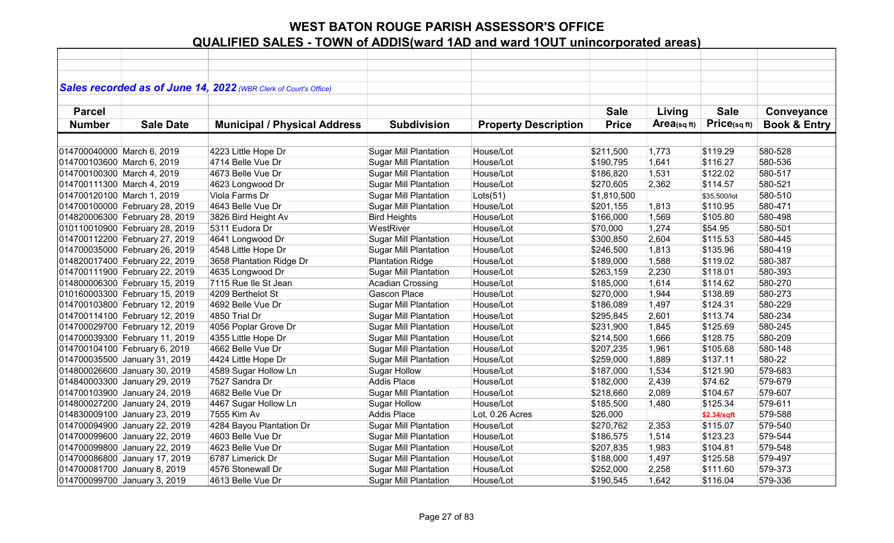|                            |                                | Sales recorded as of June 14, 2022 (WBR Clerk of Court's Office) |                              |                             |              |            |              |                         |
|----------------------------|--------------------------------|------------------------------------------------------------------|------------------------------|-----------------------------|--------------|------------|--------------|-------------------------|
| <b>Parcel</b>              |                                |                                                                  |                              |                             | <b>Sale</b>  | Living     | <b>Sale</b>  | Conveyance              |
| <b>Number</b>              | <b>Sale Date</b>               | <b>Municipal / Physical Address</b>                              | <b>Subdivision</b>           | <b>Property Description</b> | <b>Price</b> | Area(sqft) | Price(sq ft) | <b>Book &amp; Entry</b> |
|                            |                                |                                                                  |                              |                             |              |            |              |                         |
| 014700040000 March 6, 2019 |                                | 4223 Little Hope Dr                                              | <b>Sugar Mill Plantation</b> | House/Lot                   | \$211,500    | 1,773      | \$119.29     | 580-528                 |
| 014700103600 March 6, 2019 |                                | 4714 Belle Vue Dr                                                | <b>Sugar Mill Plantation</b> | House/Lot                   | \$190,795    | 1,641      | \$116.27     | 580-536                 |
| 014700100300 March 4, 2019 |                                | 4673 Belle Vue Dr                                                | <b>Sugar Mill Plantation</b> | House/Lot                   | \$186,820    | 1,531      | \$122.02     | 580-517                 |
| 014700111300 March 4, 2019 |                                | 4623 Longwood Dr                                                 | <b>Sugar Mill Plantation</b> | House/Lot                   | \$270,605    | 2,362      | \$114.57     | 580-521                 |
| 014700120100 March 1, 2019 |                                | Viola Farms Dr                                                   | <b>Sugar Mill Plantation</b> | Lots(51)                    | \$1,810,500  |            | \$35,500/lot | 580-510                 |
|                            | 014700100000 February 28, 2019 | 4643 Belle Vue Dr                                                | <b>Sugar Mill Plantation</b> | House/Lot                   | \$201,155    | 1,813      | \$110.95     | 580-471                 |
|                            | 014820006300 February 28, 2019 | 3826 Bird Height Av                                              | <b>Bird Heights</b>          | House/Lot                   | \$166,000    | 1,569      | \$105.80     | 580-498                 |
|                            | 010110010900 February 28, 2019 | 5311 Eudora Dr                                                   | WestRiver                    | House/Lot                   | \$70,000     | 1,274      | \$54.95      | 580-501                 |
|                            | 014700112200 February 27, 2019 | 4641 Longwood Dr                                                 | <b>Sugar Mill Plantation</b> | House/Lot                   | \$300,850    | 2,604      | \$115.53     | 580-445                 |
|                            | 014700035000 February 26, 2019 | 4548 Little Hope Dr                                              | <b>Sugar Mill Plantation</b> | House/Lot                   | \$246,500    | 1,813      | \$135.96     | 580-419                 |
|                            | 014820017400 February 22, 2019 | 3658 Plantation Ridge Dr                                         | <b>Plantation Ridge</b>      | House/Lot                   | \$189,000    | 1,588      | \$119.02     | 580-387                 |
|                            | 014700111900 February 22, 2019 | 4635 Longwood Dr                                                 | <b>Sugar Mill Plantation</b> | House/Lot                   | \$263,159    | 2,230      | \$118.01     | 580-393                 |
|                            | 014800006300 February 15, 2019 | 7115 Rue Ile St Jean                                             | <b>Acadian Crossing</b>      | House/Lot                   | \$185,000    | 1,614      | \$114.62     | 580-270                 |
|                            | 010160003300 February 15, 2019 | 4209 Berthelot St                                                | <b>Gascon Place</b>          | House/Lot                   | \$270,000    | 1,944      | \$138.89     | 580-273                 |
|                            | 014700103800 February 12, 2019 | 4692 Belle Vue Dr                                                | <b>Sugar Mill Plantation</b> | House/Lot                   | \$186,089    | 1,497      | \$124.31     | 580-229                 |
|                            | 014700114100 February 12, 2019 | 4850 Trial Dr                                                    | <b>Sugar Mill Plantation</b> | House/Lot                   | \$295,845    | 2,601      | \$113.74     | 580-234                 |
|                            | 014700029700 February 12, 2019 | 4056 Poplar Grove Dr                                             | <b>Sugar Mill Plantation</b> | House/Lot                   | \$231,900    | 1,845      | \$125.69     | 580-245                 |
|                            | 014700039300 February 11, 2019 | 4355 Little Hope Dr                                              | <b>Sugar Mill Plantation</b> | House/Lot                   | \$214,500    | 1,666      | \$128.75     | 580-209                 |
|                            | 014700104100 February 6, 2019  | 4662 Belle Vue Dr                                                | <b>Sugar Mill Plantation</b> | House/Lot                   | \$207,235    | 1,961      | \$105.68     | 580-148                 |
|                            | 014700035500 January 31, 2019  | 4424 Little Hope Dr                                              | <b>Sugar Mill Plantation</b> | House/Lot                   | \$259,000    | 1,889      | \$137.11     | 580-22                  |
|                            | 014800026600 January 30, 2019  | 4589 Sugar Hollow Ln                                             | <b>Sugar Hollow</b>          | House/Lot                   | \$187,000    | 1,534      | \$121.90     | 579-683                 |
|                            | 014840003300 January 29, 2019  | 7527 Sandra Dr                                                   | <b>Addis Place</b>           | House/Lot                   | \$182,000    | 2,439      | \$74.62      | 579-679                 |
|                            | 014700103900 January 24, 2019  | 4682 Belle Vue Dr                                                | <b>Sugar Mill Plantation</b> | House/Lot                   | \$218,660    | 2,089      | \$104.67     | 579-607                 |
|                            | 014800027200 January 24, 2019  | 4467 Sugar Hollow Ln                                             | <b>Sugar Hollow</b>          | House/Lot                   | \$185,500    | 1,480      | \$125.34     | 579-611                 |
|                            | 014830009100 January 23, 2019  | 7555 Kim Av                                                      | <b>Addis Place</b>           | Lot, 0.26 Acres             | \$26,000     |            | \$2.34/sqft  | 579-588                 |
|                            | 014700094900 January 22, 2019  | 4284 Bayou Plantation Dr                                         | <b>Sugar Mill Plantation</b> | House/Lot                   | \$270,762    | 2,353      | \$115.07     | 579-540                 |
|                            | 014700099600 January 22, 2019  | 4603 Belle Vue Dr                                                | <b>Sugar Mill Plantation</b> | House/Lot                   | \$186,575    | 1,514      | \$123.23     | 579-544                 |
|                            | 014700099800 January 22, 2019  | 4623 Belle Vue Dr                                                | <b>Sugar Mill Plantation</b> | House/Lot                   | \$207,835    | 1,983      | \$104.81     | 579-548                 |
|                            | 014700086800 January 17, 2019  | 6787 Limerick Dr                                                 | <b>Sugar Mill Plantation</b> | House/Lot                   | \$188,000    | 1,497      | \$125.58     | 579-497                 |
|                            | 014700081700 January 8, 2019   | 4576 Stonewall Dr                                                | <b>Sugar Mill Plantation</b> | House/Lot                   | \$252,000    | 2,258      | \$111.60     | 579-373                 |
|                            | 014700099700 January 3, 2019   | 4613 Belle Vue Dr                                                | <b>Sugar Mill Plantation</b> | House/Lot                   | \$190,545    | 1,642      | \$116.04     | 579-336                 |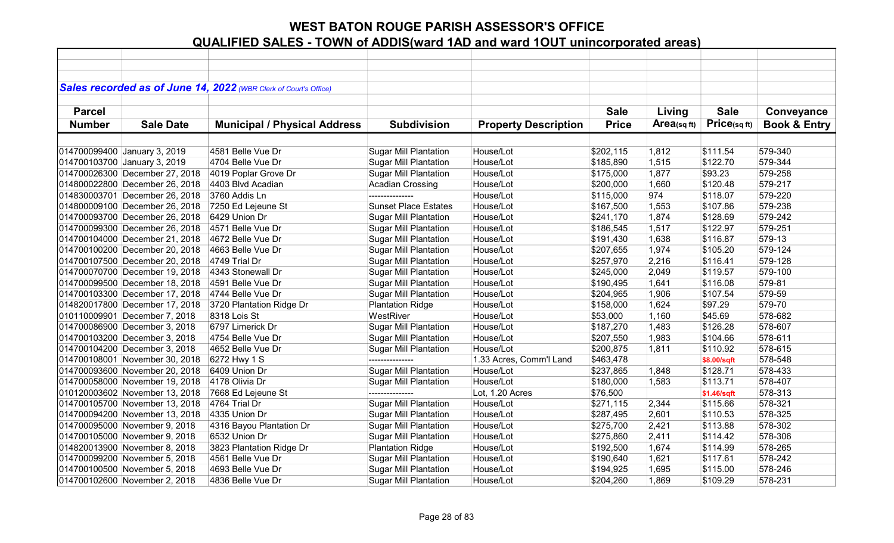| Sales recorded as of June 14, 2022 (WBR Clerk of Court's Office)<br><b>Sale</b><br><b>Sale</b><br><b>Parcel</b><br>Living<br>Conveyance<br>Price(sqft)<br>Area(sq ft)<br><b>Book &amp; Entry</b><br><b>Number</b><br><b>Sale Date</b><br><b>Municipal / Physical Address</b><br><b>Subdivision</b><br><b>Property Description</b><br><b>Price</b><br><b>Sugar Mill Plantation</b><br>House/Lot<br>\$111.54<br>579-340<br>014700099400 January 3, 2019<br>4581 Belle Vue Dr<br>\$202,115<br>1,812<br>579-344<br>4704 Belle Vue Dr<br><b>Sugar Mill Plantation</b><br>House/Lot<br>\$185,890<br>1,515<br>\$122.70<br>014700103700 January 3, 2019<br>House/Lot<br>1,877<br>\$93.23<br>579-258<br>014700026300 December 27, 2018<br>4019 Poplar Grove Dr<br><b>Sugar Mill Plantation</b><br>\$175,000<br>House/Lot<br>\$120.48<br>579-217<br>014800022800 December 26, 2018<br>4403 Blvd Acadian<br><b>Acadian Crossing</b><br>\$200,000<br>1,660<br>House/Lot<br>974<br>579-220<br>014830003701 December 26, 2018<br>3760 Addis Ln<br>\$115,000<br>\$118.07<br>579-238<br>014800009100 December 26, 2018<br><b>Sunset Place Estates</b><br>House/Lot<br>1,553<br>\$107.86<br>7250 Ed Lejeune St<br>\$167,500<br>014700093700 December 26, 2018<br>6429 Union Dr<br>House/Lot<br>1,874<br>\$128.69<br>579-242<br><b>Sugar Mill Plantation</b><br>\$241,170<br>House/Lot<br>\$122.97<br>579-251<br>014700099300 December 26, 2018<br>4571 Belle Vue Dr<br><b>Sugar Mill Plantation</b><br>1,517<br>\$186,545<br>House/Lot<br>\$116.87<br>579-13<br>014700104000 December 21, 2018<br>4672 Belle Vue Dr<br><b>Sugar Mill Plantation</b><br>\$191,430<br>1,638<br>House/Lot<br>579-124<br>014700100200 December 20, 2018<br>4663 Belle Vue Dr<br><b>Sugar Mill Plantation</b><br>\$207,655<br>1,974<br>\$105.20<br>2,216<br>579-128<br>014700107500 December 20, 2018<br>4749 Trial Dr<br><b>Sugar Mill Plantation</b><br>House/Lot<br>\$257,970<br>\$116.41<br>House/Lot<br>579-100<br>4343 Stonewall Dr<br><b>Sugar Mill Plantation</b><br>\$119.57<br>014700070700 December 19, 2018<br>\$245,000<br>2,049<br><b>Sugar Mill Plantation</b><br>House/Lot<br>\$116.08<br>579-81<br>014700099500 December 18, 2018<br>4591 Belle Vue Dr<br>\$190,495<br>1,641<br>House/Lot<br>579-59<br>014700103300 December 17, 2018<br><b>Sugar Mill Plantation</b><br>\$204,965<br>1,906<br>\$107.54<br>4744 Belle Vue Dr<br>579-70<br>014820017800 December 17, 2018<br><b>Plantation Ridge</b><br>House/Lot<br>\$158,000<br>1,624<br>\$97.29<br>3720 Plantation Ridge Dr<br>WestRiver<br>House/Lot<br>1,160<br>\$45.69<br>578-682<br>010110009901 December 7, 2018<br>8318 Lois St<br>\$53,000<br>014700086900 December 3, 2018<br><b>Sugar Mill Plantation</b><br>House/Lot<br>1,483<br>\$126.28<br>578-607<br>6797 Limerick Dr<br>\$187,270<br>House/Lot<br>1,983<br>\$104.66<br>578-611<br>014700103200 December 3, 2018<br>4754 Belle Vue Dr<br><b>Sugar Mill Plantation</b><br>\$207,550<br>House/Lot<br>578-615<br>014700104200 December 3, 2018<br>4652 Belle Vue Dr<br><b>Sugar Mill Plantation</b><br>\$200,875<br>1,811<br>\$110.92<br>578-548<br>014700108001 November 30, 2018<br>6272 Hwy 1 S<br>1.33 Acres, Comm'l Land<br>\$463,478<br>---------------<br>\$8.00/sqft<br>House/Lot<br>578-433<br>014700093600 November 20, 2018<br>6409 Union Dr<br><b>Sugar Mill Plantation</b><br>\$237,865<br>1,848<br>\$128.71<br>578-407<br>014700058000 November 19, 2018<br>4178 Olivia Dr<br>House/Lot<br>\$180,000<br>1,583<br>\$113.71<br><b>Sugar Mill Plantation</b><br>010120003602 November 13, 2018 |  |                    |                 |                 |          |             |         |
|---------------------------------------------------------------------------------------------------------------------------------------------------------------------------------------------------------------------------------------------------------------------------------------------------------------------------------------------------------------------------------------------------------------------------------------------------------------------------------------------------------------------------------------------------------------------------------------------------------------------------------------------------------------------------------------------------------------------------------------------------------------------------------------------------------------------------------------------------------------------------------------------------------------------------------------------------------------------------------------------------------------------------------------------------------------------------------------------------------------------------------------------------------------------------------------------------------------------------------------------------------------------------------------------------------------------------------------------------------------------------------------------------------------------------------------------------------------------------------------------------------------------------------------------------------------------------------------------------------------------------------------------------------------------------------------------------------------------------------------------------------------------------------------------------------------------------------------------------------------------------------------------------------------------------------------------------------------------------------------------------------------------------------------------------------------------------------------------------------------------------------------------------------------------------------------------------------------------------------------------------------------------------------------------------------------------------------------------------------------------------------------------------------------------------------------------------------------------------------------------------------------------------------------------------------------------------------------------------------------------------------------------------------------------------------------------------------------------------------------------------------------------------------------------------------------------------------------------------------------------------------------------------------------------------------------------------------------------------------------------------------------------------------------------------------------------------------------------------------------------------------------------------------------------------------------------------------------------------------------------------------------------------------------------------------------------------------------------------------------------------------------------------------------------------------------------------------------------------------------------------------------------------------------------------------------------------------------------------|--|--------------------|-----------------|-----------------|----------|-------------|---------|
|                                                                                                                                                                                                                                                                                                                                                                                                                                                                                                                                                                                                                                                                                                                                                                                                                                                                                                                                                                                                                                                                                                                                                                                                                                                                                                                                                                                                                                                                                                                                                                                                                                                                                                                                                                                                                                                                                                                                                                                                                                                                                                                                                                                                                                                                                                                                                                                                                                                                                                                                                                                                                                                                                                                                                                                                                                                                                                                                                                                                                                                                                                                                                                                                                                                                                                                                                                                                                                                                                                                                                                                                   |  |                    |                 |                 |          |             |         |
|                                                                                                                                                                                                                                                                                                                                                                                                                                                                                                                                                                                                                                                                                                                                                                                                                                                                                                                                                                                                                                                                                                                                                                                                                                                                                                                                                                                                                                                                                                                                                                                                                                                                                                                                                                                                                                                                                                                                                                                                                                                                                                                                                                                                                                                                                                                                                                                                                                                                                                                                                                                                                                                                                                                                                                                                                                                                                                                                                                                                                                                                                                                                                                                                                                                                                                                                                                                                                                                                                                                                                                                                   |  |                    |                 |                 |          |             |         |
|                                                                                                                                                                                                                                                                                                                                                                                                                                                                                                                                                                                                                                                                                                                                                                                                                                                                                                                                                                                                                                                                                                                                                                                                                                                                                                                                                                                                                                                                                                                                                                                                                                                                                                                                                                                                                                                                                                                                                                                                                                                                                                                                                                                                                                                                                                                                                                                                                                                                                                                                                                                                                                                                                                                                                                                                                                                                                                                                                                                                                                                                                                                                                                                                                                                                                                                                                                                                                                                                                                                                                                                                   |  |                    |                 |                 |          |             |         |
|                                                                                                                                                                                                                                                                                                                                                                                                                                                                                                                                                                                                                                                                                                                                                                                                                                                                                                                                                                                                                                                                                                                                                                                                                                                                                                                                                                                                                                                                                                                                                                                                                                                                                                                                                                                                                                                                                                                                                                                                                                                                                                                                                                                                                                                                                                                                                                                                                                                                                                                                                                                                                                                                                                                                                                                                                                                                                                                                                                                                                                                                                                                                                                                                                                                                                                                                                                                                                                                                                                                                                                                                   |  |                    |                 |                 |          |             |         |
|                                                                                                                                                                                                                                                                                                                                                                                                                                                                                                                                                                                                                                                                                                                                                                                                                                                                                                                                                                                                                                                                                                                                                                                                                                                                                                                                                                                                                                                                                                                                                                                                                                                                                                                                                                                                                                                                                                                                                                                                                                                                                                                                                                                                                                                                                                                                                                                                                                                                                                                                                                                                                                                                                                                                                                                                                                                                                                                                                                                                                                                                                                                                                                                                                                                                                                                                                                                                                                                                                                                                                                                                   |  |                    |                 |                 |          |             |         |
|                                                                                                                                                                                                                                                                                                                                                                                                                                                                                                                                                                                                                                                                                                                                                                                                                                                                                                                                                                                                                                                                                                                                                                                                                                                                                                                                                                                                                                                                                                                                                                                                                                                                                                                                                                                                                                                                                                                                                                                                                                                                                                                                                                                                                                                                                                                                                                                                                                                                                                                                                                                                                                                                                                                                                                                                                                                                                                                                                                                                                                                                                                                                                                                                                                                                                                                                                                                                                                                                                                                                                                                                   |  |                    |                 |                 |          |             |         |
|                                                                                                                                                                                                                                                                                                                                                                                                                                                                                                                                                                                                                                                                                                                                                                                                                                                                                                                                                                                                                                                                                                                                                                                                                                                                                                                                                                                                                                                                                                                                                                                                                                                                                                                                                                                                                                                                                                                                                                                                                                                                                                                                                                                                                                                                                                                                                                                                                                                                                                                                                                                                                                                                                                                                                                                                                                                                                                                                                                                                                                                                                                                                                                                                                                                                                                                                                                                                                                                                                                                                                                                                   |  |                    |                 |                 |          |             |         |
|                                                                                                                                                                                                                                                                                                                                                                                                                                                                                                                                                                                                                                                                                                                                                                                                                                                                                                                                                                                                                                                                                                                                                                                                                                                                                                                                                                                                                                                                                                                                                                                                                                                                                                                                                                                                                                                                                                                                                                                                                                                                                                                                                                                                                                                                                                                                                                                                                                                                                                                                                                                                                                                                                                                                                                                                                                                                                                                                                                                                                                                                                                                                                                                                                                                                                                                                                                                                                                                                                                                                                                                                   |  |                    |                 |                 |          |             |         |
|                                                                                                                                                                                                                                                                                                                                                                                                                                                                                                                                                                                                                                                                                                                                                                                                                                                                                                                                                                                                                                                                                                                                                                                                                                                                                                                                                                                                                                                                                                                                                                                                                                                                                                                                                                                                                                                                                                                                                                                                                                                                                                                                                                                                                                                                                                                                                                                                                                                                                                                                                                                                                                                                                                                                                                                                                                                                                                                                                                                                                                                                                                                                                                                                                                                                                                                                                                                                                                                                                                                                                                                                   |  |                    |                 |                 |          |             |         |
|                                                                                                                                                                                                                                                                                                                                                                                                                                                                                                                                                                                                                                                                                                                                                                                                                                                                                                                                                                                                                                                                                                                                                                                                                                                                                                                                                                                                                                                                                                                                                                                                                                                                                                                                                                                                                                                                                                                                                                                                                                                                                                                                                                                                                                                                                                                                                                                                                                                                                                                                                                                                                                                                                                                                                                                                                                                                                                                                                                                                                                                                                                                                                                                                                                                                                                                                                                                                                                                                                                                                                                                                   |  |                    |                 |                 |          |             |         |
|                                                                                                                                                                                                                                                                                                                                                                                                                                                                                                                                                                                                                                                                                                                                                                                                                                                                                                                                                                                                                                                                                                                                                                                                                                                                                                                                                                                                                                                                                                                                                                                                                                                                                                                                                                                                                                                                                                                                                                                                                                                                                                                                                                                                                                                                                                                                                                                                                                                                                                                                                                                                                                                                                                                                                                                                                                                                                                                                                                                                                                                                                                                                                                                                                                                                                                                                                                                                                                                                                                                                                                                                   |  |                    |                 |                 |          |             |         |
|                                                                                                                                                                                                                                                                                                                                                                                                                                                                                                                                                                                                                                                                                                                                                                                                                                                                                                                                                                                                                                                                                                                                                                                                                                                                                                                                                                                                                                                                                                                                                                                                                                                                                                                                                                                                                                                                                                                                                                                                                                                                                                                                                                                                                                                                                                                                                                                                                                                                                                                                                                                                                                                                                                                                                                                                                                                                                                                                                                                                                                                                                                                                                                                                                                                                                                                                                                                                                                                                                                                                                                                                   |  |                    |                 |                 |          |             |         |
|                                                                                                                                                                                                                                                                                                                                                                                                                                                                                                                                                                                                                                                                                                                                                                                                                                                                                                                                                                                                                                                                                                                                                                                                                                                                                                                                                                                                                                                                                                                                                                                                                                                                                                                                                                                                                                                                                                                                                                                                                                                                                                                                                                                                                                                                                                                                                                                                                                                                                                                                                                                                                                                                                                                                                                                                                                                                                                                                                                                                                                                                                                                                                                                                                                                                                                                                                                                                                                                                                                                                                                                                   |  |                    |                 |                 |          |             |         |
|                                                                                                                                                                                                                                                                                                                                                                                                                                                                                                                                                                                                                                                                                                                                                                                                                                                                                                                                                                                                                                                                                                                                                                                                                                                                                                                                                                                                                                                                                                                                                                                                                                                                                                                                                                                                                                                                                                                                                                                                                                                                                                                                                                                                                                                                                                                                                                                                                                                                                                                                                                                                                                                                                                                                                                                                                                                                                                                                                                                                                                                                                                                                                                                                                                                                                                                                                                                                                                                                                                                                                                                                   |  |                    |                 |                 |          |             |         |
|                                                                                                                                                                                                                                                                                                                                                                                                                                                                                                                                                                                                                                                                                                                                                                                                                                                                                                                                                                                                                                                                                                                                                                                                                                                                                                                                                                                                                                                                                                                                                                                                                                                                                                                                                                                                                                                                                                                                                                                                                                                                                                                                                                                                                                                                                                                                                                                                                                                                                                                                                                                                                                                                                                                                                                                                                                                                                                                                                                                                                                                                                                                                                                                                                                                                                                                                                                                                                                                                                                                                                                                                   |  |                    |                 |                 |          |             |         |
|                                                                                                                                                                                                                                                                                                                                                                                                                                                                                                                                                                                                                                                                                                                                                                                                                                                                                                                                                                                                                                                                                                                                                                                                                                                                                                                                                                                                                                                                                                                                                                                                                                                                                                                                                                                                                                                                                                                                                                                                                                                                                                                                                                                                                                                                                                                                                                                                                                                                                                                                                                                                                                                                                                                                                                                                                                                                                                                                                                                                                                                                                                                                                                                                                                                                                                                                                                                                                                                                                                                                                                                                   |  |                    |                 |                 |          |             |         |
|                                                                                                                                                                                                                                                                                                                                                                                                                                                                                                                                                                                                                                                                                                                                                                                                                                                                                                                                                                                                                                                                                                                                                                                                                                                                                                                                                                                                                                                                                                                                                                                                                                                                                                                                                                                                                                                                                                                                                                                                                                                                                                                                                                                                                                                                                                                                                                                                                                                                                                                                                                                                                                                                                                                                                                                                                                                                                                                                                                                                                                                                                                                                                                                                                                                                                                                                                                                                                                                                                                                                                                                                   |  |                    |                 |                 |          |             |         |
|                                                                                                                                                                                                                                                                                                                                                                                                                                                                                                                                                                                                                                                                                                                                                                                                                                                                                                                                                                                                                                                                                                                                                                                                                                                                                                                                                                                                                                                                                                                                                                                                                                                                                                                                                                                                                                                                                                                                                                                                                                                                                                                                                                                                                                                                                                                                                                                                                                                                                                                                                                                                                                                                                                                                                                                                                                                                                                                                                                                                                                                                                                                                                                                                                                                                                                                                                                                                                                                                                                                                                                                                   |  |                    |                 |                 |          |             |         |
|                                                                                                                                                                                                                                                                                                                                                                                                                                                                                                                                                                                                                                                                                                                                                                                                                                                                                                                                                                                                                                                                                                                                                                                                                                                                                                                                                                                                                                                                                                                                                                                                                                                                                                                                                                                                                                                                                                                                                                                                                                                                                                                                                                                                                                                                                                                                                                                                                                                                                                                                                                                                                                                                                                                                                                                                                                                                                                                                                                                                                                                                                                                                                                                                                                                                                                                                                                                                                                                                                                                                                                                                   |  |                    |                 |                 |          |             |         |
|                                                                                                                                                                                                                                                                                                                                                                                                                                                                                                                                                                                                                                                                                                                                                                                                                                                                                                                                                                                                                                                                                                                                                                                                                                                                                                                                                                                                                                                                                                                                                                                                                                                                                                                                                                                                                                                                                                                                                                                                                                                                                                                                                                                                                                                                                                                                                                                                                                                                                                                                                                                                                                                                                                                                                                                                                                                                                                                                                                                                                                                                                                                                                                                                                                                                                                                                                                                                                                                                                                                                                                                                   |  |                    |                 |                 |          |             |         |
|                                                                                                                                                                                                                                                                                                                                                                                                                                                                                                                                                                                                                                                                                                                                                                                                                                                                                                                                                                                                                                                                                                                                                                                                                                                                                                                                                                                                                                                                                                                                                                                                                                                                                                                                                                                                                                                                                                                                                                                                                                                                                                                                                                                                                                                                                                                                                                                                                                                                                                                                                                                                                                                                                                                                                                                                                                                                                                                                                                                                                                                                                                                                                                                                                                                                                                                                                                                                                                                                                                                                                                                                   |  |                    |                 |                 |          |             |         |
|                                                                                                                                                                                                                                                                                                                                                                                                                                                                                                                                                                                                                                                                                                                                                                                                                                                                                                                                                                                                                                                                                                                                                                                                                                                                                                                                                                                                                                                                                                                                                                                                                                                                                                                                                                                                                                                                                                                                                                                                                                                                                                                                                                                                                                                                                                                                                                                                                                                                                                                                                                                                                                                                                                                                                                                                                                                                                                                                                                                                                                                                                                                                                                                                                                                                                                                                                                                                                                                                                                                                                                                                   |  |                    |                 |                 |          |             |         |
|                                                                                                                                                                                                                                                                                                                                                                                                                                                                                                                                                                                                                                                                                                                                                                                                                                                                                                                                                                                                                                                                                                                                                                                                                                                                                                                                                                                                                                                                                                                                                                                                                                                                                                                                                                                                                                                                                                                                                                                                                                                                                                                                                                                                                                                                                                                                                                                                                                                                                                                                                                                                                                                                                                                                                                                                                                                                                                                                                                                                                                                                                                                                                                                                                                                                                                                                                                                                                                                                                                                                                                                                   |  |                    |                 |                 |          |             |         |
|                                                                                                                                                                                                                                                                                                                                                                                                                                                                                                                                                                                                                                                                                                                                                                                                                                                                                                                                                                                                                                                                                                                                                                                                                                                                                                                                                                                                                                                                                                                                                                                                                                                                                                                                                                                                                                                                                                                                                                                                                                                                                                                                                                                                                                                                                                                                                                                                                                                                                                                                                                                                                                                                                                                                                                                                                                                                                                                                                                                                                                                                                                                                                                                                                                                                                                                                                                                                                                                                                                                                                                                                   |  |                    |                 |                 |          |             |         |
|                                                                                                                                                                                                                                                                                                                                                                                                                                                                                                                                                                                                                                                                                                                                                                                                                                                                                                                                                                                                                                                                                                                                                                                                                                                                                                                                                                                                                                                                                                                                                                                                                                                                                                                                                                                                                                                                                                                                                                                                                                                                                                                                                                                                                                                                                                                                                                                                                                                                                                                                                                                                                                                                                                                                                                                                                                                                                                                                                                                                                                                                                                                                                                                                                                                                                                                                                                                                                                                                                                                                                                                                   |  |                    |                 |                 |          |             |         |
|                                                                                                                                                                                                                                                                                                                                                                                                                                                                                                                                                                                                                                                                                                                                                                                                                                                                                                                                                                                                                                                                                                                                                                                                                                                                                                                                                                                                                                                                                                                                                                                                                                                                                                                                                                                                                                                                                                                                                                                                                                                                                                                                                                                                                                                                                                                                                                                                                                                                                                                                                                                                                                                                                                                                                                                                                                                                                                                                                                                                                                                                                                                                                                                                                                                                                                                                                                                                                                                                                                                                                                                                   |  |                    |                 |                 |          |             |         |
|                                                                                                                                                                                                                                                                                                                                                                                                                                                                                                                                                                                                                                                                                                                                                                                                                                                                                                                                                                                                                                                                                                                                                                                                                                                                                                                                                                                                                                                                                                                                                                                                                                                                                                                                                                                                                                                                                                                                                                                                                                                                                                                                                                                                                                                                                                                                                                                                                                                                                                                                                                                                                                                                                                                                                                                                                                                                                                                                                                                                                                                                                                                                                                                                                                                                                                                                                                                                                                                                                                                                                                                                   |  |                    |                 |                 |          |             |         |
|                                                                                                                                                                                                                                                                                                                                                                                                                                                                                                                                                                                                                                                                                                                                                                                                                                                                                                                                                                                                                                                                                                                                                                                                                                                                                                                                                                                                                                                                                                                                                                                                                                                                                                                                                                                                                                                                                                                                                                                                                                                                                                                                                                                                                                                                                                                                                                                                                                                                                                                                                                                                                                                                                                                                                                                                                                                                                                                                                                                                                                                                                                                                                                                                                                                                                                                                                                                                                                                                                                                                                                                                   |  |                    |                 |                 |          |             |         |
|                                                                                                                                                                                                                                                                                                                                                                                                                                                                                                                                                                                                                                                                                                                                                                                                                                                                                                                                                                                                                                                                                                                                                                                                                                                                                                                                                                                                                                                                                                                                                                                                                                                                                                                                                                                                                                                                                                                                                                                                                                                                                                                                                                                                                                                                                                                                                                                                                                                                                                                                                                                                                                                                                                                                                                                                                                                                                                                                                                                                                                                                                                                                                                                                                                                                                                                                                                                                                                                                                                                                                                                                   |  |                    |                 |                 |          |             |         |
|                                                                                                                                                                                                                                                                                                                                                                                                                                                                                                                                                                                                                                                                                                                                                                                                                                                                                                                                                                                                                                                                                                                                                                                                                                                                                                                                                                                                                                                                                                                                                                                                                                                                                                                                                                                                                                                                                                                                                                                                                                                                                                                                                                                                                                                                                                                                                                                                                                                                                                                                                                                                                                                                                                                                                                                                                                                                                                                                                                                                                                                                                                                                                                                                                                                                                                                                                                                                                                                                                                                                                                                                   |  | 7668 Ed Lejeune St | --------------- | Lot, 1.20 Acres | \$76,500 | \$1.46/sqft | 578-313 |
| House/Lot<br>578-321<br>014700105700 November 13, 2018<br>4764 Trial Dr<br><b>Sugar Mill Plantation</b><br>\$271,115<br>2,344<br>\$115.66                                                                                                                                                                                                                                                                                                                                                                                                                                                                                                                                                                                                                                                                                                                                                                                                                                                                                                                                                                                                                                                                                                                                                                                                                                                                                                                                                                                                                                                                                                                                                                                                                                                                                                                                                                                                                                                                                                                                                                                                                                                                                                                                                                                                                                                                                                                                                                                                                                                                                                                                                                                                                                                                                                                                                                                                                                                                                                                                                                                                                                                                                                                                                                                                                                                                                                                                                                                                                                                         |  |                    |                 |                 |          |             |         |
| House/Lot<br>578-325<br>014700094200 November 13, 2018<br>4335 Union Dr<br><b>Sugar Mill Plantation</b><br>2,601<br>\$110.53<br>\$287,495                                                                                                                                                                                                                                                                                                                                                                                                                                                                                                                                                                                                                                                                                                                                                                                                                                                                                                                                                                                                                                                                                                                                                                                                                                                                                                                                                                                                                                                                                                                                                                                                                                                                                                                                                                                                                                                                                                                                                                                                                                                                                                                                                                                                                                                                                                                                                                                                                                                                                                                                                                                                                                                                                                                                                                                                                                                                                                                                                                                                                                                                                                                                                                                                                                                                                                                                                                                                                                                         |  |                    |                 |                 |          |             |         |
| House/Lot<br>578-302<br>014700095000 November 9, 2018<br>4316 Bayou Plantation Dr<br><b>Sugar Mill Plantation</b><br>\$275,700<br>2,421<br>\$113.88                                                                                                                                                                                                                                                                                                                                                                                                                                                                                                                                                                                                                                                                                                                                                                                                                                                                                                                                                                                                                                                                                                                                                                                                                                                                                                                                                                                                                                                                                                                                                                                                                                                                                                                                                                                                                                                                                                                                                                                                                                                                                                                                                                                                                                                                                                                                                                                                                                                                                                                                                                                                                                                                                                                                                                                                                                                                                                                                                                                                                                                                                                                                                                                                                                                                                                                                                                                                                                               |  |                    |                 |                 |          |             |         |
| 014700105000 November 9, 2018<br>6532 Union Dr<br><b>Sugar Mill Plantation</b><br>House/Lot<br>\$275,860<br>2,411<br>\$114.42<br>578-306                                                                                                                                                                                                                                                                                                                                                                                                                                                                                                                                                                                                                                                                                                                                                                                                                                                                                                                                                                                                                                                                                                                                                                                                                                                                                                                                                                                                                                                                                                                                                                                                                                                                                                                                                                                                                                                                                                                                                                                                                                                                                                                                                                                                                                                                                                                                                                                                                                                                                                                                                                                                                                                                                                                                                                                                                                                                                                                                                                                                                                                                                                                                                                                                                                                                                                                                                                                                                                                          |  |                    |                 |                 |          |             |         |
| 578-265<br><b>Plantation Ridge</b><br>House/Lot<br>\$192,500<br>1,674<br>\$114.99<br>014820013900 November 8, 2018<br>3823 Plantation Ridge Dr                                                                                                                                                                                                                                                                                                                                                                                                                                                                                                                                                                                                                                                                                                                                                                                                                                                                                                                                                                                                                                                                                                                                                                                                                                                                                                                                                                                                                                                                                                                                                                                                                                                                                                                                                                                                                                                                                                                                                                                                                                                                                                                                                                                                                                                                                                                                                                                                                                                                                                                                                                                                                                                                                                                                                                                                                                                                                                                                                                                                                                                                                                                                                                                                                                                                                                                                                                                                                                                    |  |                    |                 |                 |          |             |         |
| House/Lot<br>578-242<br>014700099200 November 5, 2018<br>4561 Belle Vue Dr<br><b>Sugar Mill Plantation</b><br>\$190,640<br>1,621<br>\$117.61                                                                                                                                                                                                                                                                                                                                                                                                                                                                                                                                                                                                                                                                                                                                                                                                                                                                                                                                                                                                                                                                                                                                                                                                                                                                                                                                                                                                                                                                                                                                                                                                                                                                                                                                                                                                                                                                                                                                                                                                                                                                                                                                                                                                                                                                                                                                                                                                                                                                                                                                                                                                                                                                                                                                                                                                                                                                                                                                                                                                                                                                                                                                                                                                                                                                                                                                                                                                                                                      |  |                    |                 |                 |          |             |         |
| <b>Sugar Mill Plantation</b><br>House/Lot<br>\$115.00<br>578-246<br>014700100500 November 5, 2018<br>4693 Belle Vue Dr<br>\$194,925<br>1,695                                                                                                                                                                                                                                                                                                                                                                                                                                                                                                                                                                                                                                                                                                                                                                                                                                                                                                                                                                                                                                                                                                                                                                                                                                                                                                                                                                                                                                                                                                                                                                                                                                                                                                                                                                                                                                                                                                                                                                                                                                                                                                                                                                                                                                                                                                                                                                                                                                                                                                                                                                                                                                                                                                                                                                                                                                                                                                                                                                                                                                                                                                                                                                                                                                                                                                                                                                                                                                                      |  |                    |                 |                 |          |             |         |
| 014700102600 November 2, 2018<br><b>Sugar Mill Plantation</b><br>House/Lot<br>\$204,260<br>1,869<br>\$109.29<br>578-231<br>4836 Belle Vue Dr                                                                                                                                                                                                                                                                                                                                                                                                                                                                                                                                                                                                                                                                                                                                                                                                                                                                                                                                                                                                                                                                                                                                                                                                                                                                                                                                                                                                                                                                                                                                                                                                                                                                                                                                                                                                                                                                                                                                                                                                                                                                                                                                                                                                                                                                                                                                                                                                                                                                                                                                                                                                                                                                                                                                                                                                                                                                                                                                                                                                                                                                                                                                                                                                                                                                                                                                                                                                                                                      |  |                    |                 |                 |          |             |         |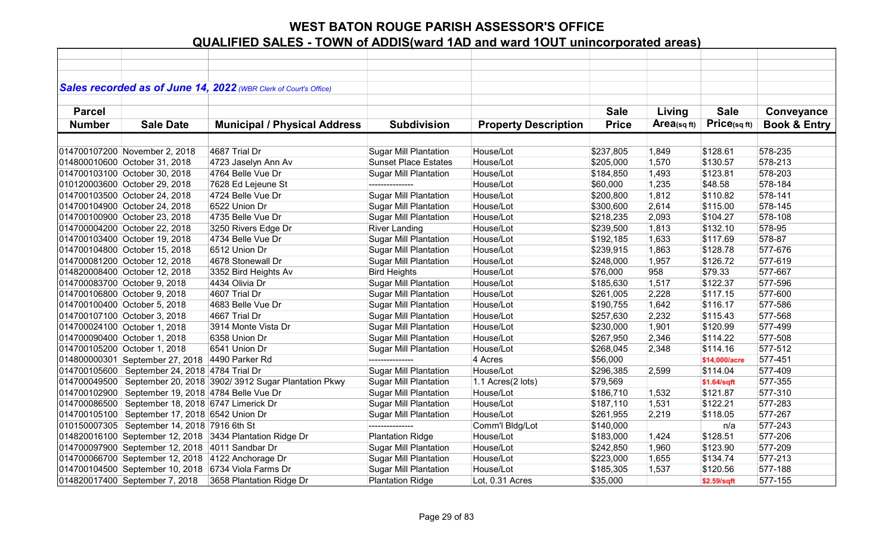|               |                                                     | Sales recorded as of June 14, 2022 (WBR Clerk of Court's Office) |                              |                             |              |            |               |                         |
|---------------|-----------------------------------------------------|------------------------------------------------------------------|------------------------------|-----------------------------|--------------|------------|---------------|-------------------------|
|               |                                                     |                                                                  |                              |                             |              |            |               |                         |
| <b>Parcel</b> |                                                     |                                                                  |                              |                             | <b>Sale</b>  | Living     | <b>Sale</b>   | Conveyance              |
|               |                                                     |                                                                  |                              |                             |              | Area(sqft) | Price(sqft)   |                         |
| <b>Number</b> | <b>Sale Date</b>                                    | <b>Municipal / Physical Address</b>                              | <b>Subdivision</b>           | <b>Property Description</b> | <b>Price</b> |            |               | <b>Book &amp; Entry</b> |
|               |                                                     |                                                                  |                              |                             |              |            |               |                         |
|               | 014700107200 November 2, 2018                       | 4687 Trial Dr                                                    | <b>Sugar Mill Plantation</b> | House/Lot                   | \$237,805    | 1,849      | \$128.61      | 578-235                 |
|               | 014800010600 October 31, 2018                       | 4723 Jaselyn Ann Av                                              | <b>Sunset Place Estates</b>  | House/Lot                   | \$205,000    | 1,570      | \$130.57      | 578-213                 |
|               | 014700103100 October 30, 2018                       | 4764 Belle Vue Dr                                                | <b>Sugar Mill Plantation</b> | House/Lot                   | \$184,850    | 1,493      | \$123.81      | 578-203                 |
|               | 010120003600 October 29, 2018                       | 7628 Ed Lejeune St                                               | ---------------              | House/Lot                   | \$60,000     | 1,235      | \$48.58       | 578-184                 |
|               | 014700103500 October 24, 2018                       | 4724 Belle Vue Dr                                                | <b>Sugar Mill Plantation</b> | House/Lot                   | \$200,800    | 1,812      | \$110.82      | 578-141                 |
|               | 014700104900 October 24, 2018                       | 6522 Union Dr                                                    | <b>Sugar Mill Plantation</b> | House/Lot                   | \$300,600    | 2,614      | \$115.00      | 578-145                 |
|               | 014700100900 October 23, 2018                       | 4735 Belle Vue Dr                                                | <b>Sugar Mill Plantation</b> | House/Lot                   | \$218,235    | 2,093      | \$104.27      | 578-108                 |
|               | 014700004200 October 22, 2018                       | 3250 Rivers Edge Dr                                              | <b>River Landing</b>         | House/Lot                   | \$239,500    | 1,813      | \$132.10      | 578-95                  |
|               | 014700103400 October 19, 2018                       | 4734 Belle Vue Dr                                                | <b>Sugar Mill Plantation</b> | House/Lot                   | \$192,185    | 1,633      | \$117.69      | 578-87                  |
|               | 014700104800 October 15, 2018                       | 6512 Union Dr                                                    | <b>Sugar Mill Plantation</b> | House/Lot                   | \$239,915    | 1,863      | \$128.78      | 577-676                 |
|               | 014700081200 October 12, 2018                       | 4678 Stonewall Dr                                                | <b>Sugar Mill Plantation</b> | House/Lot                   | \$248,000    | 1,957      | \$126.72      | 577-619                 |
|               | 014820008400 October 12, 2018                       | 3352 Bird Heights Av                                             | <b>Bird Heights</b>          | House/Lot                   | \$76,000     | 958        | \$79.33       | 577-667                 |
|               | 014700083700 October 9, 2018                        | 4434 Olivia Dr                                                   | <b>Sugar Mill Plantation</b> | House/Lot                   | \$185,630    | 1,517      | \$122.37      | 577-596                 |
|               | 014700106800 October 9, 2018                        | 4607 Trial Dr                                                    | <b>Sugar Mill Plantation</b> | House/Lot                   | \$261,005    | 2,228      | \$117.15      | 577-600                 |
|               | 014700100400 October 5, 2018                        | 4683 Belle Vue Dr                                                | <b>Sugar Mill Plantation</b> | House/Lot                   | \$190,755    | 1,642      | \$116.17      | 577-586                 |
|               | 014700107100 October 3, 2018                        | 4667 Trial Dr                                                    | <b>Sugar Mill Plantation</b> | House/Lot                   | \$257,630    | 2,232      | \$115.43      | 577-568                 |
|               | 014700024100 October 1, 2018                        | 3914 Monte Vista Dr                                              | <b>Sugar Mill Plantation</b> | House/Lot                   | \$230,000    | 1,901      | \$120.99      | 577-499                 |
|               | 014700090400 October 1, 2018                        | 6358 Union Dr                                                    | <b>Sugar Mill Plantation</b> | House/Lot                   | \$267,950    | 2,346      | \$114.22      | 577-508                 |
|               | 014700105200 October 1, 2018                        | 6541 Union Dr                                                    | <b>Sugar Mill Plantation</b> | House/Lot                   | \$268,045    | 2,348      | \$114.16      | 577-512                 |
|               | 014800000301 September 27, 2018 4490 Parker Rd      |                                                                  | ---------------              | 4 Acres                     | \$56,000     |            | \$14,000/acre | 577-451                 |
|               | 014700105600 September 24, 2018 4784 Trial Dr       |                                                                  | <b>Sugar Mill Plantation</b> | House/Lot                   | \$296,385    | 2,599      | \$114.04      | 577-409                 |
|               |                                                     | 014700049500 September 20, 2018 3902/ 3912 Sugar Plantation Pkwy | <b>Sugar Mill Plantation</b> | 1.1 Acres(2 lots)           | \$79,569     |            | \$1.64/sqft   | 577-355                 |
|               | 014700102900 September 19, 2018 4784 Belle Vue Dr   |                                                                  | <b>Sugar Mill Plantation</b> | House/Lot                   | \$186,710    | 1,532      | \$121.87      | 577-310                 |
|               | 014700086500 September 18, 2018 6747 Limerick Dr    |                                                                  | <b>Sugar Mill Plantation</b> | House/Lot                   | \$187,110    | 1,531      | \$122.21      | 577-283                 |
|               | 014700105100 September 17, 2018 6542 Union Dr       |                                                                  | <b>Sugar Mill Plantation</b> | House/Lot                   | \$261,955    | 2,219      | \$118.05      | 577-267                 |
|               | 010150007305 September 14, 2018 7916 6th St         |                                                                  | ---------------              | Comm'l Bldg/Lot             | \$140,000    |            | n/a           | 577-243                 |
|               |                                                     | 014820016100 September 12, 2018 3434 Plantation Ridge Dr         | <b>Plantation Ridge</b>      | House/Lot                   | \$183,000    | 1,424      | \$128.51      | 577-206                 |
|               | 014700097900 September 12, 2018 4011 Sandbar Dr     |                                                                  | <b>Sugar Mill Plantation</b> | House/Lot                   | \$242,850    | 1,960      | \$123.90      | 577-209                 |
|               | 014700066700 September 12, 2018 4122 Anchorage Dr   |                                                                  | <b>Sugar Mill Plantation</b> | House/Lot                   | \$223,000    | 1,655      | \$134.74      | 577-213                 |
|               | 014700104500 September 10, 2018 6734 Viola Farms Dr |                                                                  | <b>Sugar Mill Plantation</b> | House/Lot                   | \$185,305    | 1,537      | \$120.56      | 577-188                 |
|               | 014820017400 September 7, 2018                      | 3658 Plantation Ridge Dr                                         | <b>Plantation Ridge</b>      | Lot, 0.31 Acres             | \$35,000     |            | \$2.59/sqft   | 577-155                 |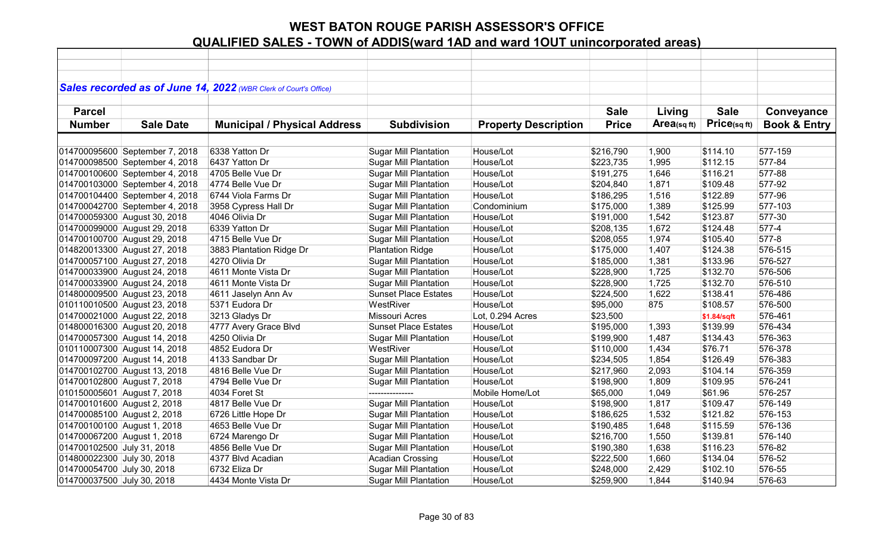|                             |                                | Sales recorded as of June 14, 2022 (WBR Clerk of Court's Office) |                              |                             |              |                   |                 |                         |
|-----------------------------|--------------------------------|------------------------------------------------------------------|------------------------------|-----------------------------|--------------|-------------------|-----------------|-------------------------|
| <b>Parcel</b>               |                                |                                                                  |                              |                             | <b>Sale</b>  | Living            | <b>Sale</b>     | Conveyance              |
|                             |                                |                                                                  |                              |                             |              |                   |                 |                         |
| <b>Number</b>               | <b>Sale Date</b>               | <b>Municipal / Physical Address</b>                              | <b>Subdivision</b>           | <b>Property Description</b> | <b>Price</b> | $Area_{(sq\,ft)}$ | $Price$ (sq ft) | <b>Book &amp; Entry</b> |
|                             |                                |                                                                  |                              |                             |              |                   |                 |                         |
|                             | 014700095600 September 7, 2018 | 6338 Yatton Dr                                                   | <b>Sugar Mill Plantation</b> | House/Lot                   | \$216,790    | 1,900             | \$114.10        | 577-159                 |
|                             | 014700098500 September 4, 2018 | 6437 Yatton Dr                                                   | <b>Sugar Mill Plantation</b> | House/Lot                   | \$223,735    | 1,995             | \$112.15        | 577-84                  |
|                             | 014700100600 September 4, 2018 | 4705 Belle Vue Dr                                                | <b>Sugar Mill Plantation</b> | House/Lot                   | \$191,275    | 1,646             | \$116.21        | 577-88                  |
|                             | 014700103000 September 4, 2018 | 4774 Belle Vue Dr                                                | <b>Sugar Mill Plantation</b> | House/Lot                   | \$204,840    | 1,871             | \$109.48        | 577-92                  |
|                             | 014700104400 September 4, 2018 | 6744 Viola Farms Dr                                              | <b>Sugar Mill Plantation</b> | House/Lot                   | \$186,295    | 1,516             | \$122.89        | 577-96                  |
|                             | 014700042700 September 4, 2018 | 3958 Cypress Hall Dr                                             | <b>Sugar Mill Plantation</b> | Condominium                 | \$175,000    | 1,389             | \$125.99        | 577-103                 |
|                             | 014700059300 August 30, 2018   | 4046 Olivia Dr                                                   | <b>Sugar Mill Plantation</b> | House/Lot                   | \$191,000    | 1,542             | \$123.87        | 577-30                  |
|                             | 014700099000 August 29, 2018   | 6339 Yatton Dr                                                   | <b>Sugar Mill Plantation</b> | House/Lot                   | \$208,135    | 1,672             | \$124.48        | 577-4                   |
|                             | 014700100700 August 29, 2018   | 4715 Belle Vue Dr                                                | <b>Sugar Mill Plantation</b> | House/Lot                   | \$208,055    | 1,974             | \$105.40        | 577-8                   |
|                             | 014820013300 August 27, 2018   | 3883 Plantation Ridge Dr                                         | <b>Plantation Ridge</b>      | House/Lot                   | \$175,000    | 1,407             | \$124.38        | 576-515                 |
|                             | 014700057100 August 27, 2018   | 4270 Olivia Dr                                                   | <b>Sugar Mill Plantation</b> | House/Lot                   | \$185,000    | 1,381             | \$133.96        | 576-527                 |
|                             | 014700033900 August 24, 2018   | 4611 Monte Vista Dr                                              | <b>Sugar Mill Plantation</b> | House/Lot                   | \$228,900    | 1,725             | \$132.70        | 576-506                 |
|                             | 014700033900 August 24, 2018   | 4611 Monte Vista Dr                                              | <b>Sugar Mill Plantation</b> | House/Lot                   | \$228,900    | 1,725             | \$132.70        | 576-510                 |
|                             | 014800009500 August 23, 2018   | 4611 Jaselyn Ann Av                                              | <b>Sunset Place Estates</b>  | House/Lot                   | \$224,500    | 1,622             | \$138.41        | 576-486                 |
|                             | 010110010500 August 23, 2018   | 5371 Eudora Dr                                                   | WestRiver                    | House/Lot                   | \$95,000     | 875               | \$108.57        | 576-500                 |
|                             | 014700021000 August 22, 2018   | 3213 Gladys Dr                                                   | <b>Missouri Acres</b>        | Lot, 0.294 Acres            | \$23,500     |                   | \$1.84/sqft     | 576-461                 |
|                             | 014800016300 August 20, 2018   | 4777 Avery Grace Blvd                                            | <b>Sunset Place Estates</b>  | House/Lot                   | \$195,000    | 1,393             | \$139.99        | 576-434                 |
|                             | 014700057300 August 14, 2018   | 4250 Olivia Dr                                                   | <b>Sugar Mill Plantation</b> | House/Lot                   | \$199,900    | 1,487             | \$134.43        | 576-363                 |
|                             | 010110007300 August 14, 2018   | 4852 Eudora Dr                                                   | WestRiver                    | House/Lot                   | \$110,000    | 1,434             | \$76.71         | 576-378                 |
|                             | 014700097200 August 14, 2018   | 4133 Sandbar Dr                                                  | <b>Sugar Mill Plantation</b> | House/Lot                   | \$234,505    | 1,854             | \$126.49        | 576-383                 |
|                             | 014700102700 August 13, 2018   | 4816 Belle Vue Dr                                                | <b>Sugar Mill Plantation</b> | House/Lot                   | \$217,960    | 2,093             | \$104.14        | 576-359                 |
| 014700102800 August 7, 2018 |                                | 4794 Belle Vue Dr                                                | <b>Sugar Mill Plantation</b> | House/Lot                   | \$198,900    | 1,809             | \$109.95        | 576-241                 |
| 010150005601 August 7, 2018 |                                | 4034 Foret St                                                    | ---------------              | Mobile Home/Lot             | \$65,000     | 1,049             | \$61.96         | 576-257                 |
| 014700101600 August 2, 2018 |                                | 4817 Belle Vue Dr                                                | <b>Sugar Mill Plantation</b> | House/Lot                   | \$198,900    | 1,817             | \$109.47        | 576-149                 |
| 014700085100 August 2, 2018 |                                | 6726 Little Hope Dr                                              | <b>Sugar Mill Plantation</b> | House/Lot                   | \$186,625    | 1,532             | \$121.82        | 576-153                 |
| 014700100100 August 1, 2018 |                                | 4653 Belle Vue Dr                                                | <b>Sugar Mill Plantation</b> | House/Lot                   | \$190,485    | 1,648             | \$115.59        | 576-136                 |
| 014700067200 August 1, 2018 |                                | 6724 Marengo Dr                                                  | <b>Sugar Mill Plantation</b> | House/Lot                   | \$216,700    | 1,550             | \$139.81        | 576-140                 |
| 014700102500 July 31, 2018  |                                | 4856 Belle Vue Dr                                                | <b>Sugar Mill Plantation</b> | House/Lot                   | \$190,380    | 1,638             | \$116.23        | 576-82                  |
| 014800022300 July 30, 2018  |                                | 4377 Blvd Acadian                                                | Acadian Crossing             | House/Lot                   | \$222,500    | 1,660             | \$134.04        | 576-52                  |
| 014700054700 July 30, 2018  |                                | 6732 Eliza Dr                                                    | <b>Sugar Mill Plantation</b> | House/Lot                   | \$248,000    | 2,429             | \$102.10        | 576-55                  |
| 014700037500 July 30, 2018  |                                | 4434 Monte Vista Dr                                              | <b>Sugar Mill Plantation</b> | House/Lot                   | \$259,900    | 1,844             | \$140.94        | 576-63                  |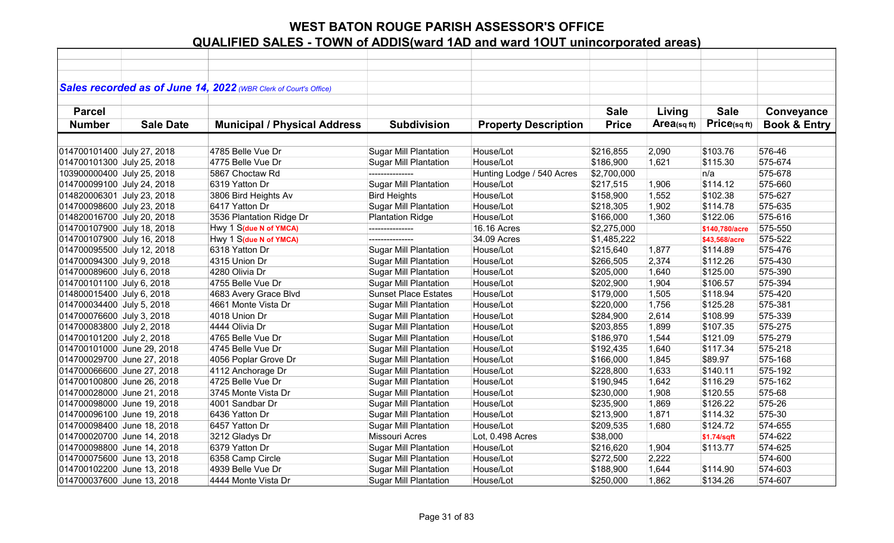|                            |                  | Sales recorded as of June 14, 2022 (WBR Clerk of Court's Office) |                              |                             |              |            |                |                         |
|----------------------------|------------------|------------------------------------------------------------------|------------------------------|-----------------------------|--------------|------------|----------------|-------------------------|
| <b>Parcel</b>              |                  |                                                                  |                              |                             | <b>Sale</b>  | Living     | <b>Sale</b>    | Conveyance              |
| <b>Number</b>              | <b>Sale Date</b> | <b>Municipal / Physical Address</b>                              | <b>Subdivision</b>           | <b>Property Description</b> | <b>Price</b> | Area(sqft) | Price(sqft)    | <b>Book &amp; Entry</b> |
|                            |                  |                                                                  |                              |                             |              |            |                |                         |
| 014700101400 July 27, 2018 |                  | 4785 Belle Vue Dr                                                | <b>Sugar Mill Plantation</b> | House/Lot                   | \$216,855    | 2,090      | \$103.76       | 576-46                  |
| 014700101300 July 25, 2018 |                  | 4775 Belle Vue Dr                                                | <b>Sugar Mill Plantation</b> | House/Lot                   | \$186,900    | 1,621      | \$115.30       | 575-674                 |
| 103900000400 July 25, 2018 |                  | 5867 Choctaw Rd                                                  | ---------------              | Hunting Lodge / 540 Acres   | \$2,700,000  |            | n/a            | 575-678                 |
| 014700099100 July 24, 2018 |                  | 6319 Yatton Dr                                                   | <b>Sugar Mill Plantation</b> | House/Lot                   | \$217,515    | 1,906      | \$114.12       | 575-660                 |
| 014820006301 July 23, 2018 |                  | 3806 Bird Heights Av                                             | <b>Bird Heights</b>          | House/Lot                   | \$158,900    | 1,552      | \$102.38       | 575-627                 |
| 014700098600 July 23, 2018 |                  | 6417 Yatton Dr                                                   | <b>Sugar Mill Plantation</b> | House/Lot                   | \$218,305    | 1,902      | \$114.78       | 575-635                 |
| 014820016700 July 20, 2018 |                  | 3536 Plantation Ridge Dr                                         | <b>Plantation Ridge</b>      | House/Lot                   | \$166,000    | 1,360      | \$122.06       | 575-616                 |
| 014700107900 July 18, 2018 |                  | Hwy 1 S(due N of YMCA)                                           | ---------------              | 16.16 Acres                 | \$2,275,000  |            | \$140,780/acre | 575-550                 |
| 014700107900 July 16, 2018 |                  | Hwy 1 S(due N of YMCA)                                           | ---------------              | 34.09 Acres                 | \$1,485,222  |            | \$43,568/acre  | 575-522                 |
| 014700095500 July 12, 2018 |                  | 6318 Yatton Dr                                                   | <b>Sugar Mill Plantation</b> | House/Lot                   | \$215,640    | 1,877      | \$114.89       | 575-476                 |
| 014700094300 July 9, 2018  |                  | 4315 Union Dr                                                    | <b>Sugar Mill Plantation</b> | House/Lot                   | \$266,505    | 2,374      | \$112.26       | 575-430                 |
| 014700089600 July 6, 2018  |                  | 4280 Olivia Dr                                                   | <b>Sugar Mill Plantation</b> | House/Lot                   | \$205,000    | 1,640      | \$125.00       | 575-390                 |
| 014700101100 July 6, 2018  |                  | 4755 Belle Vue Dr                                                | <b>Sugar Mill Plantation</b> | House/Lot                   | \$202,900    | 1,904      | \$106.57       | 575-394                 |
| 014800015400 July 6, 2018  |                  | 4683 Avery Grace Blvd                                            | <b>Sunset Place Estates</b>  | House/Lot                   | \$179,000    | 1,505      | \$118.94       | 575-420                 |
| 014700034400 July 5, 2018  |                  | 4661 Monte Vista Dr                                              | <b>Sugar Mill Plantation</b> | House/Lot                   | \$220,000    | 1,756      | \$125.28       | 575-381                 |
| 014700076600 July 3, 2018  |                  | 4018 Union Dr                                                    | <b>Sugar Mill Plantation</b> | House/Lot                   | \$284,900    | 2,614      | \$108.99       | 575-339                 |
| 014700083800 July 2, 2018  |                  | 4444 Olivia Dr                                                   | <b>Sugar Mill Plantation</b> | House/Lot                   | \$203,855    | 1,899      | \$107.35       | 575-275                 |
| 014700101200 July 2, 2018  |                  | 4765 Belle Vue Dr                                                | <b>Sugar Mill Plantation</b> | House/Lot                   | \$186,970    | 1,544      | \$121.09       | 575-279                 |
| 014700101000 June 29, 2018 |                  | 4745 Belle Vue Dr                                                | <b>Sugar Mill Plantation</b> | House/Lot                   | \$192,435    | 1,640      | \$117.34       | 575-218                 |
| 014700029700 June 27, 2018 |                  | 4056 Poplar Grove Dr                                             | <b>Sugar Mill Plantation</b> | House/Lot                   | \$166,000    | 1,845      | \$89.97        | 575-168                 |
| 014700066600 June 27, 2018 |                  | 4112 Anchorage Dr                                                | <b>Sugar Mill Plantation</b> | House/Lot                   | \$228,800    | 1,633      | \$140.11       | 575-192                 |
| 014700100800 June 26, 2018 |                  | 4725 Belle Vue Dr                                                | <b>Sugar Mill Plantation</b> | House/Lot                   | \$190,945    | 1,642      | \$116.29       | 575-162                 |
| 014700028000 June 21, 2018 |                  | 3745 Monte Vista Dr                                              | <b>Sugar Mill Plantation</b> | House/Lot                   | \$230,000    | 1,908      | \$120.55       | 575-68                  |
| 014700098000 June 19, 2018 |                  | 4001 Sandbar Dr                                                  | <b>Sugar Mill Plantation</b> | House/Lot                   | \$235,900    | 1,869      | \$126.22       | 575-26                  |
| 014700096100 June 19, 2018 |                  | 6436 Yatton Dr                                                   | <b>Sugar Mill Plantation</b> | House/Lot                   | \$213,900    | 1,871      | \$114.32       | 575-30                  |
| 014700098400 June 18, 2018 |                  | 6457 Yatton Dr                                                   | <b>Sugar Mill Plantation</b> | House/Lot                   | \$209,535    | 1,680      | \$124.72       | 574-655                 |
| 014700020700 June 14, 2018 |                  | 3212 Gladys Dr                                                   | Missouri Acres               | Lot, 0.498 Acres            | \$38,000     |            | \$1.74/sqft    | 574-622                 |
| 014700098800 June 14, 2018 |                  | 6379 Yatton Dr                                                   | <b>Sugar Mill Plantation</b> | House/Lot                   | \$216,620    | 1,904      | \$113.77       | 574-625                 |
| 014700075600 June 13, 2018 |                  | 6358 Camp Circle                                                 | <b>Sugar Mill Plantation</b> | House/Lot                   | \$272,500    | 2,222      |                | 574-600                 |
| 014700102200 June 13, 2018 |                  | 4939 Belle Vue Dr                                                | <b>Sugar Mill Plantation</b> | House/Lot                   | \$188,900    | 1,644      | \$114.90       | 574-603                 |
| 014700037600 June 13, 2018 |                  | 4444 Monte Vista Dr                                              | <b>Sugar Mill Plantation</b> | House/Lot                   | \$250,000    | 1,862      | \$134.26       | 574-607                 |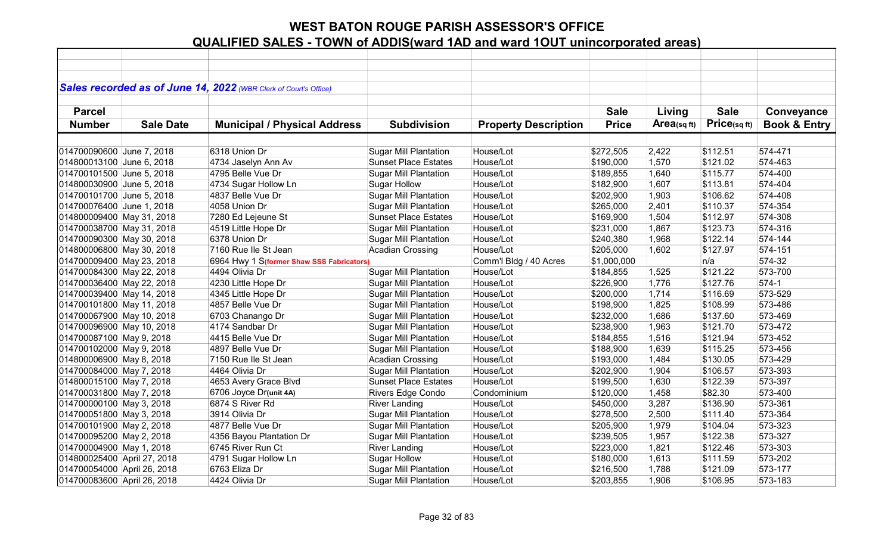|                             |                  | Sales recorded as of June 14, 2022 (WBR Clerk of Court's Office) |                              |                             |              |                |              |                         |
|-----------------------------|------------------|------------------------------------------------------------------|------------------------------|-----------------------------|--------------|----------------|--------------|-------------------------|
|                             |                  |                                                                  |                              |                             |              |                |              |                         |
| <b>Parcel</b>               |                  |                                                                  |                              |                             | <b>Sale</b>  | Living         | <b>Sale</b>  | Conveyance              |
| <b>Number</b>               | <b>Sale Date</b> | <b>Municipal / Physical Address</b>                              | <b>Subdivision</b>           | <b>Property Description</b> | <b>Price</b> | $Area$ (sq ft) | Price(sq ft) | <b>Book &amp; Entry</b> |
|                             |                  |                                                                  |                              |                             |              |                |              |                         |
| 014700090600 June 7, 2018   |                  | 6318 Union Dr                                                    | <b>Sugar Mill Plantation</b> | House/Lot                   | \$272,505    | 2,422          | \$112.51     | 574-471                 |
| 014800013100 June 6, 2018   |                  | 4734 Jaselyn Ann Av                                              | <b>Sunset Place Estates</b>  | House/Lot                   | \$190,000    | 1,570          | \$121.02     | 574-463                 |
| 014700101500 June 5, 2018   |                  | 4795 Belle Vue Dr                                                | <b>Sugar Mill Plantation</b> | House/Lot                   | \$189,855    | 1,640          | \$115.77     | 574-400                 |
| 014800030900 June 5, 2018   |                  | 4734 Sugar Hollow Ln                                             | <b>Sugar Hollow</b>          | House/Lot                   | \$182,900    | 1,607          | \$113.81     | 574-404                 |
| 014700101700 June 5, 2018   |                  | 4837 Belle Vue Dr                                                | <b>Sugar Mill Plantation</b> | House/Lot                   | \$202,900    | 1,903          | \$106.62     | 574-408                 |
| 014700076400 June 1, 2018   |                  | 4058 Union Dr                                                    | <b>Sugar Mill Plantation</b> | House/Lot                   | \$265,000    | 2,401          | \$110.37     | 574-354                 |
| 014800009400 May 31, 2018   |                  | 7280 Ed Lejeune St                                               | <b>Sunset Place Estates</b>  | House/Lot                   | \$169,900    | 1,504          | \$112.97     | 574-308                 |
| 014700038700 May 31, 2018   |                  | 4519 Little Hope Dr                                              | <b>Sugar Mill Plantation</b> | House/Lot                   | \$231,000    | 1,867          | \$123.73     | 574-316                 |
| 014700090300 May 30, 2018   |                  | 6378 Union Dr                                                    | <b>Sugar Mill Plantation</b> | House/Lot                   | \$240,380    | 1,968          | \$122.14     | 574-144                 |
| 014800006800 May 30, 2018   |                  | 7160 Rue lle St Jean                                             | <b>Acadian Crossing</b>      | House/Lot                   | \$205,000    | 1,602          | \$127.97     | 574-151                 |
| 014700009400 May 23, 2018   |                  | 6964 Hwy 1 S(former Shaw SSS Fabricators)                        |                              | Comm'l Bldg / 40 Acres      | \$1,000,000  |                | n/a          | 574-32                  |
| 014700084300 May 22, 2018   |                  | 4494 Olivia Dr                                                   | <b>Sugar Mill Plantation</b> | House/Lot                   | \$184,855    | 1,525          | \$121.22     | 573-700                 |
| 014700036400 May 22, 2018   |                  | 4230 Little Hope Dr                                              | <b>Sugar Mill Plantation</b> | House/Lot                   | \$226,900    | 1,776          | \$127.76     | $574-1$                 |
| 014700039400 May 14, 2018   |                  | 4345 Little Hope Dr                                              | <b>Sugar Mill Plantation</b> | House/Lot                   | \$200,000    | 1,714          | \$116.69     | 573-529                 |
| 014700101800 May 11, 2018   |                  | 4857 Belle Vue Dr                                                | <b>Sugar Mill Plantation</b> | House/Lot                   | \$198,900    | 1,825          | \$108.99     | 573-486                 |
| 014700067900 May 10, 2018   |                  | 6703 Chanango Dr                                                 | <b>Sugar Mill Plantation</b> | House/Lot                   | \$232,000    | 1,686          | \$137.60     | 573-469                 |
| 014700096900 May 10, 2018   |                  | 4174 Sandbar Dr                                                  | <b>Sugar Mill Plantation</b> | House/Lot                   | \$238,900    | 1,963          | \$121.70     | 573-472                 |
| 014700087100 May 9, 2018    |                  | 4415 Belle Vue Dr                                                | <b>Sugar Mill Plantation</b> | House/Lot                   | \$184,855    | 1,516          | \$121.94     | 573-452                 |
| 014700102000 May 9, 2018    |                  | 4897 Belle Vue Dr                                                | <b>Sugar Mill Plantation</b> | House/Lot                   | \$188,900    | 1,639          | \$115.25     | 573-456                 |
| 014800006900 May 8, 2018    |                  | 7150 Rue Ile St Jean                                             | <b>Acadian Crossing</b>      | House/Lot                   | \$193,000    | 1,484          | \$130.05     | 573-429                 |
| 014700084000 May 7, 2018    |                  | 4464 Olivia Dr                                                   | <b>Sugar Mill Plantation</b> | House/Lot                   | \$202,900    | 1,904          | \$106.57     | 573-393                 |
| 014800015100 May 7, 2018    |                  | 4653 Avery Grace Blvd                                            | <b>Sunset Place Estates</b>  | House/Lot                   | \$199,500    | 1,630          | \$122.39     | 573-397                 |
| 014700031800 May 7, 2018    |                  | 6706 Joyce Dr(unit 4A)                                           | Rivers Edge Condo            | Condominium                 | \$120,000    | 1,458          | \$82.30      | 573-400                 |
| 014700000100 May 3, 2018    |                  | 6874 S River Rd                                                  | <b>River Landing</b>         | House/Lot                   | \$450,000    | 3,287          | \$136.90     | 573-361                 |
| 014700051800 May 3, 2018    |                  | 3914 Olivia Dr                                                   | Sugar Mill Plantation        | House/Lot                   | \$278,500    | 2,500          | \$111.40     | 573-364                 |
| 014700101900 May 2, 2018    |                  | 4877 Belle Vue Dr                                                | <b>Sugar Mill Plantation</b> | House/Lot                   | \$205,900    | 1,979          | \$104.04     | 573-323                 |
| 014700095200 May 2, 2018    |                  | 4356 Bayou Plantation Dr                                         | <b>Sugar Mill Plantation</b> | House/Lot                   | \$239,505    | 1,957          | \$122.38     | 573-327                 |
| 014700004900 May 1, 2018    |                  | 6745 River Run Ct                                                | <b>River Landing</b>         | House/Lot                   | \$223,000    | 1,821          | \$122.46     | 573-303                 |
| 014800025400 April 27, 2018 |                  | 4791 Sugar Hollow Ln                                             | <b>Sugar Hollow</b>          | House/Lot                   | \$180,000    | 1,613          | \$111.59     | 573-202                 |
| 014700054000 April 26, 2018 |                  | 6763 Eliza Dr                                                    | <b>Sugar Mill Plantation</b> | House/Lot                   | \$216,500    | 1,788          | \$121.09     | 573-177                 |
| 014700083600 April 26, 2018 |                  | 4424 Olivia Dr                                                   | <b>Sugar Mill Plantation</b> | House/Lot                   | \$203,855    | 1,906          | \$106.95     | 573-183                 |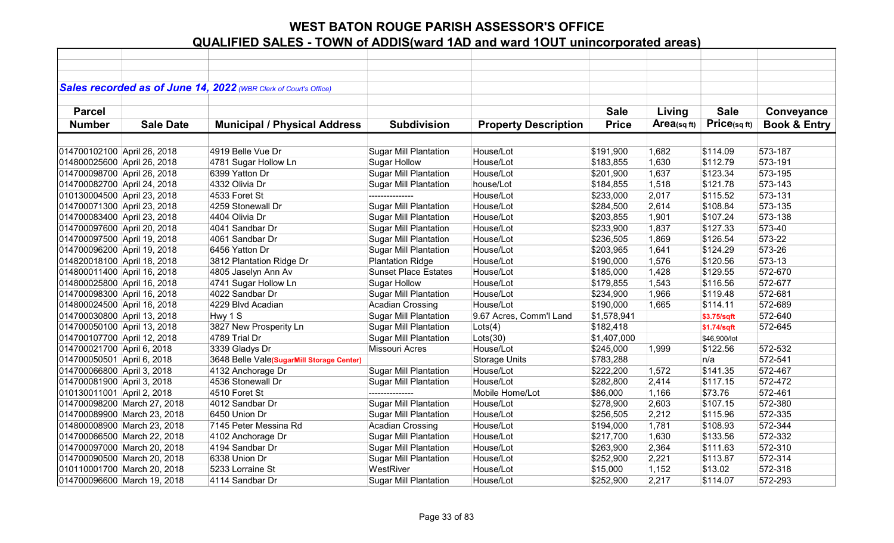|                             |                             | Sales recorded as of June 14, 2022 (WBR Clerk of Court's Office) |                              |                             |              |            |              |                         |
|-----------------------------|-----------------------------|------------------------------------------------------------------|------------------------------|-----------------------------|--------------|------------|--------------|-------------------------|
| <b>Parcel</b>               |                             |                                                                  |                              |                             | <b>Sale</b>  | Living     | <b>Sale</b>  | Conveyance              |
| <b>Number</b>               | <b>Sale Date</b>            | <b>Municipal / Physical Address</b>                              | <b>Subdivision</b>           | <b>Property Description</b> | <b>Price</b> | Area(sqft) | Price(sqft)  | <b>Book &amp; Entry</b> |
|                             |                             |                                                                  |                              |                             |              |            |              |                         |
| 014700102100 April 26, 2018 |                             | 4919 Belle Vue Dr                                                | <b>Sugar Mill Plantation</b> | House/Lot                   | \$191,900    | 1,682      | \$114.09     | 573-187                 |
| 014800025600 April 26, 2018 |                             | 4781 Sugar Hollow Ln                                             | Sugar Hollow                 | House/Lot                   | \$183,855    | 1,630      | \$112.79     | 573-191                 |
| 014700098700 April 26, 2018 |                             | 6399 Yatton Dr                                                   | <b>Sugar Mill Plantation</b> | House/Lot                   | \$201,900    | 1,637      | \$123.34     | 573-195                 |
| 014700082700 April 24, 2018 |                             | 4332 Olivia Dr                                                   | <b>Sugar Mill Plantation</b> | house/Lot                   | \$184,855    | 1,518      | \$121.78     | 573-143                 |
| 010130004500 April 23, 2018 |                             | 4533 Foret St                                                    | ---------------              | House/Lot                   | \$233,000    | 2,017      | \$115.52     | 573-131                 |
| 014700071300 April 23, 2018 |                             | 4259 Stonewall Dr                                                | <b>Sugar Mill Plantation</b> | House/Lot                   | \$284,500    | 2,614      | \$108.84     | 573-135                 |
| 014700083400 April 23, 2018 |                             | 4404 Olivia Dr                                                   | <b>Sugar Mill Plantation</b> | House/Lot                   | \$203,855    | 1,901      | \$107.24     | 573-138                 |
| 014700097600 April 20, 2018 |                             | 4041 Sandbar Dr                                                  | <b>Sugar Mill Plantation</b> | House/Lot                   | \$233,900    | 1,837      | \$127.33     | 573-40                  |
| 014700097500 April 19, 2018 |                             | 4061 Sandbar Dr                                                  | <b>Sugar Mill Plantation</b> | House/Lot                   | \$236,505    | 1,869      | \$126.54     | 573-22                  |
| 014700096200 April 19, 2018 |                             | 6456 Yatton Dr                                                   | <b>Sugar Mill Plantation</b> | House/Lot                   | \$203,965    | 1,641      | \$124.29     | 573-26                  |
| 014820018100 April 18, 2018 |                             | 3812 Plantation Ridge Dr                                         | <b>Plantation Ridge</b>      | House/Lot                   | \$190,000    | 1,576      | \$120.56     | 573-13                  |
| 014800011400 April 16, 2018 |                             | 4805 Jaselyn Ann Av                                              | <b>Sunset Place Estates</b>  | House/Lot                   | \$185,000    | 1,428      | \$129.55     | 572-670                 |
| 014800025800 April 16, 2018 |                             | 4741 Sugar Hollow Ln                                             | <b>Sugar Hollow</b>          | House/Lot                   | \$179,855    | 1,543      | \$116.56     | 572-677                 |
| 014700098300 April 16, 2018 |                             | 4022 Sandbar Dr                                                  | <b>Sugar Mill Plantation</b> | House/Lot                   | \$234,900    | 1,966      | \$119.48     | 572-681                 |
| 014800024500 April 16, 2018 |                             | 4229 Blvd Acadian                                                | Acadian Crossing             | House/Lot                   | \$190,000    | 1,665      | \$114.11     | 572-689                 |
| 014700030800 April 13, 2018 |                             | Hwy 1 S                                                          | Sugar Mill Plantation        | 9.67 Acres, Comm'l Land     | \$1,578,941  |            | \$3.75/sqft  | 572-640                 |
| 014700050100 April 13, 2018 |                             | 3827 New Prosperity Ln                                           | <b>Sugar Mill Plantation</b> | Lots(4)                     | \$182,418    |            | \$1.74/sqft  | 572-645                 |
| 014700107700 April 12, 2018 |                             | 4789 Trial Dr                                                    | <b>Sugar Mill Plantation</b> | Lots(30)                    | \$1,407,000  |            | \$46,900/lot |                         |
| 014700021700 April 6, 2018  |                             | 3339 Gladys Dr                                                   | Missouri Acres               | House/Lot                   | \$245,000    | 1,999      | \$122.56     | 572-532                 |
| 014700050501 April 6, 2018  |                             | 3648 Belle Vale(SugarMill Storage Center)                        |                              | <b>Storage Units</b>        | \$783,288    |            | n/a          | 572-541                 |
| 014700066800 April 3, 2018  |                             | 4132 Anchorage Dr                                                | <b>Sugar Mill Plantation</b> | House/Lot                   | \$222,200    | 1,572      | \$141.35     | 572-467                 |
| 014700081900 April 3, 2018  |                             | 4536 Stonewall Dr                                                | <b>Sugar Mill Plantation</b> | House/Lot                   | \$282,800    | 2,414      | \$117.15     | 572-472                 |
| 010130011001 April 2, 2018  |                             | 4510 Foret St                                                    | ---------------              | Mobile Home/Lot             | \$86,000     | 1,166      | \$73.76      | 572-461                 |
|                             | 014700098200 March 27, 2018 | 4012 Sandbar Dr                                                  | <b>Sugar Mill Plantation</b> | House/Lot                   | \$278,900    | 2,603      | \$107.15     | 572-380                 |
|                             | 014700089900 March 23, 2018 | 6450 Union Dr                                                    | <b>Sugar Mill Plantation</b> | House/Lot                   | \$256,505    | 2,212      | \$115.96     | 572-335                 |
|                             | 014800008900 March 23, 2018 | 7145 Peter Messina Rd                                            | <b>Acadian Crossing</b>      | House/Lot                   | \$194,000    | 1,781      | \$108.93     | 572-344                 |
|                             | 014700066500 March 22, 2018 | 4102 Anchorage Dr                                                | <b>Sugar Mill Plantation</b> | House/Lot                   | \$217,700    | 1,630      | \$133.56     | 572-332                 |
|                             | 014700097000 March 20, 2018 | 4194 Sandbar Dr                                                  | <b>Sugar Mill Plantation</b> | House/Lot                   | \$263,900    | 2,364      | \$111.63     | 572-310                 |
|                             | 014700090500 March 20, 2018 | 6338 Union Dr                                                    | <b>Sugar Mill Plantation</b> | House/Lot                   | \$252,900    | 2,221      | \$113.87     | 572-314                 |
|                             | 010110001700 March 20, 2018 | 5233 Lorraine St                                                 | WestRiver                    | House/Lot                   | \$15,000     | 1,152      | \$13.02      | 572-318                 |
|                             | 014700096600 March 19, 2018 | 4114 Sandbar Dr                                                  | <b>Sugar Mill Plantation</b> | House/Lot                   | \$252,900    | 2,217      | \$114.07     | 572-293                 |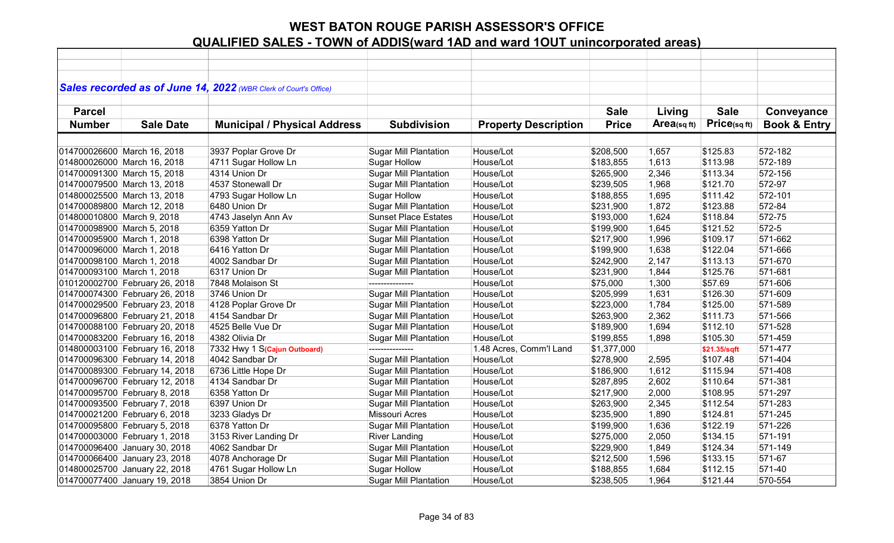|                            |                                | Sales recorded as of June 14, 2022 (WBR Clerk of Court's Office) |                              |                             |              |             |              |                         |
|----------------------------|--------------------------------|------------------------------------------------------------------|------------------------------|-----------------------------|--------------|-------------|--------------|-------------------------|
| <b>Parcel</b>              |                                |                                                                  |                              |                             | <b>Sale</b>  | Living      | <b>Sale</b>  | Conveyance              |
| <b>Number</b>              | <b>Sale Date</b>               | <b>Municipal / Physical Address</b>                              | <b>Subdivision</b>           | <b>Property Description</b> | <b>Price</b> | Area(sq ft) | Price(sqft)  | <b>Book &amp; Entry</b> |
|                            |                                |                                                                  |                              |                             |              |             |              |                         |
|                            | 014700026600 March 16, 2018    | 3937 Poplar Grove Dr                                             | <b>Sugar Mill Plantation</b> | House/Lot                   | \$208,500    | 1,657       | \$125.83     | 572-182                 |
|                            | 014800026000 March 16, 2018    | 4711 Sugar Hollow Ln                                             | <b>Sugar Hollow</b>          | House/Lot                   | \$183,855    | 1,613       | \$113.98     | 572-189                 |
|                            | 014700091300 March 15, 2018    | 4314 Union Dr                                                    | <b>Sugar Mill Plantation</b> | House/Lot                   | \$265,900    | 2,346       | \$113.34     | 572-156                 |
|                            | 014700079500 March 13, 2018    | 4537 Stonewall Dr                                                | <b>Sugar Mill Plantation</b> | House/Lot                   | \$239,505    | 1,968       | \$121.70     | 572-97                  |
|                            | 014800025500 March 13, 2018    | 4793 Sugar Hollow Ln                                             | <b>Sugar Hollow</b>          | House/Lot                   | \$188,855    | 1,695       | \$111.42     | 572-101                 |
|                            | 014700089800 March 12, 2018    | 6480 Union Dr                                                    | Sugar Mill Plantation        | House/Lot                   | \$231,900    | 1,872       | \$123.88     | 572-84                  |
| 014800010800 March 9, 2018 |                                | 4743 Jaselyn Ann Av                                              | <b>Sunset Place Estates</b>  | House/Lot                   | \$193,000    | 1,624       | \$118.84     | 572-75                  |
| 014700098900 March 5, 2018 |                                | 6359 Yatton Dr                                                   | <b>Sugar Mill Plantation</b> | House/Lot                   | \$199,900    | 1,645       | \$121.52     | 572-5                   |
| 014700095900 March 1, 2018 |                                | 6398 Yatton Dr                                                   | <b>Sugar Mill Plantation</b> | House/Lot                   | \$217,900    | 1,996       | \$109.17     | 571-662                 |
| 014700096000 March 1, 2018 |                                | 6416 Yatton Dr                                                   | <b>Sugar Mill Plantation</b> | House/Lot                   | \$199,900    | 1,638       | \$122.04     | 571-666                 |
| 014700098100 March 1, 2018 |                                | 4002 Sandbar Dr                                                  | <b>Sugar Mill Plantation</b> | House/Lot                   | \$242,900    | 2,147       | \$113.13     | 571-670                 |
| 014700093100 March 1, 2018 |                                | 6317 Union Dr                                                    | <b>Sugar Mill Plantation</b> | House/Lot                   | \$231,900    | 1,844       | \$125.76     | 571-681                 |
|                            | 010120002700 February 26, 2018 | 7848 Molaison St                                                 | ---------------              | House/Lot                   | \$75,000     | 1,300       | \$57.69      | 571-606                 |
|                            | 014700074300 February 26, 2018 | 3746 Union Dr                                                    | <b>Sugar Mill Plantation</b> | House/Lot                   | \$205,999    | 1,631       | \$126.30     | 571-609                 |
|                            | 014700029500 February 23, 2018 | 4128 Poplar Grove Dr                                             | <b>Sugar Mill Plantation</b> | House/Lot                   | \$223,000    | 1,784       | \$125.00     | 571-589                 |
|                            | 014700096800 February 21, 2018 | 4154 Sandbar Dr                                                  | <b>Sugar Mill Plantation</b> | House/Lot                   | \$263,900    | 2,362       | \$111.73     | 571-566                 |
|                            | 014700088100 February 20, 2018 | 4525 Belle Vue Dr                                                | <b>Sugar Mill Plantation</b> | House/Lot                   | \$189,900    | 1,694       | \$112.10     | 571-528                 |
|                            | 014700083200 February 16, 2018 | 4382 Olivia Dr                                                   | <b>Sugar Mill Plantation</b> | House/Lot                   | \$199,855    | 1,898       | \$105.30     | 571-459                 |
|                            | 014800003100 February 16, 2018 | 7332 Hwy 1 S(Cajun Outboard)                                     |                              | 1.48 Acres, Comm'l Land     | \$1,377,000  |             | \$21.35/sqft | 571-477                 |
|                            | 014700096300 February 14, 2018 | 4042 Sandbar Dr                                                  | <b>Sugar Mill Plantation</b> | House/Lot                   | \$278,900    | 2,595       | \$107.48     | 571-404                 |
|                            | 014700089300 February 14, 2018 | 6736 Little Hope Dr                                              | <b>Sugar Mill Plantation</b> | House/Lot                   | \$186,900    | 1,612       | \$115.94     | 571-408                 |
|                            | 014700096700 February 12, 2018 | 4134 Sandbar Dr                                                  | <b>Sugar Mill Plantation</b> | House/Lot                   | \$287,895    | 2,602       | \$110.64     | 571-381                 |
|                            | 014700095700 February 8, 2018  | 6358 Yatton Dr                                                   | <b>Sugar Mill Plantation</b> | House/Lot                   | \$217,900    | 2,000       | \$108.95     | 571-297                 |
|                            | 014700093500 February 7, 2018  | 6397 Union Dr                                                    | <b>Sugar Mill Plantation</b> | House/Lot                   | \$263,900    | 2,345       | \$112.54     | 571-283                 |
|                            | 014700021200 February 6, 2018  | 3233 Gladys Dr                                                   | <b>Missouri Acres</b>        | House/Lot                   | \$235,900    | 1,890       | \$124.81     | 571-245                 |
|                            | 014700095800 February 5, 2018  | 6378 Yatton Dr                                                   | <b>Sugar Mill Plantation</b> | House/Lot                   | \$199,900    | 1,636       | \$122.19     | 571-226                 |
|                            | 014700003000 February 1, 2018  | 3153 River Landing Dr                                            | <b>River Landing</b>         | House/Lot                   | \$275,000    | 2,050       | \$134.15     | 571-191                 |
|                            | 014700096400 January 30, 2018  | 4062 Sandbar Dr                                                  | <b>Sugar Mill Plantation</b> | House/Lot                   | \$229,900    | 1,849       | \$124.34     | 571-149                 |
|                            | 014700066400 January 23, 2018  | 4078 Anchorage Dr                                                | <b>Sugar Mill Plantation</b> | House/Lot                   | \$212,500    | 1,596       | \$133.15     | 571-67                  |
|                            | 014800025700 January 22, 2018  | 4761 Sugar Hollow Ln                                             | <b>Sugar Hollow</b>          | House/Lot                   | \$188,855    | 1,684       | \$112.15     | 571-40                  |
|                            | 014700077400 January 19, 2018  | 3854 Union Dr                                                    | <b>Sugar Mill Plantation</b> | House/Lot                   | \$238,505    | 1,964       | \$121.44     | 570-554                 |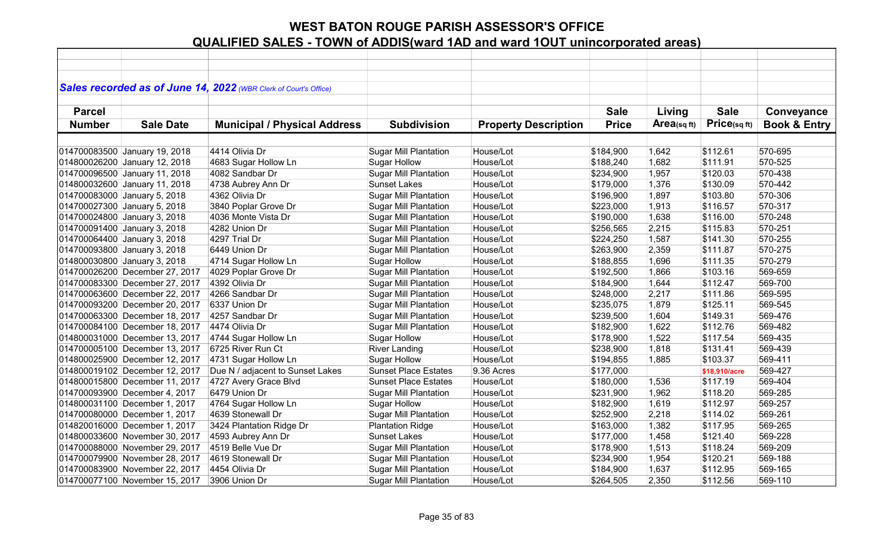|               |                                | Sales recorded as of June 14, 2022 (WBR Clerk of Court's Office) |                              |                             |              |            |               |                         |
|---------------|--------------------------------|------------------------------------------------------------------|------------------------------|-----------------------------|--------------|------------|---------------|-------------------------|
|               |                                |                                                                  |                              |                             |              |            |               |                         |
| <b>Parcel</b> |                                |                                                                  |                              |                             | <b>Sale</b>  | Living     | <b>Sale</b>   | Conveyance              |
| <b>Number</b> | <b>Sale Date</b>               | <b>Municipal / Physical Address</b>                              | <b>Subdivision</b>           | <b>Property Description</b> | <b>Price</b> | Area(sqft) | Price(sq ft)  | <b>Book &amp; Entry</b> |
|               |                                |                                                                  |                              |                             |              |            |               |                         |
|               | 014700083500 January 19, 2018  | 4414 Olivia Dr                                                   | <b>Sugar Mill Plantation</b> | House/Lot                   | \$184,900    | 1,642      | \$112.61      | 570-695                 |
|               | 014800026200 January 12, 2018  | 4683 Sugar Hollow Ln                                             | <b>Sugar Hollow</b>          | House/Lot                   | \$188,240    | 1,682      | \$111.91      | 570-525                 |
|               | 014700096500 January 11, 2018  | 4082 Sandbar Dr                                                  | <b>Sugar Mill Plantation</b> | House/Lot                   | \$234,900    | 1,957      | \$120.03      | 570-438                 |
|               | 014800032600 January 11, 2018  | 4738 Aubrey Ann Dr                                               | <b>Sunset Lakes</b>          | House/Lot                   | \$179,000    | 1,376      | \$130.09      | 570-442                 |
|               | 014700083000 January 5, 2018   | 4362 Olivia Dr                                                   | <b>Sugar Mill Plantation</b> | House/Lot                   | \$196,900    | 1,897      | \$103.80      | 570-306                 |
|               | 014700027300 January 5, 2018   | 3840 Poplar Grove Dr                                             | <b>Sugar Mill Plantation</b> | House/Lot                   | \$223,000    | 1,913      | \$116.57      | 570-317                 |
|               | 014700024800 January 3, 2018   | 4036 Monte Vista Dr                                              | <b>Sugar Mill Plantation</b> | House/Lot                   | \$190,000    | 1,638      | \$116.00      | 570-248                 |
|               | 014700091400 January 3, 2018   | 4282 Union Dr                                                    | <b>Sugar Mill Plantation</b> | House/Lot                   | \$256,565    | 2,215      | \$115.83      | 570-251                 |
|               | 014700064400 January 3, 2018   | 4297 Trial Dr                                                    | <b>Sugar Mill Plantation</b> | House/Lot                   | \$224,250    | 1,587      | \$141.30      | 570-255                 |
|               | 014700093800 January 3, 2018   | 6449 Union Dr                                                    | <b>Sugar Mill Plantation</b> | House/Lot                   | \$263,900    | 2,359      | \$111.87      | 570-275                 |
|               | 014800030800 January 3, 2018   | 4714 Sugar Hollow Ln                                             | Sugar Hollow                 | House/Lot                   | \$188,855    | 1,696      | \$111.35      | 570-279                 |
|               | 014700026200 December 27, 2017 | 4029 Poplar Grove Dr                                             | <b>Sugar Mill Plantation</b> | House/Lot                   | \$192,500    | 1,866      | \$103.16      | 569-659                 |
|               | 014700083300 December 27, 2017 | 4392 Olivia Dr                                                   | <b>Sugar Mill Plantation</b> | House/Lot                   | \$184,900    | 1,644      | \$112.47      | 569-700                 |
|               | 014700063600 December 22, 2017 | 4266 Sandbar Dr                                                  | <b>Sugar Mill Plantation</b> | House/Lot                   | \$248,000    | 2,217      | \$111.86      | 569-595                 |
|               | 014700093200 December 20, 2017 | 6337 Union Dr                                                    | <b>Sugar Mill Plantation</b> | House/Lot                   | \$235,075    | 1,879      | \$125.11      | 569-545                 |
|               | 014700063300 December 18, 2017 | 4257 Sandbar Dr                                                  | <b>Sugar Mill Plantation</b> | House/Lot                   | \$239,500    | 1,604      | \$149.31      | 569-476                 |
|               | 014700084100 December 18, 2017 | 4474 Olivia Dr                                                   | <b>Sugar Mill Plantation</b> | House/Lot                   | \$182,900    | 1,622      | \$112.76      | 569-482                 |
|               | 014800031000 December 13, 2017 | 4744 Sugar Hollow Ln                                             | Sugar Hollow                 | House/Lot                   | \$178,900    | 1,522      | \$117.54      | 569-435                 |
|               | 014700005100 December 13, 2017 | 6725 River Run Ct                                                | <b>River Landing</b>         | House/Lot                   | \$238,900    | 1,818      | \$131.41      | 569-439                 |
|               | 014800025900 December 12, 2017 | 4731 Sugar Hollow Ln                                             | <b>Sugar Hollow</b>          | House/Lot                   | \$194,855    | 1,885      | \$103.37      | 569-411                 |
|               | 014800019102 December 12, 2017 | Due N / adjacent to Sunset Lakes                                 | <b>Sunset Place Estates</b>  | 9.36 Acres                  | \$177,000    |            | \$18,910/acre | 569-427                 |
|               | 014800015800 December 11, 2017 | 4727 Avery Grace Blvd                                            | Sunset Place Estates         | House/Lot                   | \$180,000    | 1,536      | \$117.19      | 569-404                 |
|               | 014700093900 December 4, 2017  | 6479 Union Dr                                                    | <b>Sugar Mill Plantation</b> | House/Lot                   | \$231,900    | 1,962      | \$118.20      | 569-285                 |
|               | 014800031100 December 1, 2017  | 4764 Sugar Hollow Ln                                             | <b>Sugar Hollow</b>          | House/Lot                   | \$182,900    | 1,619      | \$112.97      | 569-257                 |
|               | 014700080000 December 1, 2017  | 4639 Stonewall Dr                                                | <b>Sugar Mill Plantation</b> | House/Lot                   | \$252,900    | 2,218      | \$114.02      | 569-261                 |
|               | 014820016000 December 1, 2017  | 3424 Plantation Ridge Dr                                         | <b>Plantation Ridge</b>      | House/Lot                   | \$163,000    | 1,382      | \$117.95      | 569-265                 |
|               | 014800033600 November 30, 2017 | 4593 Aubrey Ann Dr                                               | <b>Sunset Lakes</b>          | House/Lot                   | \$177,000    | 1,458      | \$121.40      | 569-228                 |
|               | 014700088000 November 29, 2017 | 4519 Belle Vue Dr                                                | <b>Sugar Mill Plantation</b> | House/Lot                   | \$178,900    | 1,513      | \$118.24      | 569-209                 |
|               | 014700079900 November 28, 2017 | 4619 Stonewall Dr                                                | <b>Sugar Mill Plantation</b> | House/Lot                   | \$234,900    | 1,954      | \$120.21      | 569-188                 |
|               | 014700083900 November 22, 2017 | 4454 Olivia Dr                                                   | <b>Sugar Mill Plantation</b> | House/Lot                   | \$184,900    | 1,637      | \$112.95      | 569-165                 |
|               | 014700077100 November 15, 2017 | 3906 Union Dr                                                    | <b>Sugar Mill Plantation</b> | House/Lot                   | \$264,505    | 2,350      | \$112.56      | 569-110                 |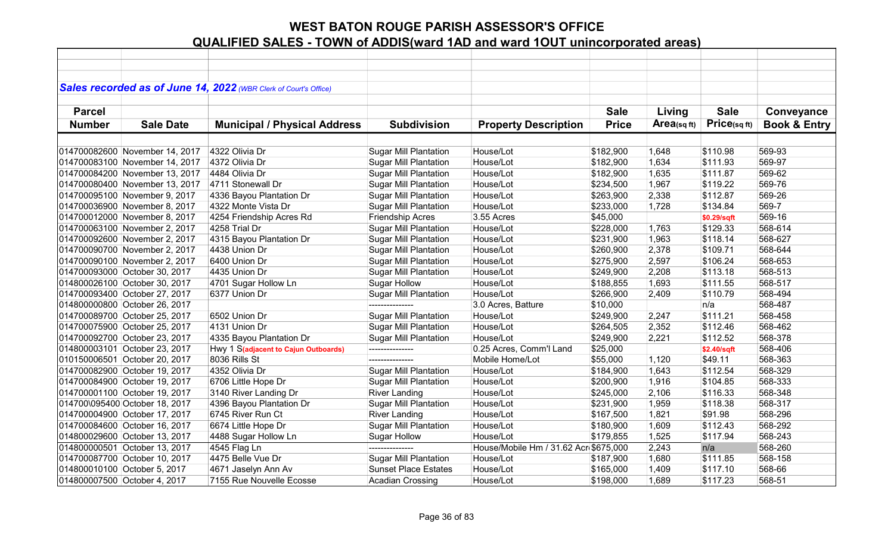| Sales recorded as of June 14, 2022 (WBR Clerk of Court's Office)<br><b>Sale</b><br><b>Sale</b><br>Conveyance<br><b>Parcel</b><br>Living<br>Price(sqft)<br>$Area$ (sq ft)<br><b>Book &amp; Entry</b><br><b>Number</b><br><b>Sale Date</b><br><b>Municipal / Physical Address</b><br><b>Subdivision</b><br><b>Property Description</b><br><b>Price</b><br>569-93<br>4322 Olivia Dr<br>House/Lot<br>1,648<br>\$110.98<br><b>Sugar Mill Plantation</b><br>\$182,900<br>House/Lot<br>569-97<br>4372 Olivia Dr<br><b>Sugar Mill Plantation</b><br>\$182,900<br>1,634<br>\$111.93<br>House/Lot<br>569-62<br>4484 Olivia Dr<br><b>Sugar Mill Plantation</b><br>1,635<br>\$111.87<br>\$182,900<br>569-76<br>4711 Stonewall Dr<br><b>Sugar Mill Plantation</b><br>House/Lot<br>1,967<br>\$119.22<br>\$234,500<br><b>Sugar Mill Plantation</b><br>House/Lot<br>2,338<br>\$112.87<br>569-26<br>4336 Bayou Plantation Dr<br>\$263,900<br>House/Lot<br>569-7<br>4322 Monte Vista Dr<br><b>Sugar Mill Plantation</b><br>\$233,000<br>1,728<br>\$134.84<br>3.55 Acres<br>4254 Friendship Acres Rd<br>Friendship Acres<br>\$45,000<br>569-16<br>\$0.29/sqft<br>House/Lot<br>4258 Trial Dr<br><b>Sugar Mill Plantation</b><br>1,763<br>\$129.33<br>568-614<br>\$228,000<br>House/Lot<br>4315 Bayou Plantation Dr<br><b>Sugar Mill Plantation</b><br>1,963<br>\$118.14<br>568-627<br>\$231,900 |
|-----------------------------------------------------------------------------------------------------------------------------------------------------------------------------------------------------------------------------------------------------------------------------------------------------------------------------------------------------------------------------------------------------------------------------------------------------------------------------------------------------------------------------------------------------------------------------------------------------------------------------------------------------------------------------------------------------------------------------------------------------------------------------------------------------------------------------------------------------------------------------------------------------------------------------------------------------------------------------------------------------------------------------------------------------------------------------------------------------------------------------------------------------------------------------------------------------------------------------------------------------------------------------------------------------------------------------------------------------------------------------|
| 014700082600 November 14, 2017<br>014700083100 November 14, 2017<br>014700084200 November 13, 2017<br>014700080400 November 13, 2017<br>014700095100 November 9, 2017<br>014700036900 November 8, 2017<br>014700012000 November 8, 2017                                                                                                                                                                                                                                                                                                                                                                                                                                                                                                                                                                                                                                                                                                                                                                                                                                                                                                                                                                                                                                                                                                                                     |
|                                                                                                                                                                                                                                                                                                                                                                                                                                                                                                                                                                                                                                                                                                                                                                                                                                                                                                                                                                                                                                                                                                                                                                                                                                                                                                                                                                             |
|                                                                                                                                                                                                                                                                                                                                                                                                                                                                                                                                                                                                                                                                                                                                                                                                                                                                                                                                                                                                                                                                                                                                                                                                                                                                                                                                                                             |
|                                                                                                                                                                                                                                                                                                                                                                                                                                                                                                                                                                                                                                                                                                                                                                                                                                                                                                                                                                                                                                                                                                                                                                                                                                                                                                                                                                             |
|                                                                                                                                                                                                                                                                                                                                                                                                                                                                                                                                                                                                                                                                                                                                                                                                                                                                                                                                                                                                                                                                                                                                                                                                                                                                                                                                                                             |
|                                                                                                                                                                                                                                                                                                                                                                                                                                                                                                                                                                                                                                                                                                                                                                                                                                                                                                                                                                                                                                                                                                                                                                                                                                                                                                                                                                             |
|                                                                                                                                                                                                                                                                                                                                                                                                                                                                                                                                                                                                                                                                                                                                                                                                                                                                                                                                                                                                                                                                                                                                                                                                                                                                                                                                                                             |
|                                                                                                                                                                                                                                                                                                                                                                                                                                                                                                                                                                                                                                                                                                                                                                                                                                                                                                                                                                                                                                                                                                                                                                                                                                                                                                                                                                             |
|                                                                                                                                                                                                                                                                                                                                                                                                                                                                                                                                                                                                                                                                                                                                                                                                                                                                                                                                                                                                                                                                                                                                                                                                                                                                                                                                                                             |
|                                                                                                                                                                                                                                                                                                                                                                                                                                                                                                                                                                                                                                                                                                                                                                                                                                                                                                                                                                                                                                                                                                                                                                                                                                                                                                                                                                             |
|                                                                                                                                                                                                                                                                                                                                                                                                                                                                                                                                                                                                                                                                                                                                                                                                                                                                                                                                                                                                                                                                                                                                                                                                                                                                                                                                                                             |
|                                                                                                                                                                                                                                                                                                                                                                                                                                                                                                                                                                                                                                                                                                                                                                                                                                                                                                                                                                                                                                                                                                                                                                                                                                                                                                                                                                             |
|                                                                                                                                                                                                                                                                                                                                                                                                                                                                                                                                                                                                                                                                                                                                                                                                                                                                                                                                                                                                                                                                                                                                                                                                                                                                                                                                                                             |
| 014700063100 November 2, 2017<br>014700092600 November 2, 2017                                                                                                                                                                                                                                                                                                                                                                                                                                                                                                                                                                                                                                                                                                                                                                                                                                                                                                                                                                                                                                                                                                                                                                                                                                                                                                              |
|                                                                                                                                                                                                                                                                                                                                                                                                                                                                                                                                                                                                                                                                                                                                                                                                                                                                                                                                                                                                                                                                                                                                                                                                                                                                                                                                                                             |
|                                                                                                                                                                                                                                                                                                                                                                                                                                                                                                                                                                                                                                                                                                                                                                                                                                                                                                                                                                                                                                                                                                                                                                                                                                                                                                                                                                             |
| House/Lot<br>2,378<br>\$109.71<br>568-644<br>014700090700 November 2, 2017<br>4438 Union Dr<br><b>Sugar Mill Plantation</b><br>\$260,900                                                                                                                                                                                                                                                                                                                                                                                                                                                                                                                                                                                                                                                                                                                                                                                                                                                                                                                                                                                                                                                                                                                                                                                                                                    |
| Sugar Mill Plantation<br>House/Lot<br>2,597<br>\$106.24<br>568-653<br>014700090100 November 2, 2017<br>6400 Union Dr<br>\$275,900                                                                                                                                                                                                                                                                                                                                                                                                                                                                                                                                                                                                                                                                                                                                                                                                                                                                                                                                                                                                                                                                                                                                                                                                                                           |
| House/Lot<br>\$113.18<br>568-513<br>014700093000 October 30, 2017<br>4435 Union Dr<br><b>Sugar Mill Plantation</b><br>\$249,900<br>2,208                                                                                                                                                                                                                                                                                                                                                                                                                                                                                                                                                                                                                                                                                                                                                                                                                                                                                                                                                                                                                                                                                                                                                                                                                                    |
| 4701 Sugar Hollow Ln<br><b>Sugar Hollow</b><br>House/Lot<br>1,693<br>\$111.55<br>568-517<br>014800026100 October 30, 2017<br>\$188,855                                                                                                                                                                                                                                                                                                                                                                                                                                                                                                                                                                                                                                                                                                                                                                                                                                                                                                                                                                                                                                                                                                                                                                                                                                      |
| 6377 Union Dr<br>House/Lot<br>\$110.79<br>568-494<br>014700093400 October 27, 2017<br><b>Sugar Mill Plantation</b><br>\$266,900<br>2,409                                                                                                                                                                                                                                                                                                                                                                                                                                                                                                                                                                                                                                                                                                                                                                                                                                                                                                                                                                                                                                                                                                                                                                                                                                    |
| 3.0 Acres, Batture<br>568-487<br>014800000800 October 26, 2017<br>\$10,000<br>n/a                                                                                                                                                                                                                                                                                                                                                                                                                                                                                                                                                                                                                                                                                                                                                                                                                                                                                                                                                                                                                                                                                                                                                                                                                                                                                           |
| <b>Sugar Mill Plantation</b><br>House/Lot<br>2,247<br>\$111.21<br>568-458<br>014700089700 October 25, 2017<br>6502 Union Dr<br>\$249,900                                                                                                                                                                                                                                                                                                                                                                                                                                                                                                                                                                                                                                                                                                                                                                                                                                                                                                                                                                                                                                                                                                                                                                                                                                    |
| House/Lot<br>014700075900 October 25, 2017<br>4131 Union Dr<br><b>Sugar Mill Plantation</b><br>2,352<br>\$112.46<br>568-462<br>\$264,505                                                                                                                                                                                                                                                                                                                                                                                                                                                                                                                                                                                                                                                                                                                                                                                                                                                                                                                                                                                                                                                                                                                                                                                                                                    |
| 568-378<br>014700092700 October 23, 2017<br>4335 Bayou Plantation Dr<br><b>Sugar Mill Plantation</b><br>House/Lot<br>\$249,900<br>2,221<br>\$112.52                                                                                                                                                                                                                                                                                                                                                                                                                                                                                                                                                                                                                                                                                                                                                                                                                                                                                                                                                                                                                                                                                                                                                                                                                         |
| 014800003101 October 23, 2017<br>0.25 Acres, Comm'l Land<br>\$25,000<br>568-406<br>Hwy 1 S(adjacent to Cajun Outboards)<br>\$2.40/sqft<br>---------------                                                                                                                                                                                                                                                                                                                                                                                                                                                                                                                                                                                                                                                                                                                                                                                                                                                                                                                                                                                                                                                                                                                                                                                                                   |
| 8036 Rills St<br>568-363<br>010150006501 October 20, 2017<br>Mobile Home/Lot<br>\$55,000<br>1,120<br>\$49.11<br>---------------                                                                                                                                                                                                                                                                                                                                                                                                                                                                                                                                                                                                                                                                                                                                                                                                                                                                                                                                                                                                                                                                                                                                                                                                                                             |
| 568-329<br>014700082900 October 19, 2017<br>4352 Olivia Dr<br><b>Sugar Mill Plantation</b><br>House/Lot<br>1,643<br>\$112.54<br>\$184,900                                                                                                                                                                                                                                                                                                                                                                                                                                                                                                                                                                                                                                                                                                                                                                                                                                                                                                                                                                                                                                                                                                                                                                                                                                   |
| 014700084900 October 19, 2017<br>House/Lot<br>1,916<br>\$104.85<br>568-333<br>6706 Little Hope Dr<br><b>Sugar Mill Plantation</b><br>\$200,900                                                                                                                                                                                                                                                                                                                                                                                                                                                                                                                                                                                                                                                                                                                                                                                                                                                                                                                                                                                                                                                                                                                                                                                                                              |
| 568-348<br>House/Lot<br>\$116.33<br>014700001100 October 19, 2017<br>3140 River Landing Dr<br><b>River Landing</b><br>\$245,000<br>2,106                                                                                                                                                                                                                                                                                                                                                                                                                                                                                                                                                                                                                                                                                                                                                                                                                                                                                                                                                                                                                                                                                                                                                                                                                                    |
| House/Lot<br>1,959<br>568-317<br>014700\095400 October 18, 2017<br>4396 Bayou Plantation Dr<br><b>Sugar Mill Plantation</b><br>\$231,900<br>\$118.38                                                                                                                                                                                                                                                                                                                                                                                                                                                                                                                                                                                                                                                                                                                                                                                                                                                                                                                                                                                                                                                                                                                                                                                                                        |
| 6745 River Run Ct<br>House/Lot<br>568-296<br>014700004900 October 17, 2017<br><b>River Landing</b><br>1,821<br>\$91.98<br>\$167,500                                                                                                                                                                                                                                                                                                                                                                                                                                                                                                                                                                                                                                                                                                                                                                                                                                                                                                                                                                                                                                                                                                                                                                                                                                         |
| <b>Sugar Mill Plantation</b><br>014700084600 October 16, 2017<br>6674 Little Hope Dr<br>House/Lot<br>1,609<br>\$112.43<br>568-292<br>\$180,900                                                                                                                                                                                                                                                                                                                                                                                                                                                                                                                                                                                                                                                                                                                                                                                                                                                                                                                                                                                                                                                                                                                                                                                                                              |
| House/Lot<br>1,525<br>\$117.94<br>568-243<br>014800029600 October 13, 2017<br>4488 Sugar Hollow Ln<br>Sugar Hollow<br>\$179,855                                                                                                                                                                                                                                                                                                                                                                                                                                                                                                                                                                                                                                                                                                                                                                                                                                                                                                                                                                                                                                                                                                                                                                                                                                             |
| 4545 Flag Ln<br>House/Mobile Hm / 31.62 Acr \$675,000<br>2,243<br>n/a<br>568-260<br>014800000501 October 13, 2017<br>---------------                                                                                                                                                                                                                                                                                                                                                                                                                                                                                                                                                                                                                                                                                                                                                                                                                                                                                                                                                                                                                                                                                                                                                                                                                                        |
| 4475 Belle Vue Dr<br><b>Sugar Mill Plantation</b><br>House/Lot<br>568-158<br>014700087700 October 10, 2017<br>\$187,900<br>1,680<br>\$111.85                                                                                                                                                                                                                                                                                                                                                                                                                                                                                                                                                                                                                                                                                                                                                                                                                                                                                                                                                                                                                                                                                                                                                                                                                                |
| 014800010100 October 5, 2017<br>4671 Jaselyn Ann Av<br><b>Sunset Place Estates</b><br>House/Lot<br>\$165,000<br>1,409<br>\$117.10<br>568-66                                                                                                                                                                                                                                                                                                                                                                                                                                                                                                                                                                                                                                                                                                                                                                                                                                                                                                                                                                                                                                                                                                                                                                                                                                 |
| 7155 Rue Nouvelle Ecosse<br>House/Lot<br>1,689<br>\$117.23<br>568-51<br>014800007500 October 4, 2017<br><b>Acadian Crossing</b><br>\$198,000                                                                                                                                                                                                                                                                                                                                                                                                                                                                                                                                                                                                                                                                                                                                                                                                                                                                                                                                                                                                                                                                                                                                                                                                                                |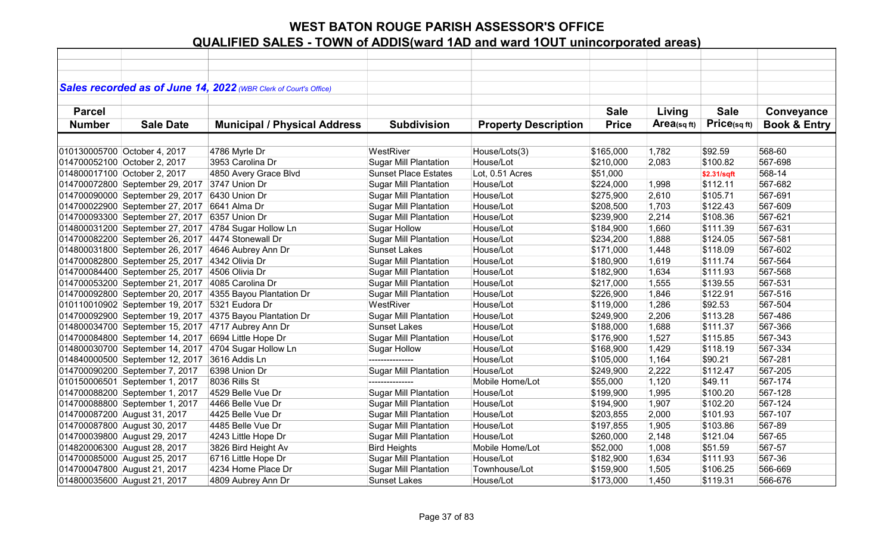|               |                                 | Sales recorded as of June 14, 2022 (WBR Clerk of Court's Office) |                              |                             |              |             |             |                         |
|---------------|---------------------------------|------------------------------------------------------------------|------------------------------|-----------------------------|--------------|-------------|-------------|-------------------------|
|               |                                 |                                                                  |                              |                             |              |             |             |                         |
| <b>Parcel</b> |                                 |                                                                  |                              |                             | <b>Sale</b>  | Living      | <b>Sale</b> | Conveyance              |
| <b>Number</b> | <b>Sale Date</b>                | <b>Municipal / Physical Address</b>                              | <b>Subdivision</b>           | <b>Property Description</b> | <b>Price</b> | Area(sq ft) | Price(sqft) | <b>Book &amp; Entry</b> |
|               |                                 |                                                                  |                              |                             |              |             |             |                         |
|               | 010130005700 October 4, 2017    | 4786 Myrle Dr                                                    | WestRiver                    | House/Lots(3)               | \$165,000    | 1,782       | \$92.59     | 568-60                  |
|               | 014700052100 October 2, 2017    | 3953 Carolina Dr                                                 | <b>Sugar Mill Plantation</b> | House/Lot                   | \$210,000    | 2,083       | \$100.82    | 567-698                 |
|               | 014800017100 October 2, 2017    | 4850 Avery Grace Blvd                                            | <b>Sunset Place Estates</b>  | Lot, 0.51 Acres             | \$51,000     |             | \$2.31/sqft | 568-14                  |
|               | 014700072800 September 29, 2017 | 3747 Union Dr                                                    | <b>Sugar Mill Plantation</b> | House/Lot                   | \$224,000    | 1,998       | \$112.11    | 567-682                 |
|               | 014700090000 September 29, 2017 | 6430 Union Dr                                                    | <b>Sugar Mill Plantation</b> | House/Lot                   | \$275,900    | 2,610       | \$105.71    | 567-691                 |
|               | 014700022900 September 27, 2017 | 6641 Alma Dr                                                     | <b>Sugar Mill Plantation</b> | House/Lot                   | \$208,500    | 1,703       | \$122.43    | 567-609                 |
|               | 014700093300 September 27, 2017 | 6357 Union Dr                                                    | <b>Sugar Mill Plantation</b> | House/Lot                   | \$239,900    | 2,214       | \$108.36    | 567-621                 |
|               | 014800031200 September 27, 2017 | 4784 Sugar Hollow Ln                                             | <b>Sugar Hollow</b>          | House/Lot                   | \$184,900    | 1,660       | \$111.39    | 567-631                 |
|               | 014700082200 September 26, 2017 | 4474 Stonewall Dr                                                | <b>Sugar Mill Plantation</b> | House/Lot                   | \$234,200    | 1,888       | \$124.05    | 567-581                 |
|               | 014800031800 September 26, 2017 | 4646 Aubrey Ann Dr                                               | <b>Sunset Lakes</b>          | House/Lot                   | \$171,000    | 1,448       | \$118.09    | 567-602                 |
|               | 014700082800 September 25, 2017 | 4342 Olivia Dr                                                   | <b>Sugar Mill Plantation</b> | House/Lot                   | \$180,900    | 1,619       | \$111.74    | 567-564                 |
|               | 014700084400 September 25, 2017 | 4506 Olivia Dr                                                   | <b>Sugar Mill Plantation</b> | House/Lot                   | \$182,900    | 1,634       | \$111.93    | 567-568                 |
|               | 014700053200 September 21, 2017 | 4085 Carolina Dr                                                 | <b>Sugar Mill Plantation</b> | House/Lot                   | \$217,000    | 1,555       | \$139.55    | 567-531                 |
|               | 014700092800 September 20, 2017 | 4355 Bayou Plantation Dr                                         | <b>Sugar Mill Plantation</b> | House/Lot                   | \$226,900    | 1,846       | \$122.91    | 567-516                 |
|               | 010110010902 September 19, 2017 | 5321 Eudora Dr                                                   | WestRiver                    | House/Lot                   | \$119,000    | 1,286       | \$92.53     | 567-504                 |
|               | 014700092900 September 19, 2017 | 4375 Bayou Plantation Dr                                         | <b>Sugar Mill Plantation</b> | House/Lot                   | \$249,900    | 2,206       | \$113.28    | 567-486                 |
|               | 014800034700 September 15, 2017 | 4717 Aubrey Ann Dr                                               | Sunset Lakes                 | House/Lot                   | \$188,000    | 1,688       | \$111.37    | 567-366                 |
|               | 014700084800 September 14, 2017 | 6694 Little Hope Dr                                              | Sugar Mill Plantation        | House/Lot                   | \$176,900    | 1,527       | \$115.85    | 567-343                 |
|               | 014800030700 September 14, 2017 | 4704 Sugar Hollow Ln                                             | <b>Sugar Hollow</b>          | House/Lot                   | \$168,900    | 1,429       | \$118.19    | 567-334                 |
|               | 014840000500 September 12, 2017 | 3616 Addis Ln                                                    |                              | House/Lot                   | \$105,000    | 1,164       | \$90.21     | 567-281                 |
|               | 014700090200 September 7, 2017  | 6398 Union Dr                                                    | <b>Sugar Mill Plantation</b> | House/Lot                   | \$249,900    | 2,222       | \$112.47    | 567-205                 |
|               | 010150006501 September 1, 2017  | 8036 Rills St                                                    |                              | Mobile Home/Lot             | \$55,000     | 1,120       | \$49.11     | 567-174                 |
|               | 014700088200 September 1, 2017  | 4529 Belle Vue Dr                                                | <b>Sugar Mill Plantation</b> | House/Lot                   | \$199,900    | 1,995       | \$100.20    | 567-128                 |
|               | 014700088800 September 1, 2017  | 4466 Belle Vue Dr                                                | <b>Sugar Mill Plantation</b> | House/Lot                   | \$194,900    | 1,907       | \$102.20    | 567-124                 |
|               | 014700087200 August 31, 2017    | 4425 Belle Vue Dr                                                | <b>Sugar Mill Plantation</b> | House/Lot                   | \$203,855    | 2,000       | \$101.93    | 567-107                 |
|               | 014700087800 August 30, 2017    | 4485 Belle Vue Dr                                                | <b>Sugar Mill Plantation</b> | House/Lot                   | \$197,855    | 1,905       | \$103.86    | 567-89                  |
|               | 014700039800 August 29, 2017    | 4243 Little Hope Dr                                              | <b>Sugar Mill Plantation</b> | House/Lot                   | \$260,000    | 2,148       | \$121.04    | 567-65                  |
|               | 014820006300 August 28, 2017    | 3826 Bird Height Av                                              | <b>Bird Heights</b>          | Mobile Home/Lot             | \$52,000     | 1,008       | \$51.59     | 567-57                  |
|               | 014700085000 August 25, 2017    | 6716 Little Hope Dr                                              | <b>Sugar Mill Plantation</b> | House/Lot                   | \$182,900    | 1,634       | \$111.93    | 567-36                  |
|               | 014700047800 August 21, 2017    | 4234 Home Place Dr                                               | <b>Sugar Mill Plantation</b> | Townhouse/Lot               | \$159,900    | 1,505       | \$106.25    | 566-669                 |
|               | 014800035600 August 21, 2017    | 4809 Aubrey Ann Dr                                               | <b>Sunset Lakes</b>          | House/Lot                   | \$173,000    | 1,450       | \$119.31    | 566-676                 |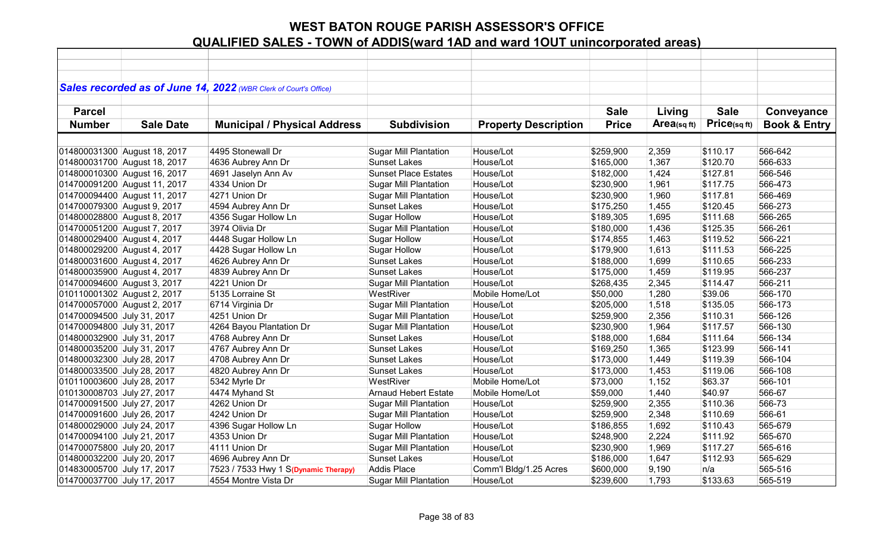|                             |                              | Sales recorded as of June 14, 2022 (WBR Clerk of Court's Office) |                              |                             |              |            |             |                         |
|-----------------------------|------------------------------|------------------------------------------------------------------|------------------------------|-----------------------------|--------------|------------|-------------|-------------------------|
|                             |                              |                                                                  |                              |                             |              |            |             |                         |
| <b>Parcel</b>               |                              |                                                                  |                              |                             | <b>Sale</b>  | Living     | <b>Sale</b> | Conveyance              |
| <b>Number</b>               | <b>Sale Date</b>             | <b>Municipal / Physical Address</b>                              | <b>Subdivision</b>           | <b>Property Description</b> | <b>Price</b> | Area(sqft) | Price(sqft) | <b>Book &amp; Entry</b> |
|                             |                              |                                                                  |                              |                             |              |            |             |                         |
|                             | 014800031300 August 18, 2017 | 4495 Stonewall Dr                                                | <b>Sugar Mill Plantation</b> | House/Lot                   | \$259,900    | 2,359      | \$110.17    | 566-642                 |
|                             | 014800031700 August 18, 2017 | 4636 Aubrey Ann Dr                                               | <b>Sunset Lakes</b>          | House/Lot                   | \$165,000    | 1,367      | \$120.70    | 566-633                 |
|                             | 014800010300 August 16, 2017 | 4691 Jaselyn Ann Av                                              | <b>Sunset Place Estates</b>  | House/Lot                   | \$182,000    | 1,424      | \$127.81    | 566-546                 |
|                             | 014700091200 August 11, 2017 | 4334 Union Dr                                                    | <b>Sugar Mill Plantation</b> | House/Lot                   | \$230,900    | 1,961      | \$117.75    | 566-473                 |
|                             | 014700094400 August 11, 2017 | 4271 Union Dr                                                    | <b>Sugar Mill Plantation</b> | House/Lot                   | \$230,900    | 1,960      | \$117.81    | 566-469                 |
| 014700079300 August 9, 2017 |                              | 4594 Aubrey Ann Dr                                               | <b>Sunset Lakes</b>          | House/Lot                   | \$175,250    | 1,455      | \$120.45    | 566-273                 |
| 014800028800 August 8, 2017 |                              | 4356 Sugar Hollow Ln                                             | <b>Sugar Hollow</b>          | House/Lot                   | \$189,305    | 1,695      | \$111.68    | 566-265                 |
| 014700051200 August 7, 2017 |                              | 3974 Olivia Dr                                                   | <b>Sugar Mill Plantation</b> | House/Lot                   | \$180,000    | 1,436      | \$125.35    | 566-261                 |
| 014800029400 August 4, 2017 |                              | 4448 Sugar Hollow Ln                                             | Sugar Hollow                 | House/Lot                   | \$174,855    | 1,463      | \$119.52    | 566-221                 |
| 014800029200 August 4, 2017 |                              | 4428 Sugar Hollow Ln                                             | Sugar Hollow                 | House/Lot                   | \$179,900    | 1,613      | \$111.53    | 566-225                 |
| 014800031600 August 4, 2017 |                              | 4626 Aubrey Ann Dr                                               | <b>Sunset Lakes</b>          | House/Lot                   | \$188,000    | 1,699      | \$110.65    | 566-233                 |
| 014800035900 August 4, 2017 |                              | 4839 Aubrey Ann Dr                                               | <b>Sunset Lakes</b>          | House/Lot                   | \$175,000    | 1,459      | \$119.95    | 566-237                 |
| 014700094600 August 3, 2017 |                              | 4221 Union Dr                                                    | <b>Sugar Mill Plantation</b> | House/Lot                   | \$268,435    | 2,345      | \$114.47    | 566-211                 |
| 010110001302 August 2, 2017 |                              | 5135 Lorraine St                                                 | WestRiver                    | Mobile Home/Lot             | \$50,000     | 1,280      | \$39.06     | 566-170                 |
| 014700057000 August 2, 2017 |                              | 6714 Virginia Dr                                                 | <b>Sugar Mill Plantation</b> | House/Lot                   | \$205,000    | 1,518      | \$135.05    | 566-173                 |
| 014700094500 July 31, 2017  |                              | 4251 Union Dr                                                    | <b>Sugar Mill Plantation</b> | House/Lot                   | \$259,900    | 2,356      | \$110.31    | 566-126                 |
| 014700094800 July 31, 2017  |                              | 4264 Bayou Plantation Dr                                         | <b>Sugar Mill Plantation</b> | House/Lot                   | \$230,900    | 1,964      | \$117.57    | 566-130                 |
| 014800032900 July 31, 2017  |                              | 4768 Aubrey Ann Dr                                               | <b>Sunset Lakes</b>          | House/Lot                   | \$188,000    | 1,684      | \$111.64    | 566-134                 |
| 014800035200 July 31, 2017  |                              | 4767 Aubrey Ann Dr                                               | <b>Sunset Lakes</b>          | House/Lot                   | \$169,250    | 1,365      | \$123.99    | 566-141                 |
| 014800032300 July 28, 2017  |                              | 4708 Aubrey Ann Dr                                               | <b>Sunset Lakes</b>          | House/Lot                   | \$173,000    | 1,449      | \$119.39    | 566-104                 |
| 014800033500 July 28, 2017  |                              | 4820 Aubrey Ann Dr                                               | <b>Sunset Lakes</b>          | House/Lot                   | \$173,000    | 1,453      | \$119.06    | 566-108                 |
| 010110003600 July 28, 2017  |                              | 5342 Myrle Dr                                                    | WestRiver                    | Mobile Home/Lot             | \$73,000     | 1,152      | \$63.37     | 566-101                 |
| 010130008703 July 27, 2017  |                              | 4474 Myhand St                                                   | <b>Arnaud Hebert Estate</b>  | Mobile Home/Lot             | \$59,000     | 1,440      | \$40.97     | 566-67                  |
| 014700091500 July 27, 2017  |                              | 4262 Union Dr                                                    | <b>Sugar Mill Plantation</b> | House/Lot                   | \$259,900    | 2,355      | \$110.36    | 566-73                  |
| 014700091600 July 26, 2017  |                              | 4242 Union Dr                                                    | <b>Sugar Mill Plantation</b> | House/Lot                   | \$259,900    | 2,348      | \$110.69    | 566-61                  |
| 014800029000 July 24, 2017  |                              | 4396 Sugar Hollow Ln                                             | <b>Sugar Hollow</b>          | House/Lot                   | \$186,855    | 1,692      | \$110.43    | 565-679                 |
| 014700094100 July 21, 2017  |                              | 4353 Union Dr                                                    | <b>Sugar Mill Plantation</b> | House/Lot                   | \$248,900    | 2,224      | \$111.92    | 565-670                 |
| 014700075800 July 20, 2017  |                              | 4111 Union Dr                                                    | <b>Sugar Mill Plantation</b> | House/Lot                   | \$230,900    | 1,969      | \$117.27    | 565-616                 |
| 014800032200 July 20, 2017  |                              | 4696 Aubrey Ann Dr                                               | <b>Sunset Lakes</b>          | House/Lot                   | \$186,000    | 1,647      | \$112.93    | 565-629                 |
| 014830005700 July 17, 2017  |                              | 7523 / 7533 Hwy 1 S(Dynamic Therapy)                             | <b>Addis Place</b>           | Comm'l Bldg/1.25 Acres      | \$600,000    | 9,190      | n/a         | 565-516                 |
| 014700037700 July 17, 2017  |                              | 4554 Montre Vista Dr                                             | <b>Sugar Mill Plantation</b> | House/Lot                   | \$239,600    | 1,793      | \$133.63    | 565-519                 |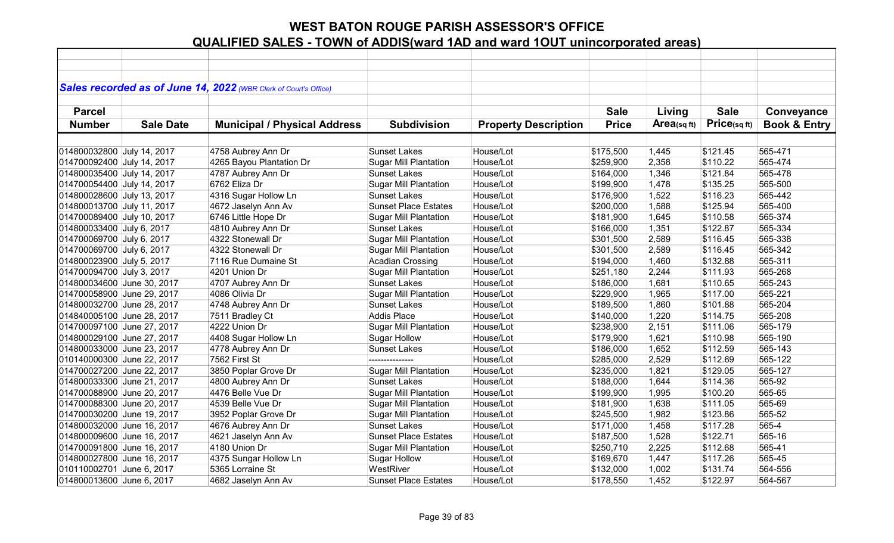|                            |                  | Sales recorded as of June 14, 2022 (WBR Clerk of Court's Office) |                              |                             |              |            |             |                         |
|----------------------------|------------------|------------------------------------------------------------------|------------------------------|-----------------------------|--------------|------------|-------------|-------------------------|
|                            |                  |                                                                  |                              |                             |              |            |             |                         |
| <b>Parcel</b>              |                  |                                                                  |                              |                             | <b>Sale</b>  | Living     | <b>Sale</b> | Conveyance              |
| <b>Number</b>              | <b>Sale Date</b> | <b>Municipal / Physical Address</b>                              | <b>Subdivision</b>           | <b>Property Description</b> | <b>Price</b> | Area(sqft) | Price(sqft) | <b>Book &amp; Entry</b> |
|                            |                  |                                                                  |                              |                             |              |            |             |                         |
| 014800032800 July 14, 2017 |                  | 4758 Aubrey Ann Dr                                               | <b>Sunset Lakes</b>          | House/Lot                   | \$175,500    | 1,445      | \$121.45    | 565-471                 |
| 014700092400 July 14, 2017 |                  | 4265 Bayou Plantation Dr                                         | <b>Sugar Mill Plantation</b> | House/Lot                   | \$259,900    | 2,358      | \$110.22    | 565-474                 |
| 014800035400 July 14, 2017 |                  | 4787 Aubrey Ann Dr                                               | <b>Sunset Lakes</b>          | House/Lot                   | \$164,000    | 1,346      | \$121.84    | 565-478                 |
| 014700054400 July 14, 2017 |                  | 6762 Eliza Dr                                                    | <b>Sugar Mill Plantation</b> | House/Lot                   | \$199,900    | 1,478      | \$135.25    | 565-500                 |
| 014800028600 July 13, 2017 |                  | 4316 Sugar Hollow Ln                                             | <b>Sunset Lakes</b>          | House/Lot                   | \$176,900    | 1,522      | \$116.23    | 565-442                 |
| 014800013700 July 11, 2017 |                  | 4672 Jaselyn Ann Av                                              | <b>Sunset Place Estates</b>  | House/Lot                   | \$200,000    | 1,588      | \$125.94    | 565-400                 |
| 014700089400 July 10, 2017 |                  | 6746 Little Hope Dr                                              | <b>Sugar Mill Plantation</b> | House/Lot                   | \$181,900    | 1,645      | \$110.58    | 565-374                 |
| 014800033400 July 6, 2017  |                  | 4810 Aubrey Ann Dr                                               | <b>Sunset Lakes</b>          | House/Lot                   | \$166,000    | 1,351      | \$122.87    | 565-334                 |
| 014700069700 July 6, 2017  |                  | 4322 Stonewall Dr                                                | Sugar Mill Plantation        | House/Lot                   | \$301,500    | 2,589      | \$116.45    | 565-338                 |
| 014700069700 July 6, 2017  |                  | 4322 Stonewall Dr                                                | <b>Sugar Mill Plantation</b> | House/Lot                   | \$301,500    | 2,589      | \$116.45    | 565-342                 |
| 014800023900 July 5, 2017  |                  | 7116 Rue Dumaine St                                              | Acadian Crossing             | House/Lot                   | \$194,000    | 1,460      | \$132.88    | 565-311                 |
| 014700094700 July 3, 2017  |                  | 4201 Union Dr                                                    | <b>Sugar Mill Plantation</b> | House/Lot                   | \$251,180    | 2,244      | \$111.93    | 565-268                 |
| 014800034600 June 30, 2017 |                  | 4707 Aubrey Ann Dr                                               | <b>Sunset Lakes</b>          | House/Lot                   | \$186,000    | 1,681      | \$110.65    | 565-243                 |
| 014700058900 June 29, 2017 |                  | 4086 Olivia Dr                                                   | <b>Sugar Mill Plantation</b> | House/Lot                   | \$229,900    | 1,965      | \$117.00    | 565-221                 |
| 014800032700 June 28, 2017 |                  | 4748 Aubrey Ann Dr                                               | <b>Sunset Lakes</b>          | House/Lot                   | \$189,500    | 1,860      | \$101.88    | 565-204                 |
| 014840005100 June 28, 2017 |                  | 7511 Bradley Ct                                                  | <b>Addis Place</b>           | House/Lot                   | \$140,000    | 1,220      | \$114.75    | 565-208                 |
| 014700097100 June 27, 2017 |                  | 4222 Union Dr                                                    | <b>Sugar Mill Plantation</b> | House/Lot                   | \$238,900    | 2,151      | \$111.06    | 565-179                 |
| 014800029100 June 27, 2017 |                  | 4408 Sugar Hollow Ln                                             | <b>Sugar Hollow</b>          | House/Lot                   | \$179,900    | 1,621      | \$110.98    | 565-190                 |
| 014800033000 June 23, 2017 |                  | 4778 Aubrey Ann Dr                                               | <b>Sunset Lakes</b>          | House/Lot                   | \$186,000    | 1,652      | \$112.59    | 565-143                 |
| 010140000300 June 22, 2017 |                  | 7562 First St                                                    | ---------------              | House/Lot                   | \$285,000    | 2,529      | \$112.69    | 565-122                 |
| 014700027200 June 22, 2017 |                  | 3850 Poplar Grove Dr                                             | <b>Sugar Mill Plantation</b> | House/Lot                   | \$235,000    | 1,821      | \$129.05    | 565-127                 |
| 014800033300 June 21, 2017 |                  | 4800 Aubrey Ann Dr                                               | <b>Sunset Lakes</b>          | House/Lot                   | \$188,000    | 1,644      | \$114.36    | 565-92                  |
| 014700088900 June 20, 2017 |                  | 4476 Belle Vue Dr                                                | <b>Sugar Mill Plantation</b> | House/Lot                   | \$199,900    | 1,995      | \$100.20    | 565-65                  |
| 014700088300 June 20, 2017 |                  | 4539 Belle Vue Dr                                                | <b>Sugar Mill Plantation</b> | House/Lot                   | \$181,900    | 1,638      | \$111.05    | 565-69                  |
| 014700030200 June 19, 2017 |                  | 3952 Poplar Grove Dr                                             | <b>Sugar Mill Plantation</b> | House/Lot                   | \$245,500    | 1,982      | \$123.86    | 565-52                  |
| 014800032000 June 16, 2017 |                  | 4676 Aubrey Ann Dr                                               | <b>Sunset Lakes</b>          | House/Lot                   | \$171,000    | 1,458      | \$117.28    | 565-4                   |
| 014800009600 June 16, 2017 |                  | 4621 Jaselyn Ann Av                                              | <b>Sunset Place Estates</b>  | House/Lot                   | \$187,500    | 1,528      | \$122.71    | 565-16                  |
| 014700091800 June 16, 2017 |                  | 4180 Union Dr                                                    | <b>Sugar Mill Plantation</b> | House/Lot                   | \$250,710    | 2,225      | \$112.68    | 565-41                  |
| 014800027800 June 16, 2017 |                  | 4375 Sungar Hollow Ln                                            | <b>Sugar Hollow</b>          | House/Lot                   | \$169,670    | 1,447      | \$117.26    | 565-45                  |
| 010110002701 June 6, 2017  |                  | 5365 Lorraine St                                                 | WestRiver                    | House/Lot                   | \$132,000    | 1,002      | \$131.74    | 564-556                 |
| 014800013600 June 6, 2017  |                  | 4682 Jaselyn Ann Av                                              | <b>Sunset Place Estates</b>  | House/Lot                   | \$178,550    | 1,452      | \$122.97    | 564-567                 |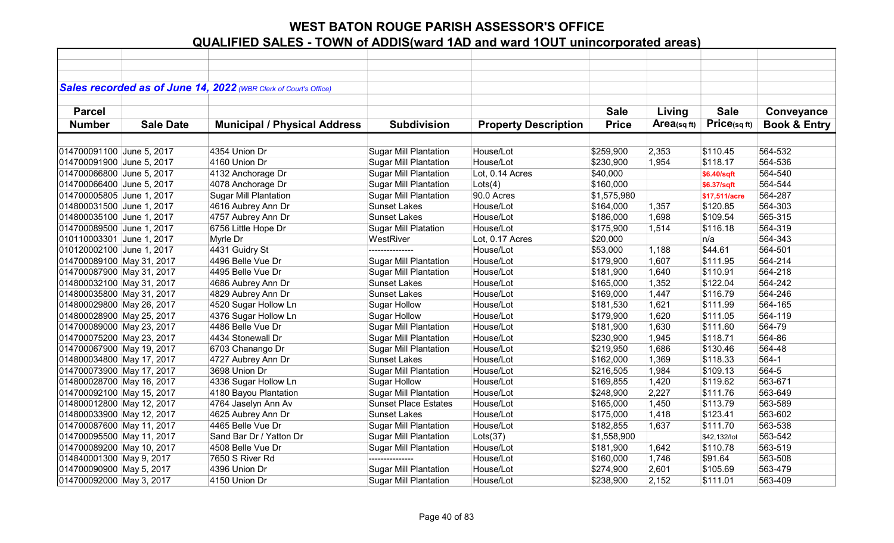|                           |                  | Sales recorded as of June 14, 2022 (WBR Clerk of Court's Office) |                              |                             |              |            |               |                         |
|---------------------------|------------------|------------------------------------------------------------------|------------------------------|-----------------------------|--------------|------------|---------------|-------------------------|
|                           |                  |                                                                  |                              |                             |              |            |               |                         |
| <b>Parcel</b>             |                  |                                                                  |                              |                             | <b>Sale</b>  | Living     | <b>Sale</b>   | Conveyance              |
| <b>Number</b>             | <b>Sale Date</b> | <b>Municipal / Physical Address</b>                              | <b>Subdivision</b>           | <b>Property Description</b> | <b>Price</b> | Area(sqft) | Price(sq ft)  | <b>Book &amp; Entry</b> |
|                           |                  |                                                                  |                              |                             |              |            |               |                         |
| 014700091100 June 5, 2017 |                  | 4354 Union Dr                                                    | <b>Sugar Mill Plantation</b> | House/Lot                   | \$259,900    | 2,353      | \$110.45      | 564-532                 |
| 014700091900 June 5, 2017 |                  | 4160 Union Dr                                                    | <b>Sugar Mill Plantation</b> | House/Lot                   | \$230,900    | 1,954      | \$118.17      | 564-536                 |
| 014700066800 June 5, 2017 |                  | 4132 Anchorage Dr                                                | <b>Sugar Mill Plantation</b> | Lot, 0.14 Acres             | \$40,000     |            | \$6.40/sqft   | 564-540                 |
| 014700066400 June 5, 2017 |                  | 4078 Anchorage Dr                                                | <b>Sugar Mill Plantation</b> | Lots(4)                     | \$160,000    |            | \$6.37/sqft   | 564-544                 |
| 014700005805 June 1, 2017 |                  | <b>Sugar Mill Plantation</b>                                     | <b>Sugar Mill Plantation</b> | 90.0 Acres                  | \$1,575,980  |            | \$17,511/acre | 564-287                 |
| 014800031500 June 1, 2017 |                  | 4616 Aubrey Ann Dr                                               | <b>Sunset Lakes</b>          | House/Lot                   | \$164,000    | 1,357      | \$120.85      | 564-303                 |
| 014800035100 June 1, 2017 |                  | 4757 Aubrey Ann Dr                                               | <b>Sunset Lakes</b>          | House/Lot                   | \$186,000    | 1,698      | \$109.54      | 565-315                 |
| 014700089500 June 1, 2017 |                  | 6756 Little Hope Dr                                              | <b>Sugar Mill Platation</b>  | House/Lot                   | \$175,900    | 1,514      | \$116.18      | 564-319                 |
| 010110003301 June 1, 2017 |                  | Myrle Dr                                                         | WestRiver                    | Lot, 0.17 Acres             | \$20,000     |            | n/a           | 564-343                 |
| 010120002100 June 1, 2017 |                  | 4431 Guidry St                                                   | ---------------              | House/Lot                   | \$53,000     | 1,188      | \$44.61       | 564-501                 |
| 014700089100 May 31, 2017 |                  | 4496 Belle Vue Dr                                                | <b>Sugar Mill Plantation</b> | House/Lot                   | \$179,900    | 1,607      | \$111.95      | 564-214                 |
| 014700087900 May 31, 2017 |                  | 4495 Belle Vue Dr                                                | <b>Sugar Mill Plantation</b> | House/Lot                   | \$181,900    | 1,640      | \$110.91      | 564-218                 |
| 014800032100 May 31, 2017 |                  | 4686 Aubrey Ann Dr                                               | <b>Sunset Lakes</b>          | House/Lot                   | \$165,000    | 1,352      | \$122.04      | 564-242                 |
| 014800035800 May 31, 2017 |                  | 4829 Aubrey Ann Dr                                               | <b>Sunset Lakes</b>          | House/Lot                   | \$169,000    | 1,447      | \$116.79      | 564-246                 |
| 014800029800 May 26, 2017 |                  | 4520 Sugar Hollow Ln                                             | <b>Sugar Hollow</b>          | House/Lot                   | \$181,530    | 1,621      | \$111.99      | 564-165                 |
| 014800028900 May 25, 2017 |                  | 4376 Sugar Hollow Ln                                             | <b>Sugar Hollow</b>          | House/Lot                   | \$179,900    | 1,620      | \$111.05      | 564-119                 |
| 014700089000 May 23, 2017 |                  | 4486 Belle Vue Dr                                                | <b>Sugar Mill Plantation</b> | House/Lot                   | \$181,900    | 1,630      | \$111.60      | 564-79                  |
| 014700075200 May 23, 2017 |                  | 4434 Stonewall Dr                                                | <b>Sugar Mill Plantation</b> | House/Lot                   | \$230,900    | 1,945      | \$118.71      | 564-86                  |
| 014700067900 May 19, 2017 |                  | 6703 Chanango Dr                                                 | <b>Sugar Mill Plantation</b> | House/Lot                   | \$219,950    | 1,686      | \$130.46      | 564-48                  |
| 014800034800 May 17, 2017 |                  | 4727 Aubrey Ann Dr                                               | <b>Sunset Lakes</b>          | House/Lot                   | \$162,000    | 1,369      | \$118.33      | $564-1$                 |
| 014700073900 May 17, 2017 |                  | 3698 Union Dr                                                    | <b>Sugar Mill Plantation</b> | House/Lot                   | \$216,505    | 1,984      | \$109.13      | 564-5                   |
| 014800028700 May 16, 2017 |                  | 4336 Sugar Hollow Ln                                             | <b>Sugar Hollow</b>          | House/Lot                   | \$169,855    | 1,420      | \$119.62      | 563-671                 |
| 014700092100 May 15, 2017 |                  | 4180 Bayou Plantation                                            | <b>Sugar Mill Plantation</b> | House/Lot                   | \$248,900    | 2,227      | \$111.76      | 563-649                 |
| 014800012800 May 12, 2017 |                  | 4764 Jaselyn Ann Av                                              | <b>Sunset Place Estates</b>  | House/Lot                   | \$165,000    | 1,450      | \$113.79      | 563-589                 |
| 014800033900 May 12, 2017 |                  | 4625 Aubrey Ann Dr                                               | <b>Sunset Lakes</b>          | House/Lot                   | \$175,000    | 1,418      | \$123.41      | 563-602                 |
| 014700087600 May 11, 2017 |                  | 4465 Belle Vue Dr                                                | <b>Sugar Mill Plantation</b> | House/Lot                   | \$182,855    | 1,637      | \$111.70      | 563-538                 |
| 014700095500 May 11, 2017 |                  | Sand Bar Dr / Yatton Dr                                          | <b>Sugar Mill Plantation</b> | Lots(37)                    | \$1,558,900  |            | \$42,132/lot  | 563-542                 |
| 014700089200 May 10, 2017 |                  | 4508 Belle Vue Dr                                                | <b>Sugar Mill Plantation</b> | House/Lot                   | \$181,900    | 1,642      | \$110.78      | 563-519                 |
| 014840001300 May 9, 2017  |                  | 7650 S River Rd                                                  | ---------------              | House/Lot                   | \$160,000    | 1,746      | \$91.64       | 563-508                 |
| 014700090900 May 5, 2017  |                  | 4396 Union Dr                                                    | <b>Sugar Mill Plantation</b> | House/Lot                   | \$274,900    | 2,601      | \$105.69      | 563-479                 |
| 014700092000 May 3, 2017  |                  | 4150 Union Dr                                                    | <b>Sugar Mill Plantation</b> | House/Lot                   | \$238,900    | 2,152      | \$111.01      | 563-409                 |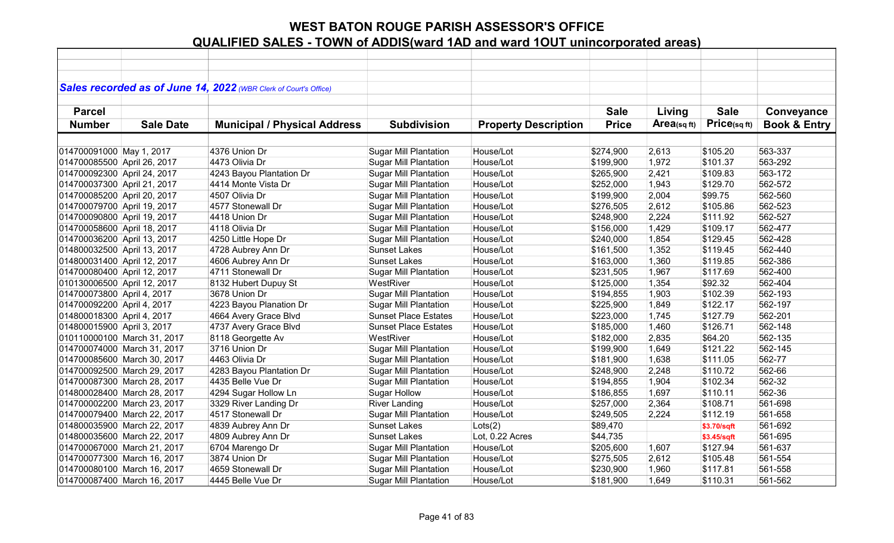|                             |                             | Sales recorded as of June 14, 2022 (WBR Clerk of Court's Office) |                              |                             |              |             |             |                         |
|-----------------------------|-----------------------------|------------------------------------------------------------------|------------------------------|-----------------------------|--------------|-------------|-------------|-------------------------|
| <b>Parcel</b>               |                             |                                                                  |                              |                             | <b>Sale</b>  | Living      | <b>Sale</b> | Conveyance              |
|                             |                             |                                                                  |                              |                             |              |             | Price(sqft) |                         |
| <b>Number</b>               | <b>Sale Date</b>            | <b>Municipal / Physical Address</b>                              | <b>Subdivision</b>           | <b>Property Description</b> | <b>Price</b> | Area(sq ft) |             | <b>Book &amp; Entry</b> |
|                             |                             |                                                                  |                              |                             |              |             |             |                         |
| 014700091000 May 1, 2017    |                             | 4376 Union Dr                                                    | <b>Sugar Mill Plantation</b> | House/Lot                   | \$274,900    | 2,613       | \$105.20    | 563-337                 |
| 014700085500 April 26, 2017 |                             | 4473 Olivia Dr                                                   | <b>Sugar Mill Plantation</b> | House/Lot                   | \$199,900    | 1,972       | \$101.37    | 563-292                 |
| 014700092300 April 24, 2017 |                             | 4243 Bayou Plantation Dr                                         | <b>Sugar Mill Plantation</b> | House/Lot                   | \$265,900    | 2,421       | \$109.83    | 563-172                 |
| 014700037300 April 21, 2017 |                             | 4414 Monte Vista Dr                                              | <b>Sugar Mill Plantation</b> | House/Lot                   | \$252,000    | 1,943       | \$129.70    | 562-572                 |
| 014700085200 April 20, 2017 |                             | 4507 Olivia Dr                                                   | <b>Sugar Mill Plantation</b> | House/Lot                   | \$199,900    | 2,004       | \$99.75     | 562-560                 |
| 014700079700 April 19, 2017 |                             | 4577 Stonewall Dr                                                | <b>Sugar Mill Plantation</b> | House/Lot                   | \$276,505    | 2,612       | \$105.86    | 562-523                 |
| 014700090800 April 19, 2017 |                             | 4418 Union Dr                                                    | <b>Sugar Mill Plantation</b> | House/Lot                   | \$248,900    | 2,224       | \$111.92    | 562-527                 |
| 014700058600 April 18, 2017 |                             | 4118 Olivia Dr                                                   | <b>Sugar Mill Plantation</b> | House/Lot                   | \$156,000    | 1,429       | \$109.17    | 562-477                 |
| 014700036200 April 13, 2017 |                             | 4250 Little Hope Dr                                              | <b>Sugar Mill Plantation</b> | House/Lot                   | \$240,000    | 1,854       | \$129.45    | 562-428                 |
| 014800032500 April 13, 2017 |                             | 4728 Aubrey Ann Dr                                               | <b>Sunset Lakes</b>          | House/Lot                   | \$161,500    | 1,352       | \$119.45    | 562-440                 |
| 014800031400 April 12, 2017 |                             | 4606 Aubrey Ann Dr                                               | <b>Sunset Lakes</b>          | House/Lot                   | \$163,000    | 1,360       | \$119.85    | 562-386                 |
| 014700080400 April 12, 2017 |                             | 4711 Stonewall Dr                                                | Sugar Mill Plantation        | House/Lot                   | \$231,505    | 1,967       | \$117.69    | 562-400                 |
| 010130006500 April 12, 2017 |                             | 8132 Hubert Dupuy St                                             | WestRiver                    | House/Lot                   | \$125,000    | 1,354       | \$92.32     | 562-404                 |
| 014700073800 April 4, 2017  |                             | 3678 Union Dr                                                    | <b>Sugar Mill Plantation</b> | House/Lot                   | \$194,855    | 1,903       | \$102.39    | 562-193                 |
| 014700092200 April 4, 2017  |                             | 4223 Bayou Planation Dr                                          | <b>Sugar Mill Plantation</b> | House/Lot                   | \$225,900    | 1,849       | \$122.17    | 562-197                 |
| 014800018300 April 4, 2017  |                             | 4664 Avery Grace Blvd                                            | <b>Sunset Place Estates</b>  | House/Lot                   | \$223,000    | 1,745       | \$127.79    | 562-201                 |
| 014800015900 April 3, 2017  |                             | 4737 Avery Grace Blvd                                            | <b>Sunset Place Estates</b>  | House/Lot                   | \$185,000    | 1,460       | \$126.71    | 562-148                 |
|                             | 010110000100 March 31, 2017 | 8118 Georgette Av                                                | WestRiver                    | House/Lot                   | \$182,000    | 2,835       | \$64.20     | 562-135                 |
|                             | 014700074000 March 31, 2017 | 3716 Union Dr                                                    | <b>Sugar Mill Plantation</b> | House/Lot                   | \$199,900    | 1,649       | \$121.22    | 562-145                 |
|                             | 014700085600 March 30, 2017 | 4463 Olivia Dr                                                   | <b>Sugar Mill Plantation</b> | House/Lot                   | \$181,900    | 1,638       | \$111.05    | 562-77                  |
|                             | 014700092500 March 29, 2017 | 4283 Bayou Plantation Dr                                         | <b>Sugar Mill Plantation</b> | House/Lot                   | \$248,900    | 2,248       | \$110.72    | 562-66                  |
|                             | 014700087300 March 28, 2017 | 4435 Belle Vue Dr                                                | <b>Sugar Mill Plantation</b> | House/Lot                   | \$194,855    | 1,904       | \$102.34    | 562-32                  |
|                             | 014800028400 March 28, 2017 | 4294 Sugar Hollow Ln                                             | <b>Sugar Hollow</b>          | House/Lot                   | \$186,855    | 1,697       | \$110.11    | 562-36                  |
|                             | 014700002200 March 23, 2017 | 3329 River Landing Dr                                            | <b>River Landing</b>         | House/Lot                   | \$257,000    | 2,364       | \$108.71    | 561-698                 |
|                             | 014700079400 March 22, 2017 | 4517 Stonewall Dr                                                | <b>Sugar Mill Plantation</b> | House/Lot                   | \$249,505    | 2,224       | \$112.19    | 561-658                 |
|                             | 014800035900 March 22, 2017 | 4839 Aubrey Ann Dr                                               | <b>Sunset Lakes</b>          | Lots(2)                     | \$89,470     |             | \$3.70/sqft | 561-692                 |
|                             | 014800035600 March 22, 2017 | 4809 Aubrey Ann Dr                                               | <b>Sunset Lakes</b>          | Lot, 0.22 Acres             | \$44,735     |             | \$3.45/sqft | 561-695                 |
|                             | 014700067000 March 21, 2017 | 6704 Marengo Dr                                                  | <b>Sugar Mill Plantation</b> | House/Lot                   | \$205,600    | 1,607       | \$127.94    | 561-637                 |
|                             | 014700077300 March 16, 2017 | 3874 Union Dr                                                    | <b>Sugar Mill Plantation</b> | House/Lot                   | \$275,505    | 2,612       | \$105.48    | 561-554                 |
|                             | 014700080100 March 16, 2017 | 4659 Stonewall Dr                                                | <b>Sugar Mill Plantation</b> | House/Lot                   | \$230,900    | 1,960       | \$117.81    | 561-558                 |
|                             | 014700087400 March 16, 2017 | 4445 Belle Vue Dr                                                | <b>Sugar Mill Plantation</b> | House/Lot                   | \$181,900    | 1,649       | \$110.31    | 561-562                 |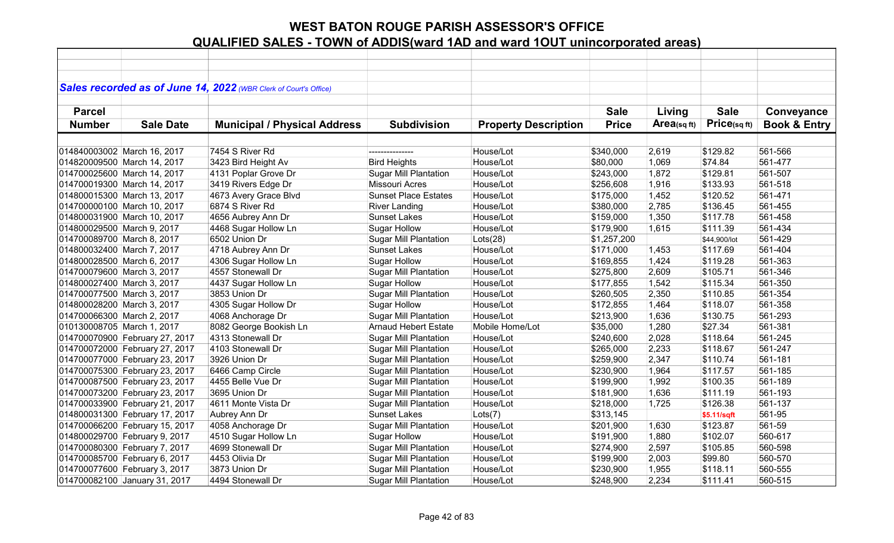|                            |                                | Sales recorded as of June 14, 2022 (WBR Clerk of Court's Office) |                              |                             |              |            |              |                         |
|----------------------------|--------------------------------|------------------------------------------------------------------|------------------------------|-----------------------------|--------------|------------|--------------|-------------------------|
|                            |                                |                                                                  |                              |                             |              |            |              |                         |
| <b>Parcel</b>              |                                |                                                                  |                              |                             | <b>Sale</b>  | Living     | <b>Sale</b>  | Conveyance              |
| <b>Number</b>              | <b>Sale Date</b>               | <b>Municipal / Physical Address</b>                              | <b>Subdivision</b>           | <b>Property Description</b> | <b>Price</b> | Area(sqft) | Price(sqft)  | <b>Book &amp; Entry</b> |
|                            |                                |                                                                  |                              |                             |              |            |              |                         |
|                            | 014840003002 March 16, 2017    | 7454 S River Rd                                                  | ---------------              | House/Lot                   | \$340,000    | 2,619      | \$129.82     | 561-566                 |
|                            | 014820009500 March 14, 2017    | 3423 Bird Height Av                                              | <b>Bird Heights</b>          | House/Lot                   | \$80,000     | 1,069      | \$74.84      | 561-477                 |
|                            | 014700025600 March 14, 2017    | 4131 Poplar Grove Dr                                             | <b>Sugar Mill Plantation</b> | House/Lot                   | \$243,000    | 1,872      | \$129.81     | 561-507                 |
|                            | 014700019300 March 14, 2017    | 3419 Rivers Edge Dr                                              | <b>Missouri Acres</b>        | House/Lot                   | \$256,608    | 1,916      | \$133.93     | 561-518                 |
|                            | 014800015300 March 13, 2017    | 4673 Avery Grace Blvd                                            | <b>Sunset Place Estates</b>  | House/Lot                   | \$175,000    | 1,452      | \$120.52     | 561-471                 |
|                            | 014700000100 March 10, 2017    | 6874 S River Rd                                                  | <b>River Landing</b>         | House/Lot                   | \$380,000    | 2,785      | \$136.45     | 561-455                 |
|                            | 014800031900 March 10, 2017    | 4656 Aubrey Ann Dr                                               | <b>Sunset Lakes</b>          | House/Lot                   | \$159,000    | 1,350      | \$117.78     | 561-458                 |
| 014800029500 March 9, 2017 |                                | 4468 Sugar Hollow Ln                                             | <b>Sugar Hollow</b>          | House/Lot                   | \$179,900    | 1,615      | \$111.39     | 561-434                 |
| 014700089700 March 8, 2017 |                                | 6502 Union Dr                                                    | <b>Sugar Mill Plantation</b> | Lots(28)                    | \$1,257,200  |            | \$44,900/lot | 561-429                 |
| 014800032400 March 7, 2017 |                                | 4718 Aubrey Ann Dr                                               | <b>Sunset Lakes</b>          | House/Lot                   | \$171,000    | 1,453      | \$117.69     | 561-404                 |
| 014800028500 March 6, 2017 |                                | 4306 Sugar Hollow Ln                                             | <b>Sugar Hollow</b>          | House/Lot                   | \$169,855    | 1,424      | \$119.28     | 561-363                 |
| 014700079600 March 3, 2017 |                                | 4557 Stonewall Dr                                                | <b>Sugar Mill Plantation</b> | House/Lot                   | \$275,800    | 2,609      | \$105.71     | 561-346                 |
| 014800027400 March 3, 2017 |                                | 4437 Sugar Hollow Ln                                             | <b>Sugar Hollow</b>          | House/Lot                   | \$177,855    | 1,542      | \$115.34     | 561-350                 |
| 014700077500 March 3, 2017 |                                | 3853 Union Dr                                                    | <b>Sugar Mill Plantation</b> | House/Lot                   | \$260,505    | 2,350      | \$110.85     | 561-354                 |
| 014800028200 March 3, 2017 |                                | 4305 Sugar Hollow Dr                                             | <b>Sugar Hollow</b>          | House/Lot                   | \$172,855    | 1,464      | \$118.07     | 561-358                 |
| 014700066300 March 2, 2017 |                                | 4068 Anchorage Dr                                                | Sugar Mill Plantation        | House/Lot                   | \$213,900    | 1,636      | \$130.75     | 561-293                 |
| 010130008705 March 1, 2017 |                                | 8082 George Bookish Ln                                           | <b>Arnaud Hebert Estate</b>  | Mobile Home/Lot             | \$35,000     | 1,280      | \$27.34      | 561-381                 |
|                            | 014700070900 February 27, 2017 | 4313 Stonewall Dr                                                | <b>Sugar Mill Plantation</b> | House/Lot                   | \$240,600    | 2,028      | \$118.64     | 561-245                 |
|                            | 014700072000 February 27, 2017 | 4103 Stonewall Dr                                                | <b>Sugar Mill Plantation</b> | House/Lot                   | \$265,000    | 2,233      | \$118.67     | 561-247                 |
|                            | 014700077000 February 23, 2017 | 3926 Union Dr                                                    | <b>Sugar Mill Plantation</b> | House/Lot                   | \$259,900    | 2,347      | \$110.74     | 561-181                 |
|                            | 014700075300 February 23, 2017 | 6466 Camp Circle                                                 | <b>Sugar Mill Plantation</b> | House/Lot                   | \$230,900    | 1,964      | \$117.57     | 561-185                 |
|                            | 014700087500 February 23, 2017 | 4455 Belle Vue Dr                                                | <b>Sugar Mill Plantation</b> | House/Lot                   | \$199,900    | 1,992      | \$100.35     | 561-189                 |
|                            | 014700073200 February 23, 2017 | 3695 Union Dr                                                    | <b>Sugar Mill Plantation</b> | House/Lot                   | \$181,900    | 1,636      | \$111.19     | 561-193                 |
|                            | 014700033900 February 21, 2017 | 4611 Monte Vista Dr                                              | <b>Sugar Mill Plantation</b> | House/Lot                   | \$218,000    | 1,725      | \$126.38     | 561-137                 |
|                            | 014800031300 February 17, 2017 | Aubrey Ann Dr                                                    | <b>Sunset Lakes</b>          | Lots(7)                     | \$313,145    |            | \$5.11/sqft  | 561-95                  |
|                            | 014700066200 February 15, 2017 | 4058 Anchorage Dr                                                | <b>Sugar Mill Plantation</b> | House/Lot                   | \$201,900    | 1,630      | \$123.87     | 561-59                  |
|                            | 014800029700 February 9, 2017  | 4510 Sugar Hollow Ln                                             | <b>Sugar Hollow</b>          | House/Lot                   | \$191,900    | 1,880      | \$102.07     | 560-617                 |
|                            | 014700080300 February 7, 2017  | 4699 Stonewall Dr                                                | <b>Sugar Mill Plantation</b> | House/Lot                   | \$274,900    | 2,597      | \$105.85     | 560-598                 |
|                            | 014700085700 February 6, 2017  | 4453 Olivia Dr                                                   | <b>Sugar Mill Plantation</b> | House/Lot                   | \$199,900    | 2,003      | \$99.80      | 560-570                 |
|                            | 014700077600 February 3, 2017  | 3873 Union Dr                                                    | <b>Sugar Mill Plantation</b> | House/Lot                   | \$230,900    | 1,955      | \$118.11     | 560-555                 |
|                            | 014700082100 January 31, 2017  | 4494 Stonewall Dr                                                | <b>Sugar Mill Plantation</b> | House/Lot                   | \$248,900    | 2,234      | \$111.41     | 560-515                 |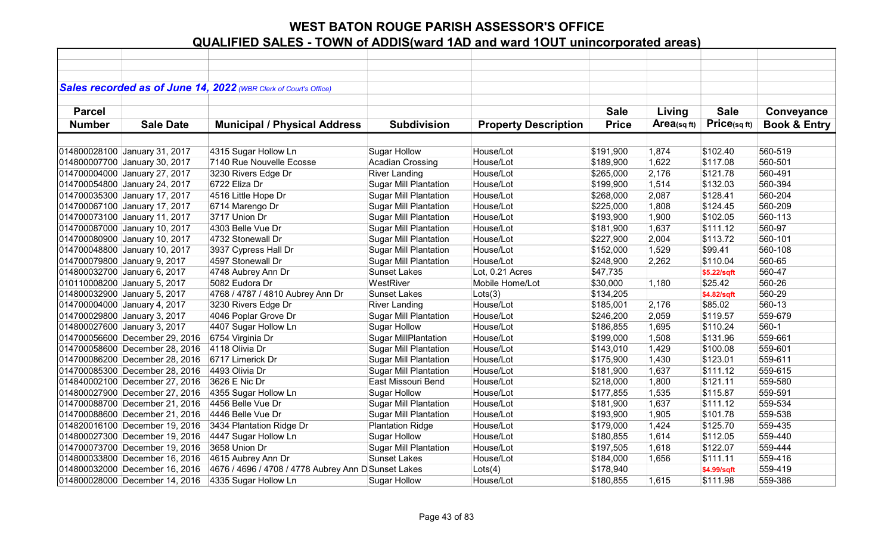|               |                                | Sales recorded as of June 14, 2022 (WBR Clerk of Court's Office) |                              |                             |              |             |             |                         |
|---------------|--------------------------------|------------------------------------------------------------------|------------------------------|-----------------------------|--------------|-------------|-------------|-------------------------|
|               |                                |                                                                  |                              |                             |              |             |             |                         |
| <b>Parcel</b> |                                |                                                                  |                              |                             | <b>Sale</b>  | Living      | <b>Sale</b> | Conveyance              |
| <b>Number</b> | <b>Sale Date</b>               | <b>Municipal / Physical Address</b>                              | <b>Subdivision</b>           | <b>Property Description</b> | <b>Price</b> | Area(sq ft) | Price(sqft) | <b>Book &amp; Entry</b> |
|               |                                |                                                                  |                              |                             |              |             |             |                         |
|               | 014800028100 January 31, 2017  | 4315 Sugar Hollow Ln                                             | <b>Sugar Hollow</b>          | House/Lot                   | \$191,900    | 1,874       | \$102.40    | 560-519                 |
|               | 014800007700 January 30, 2017  | 7140 Rue Nouvelle Ecosse                                         | <b>Acadian Crossing</b>      | House/Lot                   | \$189,900    | 1,622       | \$117.08    | 560-501                 |
|               | 014700004000 January 27, 2017  | 3230 Rivers Edge Dr                                              | <b>River Landing</b>         | House/Lot                   | \$265,000    | 2,176       | \$121.78    | 560-491                 |
|               | 014700054800 January 24, 2017  | 6722 Eliza Dr                                                    | <b>Sugar Mill Plantation</b> | House/Lot                   | \$199,900    | 1,514       | \$132.03    | 560-394                 |
|               | 014700035300 January 17, 2017  | 4516 Little Hope Dr                                              | <b>Sugar Mill Plantation</b> | House/Lot                   | \$268,000    | 2,087       | \$128.41    | 560-204                 |
|               | 014700067100 January 17, 2017  | 6714 Marengo Dr                                                  | <b>Sugar Mill Plantation</b> | House/Lot                   | \$225,000    | 1,808       | \$124.45    | 560-209                 |
|               | 014700073100 January 11, 2017  | 3717 Union Dr                                                    | <b>Sugar Mill Plantation</b> | House/Lot                   | \$193,900    | 1,900       | \$102.05    | 560-113                 |
|               | 014700087000 January 10, 2017  | 4303 Belle Vue Dr                                                | <b>Sugar Mill Plantation</b> | House/Lot                   | \$181,900    | 1,637       | \$111.12    | 560-97                  |
|               | 014700080900 January 10, 2017  | 4732 Stonewall Dr                                                | <b>Sugar Mill Plantation</b> | House/Lot                   | \$227,900    | 2,004       | \$113.72    | 560-101                 |
|               | 014700048800 January 10, 2017  | 3937 Cypress Hall Dr                                             | <b>Sugar Mill Plantation</b> | House/Lot                   | \$152,000    | 1,529       | \$99.41     | 560-108                 |
|               | 014700079800 January 9, 2017   | 4597 Stonewall Dr                                                | <b>Sugar Mill Plantation</b> | House/Lot                   | \$248,900    | 2,262       | \$110.04    | 560-65                  |
|               | 014800032700 January 6, 2017   | 4748 Aubrey Ann Dr                                               | <b>Sunset Lakes</b>          | Lot, 0.21 Acres             | \$47,735     |             | \$5.22/sqft | 560-47                  |
|               | 010110008200 January 5, 2017   | 5082 Eudora Dr                                                   | WestRiver                    | Mobile Home/Lot             | \$30,000     | 1,180       | \$25.42     | 560-26                  |
|               | 014800032900 January 5, 2017   | 4768 / 4787 / 4810 Aubrey Ann Dr                                 | <b>Sunset Lakes</b>          | Lots(3)                     | \$134,205    |             | \$4.82/sqft | 560-29                  |
|               | 014700004000 January 4, 2017   | 3230 Rivers Edge Dr                                              | <b>River Landing</b>         | House/Lot                   | \$185,001    | 2,176       | \$85.02     | 560-13                  |
|               | 014700029800 January 3, 2017   | 4046 Poplar Grove Dr                                             | <b>Sugar Mill Plantation</b> | House/Lot                   | \$246,200    | 2,059       | \$119.57    | 559-679                 |
|               | 014800027600 January 3, 2017   | 4407 Sugar Hollow Ln                                             | <b>Sugar Hollow</b>          | House/Lot                   | \$186,855    | 1,695       | \$110.24    | $560-1$                 |
|               | 014700056600 December 29, 2016 | 6754 Virginia Dr                                                 | <b>Sugar MillPlantation</b>  | House/Lot                   | \$199,000    | 1,508       | \$131.96    | 559-661                 |
|               | 014700058600 December 28, 2016 | 4118 Olivia Dr                                                   | <b>Sugar Mill Plantation</b> | House/Lot                   | \$143,010    | 1,429       | \$100.08    | 559-601                 |
|               | 014700086200 December 28, 2016 | 6717 Limerick Dr                                                 | <b>Sugar Mill Plantation</b> | House/Lot                   | \$175,900    | 1,430       | \$123.01    | 559-611                 |
|               | 014700085300 December 28, 2016 | 4493 Olivia Dr                                                   | <b>Sugar Mill Plantation</b> | House/Lot                   | \$181,900    | 1,637       | \$111.12    | 559-615                 |
|               | 014840002100 December 27, 2016 | 3626 E Nic Dr                                                    | East Missouri Bend           | House/Lot                   | \$218,000    | 1,800       | \$121.11    | 559-580                 |
|               | 014800027900 December 27, 2016 | 4355 Sugar Hollow Ln                                             | <b>Sugar Hollow</b>          | House/Lot                   | \$177,855    | 1,535       | \$115.87    | 559-591                 |
|               | 014700088700 December 21, 2016 | 4456 Belle Vue Dr                                                | <b>Sugar Mill Plantation</b> | House/Lot                   | \$181,900    | 1,637       | \$111.12    | 559-534                 |
|               | 014700088600 December 21, 2016 | 4446 Belle Vue Dr                                                | <b>Sugar Mill Plantation</b> | House/Lot                   | \$193,900    | 1,905       | \$101.78    | 559-538                 |
|               | 014820016100 December 19, 2016 | 3434 Plantation Ridge Dr                                         | <b>Plantation Ridge</b>      | House/Lot                   | \$179,000    | 1,424       | \$125.70    | 559-435                 |
|               | 014800027300 December 19, 2016 | 4447 Sugar Hollow Ln                                             | <b>Sugar Hollow</b>          | House/Lot                   | \$180,855    | 1,614       | \$112.05    | 559-440                 |
|               | 014700073700 December 19, 2016 | 3658 Union Dr                                                    | <b>Sugar Mill Plantation</b> | House/Lot                   | \$197,505    | 1,618       | \$122.07    | 559-444                 |
|               | 014800033800 December 16, 2016 | 4615 Aubrey Ann Dr                                               | <b>Sunset Lakes</b>          | House/Lot                   | \$184,000    | 1,656       | \$111.11    | 559-416                 |
|               | 014800032000 December 16, 2016 | 4676 / 4696 / 4708 / 4778 Aubrey Ann D Sunset Lakes              |                              | Lots(4)                     | \$178,940    |             | \$4.99/sqft | 559-419                 |
|               | 014800028000 December 14, 2016 | 4335 Sugar Hollow Ln                                             | <b>Sugar Hollow</b>          | House/Lot                   | \$180,855    | 1,615       | \$111.98    | 559-386                 |
|               |                                |                                                                  |                              |                             |              |             |             |                         |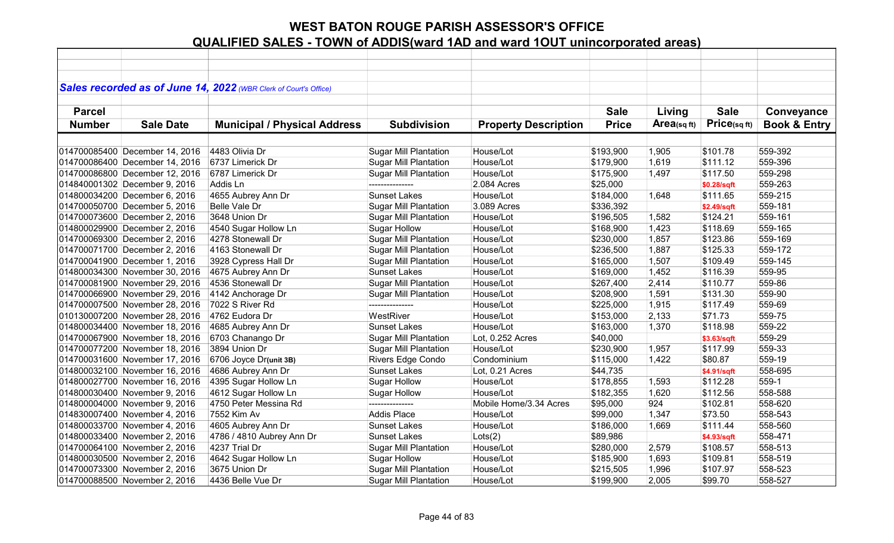|               |                                | Sales recorded as of June 14, 2022 (WBR Clerk of Court's Office) |                              |                             |              |            |              |                         |
|---------------|--------------------------------|------------------------------------------------------------------|------------------------------|-----------------------------|--------------|------------|--------------|-------------------------|
|               |                                |                                                                  |                              |                             |              |            |              |                         |
| <b>Parcel</b> |                                |                                                                  |                              |                             | <b>Sale</b>  | Living     | <b>Sale</b>  | Conveyance              |
| <b>Number</b> | <b>Sale Date</b>               | <b>Municipal / Physical Address</b>                              | <b>Subdivision</b>           | <b>Property Description</b> | <b>Price</b> | Area(sqft) | Price(sq ft) | <b>Book &amp; Entry</b> |
|               |                                |                                                                  |                              |                             |              |            |              |                         |
|               | 014700085400 December 14, 2016 | 4483 Olivia Dr                                                   | <b>Sugar Mill Plantation</b> | House/Lot                   | \$193,900    | 1,905      | \$101.78     | 559-392                 |
|               | 014700086400 December 14, 2016 | 6737 Limerick Dr                                                 | <b>Sugar Mill Plantation</b> | House/Lot                   | \$179,900    | 1,619      | \$111.12     | 559-396                 |
|               | 014700086800 December 12, 2016 | 6787 Limerick Dr                                                 | <b>Sugar Mill Plantation</b> | House/Lot                   | \$175,900    | 1,497      | \$117.50     | 559-298                 |
|               | 014840001302 December 9, 2016  | Addis Ln                                                         | ---------------              | 2.084 Acres                 | \$25,000     |            | \$0.28/sqft  | 559-263                 |
|               | 014800034200 December 6, 2016  | 4655 Aubrey Ann Dr                                               | <b>Sunset Lakes</b>          | House/Lot                   | \$184,000    | 1,648      | \$111.65     | 559-215                 |
|               | 014700050700 December 5, 2016  | Belle Vale Dr                                                    | <b>Sugar Mill Plantation</b> | 3.089 Acres                 | \$336,392    |            | \$2.49/sqft  | 559-181                 |
|               | 014700073600 December 2, 2016  | 3648 Union Dr                                                    | <b>Sugar Mill Plantation</b> | House/Lot                   | \$196,505    | 1,582      | \$124.21     | 559-161                 |
|               | 014800029900 December 2, 2016  | 4540 Sugar Hollow Ln                                             | <b>Sugar Hollow</b>          | House/Lot                   | \$168,900    | 1,423      | \$118.69     | 559-165                 |
|               | 014700069300 December 2, 2016  | 4278 Stonewall Dr                                                | <b>Sugar Mill Plantation</b> | House/Lot                   | \$230,000    | 1,857      | \$123.86     | 559-169                 |
|               | 014700071700 December 2, 2016  | 4163 Stonewall Dr                                                | <b>Sugar Mill Plantation</b> | House/Lot                   | \$236,500    | 1,887      | \$125.33     | 559-172                 |
|               | 014700041900 December 1, 2016  | 3928 Cypress Hall Dr                                             | <b>Sugar Mill Plantation</b> | House/Lot                   | \$165,000    | 1,507      | \$109.49     | 559-145                 |
|               | 014800034300 November 30, 2016 | 4675 Aubrey Ann Dr                                               | <b>Sunset Lakes</b>          | House/Lot                   | \$169,000    | 1,452      | \$116.39     | 559-95                  |
|               | 014700081900 November 29, 2016 | 4536 Stonewall Dr                                                | <b>Sugar Mill Plantation</b> | House/Lot                   | \$267,400    | 2,414      | \$110.77     | 559-86                  |
|               | 014700066900 November 29, 2016 | 4142 Anchorage Dr                                                | <b>Sugar Mill Plantation</b> | House/Lot                   | \$208,900    | 1,591      | \$131.30     | 559-90                  |
|               | 014700007500 November 28, 2016 | 7022 S River Rd                                                  | ---------------              | House/Lot                   | \$225,000    | 1,915      | \$117.49     | 559-69                  |
|               | 010130007200 November 28, 2016 | 4762 Eudora Dr                                                   | WestRiver                    | House/Lot                   | \$153,000    | 2,133      | \$71.73      | 559-75                  |
|               | 014800034400 November 18, 2016 | 4685 Aubrey Ann Dr                                               | <b>Sunset Lakes</b>          | House/Lot                   | \$163,000    | 1,370      | \$118.98     | 559-22                  |
|               | 014700067900 November 18, 2016 | 6703 Chanango Dr                                                 | <b>Sugar Mill Plantation</b> | Lot, 0.252 Acres            | \$40,000     |            | \$3.63/sqft  | 559-29                  |
|               | 014700077200 November 18, 2016 | 3894 Union Dr                                                    | <b>Sugar Mill Plantation</b> | House/Lot                   | \$230,900    | 1,957      | \$117.99     | 559-33                  |
|               | 014700031600 November 17, 2016 | 6706 Joyce Dr(unit 3B)                                           | Rivers Edge Condo            | Condominium                 | \$115,000    | 1,422      | \$80.87      | 559-19                  |
|               | 014800032100 November 16, 2016 | 4686 Aubrey Ann Dr                                               | <b>Sunset Lakes</b>          | Lot, 0.21 Acres             | \$44,735     |            | \$4.91/sqft  | 558-695                 |
|               | 014800027700 November 16, 2016 | 4395 Sugar Hollow Ln                                             | <b>Sugar Hollow</b>          | House/Lot                   | \$178,855    | 1,593      | \$112.28     | 559-1                   |
|               | 014800030400 November 9, 2016  | 4612 Sugar Hollow Ln                                             | <b>Sugar Hollow</b>          | House/Lot                   | \$182,355    | 1,620      | \$112.56     | 558-588                 |
|               | 014800004000 November 9, 2016  | 4750 Peter Messina Rd                                            | ---------------              | Mobile Home/3.34 Acres      | \$95,000     | 924        | \$102.81     | 558-620                 |
|               | 014830007400 November 4, 2016  | 7552 Kim Av                                                      | <b>Addis Place</b>           | House/Lot                   | \$99,000     | 1,347      | \$73.50      | 558-543                 |
|               | 014800033700 November 4, 2016  | 4605 Aubrey Ann Dr                                               | <b>Sunset Lakes</b>          | House/Lot                   | \$186,000    | 1,669      | \$111.44     | 558-560                 |
|               | 014800033400 November 2, 2016  | 4786 / 4810 Aubrey Ann Dr                                        | <b>Sunset Lakes</b>          | Lots(2)                     | \$89,986     |            | \$4.93/sqft  | 558-471                 |
|               | 014700064100 November 2, 2016  | 4237 Trial Dr                                                    | <b>Sugar Mill Plantation</b> | House/Lot                   | \$280,000    | 2,579      | \$108.57     | 558-513                 |
|               | 014800030500 November 2, 2016  | 4642 Sugar Hollow Ln                                             | <b>Sugar Hollow</b>          | House/Lot                   | \$185,900    | 1,693      | \$109.81     | 558-519                 |
|               | 014700073300 November 2, 2016  | 3675 Union Dr                                                    | <b>Sugar Mill Plantation</b> | House/Lot                   | \$215,505    | 1,996      | \$107.97     | 558-523                 |
|               | 014700088500 November 2, 2016  | 4436 Belle Vue Dr                                                | <b>Sugar Mill Plantation</b> | House/Lot                   | \$199,900    | 2,005      | \$99.70      | 558-527                 |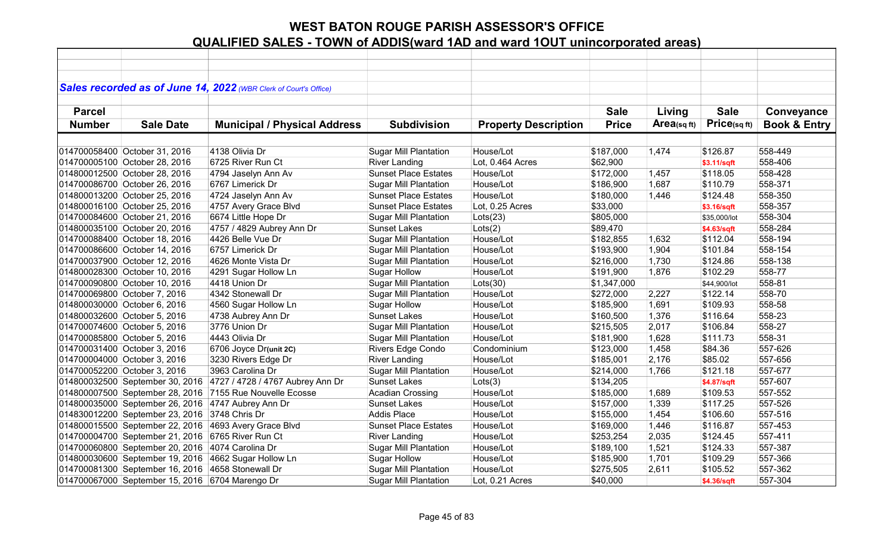|               |                                                    | Sales recorded as of June 14, 2022 (WBR Clerk of Court's Office) |                              |                             |              |             |              |                         |
|---------------|----------------------------------------------------|------------------------------------------------------------------|------------------------------|-----------------------------|--------------|-------------|--------------|-------------------------|
|               |                                                    |                                                                  |                              |                             |              |             |              |                         |
| <b>Parcel</b> |                                                    |                                                                  |                              |                             | <b>Sale</b>  | Living      | <b>Sale</b>  | Conveyance              |
| <b>Number</b> | <b>Sale Date</b>                                   | <b>Municipal / Physical Address</b>                              | <b>Subdivision</b>           | <b>Property Description</b> | <b>Price</b> | Area(sq ft) | Price(sqft)  | <b>Book &amp; Entry</b> |
|               |                                                    |                                                                  |                              |                             |              |             |              |                         |
|               | 014700058400 October 31, 2016                      | 4138 Olivia Dr                                                   | <b>Sugar Mill Plantation</b> | House/Lot                   | \$187,000    | 1,474       | \$126.87     | 558-449                 |
|               | 014700005100 October 28, 2016                      | 6725 River Run Ct                                                | <b>River Landing</b>         | Lot, 0.464 Acres            | \$62,900     |             | \$3.11/sqft  | 558-406                 |
|               | 014800012500 October 28, 2016                      | 4794 Jaselyn Ann Av                                              | <b>Sunset Place Estates</b>  | House/Lot                   | \$172,000    | 1,457       | \$118.05     | 558-428                 |
|               | 014700086700 October 26, 2016                      | 6767 Limerick Dr                                                 | <b>Sugar Mill Plantation</b> | House/Lot                   | \$186,900    | 1,687       | \$110.79     | 558-371                 |
|               | 014800013200 October 25, 2016                      | 4724 Jaselyn Ann Av                                              | <b>Sunset Place Estates</b>  | House/Lot                   | \$180,000    | 1,446       | \$124.48     | 558-350                 |
|               | 014800016100 October 25, 2016                      | 4757 Avery Grace Blvd                                            | <b>Sunset Place Estates</b>  | Lot, 0.25 Acres             | \$33,000     |             | \$3.16/sqft  | 558-357                 |
|               | 014700084600 October 21, 2016                      | 6674 Little Hope Dr                                              | <b>Sugar Mill Plantation</b> | Lots(23)                    | \$805,000    |             | \$35,000/lot | 558-304                 |
|               | 014800035100 October 20, 2016                      | 4757 / 4829 Aubrey Ann Dr                                        | Sunset Lakes                 | Lots(2)                     | \$89,470     |             | \$4.63/sqft  | 558-284                 |
|               | 014700088400 October 18, 2016                      | 4426 Belle Vue Dr                                                | <b>Sugar Mill Plantation</b> | House/Lot                   | \$182,855    | 1,632       | \$112.04     | 558-194                 |
|               | 014700086600 October 14, 2016                      | 6757 Limerick Dr                                                 | <b>Sugar Mill Plantation</b> | House/Lot                   | \$193,900    | 1,904       | \$101.84     | 558-154                 |
|               | 014700037900 October 12, 2016                      | 4626 Monte Vista Dr                                              | <b>Sugar Mill Plantation</b> | House/Lot                   | \$216,000    | 1,730       | \$124.86     | 558-138                 |
|               | 014800028300 October 10, 2016                      | 4291 Sugar Hollow Ln                                             | <b>Sugar Hollow</b>          | House/Lot                   | \$191,900    | 1,876       | \$102.29     | 558-77                  |
|               | 014700090800 October 10, 2016                      | 4418 Union Dr                                                    | <b>Sugar Mill Plantation</b> | Lots(30)                    | \$1,347,000  |             | \$44,900/lot | 558-81                  |
|               | 014700069800 October 7, 2016                       | 4342 Stonewall Dr                                                | <b>Sugar Mill Plantation</b> | House/Lot                   | \$272,000    | 2,227       | \$122.14     | 558-70                  |
|               | 014800030000 October 6, 2016                       | 4560 Sugar Hollow Ln                                             | <b>Sugar Hollow</b>          | House/Lot                   | \$185,900    | 1,691       | \$109.93     | 558-58                  |
|               | 014800032600 October 5, 2016                       | 4738 Aubrey Ann Dr                                               | <b>Sunset Lakes</b>          | House/Lot                   | \$160,500    | 1,376       | \$116.64     | 558-23                  |
|               | 014700074600 October 5, 2016                       | 3776 Union Dr                                                    | Sugar Mill Plantation        | House/Lot                   | \$215,505    | 2,017       | \$106.84     | 558-27                  |
|               | 014700085800 October 5, 2016                       | 4443 Olivia Dr                                                   | <b>Sugar Mill Plantation</b> | House/Lot                   | \$181,900    | 1,628       | \$111.73     | 558-31                  |
|               | 014700031400 October 3, 2016                       | 6706 Joyce Dr(unit 2C)                                           | Rivers Edge Condo            | Condominium                 | \$123,000    | 1,458       | \$84.36      | 557-626                 |
|               | 014700004000 October 3, 2016                       | 3230 Rivers Edge Dr                                              | <b>River Landing</b>         | House/Lot                   | \$185,001    | 2,176       | \$85.02      | 557-656                 |
|               | 014700052200 October 3, 2016                       | 3963 Carolina Dr                                                 | <b>Sugar Mill Plantation</b> | House/Lot                   | \$214,000    | 1,766       | \$121.18     | 557-677                 |
|               | 014800032500 September 30, 2016                    | 4727 / 4728 / 4767 Aubrey Ann Dr                                 | <b>Sunset Lakes</b>          | Lots(3)                     | \$134,205    |             | \$4.87/sqft  | 557-607                 |
|               | 014800007500 September 28, 2016                    | 7155 Rue Nouvelle Ecosse                                         | <b>Acadian Crossing</b>      | House/Lot                   | \$185,000    | 1,689       | \$109.53     | 557-552                 |
|               | 014800035000 September 26, 2016 4747 Aubrey Ann Dr |                                                                  | <b>Sunset Lakes</b>          | House/Lot                   | \$157,000    | 1,339       | \$117.25     | 557-526                 |
|               | 014830012200 September 23, 2016                    | 3748 Chris Dr                                                    | <b>Addis Place</b>           | House/Lot                   | \$155,000    | 1,454       | \$106.60     | 557-516                 |
|               | 014800015500 September 22, 2016                    | 4693 Avery Grace Blvd                                            | <b>Sunset Place Estates</b>  | House/Lot                   | \$169,000    | 1,446       | \$116.87     | 557-453                 |
|               | 014700004700 September 21, 2016 6765 River Run Ct  |                                                                  | <b>River Landing</b>         | House/Lot                   | \$253,254    | 2,035       | \$124.45     | 557-411                 |
|               | 014700060800 September 20, 2016 4074 Carolina Dr   |                                                                  | <b>Sugar Mill Plantation</b> | House/Lot                   | \$189,100    | 1,521       | \$124.33     | 557-387                 |
|               |                                                    | 014800030600 September 19, 2016 4662 Sugar Hollow Ln             | <b>Sugar Hollow</b>          | House/Lot                   | \$185,900    | 1,701       | \$109.29     | 557-366                 |
|               | 014700081300 September 16, 2016 4658 Stonewall Dr  |                                                                  | <b>Sugar Mill Plantation</b> | House/Lot                   | \$275,505    | 2,611       | \$105.52     | 557-362                 |
|               | 014700067000 September 15, 2016 6704 Marengo Dr    |                                                                  | <b>Sugar Mill Plantation</b> | Lot, 0.21 Acres             | \$40,000     |             | \$4.36/sqft  | 557-304                 |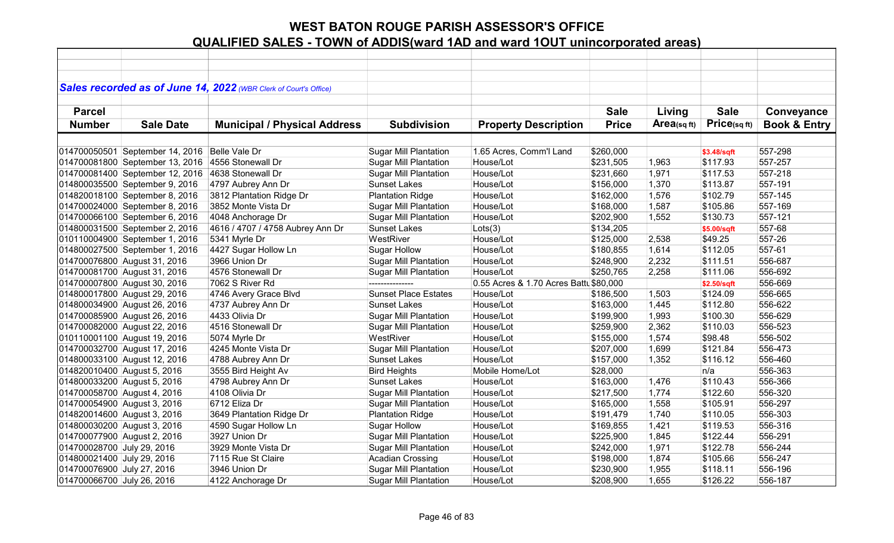|                             |                                 | Sales recorded as of June 14, 2022 (WBR Clerk of Court's Office) |                              |                                        |              |            |              |                         |
|-----------------------------|---------------------------------|------------------------------------------------------------------|------------------------------|----------------------------------------|--------------|------------|--------------|-------------------------|
|                             |                                 |                                                                  |                              |                                        |              |            |              |                         |
| <b>Parcel</b>               |                                 |                                                                  |                              |                                        | <b>Sale</b>  | Living     | <b>Sale</b>  | Conveyance              |
| <b>Number</b>               | <b>Sale Date</b>                | <b>Municipal / Physical Address</b>                              | <b>Subdivision</b>           | <b>Property Description</b>            | <b>Price</b> | Area(sqft) | Price(sq ft) | <b>Book &amp; Entry</b> |
|                             |                                 |                                                                  |                              |                                        |              |            |              |                         |
|                             | 014700050501 September 14, 2016 | Belle Vale Dr                                                    | <b>Sugar Mill Plantation</b> | 1.65 Acres, Comm'l Land                | \$260,000    |            | \$3.48/sqft  | 557-298                 |
|                             | 014700081800 September 13, 2016 | 4556 Stonewall Dr                                                | <b>Sugar Mill Plantation</b> | House/Lot                              | \$231,505    | 1,963      | \$117.93     | 557-257                 |
|                             | 014700081400 September 12, 2016 | 4638 Stonewall Dr                                                | <b>Sugar Mill Plantation</b> | House/Lot                              | \$231,660    | 1,971      | \$117.53     | 557-218                 |
|                             | 014800035500 September 9, 2016  | 4797 Aubrey Ann Dr                                               | <b>Sunset Lakes</b>          | House/Lot                              | \$156,000    | 1,370      | \$113.87     | 557-191                 |
|                             | 014820018100 September 8, 2016  | 3812 Plantation Ridge Dr                                         | <b>Plantation Ridge</b>      | House/Lot                              | \$162,000    | 1,576      | \$102.79     | 557-145                 |
|                             | 014700024000 September 8, 2016  | 3852 Monte Vista Dr                                              | <b>Sugar Mill Plantation</b> | House/Lot                              | \$168,000    | 1,587      | \$105.86     | 557-169                 |
|                             | 014700066100 September 6, 2016  | 4048 Anchorage Dr                                                | <b>Sugar Mill Plantation</b> | House/Lot                              | \$202,900    | 1,552      | \$130.73     | 557-121                 |
|                             | 014800031500 September 2, 2016  | 4616 / 4707 / 4758 Aubrey Ann Dr                                 | <b>Sunset Lakes</b>          | Lots(3)                                | \$134,205    |            | \$5.00/sqft  | 557-68                  |
|                             | 010110004900 September 1, 2016  | 5341 Myrle Dr                                                    | WestRiver                    | House/Lot                              | \$125,000    | 2,538      | \$49.25      | 557-26                  |
|                             | 014800027500 September 1, 2016  | 4427 Sugar Hollow Ln                                             | <b>Sugar Hollow</b>          | House/Lot                              | \$180,855    | 1,614      | \$112.05     | 557-61                  |
|                             | 014700076800 August 31, 2016    | 3966 Union Dr                                                    | <b>Sugar Mill Plantation</b> | House/Lot                              | \$248,900    | 2,232      | \$111.51     | 556-687                 |
|                             | 014700081700 August 31, 2016    | 4576 Stonewall Dr                                                | Sugar Mill Plantation        | House/Lot                              | \$250,765    | 2,258      | \$111.06     | 556-692                 |
|                             | 014700007800 August 30, 2016    | 7062 S River Rd                                                  | ---------------              | 0.55 Acres & 1.70 Acres Battl \$80,000 |              |            | \$2.50/sqft  | 556-669                 |
|                             | 014800017800 August 29, 2016    | 4746 Avery Grace Blvd                                            | <b>Sunset Place Estates</b>  | House/Lot                              | \$186,500    | 1,503      | \$124.09     | 556-665                 |
|                             | 014800034900 August 26, 2016    | 4737 Aubrey Ann Dr                                               | <b>Sunset Lakes</b>          | House/Lot                              | \$163,000    | 1,445      | \$112.80     | 556-622                 |
|                             | 014700085900 August 26, 2016    | 4433 Olivia Dr                                                   | <b>Sugar Mill Plantation</b> | House/Lot                              | \$199,900    | 1,993      | \$100.30     | 556-629                 |
|                             | 014700082000 August 22, 2016    | 4516 Stonewall Dr                                                | <b>Sugar Mill Plantation</b> | House/Lot                              | \$259,900    | 2,362      | \$110.03     | 556-523                 |
|                             | 010110001100 August 19, 2016    | 5074 Myrle Dr                                                    | WestRiver                    | House/Lot                              | \$155,000    | 1,574      | \$98.48      | 556-502                 |
|                             | 014700032700 August 17, 2016    | 4245 Monte Vista Dr                                              | <b>Sugar Mill Plantation</b> | House/Lot                              | \$207,000    | 1,699      | \$121.84     | 556-473                 |
|                             | 014800033100 August 12, 2016    | 4788 Aubrey Ann Dr                                               | <b>Sunset Lakes</b>          | House/Lot                              | \$157,000    | 1,352      | \$116.12     | 556-460                 |
| 014820010400 August 5, 2016 |                                 | 3555 Bird Height Av                                              | <b>Bird Heights</b>          | Mobile Home/Lot                        | \$28,000     |            | n/a          | 556-363                 |
| 014800033200 August 5, 2016 |                                 | 4798 Aubrey Ann Dr                                               | <b>Sunset Lakes</b>          | House/Lot                              | \$163,000    | 1,476      | \$110.43     | 556-366                 |
| 014700058700 August 4, 2016 |                                 | 4108 Olivia Dr                                                   | <b>Sugar Mill Plantation</b> | House/Lot                              | \$217,500    | 1,774      | \$122.60     | 556-320                 |
| 014700054900 August 3, 2016 |                                 | 6712 Eliza Dr                                                    | <b>Sugar Mill Plantation</b> | House/Lot                              | \$165,000    | 1,558      | \$105.91     | 556-297                 |
| 014820014600 August 3, 2016 |                                 | 3649 Plantation Ridge Dr                                         | <b>Plantation Ridge</b>      | House/Lot                              | \$191,479    | 1,740      | \$110.05     | 556-303                 |
| 014800030200 August 3, 2016 |                                 | 4590 Sugar Hollow Ln                                             | <b>Sugar Hollow</b>          | House/Lot                              | \$169,855    | 1,421      | \$119.53     | 556-316                 |
| 014700077900 August 2, 2016 |                                 | 3927 Union Dr                                                    | <b>Sugar Mill Plantation</b> | House/Lot                              | \$225,900    | 1,845      | \$122.44     | 556-291                 |
| 014700028700 July 29, 2016  |                                 | 3929 Monte Vista Dr                                              | <b>Sugar Mill Plantation</b> | House/Lot                              | \$242,000    | 1,971      | \$122.78     | 556-244                 |
| 014800021400 July 29, 2016  |                                 | 7115 Rue St Claire                                               | <b>Acadian Crossing</b>      | House/Lot                              | \$198,000    | 1,874      | \$105.66     | 556-247                 |
| 014700076900 July 27, 2016  |                                 | 3946 Union Dr                                                    | <b>Sugar Mill Plantation</b> | House/Lot                              | \$230,900    | 1,955      | \$118.11     | 556-196                 |
| 014700066700 July 26, 2016  |                                 | 4122 Anchorage Dr                                                | <b>Sugar Mill Plantation</b> | House/Lot                              | \$208,900    | 1,655      | \$126.22     | 556-187                 |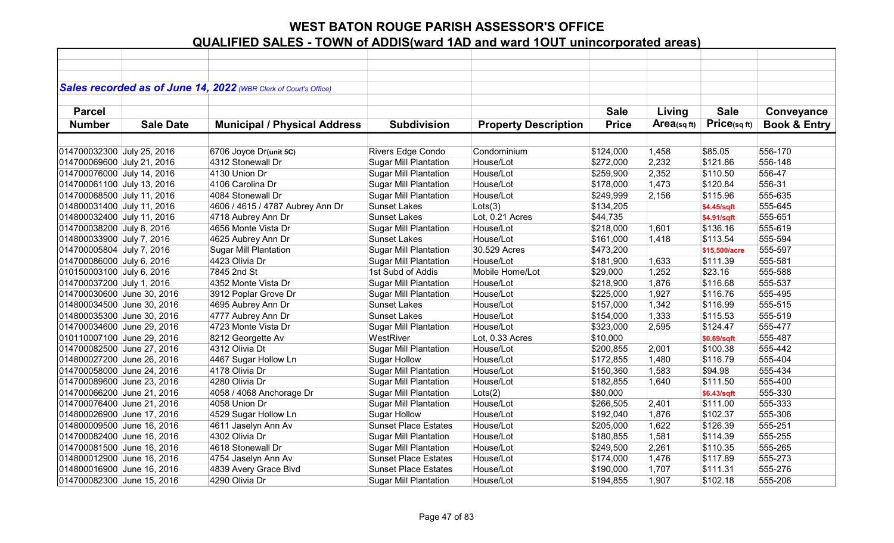|                            |                  | Sales recorded as of June 14, 2022 (WBR Clerk of Court's Office) |                              |                             |              |            |               |                         |
|----------------------------|------------------|------------------------------------------------------------------|------------------------------|-----------------------------|--------------|------------|---------------|-------------------------|
|                            |                  |                                                                  |                              |                             |              |            |               |                         |
| <b>Parcel</b>              |                  |                                                                  |                              |                             | <b>Sale</b>  | Living     | <b>Sale</b>   | Conveyance              |
| <b>Number</b>              | <b>Sale Date</b> | <b>Municipal / Physical Address</b>                              | <b>Subdivision</b>           | <b>Property Description</b> | <b>Price</b> | Area(sqft) | Price(sqft)   | <b>Book &amp; Entry</b> |
|                            |                  |                                                                  |                              |                             |              |            |               |                         |
| 014700032300 July 25, 2016 |                  | 6706 Joyce Dr(unit 5C)                                           | Rivers Edge Condo            | Condominium                 | \$124,000    | 1,458      | \$85.05       | 556-170                 |
| 014700069600 July 21, 2016 |                  | 4312 Stonewall Dr                                                | <b>Sugar Mill Plantation</b> | House/Lot                   | \$272,000    | 2,232      | \$121.86      | 556-148                 |
| 014700076000 July 14, 2016 |                  | 4130 Union Dr                                                    | <b>Sugar Mill Plantation</b> | House/Lot                   | \$259,900    | 2,352      | \$110.50      | 556-47                  |
| 014700061100 July 13, 2016 |                  | 4106 Carolina Dr                                                 | <b>Sugar Mill Plantation</b> | House/Lot                   | \$178,000    | 1,473      | \$120.84      | 556-31                  |
| 014700068500 July 11, 2016 |                  | 4084 Stonewall Dr                                                | <b>Sugar Mill Plantation</b> | House/Lot                   | \$249,999    | 2,156      | \$115.96      | 555-635                 |
| 014800031400 July 11, 2016 |                  | 4606 / 4615 / 4787 Aubrey Ann Dr                                 | <b>Sunset Lakes</b>          | Lots(3)                     | \$134,205    |            | \$4.45/sqft   | 555-645                 |
| 014800032400 July 11, 2016 |                  | 4718 Aubrey Ann Dr                                               | <b>Sunset Lakes</b>          | Lot, 0.21 Acres             | \$44,735     |            | \$4.91/sqft   | 555-651                 |
| 014700038200 July 8, 2016  |                  | 4656 Monte Vista Dr                                              | <b>Sugar Mill Plantation</b> | House/Lot                   | \$218,000    | 1,601      | \$136.16      | 555-619                 |
| 014800033900 July 7, 2016  |                  | 4625 Aubrey Ann Dr                                               | <b>Sunset Lakes</b>          | House/Lot                   | \$161,000    | 1,418      | \$113.54      | 555-594                 |
| 014700005804 July 7, 2016  |                  | <b>Sugar Mill Plantation</b>                                     | <b>Sugar Mill Plantation</b> | 30.529 Acres                | \$473,200    |            | \$15,500/acre | 555-597                 |
| 014700086000 July 6, 2016  |                  | 4423 Olivia Dr                                                   | <b>Sugar Mill Plantation</b> | House/Lot                   | \$181,900    | 1,633      | \$111.39      | 555-581                 |
| 010150003100 July 6, 2016  |                  | 7845 2nd St                                                      | 1st Subd of Addis            | Mobile Home/Lot             | \$29,000     | 1,252      | \$23.16       | 555-588                 |
| 014700037200 July 1, 2016  |                  | 4352 Monte Vista Dr                                              | <b>Sugar Mill Plantation</b> | House/Lot                   | \$218,900    | 1,876      | \$116.68      | 555-537                 |
| 014700030600 June 30, 2016 |                  | 3912 Poplar Grove Dr                                             | <b>Sugar Mill Plantation</b> | House/Lot                   | \$225,000    | 1,927      | \$116.76      | 555-495                 |
| 014800034500 June 30, 2016 |                  | 4695 Aubrey Ann Dr                                               | <b>Sunset Lakes</b>          | House/Lot                   | \$157,000    | 1,342      | \$116.99      | 555-515                 |
| 014800035300 June 30, 2016 |                  | 4777 Aubrey Ann Dr                                               | <b>Sunset Lakes</b>          | House/Lot                   | \$154,000    | 1,333      | \$115.53      | 555-519                 |
| 014700034600 June 29, 2016 |                  | 4723 Monte Vista Dr                                              | <b>Sugar Mill Plantation</b> | House/Lot                   | \$323,000    | 2,595      | \$124.47      | 555-477                 |
| 010110007100 June 29, 2016 |                  | 8212 Georgette Av                                                | WestRiver                    | Lot, 0.33 Acres             | \$10,000     |            | \$0.69/sqft   | 555-487                 |
| 014700082500 June 27, 2016 |                  | 4312 Olivia Dt                                                   | <b>Sugar Mill Plantation</b> | House/Lot                   | \$200,855    | 2,001      | \$100.38      | 555-442                 |
| 014800027200 June 26, 2016 |                  | 4467 Sugar Hollow Ln                                             | <b>Sugar Hollow</b>          | House/Lot                   | \$172,855    | 1,480      | \$116.79      | 555-404                 |
| 014700058000 June 24, 2016 |                  | 4178 Olivia Dr                                                   | <b>Sugar Mill Plantation</b> | House/Lot                   | \$150,360    | 1,583      | \$94.98       | 555-434                 |
| 014700089600 June 23, 2016 |                  | 4280 Olivia Dr                                                   | <b>Sugar Mill Plantation</b> | House/Lot                   | \$182,855    | 1,640      | \$111.50      | 555-400                 |
| 014700066200 June 21, 2016 |                  | 4058 / 4068 Anchorage Dr                                         | <b>Sugar Mill Plantation</b> | Lots(2)                     | \$80,000     |            | \$6.43/sqft   | 555-330                 |
| 014700076400 June 21, 2016 |                  | 4058 Union Dr                                                    | <b>Sugar Mill Plantation</b> | House/Lot                   | \$266,505    | 2,401      | \$111.00      | 555-333                 |
| 014800026900 June 17, 2016 |                  | 4529 Sugar Hollow Ln                                             | <b>Sugar Hollow</b>          | House/Lot                   | \$192,040    | 1,876      | \$102.37      | 555-306                 |
| 014800009500 June 16, 2016 |                  | 4611 Jaselyn Ann Av                                              | <b>Sunset Place Estates</b>  | House/Lot                   | \$205,000    | 1,622      | \$126.39      | 555-251                 |
| 014700082400 June 16, 2016 |                  | 4302 Olivia Dr                                                   | <b>Sugar Mill Plantation</b> | House/Lot                   | \$180,855    | 1,581      | \$114.39      | 555-255                 |
| 014700081500 June 16, 2016 |                  | 4618 Stonewall Dr                                                | <b>Sugar Mill Plantation</b> | House/Lot                   | \$249,500    | 2,261      | \$110.35      | 555-265                 |
| 014800012900 June 16, 2016 |                  | 4754 Jaselyn Ann Av                                              | <b>Sunset Place Estates</b>  | House/Lot                   | \$174,000    | 1,476      | \$117.89      | 555-273                 |
| 014800016900 June 16, 2016 |                  | 4839 Avery Grace Blvd                                            | <b>Sunset Place Estates</b>  | House/Lot                   | \$190,000    | 1,707      | \$111.31      | 555-276                 |
| 014700082300 June 15, 2016 |                  | 4290 Olivia Dr                                                   | <b>Sugar Mill Plantation</b> | House/Lot                   | \$194,855    | 1,907      | \$102.18      | 555-206                 |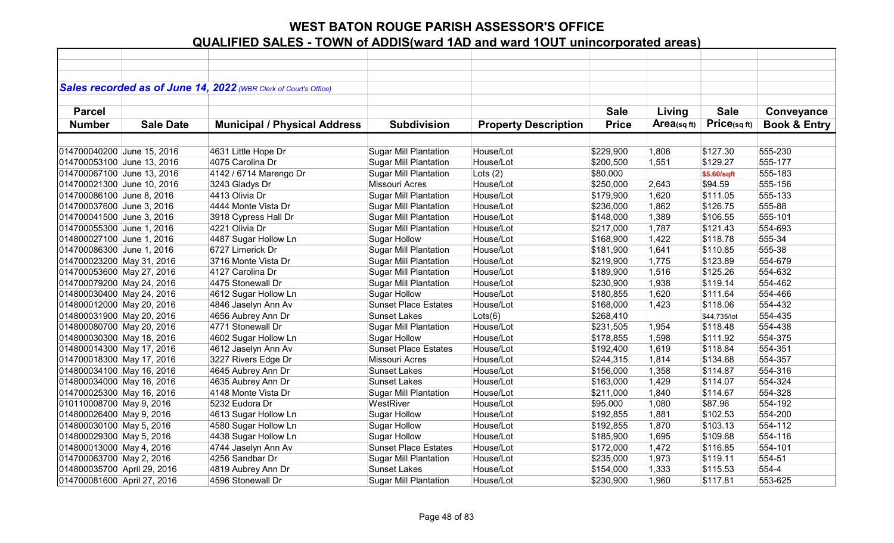|                             |                  | Sales recorded as of June 14, 2022 (WBR Clerk of Court's Office) |                              |                             |              |            |              |                         |
|-----------------------------|------------------|------------------------------------------------------------------|------------------------------|-----------------------------|--------------|------------|--------------|-------------------------|
|                             |                  |                                                                  |                              |                             |              |            |              |                         |
| <b>Parcel</b>               |                  |                                                                  |                              |                             | <b>Sale</b>  | Living     | <b>Sale</b>  | Conveyance              |
| <b>Number</b>               | <b>Sale Date</b> | <b>Municipal / Physical Address</b>                              | <b>Subdivision</b>           | <b>Property Description</b> | <b>Price</b> | Area(sqft) | Price(sqft)  | <b>Book &amp; Entry</b> |
|                             |                  |                                                                  |                              |                             |              |            |              |                         |
| 014700040200 June 15, 2016  |                  | 4631 Little Hope Dr                                              | <b>Sugar Mill Plantation</b> | House/Lot                   | \$229,900    | 1,806      | \$127.30     | 555-230                 |
| 014700053100 June 13, 2016  |                  | 4075 Carolina Dr                                                 | <b>Sugar Mill Plantation</b> | House/Lot                   | \$200,500    | 1,551      | \$129.27     | 555-177                 |
| 014700067100 June 13, 2016  |                  | 4142 / 6714 Marengo Dr                                           | <b>Sugar Mill Plantation</b> | Lots $(2)$                  | \$80,000     |            | \$5.60/sqft  | 555-183                 |
| 014700021300 June 10, 2016  |                  | 3243 Gladys Dr                                                   | <b>Missouri Acres</b>        | House/Lot                   | \$250,000    | 2,643      | \$94.59      | 555-156                 |
| 014700086100 June 8, 2016   |                  | 4413 Olivia Dr                                                   | <b>Sugar Mill Plantation</b> | House/Lot                   | \$179,900    | 1,620      | \$111.05     | 555-133                 |
| 014700037600 June 3, 2016   |                  | 4444 Monte Vista Dr                                              | <b>Sugar Mill Plantation</b> | House/Lot                   | \$236,000    | 1,862      | \$126.75     | 555-88                  |
| 014700041500 June 3, 2016   |                  | 3918 Cypress Hall Dr                                             | <b>Sugar Mill Plantation</b> | House/Lot                   | \$148,000    | 1,389      | \$106.55     | 555-101                 |
| 014700055300 June 1, 2016   |                  | 4221 Olivia Dr                                                   | <b>Sugar Mill Plantation</b> | House/Lot                   | \$217,000    | 1,787      | \$121.43     | 554-693                 |
| 014800027100 June 1, 2016   |                  | 4487 Sugar Hollow Ln                                             | <b>Sugar Hollow</b>          | House/Lot                   | \$168,900    | 1,422      | \$118.78     | 555-34                  |
| 014700086300 June 1, 2016   |                  | 6727 Limerick Dr                                                 | <b>Sugar Mill Plantation</b> | House/Lot                   | \$181,900    | 1,641      | \$110.85     | 555-38                  |
| 014700023200 May 31, 2016   |                  | 3716 Monte Vista Dr                                              | <b>Sugar Mill Plantation</b> | House/Lot                   | \$219,900    | 1,775      | \$123.89     | 554-679                 |
| 014700053600 May 27, 2016   |                  | 4127 Carolina Dr                                                 | <b>Sugar Mill Plantation</b> | House/Lot                   | \$189,900    | 1,516      | \$125.26     | 554-632                 |
| 014700079200 May 24, 2016   |                  | 4475 Stonewall Dr                                                | <b>Sugar Mill Plantation</b> | House/Lot                   | \$230,900    | 1,938      | \$119.14     | 554-462                 |
| 014800030400 May 24, 2016   |                  | 4612 Sugar Hollow Ln                                             | <b>Sugar Hollow</b>          | House/Lot                   | \$180,855    | 1,620      | \$111.64     | 554-466                 |
| 014800012000 May 20, 2016   |                  | 4846 Jaselyn Ann Av                                              | <b>Sunset Place Estates</b>  | House/Lot                   | \$168,000    | 1,423      | \$118.06     | 554-432                 |
| 014800031900 May 20, 2016   |                  | 4656 Aubrey Ann Dr                                               | <b>Sunset Lakes</b>          | Lots(6)                     | \$268,410    |            | \$44,735/lot | 554-435                 |
| 014800080700 May 20, 2016   |                  | 4771 Stonewall Dr                                                | <b>Sugar Mill Plantation</b> | House/Lot                   | \$231,505    | 1,954      | \$118.48     | 554-438                 |
| 014800030300 May 18, 2016   |                  | 4602 Sugar Hollow Ln                                             | <b>Sugar Hollow</b>          | House/Lot                   | \$178,855    | 1,598      | \$111.92     | 554-375                 |
| 014800014300 May 17, 2016   |                  | 4612 Jaselyn Ann Av                                              | <b>Sunset Place Estates</b>  | House/Lot                   | \$192,400    | 1,619      | \$118.84     | 554-351                 |
| 014700018300 May 17, 2016   |                  | 3227 Rivers Edge Dr                                              | <b>Missouri Acres</b>        | House/Lot                   | \$244,315    | 1,814      | \$134.68     | 554-357                 |
| 014800034100 May 16, 2016   |                  | 4645 Aubrey Ann Dr                                               | <b>Sunset Lakes</b>          | House/Lot                   | \$156,000    | 1,358      | \$114.87     | 554-316                 |
| 014800034000 May 16, 2016   |                  | 4635 Aubrey Ann Dr                                               | <b>Sunset Lakes</b>          | House/Lot                   | \$163,000    | 1,429      | \$114.07     | 554-324                 |
| 014700025300 May 16, 2016   |                  | 4148 Monte Vista Dr                                              | <b>Sugar Mill Plantation</b> | House/Lot                   | \$211,000    | 1,840      | \$114.67     | 554-328                 |
| 010110008700 May 9, 2016    |                  | 5232 Eudora Dr                                                   | WestRiver                    | House/Lot                   | \$95,000     | 1,080      | \$87.96      | 554-192                 |
| 014800026400 May 9, 2016    |                  | 4613 Sugar Hollow Ln                                             | <b>Sugar Hollow</b>          | House/Lot                   | \$192,855    | 1,881      | \$102.53     | 554-200                 |
| 014800030100 May 5, 2016    |                  | 4580 Sugar Hollow Ln                                             | <b>Sugar Hollow</b>          | House/Lot                   | \$192,855    | 1,870      | \$103.13     | 554-112                 |
| 014800029300 May 5, 2016    |                  | 4438 Sugar Hollow Ln                                             | <b>Sugar Hollow</b>          | House/Lot                   | \$185,900    | 1,695      | \$109.68     | 554-116                 |
| 014800013000 May 4, 2016    |                  | 4744 Jaselyn Ann Av                                              | <b>Sunset Place Estates</b>  | House/Lot                   | \$172,000    | 1,472      | \$116.85     | 554-101                 |
| 014700063700 May 2, 2016    |                  | 4256 Sandbar Dr                                                  | <b>Sugar Mill Plantation</b> | House/Lot                   | \$235,000    | 1,973      | \$119.11     | 554-51                  |
| 014800035700 April 29, 2016 |                  | 4819 Aubrey Ann Dr                                               | <b>Sunset Lakes</b>          | House/Lot                   | \$154,000    | 1,333      | \$115.53     | 554-4                   |
| 014700081600 April 27, 2016 |                  | 4596 Stonewall Dr                                                | <b>Sugar Mill Plantation</b> | House/Lot                   | \$230,900    | 1,960      | \$117.81     | 553-625                 |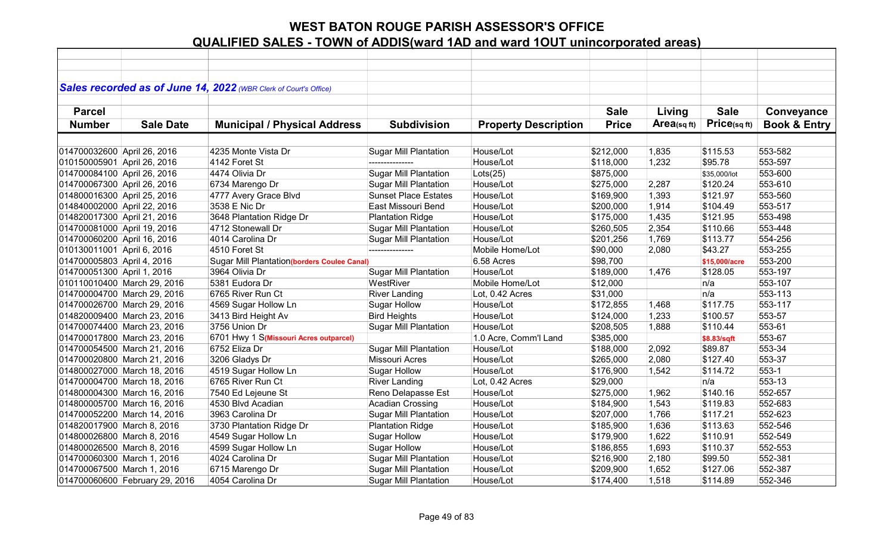|                             |                                | Sales recorded as of June 14, 2022 (WBR Clerk of Court's Office) |                              |                             |              |            |               |                         |
|-----------------------------|--------------------------------|------------------------------------------------------------------|------------------------------|-----------------------------|--------------|------------|---------------|-------------------------|
| <b>Parcel</b>               |                                |                                                                  |                              |                             | <b>Sale</b>  | Living     | <b>Sale</b>   | Conveyance              |
| <b>Number</b>               | <b>Sale Date</b>               | <b>Municipal / Physical Address</b>                              | <b>Subdivision</b>           | <b>Property Description</b> | <b>Price</b> | Area(sqft) | Price(sqft)   | <b>Book &amp; Entry</b> |
|                             |                                |                                                                  |                              |                             |              |            |               |                         |
| 014700032600 April 26, 2016 |                                | 4235 Monte Vista Dr                                              | <b>Sugar Mill Plantation</b> | House/Lot                   | \$212,000    | 1,835      | \$115.53      | 553-582                 |
| 010150005901 April 26, 2016 |                                | 4142 Foret St                                                    | ---------------              | House/Lot                   | \$118,000    | 1,232      | \$95.78       | 553-597                 |
| 014700084100 April 26, 2016 |                                | 4474 Olivia Dr                                                   | <b>Sugar Mill Plantation</b> | Lots(25)                    | \$875,000    |            | \$35,000/lot  | 553-600                 |
| 014700067300 April 26, 2016 |                                | 6734 Marengo Dr                                                  | <b>Sugar Mill Plantation</b> | House/Lot                   | \$275,000    | 2,287      | \$120.24      | 553-610                 |
| 014800016300 April 25, 2016 |                                | 4777 Avery Grace Blvd                                            | <b>Sunset Place Estates</b>  | House/Lot                   | \$169,900    | 1,393      | \$121.97      | 553-560                 |
| 014840002000 April 22, 2016 |                                | 3538 E Nic Dr                                                    | East Missouri Bend           | House/Lot                   | \$200,000    | 1,914      | \$104.49      | 553-517                 |
| 014820017300 April 21, 2016 |                                | 3648 Plantation Ridge Dr                                         | <b>Plantation Ridge</b>      | House/Lot                   | \$175,000    | 1,435      | \$121.95      | 553-498                 |
| 014700081000 April 19, 2016 |                                | 4712 Stonewall Dr                                                | <b>Sugar Mill Plantation</b> | House/Lot                   | \$260,505    | 2,354      | \$110.66      | 553-448                 |
| 014700060200 April 16, 2016 |                                | 4014 Carolina Dr                                                 | <b>Sugar Mill Plantation</b> | House/Lot                   | \$201,256    | 1,769      | \$113.77      | 554-256                 |
| 010130011001 April 6, 2016  |                                | 4510 Foret St                                                    | ---------------              | Mobile Home/Lot             | \$90,000     | 2,080      | \$43.27       | 553-255                 |
| 014700005803 April 4, 2016  |                                | <b>Sugar Mill Plantation (borders Coulee Canal)</b>              |                              | 6.58 Acres                  | \$98,700     |            | \$15,000/acre | 553-200                 |
| 014700051300 April 1, 2016  |                                | 3964 Olivia Dr                                                   | <b>Sugar Mill Plantation</b> | House/Lot                   | \$189,000    | 1,476      | \$128.05      | 553-197                 |
|                             | 010110010400 March 29, 2016    | 5381 Eudora Dr                                                   | WestRiver                    | Mobile Home/Lot             | \$12,000     |            | n/a           | 553-107                 |
|                             | 014700004700 March 29, 2016    | 6765 River Run Ct                                                | <b>River Landing</b>         | Lot, 0.42 Acres             | \$31,000     |            | n/a           | 553-113                 |
|                             | 014700026700 March 29, 2016    | 4569 Sugar Hollow Ln                                             | <b>Sugar Hollow</b>          | House/Lot                   | \$172,855    | 1,468      | \$117.75      | 553-117                 |
|                             | 014820009400 March 23, 2016    | 3413 Bird Height Av                                              | <b>Bird Heights</b>          | House/Lot                   | \$124,000    | 1,233      | \$100.57      | 553-57                  |
|                             | 014700074400 March 23, 2016    | 3756 Union Dr                                                    | <b>Sugar Mill Plantation</b> | House/Lot                   | \$208,505    | 1,888      | \$110.44      | 553-61                  |
|                             | 014700017800 March 23, 2016    | 6701 Hwy 1 S(Missouri Acres outparcel)                           |                              | 1.0 Acre, Comm'l Land       | \$385,000    |            | \$8.83/sqft   | 553-67                  |
|                             | 014700054500 March 21, 2016    | 6752 Eliza Dr                                                    | <b>Sugar Mill Plantation</b> | House/Lot                   | \$188,000    | 2,092      | \$89.87       | 553-34                  |
|                             | 014700020800 March 21, 2016    | 3206 Gladys Dr                                                   | Missouri Acres               | House/Lot                   | \$265,000    | 2,080      | \$127.40      | 553-37                  |
|                             | 014800027000 March 18, 2016    | 4519 Sugar Hollow Ln                                             | <b>Sugar Hollow</b>          | House/Lot                   | \$176,900    | 1,542      | \$114.72      | $553-1$                 |
|                             | 014700004700 March 18, 2016    | 6765 River Run Ct                                                | <b>River Landing</b>         | Lot, 0.42 Acres             | \$29,000     |            | n/a           | 553-13                  |
|                             | 014800004300 March 16, 2016    | 7540 Ed Lejeune St                                               | Reno Delapasse Est           | House/Lot                   | \$275,000    | 1,962      | \$140.16      | 552-657                 |
|                             | 014800005700 March 16, 2016    | 4530 Blvd Acadian                                                | <b>Acadian Crossing</b>      | House/Lot                   | \$184,900    | 1,543      | \$119.83      | 552-683                 |
|                             | 014700052200 March 14, 2016    | 3963 Carolina Dr                                                 | <b>Sugar Mill Plantation</b> | House/Lot                   | \$207,000    | 1,766      | \$117.21      | 552-623                 |
| 014820017900 March 8, 2016  |                                | 3730 Plantation Ridge Dr                                         | <b>Plantation Ridge</b>      | House/Lot                   | \$185,900    | 1,636      | \$113.63      | 552-546                 |
| 014800026800 March 8, 2016  |                                | 4549 Sugar Hollow Ln                                             | <b>Sugar Hollow</b>          | House/Lot                   | \$179,900    | 1,622      | \$110.91      | 552-549                 |
| 014800026500 March 8, 2016  |                                | 4599 Sugar Hollow Ln                                             | <b>Sugar Hollow</b>          | House/Lot                   | \$186,855    | 1,693      | \$110.37      | 552-553                 |
| 014700060300 March 1, 2016  |                                | 4024 Carolina Dr                                                 | <b>Sugar Mill Plantation</b> | House/Lot                   | \$216,900    | 2,180      | \$99.50       | 552-381                 |
| 014700067500 March 1, 2016  |                                | 6715 Marengo Dr                                                  | <b>Sugar Mill Plantation</b> | House/Lot                   | \$209,900    | 1,652      | \$127.06      | 552-387                 |
|                             | 014700060600 February 29, 2016 | 4054 Carolina Dr                                                 | <b>Sugar Mill Plantation</b> | House/Lot                   | \$174,400    | 1,518      | \$114.89      | 552-346                 |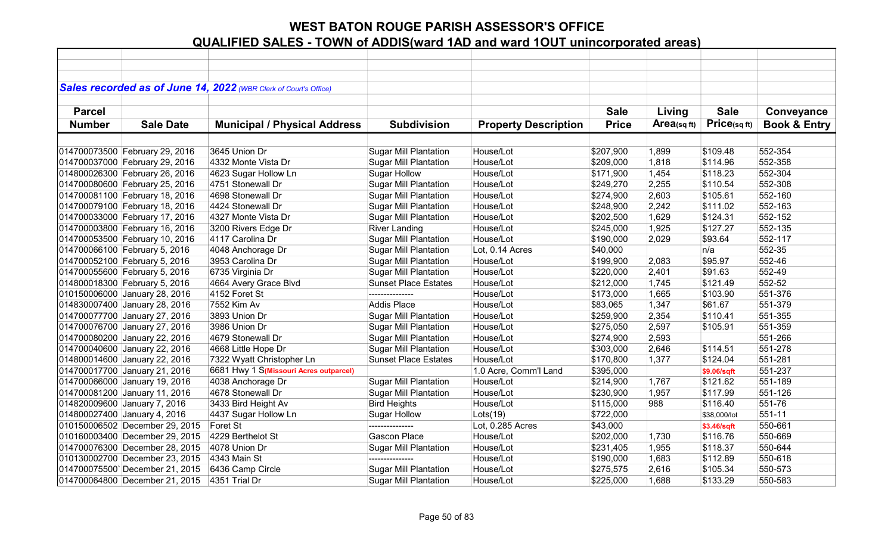|               |                                | Sales recorded as of June 14, 2022 (WBR Clerk of Court's Office) |                              |                             |              |            |              |                         |
|---------------|--------------------------------|------------------------------------------------------------------|------------------------------|-----------------------------|--------------|------------|--------------|-------------------------|
|               |                                |                                                                  |                              |                             |              |            |              |                         |
| <b>Parcel</b> |                                |                                                                  |                              |                             | <b>Sale</b>  | Living     | <b>Sale</b>  | Conveyance              |
| <b>Number</b> | <b>Sale Date</b>               | <b>Municipal / Physical Address</b>                              | <b>Subdivision</b>           | <b>Property Description</b> | <b>Price</b> | Area(sqft) | Price(sq ft) | <b>Book &amp; Entry</b> |
|               |                                |                                                                  |                              |                             |              |            |              |                         |
|               | 014700073500 February 29, 2016 | 3645 Union Dr                                                    | <b>Sugar Mill Plantation</b> | House/Lot                   | \$207,900    | 1,899      | \$109.48     | 552-354                 |
|               | 014700037000 February 29, 2016 | 4332 Monte Vista Dr                                              | <b>Sugar Mill Plantation</b> | House/Lot                   | \$209,000    | 1,818      | \$114.96     | 552-358                 |
|               | 014800026300 February 26, 2016 | 4623 Sugar Hollow Ln                                             | <b>Sugar Hollow</b>          | House/Lot                   | \$171,900    | 1,454      | \$118.23     | 552-304                 |
|               | 014700080600 February 25, 2016 | 4751 Stonewall Dr                                                | <b>Sugar Mill Plantation</b> | House/Lot                   | \$249,270    | 2,255      | \$110.54     | 552-308                 |
|               | 014700081100 February 18, 2016 | 4698 Stonewall Dr                                                | <b>Sugar Mill Plantation</b> | House/Lot                   | \$274,900    | 2,603      | \$105.61     | 552-160                 |
|               | 014700079100 February 18, 2016 | 4424 Stonewall Dr                                                | <b>Sugar Mill Plantation</b> | House/Lot                   | \$248,900    | 2,242      | \$111.02     | 552-163                 |
|               | 014700033000 February 17, 2016 | 4327 Monte Vista Dr                                              | <b>Sugar Mill Plantation</b> | House/Lot                   | \$202,500    | 1,629      | \$124.31     | 552-152                 |
|               | 014700003800 February 16, 2016 | 3200 Rivers Edge Dr                                              | <b>River Landing</b>         | House/Lot                   | \$245,000    | 1,925      | \$127.27     | 552-135                 |
|               | 014700053500 February 10, 2016 | 4117 Carolina Dr                                                 | <b>Sugar Mill Plantation</b> | House/Lot                   | \$190,000    | 2,029      | \$93.64      | 552-117                 |
|               | 014700066100 February 5, 2016  | 4048 Anchorage Dr                                                | <b>Sugar Mill Plantation</b> | Lot, 0.14 Acres             | \$40,000     |            | n/a          | 552-35                  |
|               | 014700052100 February 5, 2016  | 3953 Carolina Dr                                                 | <b>Sugar Mill Plantation</b> | House/Lot                   | \$199,900    | 2,083      | \$95.97      | 552-46                  |
|               | 014700055600 February 5, 2016  | 6735 Virginia Dr                                                 | <b>Sugar Mill Plantation</b> | House/Lot                   | \$220,000    | 2,401      | \$91.63      | 552-49                  |
|               | 014800018300 February 5, 2016  | 4664 Avery Grace Blvd                                            | <b>Sunset Place Estates</b>  | House/Lot                   | \$212,000    | 1,745      | \$121.49     | 552-52                  |
|               | 010150006000 January 28, 2016  | 4152 Foret St                                                    | ---------------              | House/Lot                   | \$173,000    | 1,665      | \$103.90     | 551-376                 |
|               | 014830007400 January 28, 2016  | 7552 Kim Av                                                      | <b>Addis Place</b>           | House/Lot                   | \$83,065     | 1,347      | \$61.67      | 551-379                 |
|               | 014700077700 January 27, 2016  | 3893 Union Dr                                                    | <b>Sugar Mill Plantation</b> | House/Lot                   | \$259,900    | 2,354      | \$110.41     | 551-355                 |
|               | 014700076700 January 27, 2016  | 3986 Union Dr                                                    | <b>Sugar Mill Plantation</b> | House/Lot                   | \$275,050    | 2,597      | \$105.91     | 551-359                 |
|               | 014700080200 January 22, 2016  | 4679 Stonewall Dr                                                | <b>Sugar Mill Plantation</b> | House/Lot                   | \$274,900    | 2,593      |              | 551-266                 |
|               | 014700040600 January 22, 2016  | 4668 Little Hope Dr                                              | <b>Sugar Mill Plantation</b> | House/Lot                   | \$303,000    | 2,646      | \$114.51     | 551-278                 |
|               | 014800014600 January 22, 2016  | 7322 Wyatt Christopher Ln                                        | <b>Sunset Place Estates</b>  | House/Lot                   | \$170,800    | 1,377      | \$124.04     | 551-281                 |
|               | 014700017700 January 21, 2016  | 6681 Hwy 1 S(Missouri Acres outparcel)                           |                              | 1.0 Acre, Comm'l Land       | \$395,000    |            | \$9.06/sqft  | 551-237                 |
|               | 014700066000 January 19, 2016  | 4038 Anchorage Dr                                                | <b>Sugar Mill Plantation</b> | House/Lot                   | \$214,900    | 1,767      | \$121.62     | 551-189                 |
|               | 014700081200 January 11, 2016  | 4678 Stonewall Dr                                                | <b>Sugar Mill Plantation</b> | House/Lot                   | \$230,900    | 1,957      | \$117.99     | 551-126                 |
|               | 014820009600 January 7, 2016   | 3433 Bird Height Av                                              | <b>Bird Heights</b>          | House/Lot                   | \$115,000    | 988        | \$116.40     | 551-76                  |
|               | 014800027400 January 4, 2016   | 4437 Sugar Hollow Ln                                             | <b>Sugar Hollow</b>          | Lots(19)                    | \$722,000    |            | \$38,000/lot | 551-11                  |
|               | 010150006502 December 29, 2015 | Foret St                                                         | ---------------              | Lot, 0.285 Acres            | \$43,000     |            | \$3.46/sqft  | 550-661                 |
|               | 010160003400 December 29, 2015 | 4229 Berthelot St                                                | Gascon Place                 | House/Lot                   | \$202,000    | 1,730      | \$116.76     | 550-669                 |
|               | 014700076300 December 28, 2015 | 4078 Union Dr                                                    | <b>Sugar Mill Plantation</b> | House/Lot                   | \$231,405    | 1,955      | \$118.37     | 550-644                 |
|               | 010130002700 December 23, 2015 | 4343 Main St                                                     | ---------------              | House/Lot                   | \$190,000    | 1,683      | \$112.89     | 550-618                 |
|               | 014700075500 December 21, 2015 | 6436 Camp Circle                                                 | <b>Sugar Mill Plantation</b> | House/Lot                   | \$275,575    | 2,616      | \$105.34     | 550-573                 |
|               | 014700064800 December 21, 2015 | 4351 Trial Dr                                                    | <b>Sugar Mill Plantation</b> | House/Lot                   | \$225,000    | 1,688      | \$133.29     | 550-583                 |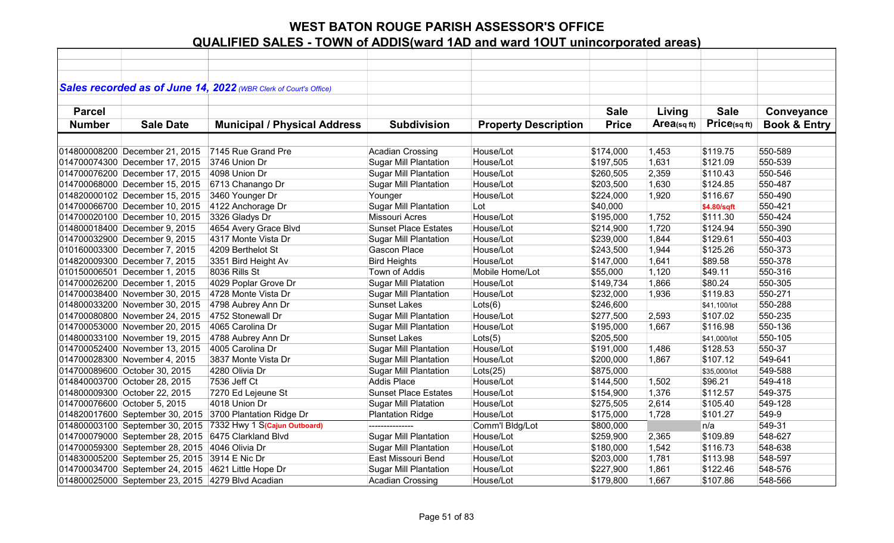|               |                                                     | Sales recorded as of June 14, 2022 (WBR Clerk of Court's Office) |                              |                             |              |             |              |                         |
|---------------|-----------------------------------------------------|------------------------------------------------------------------|------------------------------|-----------------------------|--------------|-------------|--------------|-------------------------|
|               |                                                     |                                                                  |                              |                             |              |             |              |                         |
| <b>Parcel</b> |                                                     |                                                                  |                              |                             | <b>Sale</b>  | Living      | <b>Sale</b>  | Conveyance              |
| <b>Number</b> | <b>Sale Date</b>                                    | <b>Municipal / Physical Address</b>                              | <b>Subdivision</b>           | <b>Property Description</b> | <b>Price</b> | Area(sq ft) | Price(sqft)  | <b>Book &amp; Entry</b> |
|               |                                                     |                                                                  |                              |                             |              |             |              |                         |
|               | 014800008200 December 21, 2015                      | 7145 Rue Grand Pre                                               | <b>Acadian Crossing</b>      | House/Lot                   | \$174,000    | 1,453       | \$119.75     | 550-589                 |
|               | 014700074300 December 17, 2015                      | 3746 Union Dr                                                    | <b>Sugar Mill Plantation</b> | House/Lot                   | \$197,505    | 1,631       | \$121.09     | 550-539                 |
|               | 014700076200 December 17, 2015                      | 4098 Union Dr                                                    | <b>Sugar Mill Plantation</b> | House/Lot                   | \$260,505    | 2,359       | \$110.43     | 550-546                 |
|               | 014700068000 December 15, 2015                      | 6713 Chanango Dr                                                 | <b>Sugar Mill Plantation</b> | House/Lot                   | \$203,500    | 1,630       | \$124.85     | 550-487                 |
|               | 014820000102 December 15, 2015                      | 3460 Younger Dr                                                  | Younger                      | House/Lot                   | \$224,000    | 1,920       | \$116.67     | 550-490                 |
|               | 014700066700 December 10, 2015                      | 4122 Anchorage Dr                                                | <b>Sugar Mill Plantation</b> | Lot                         | \$40,000     |             | \$4.80/sqft  | 550-421                 |
|               | 014700020100 December 10, 2015                      | 3326 Gladys Dr                                                   | <b>Missouri Acres</b>        | House/Lot                   | \$195,000    | 1,752       | \$111.30     | 550-424                 |
|               | 014800018400 December 9, 2015                       | 4654 Avery Grace Blvd                                            | <b>Sunset Place Estates</b>  | House/Lot                   | \$214,900    | 1,720       | \$124.94     | 550-390                 |
|               | 014700032900 December 9, 2015                       | 4317 Monte Vista Dr                                              | Sugar Mill Plantation        | House/Lot                   | \$239,000    | 1,844       | \$129.61     | 550-403                 |
|               | 010160003300 December 7, 2015                       | 4209 Berthelot St                                                | Gascon Place                 | House/Lot                   | \$243,500    | 1,944       | \$125.26     | 550-373                 |
|               | 014820009300 December 7, 2015                       | 3351 Bird Height Av                                              | <b>Bird Heights</b>          | House/Lot                   | \$147,000    | 1,641       | \$89.58      | 550-378                 |
|               | 010150006501 December 1, 2015                       | 8036 Rills St                                                    | Town of Addis                | Mobile Home/Lot             | \$55,000     | 1,120       | \$49.11      | 550-316                 |
|               | 014700026200 December 1, 2015                       | 4029 Poplar Grove Dr                                             | <b>Sugar Mill Platation</b>  | House/Lot                   | \$149,734    | 1,866       | \$80.24      | 550-305                 |
|               | 014700038400 November 30, 2015                      | 4728 Monte Vista Dr                                              | <b>Sugar Mill Plantation</b> | House/Lot                   | \$232,000    | 1,936       | \$119.83     | 550-271                 |
|               | 014800033200 November 30, 2015                      | 4798 Aubrey Ann Dr                                               | <b>Sunset Lakes</b>          | Lots(6)                     | \$246,600    |             | \$41,100/lot | 550-288                 |
|               | 014700080800 November 24, 2015                      | 4752 Stonewall Dr                                                | Sugar Mill Plantation        | House/Lot                   | \$277,500    | 2,593       | \$107.02     | 550-235                 |
|               | 014700053000 November 20, 2015                      | 4065 Carolina Dr                                                 | <b>Sugar Mill Plantation</b> | House/Lot                   | \$195,000    | 1,667       | \$116.98     | 550-136                 |
|               | 014800033100 November 19, 2015                      | 4788 Aubrey Ann Dr                                               | <b>Sunset Lakes</b>          | Lots(5)                     | \$205,500    |             | \$41,000/lot | 550-105                 |
|               | 014700052400 November 13, 2015                      | 4005 Carolina Dr                                                 | <b>Sugar Mill Plantation</b> | House/Lot                   | \$191,000    | 1,486       | \$128.53     | 550-37                  |
|               | 014700028300 November 4, 2015                       | 3837 Monte Vista Dr                                              | <b>Sugar Mill Plantation</b> | House/Lot                   | \$200,000    | 1,867       | \$107.12     | 549-641                 |
|               | 014700089600 October 30, 2015                       | 4280 Olivia Dr                                                   | <b>Sugar Mill Plantation</b> | Lots(25)                    | \$875,000    |             | \$35,000/lot | 549-588                 |
|               | 014840003700 October 28, 2015                       | 7536 Jeff Ct                                                     | <b>Addis Place</b>           | House/Lot                   | \$144,500    | 1,502       | \$96.21      | 549-418                 |
|               | 014800009300 October 22, 2015                       | 7270 Ed Lejeune St                                               | <b>Sunset Place Estates</b>  | House/Lot                   | \$154,900    | 1,376       | \$112.57     | 549-375                 |
|               | 014700076600 October 5, 2015                        | 4018 Union Dr                                                    | <b>Sugar Mill Platation</b>  | House/Lot                   | \$275,505    | 2,614       | \$105.40     | 549-128                 |
|               | 014820017600 September 30, 2015                     | 3700 Plantation Ridge Dr                                         | <b>Plantation Ridge</b>      | House/Lot                   | \$175,000    | 1,728       | \$101.27     | 549-9                   |
|               | 014800003100 September 30, 2015                     | 7332 Hwy 1 S(Cajun Outboard)                                     |                              | Comm'l Bldg/Lot             | \$800,000    |             | n/a          | 549-31                  |
|               | 014700079000 September 28, 2015                     | 6475 Clarkland Blvd                                              | <b>Sugar Mill Plantation</b> | House/Lot                   | \$259,900    | 2,365       | \$109.89     | 548-627                 |
|               | 014700059300 September 28, 2015                     | 4046 Olivia Dr                                                   | <b>Sugar Mill Plantation</b> | House/Lot                   | \$180,000    | 1,542       | \$116.73     | 548-638                 |
|               | 014830005200 September 25, 2015                     | 3914 E Nic Dr                                                    | East Missouri Bend           | House/Lot                   | \$203,000    | 1,781       | \$113.98     | 548-597                 |
|               | 014700034700 September 24, 2015 4621 Little Hope Dr |                                                                  | <b>Sugar Mill Plantation</b> | House/Lot                   | \$227,900    | 1,861       | \$122.46     | 548-576                 |
|               | 014800025000 September 23, 2015 4279 Blvd Acadian   |                                                                  | <b>Acadian Crossing</b>      | House/Lot                   | \$179,800    | 1,667       | \$107.86     | 548-566                 |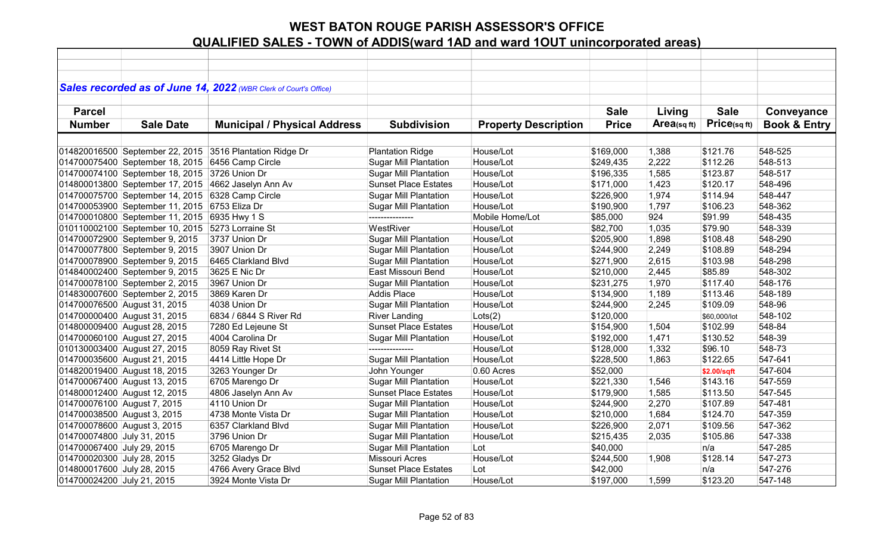|                             |                                                  | Sales recorded as of June 14, 2022 (WBR Clerk of Court's Office) |                              |                             |              |                |              |                         |
|-----------------------------|--------------------------------------------------|------------------------------------------------------------------|------------------------------|-----------------------------|--------------|----------------|--------------|-------------------------|
|                             |                                                  |                                                                  |                              |                             |              |                |              |                         |
| <b>Parcel</b>               |                                                  |                                                                  |                              |                             | <b>Sale</b>  | Living         | <b>Sale</b>  | Conveyance              |
| <b>Number</b>               | <b>Sale Date</b>                                 | <b>Municipal / Physical Address</b>                              | <b>Subdivision</b>           | <b>Property Description</b> | <b>Price</b> | Area(sq $ft$ ) | Price(sqft)  | <b>Book &amp; Entry</b> |
|                             |                                                  |                                                                  |                              |                             |              |                |              |                         |
|                             |                                                  | 014820016500 September 22, 2015 3516 Plantation Ridge Dr         | <b>Plantation Ridge</b>      | House/Lot                   | \$169,000    | 1,388          | \$121.76     | 548-525                 |
|                             | 014700075400 September 18, 2015 6456 Camp Circle |                                                                  | <b>Sugar Mill Plantation</b> | House/Lot                   | \$249,435    | 2,222          | \$112.26     | 548-513                 |
|                             | 014700074100 September 18, 2015 3726 Union Dr    |                                                                  | <b>Sugar Mill Plantation</b> | House/Lot                   | \$196,335    | 1,585          | \$123.87     | 548-517                 |
|                             | 014800013800 September 17, 2015                  | 4662 Jaselyn Ann Av                                              | <b>Sunset Place Estates</b>  | House/Lot                   | \$171,000    | 1,423          | \$120.17     | 548-496                 |
|                             | 014700075700 September 14, 2015                  | 6328 Camp Circle                                                 | <b>Sugar Mill Plantation</b> | House/Lot                   | \$226,900    | 1,974          | \$114.94     | 548-447                 |
|                             | 014700053900 September 11, 2015                  | 6753 Eliza Dr                                                    | <b>Sugar Mill Plantation</b> | House/Lot                   | \$190,900    | 1,797          | \$106.23     | 548-362                 |
|                             | 014700010800 September 11, 2015                  | 6935 Hwy 1 S                                                     | ---------------              | Mobile Home/Lot             | \$85,000     | 924            | \$91.99      | 548-435                 |
|                             | 010110002100 September 10, 2015                  | 5273 Lorraine St                                                 | WestRiver                    | House/Lot                   | \$82,700     | 1,035          | \$79.90      | 548-339                 |
|                             | 014700072900 September 9, 2015                   | 3737 Union Dr                                                    | <b>Sugar Mill Plantation</b> | House/Lot                   | \$205,900    | 1,898          | \$108.48     | 548-290                 |
|                             | 014700077800 September 9, 2015                   | 3907 Union Dr                                                    | <b>Sugar Mill Plantation</b> | House/Lot                   | \$244,900    | 2,249          | \$108.89     | 548-294                 |
|                             | 014700078900 September 9, 2015                   | 6465 Clarkland Blvd                                              | <b>Sugar Mill Plantation</b> | House/Lot                   | \$271,900    | 2,615          | \$103.98     | 548-298                 |
|                             | 014840002400 September 9, 2015                   | 3625 E Nic Dr                                                    | East Missouri Bend           | House/Lot                   | \$210,000    | 2,445          | \$85.89      | 548-302                 |
|                             | 014700078100 September 2, 2015                   | 3967 Union Dr                                                    | <b>Sugar Mill Plantation</b> | House/Lot                   | \$231,275    | 1,970          | \$117.40     | 548-176                 |
|                             | 014830007600 September 2, 2015                   | 3869 Karen Dr                                                    | <b>Addis Place</b>           | House/Lot                   | \$134,900    | 1,189          | \$113.46     | 548-189                 |
|                             | 014700076500 August 31, 2015                     | 4038 Union Dr                                                    | <b>Sugar Mill Plantation</b> | House/Lot                   | \$244,900    | 2,245          | \$109.09     | 548-96                  |
|                             | 014700000400 August 31, 2015                     | 6834 / 6844 S River Rd                                           | <b>River Landing</b>         | Lots(2)                     | \$120,000    |                | \$60,000/lot | 548-102                 |
|                             | 014800009400 August 28, 2015                     | 7280 Ed Lejeune St                                               | <b>Sunset Place Estates</b>  | House/Lot                   | \$154,900    | 1,504          | \$102.99     | 548-84                  |
|                             | 014700060100 August 27, 2015                     | 4004 Carolina Dr                                                 | <b>Sugar Mill Plantation</b> | House/Lot                   | \$192,000    | 1,471          | \$130.52     | 548-39                  |
|                             | 010130003400 August 27, 2015                     | 8059 Ray Rivet St                                                | ---------------              | House/Lot                   | \$128,000    | 1,332          | \$96.10      | 548-73                  |
|                             | 014700035600 August 21, 2015                     | 4414 Little Hope Dr                                              | <b>Sugar Mill Plantation</b> | House/Lot                   | \$228,500    | 1,863          | \$122.65     | 547-641                 |
|                             | 014820019400 August 18, 2015                     | 3263 Younger Dr                                                  | John Younger                 | 0.60 Acres                  | \$52,000     |                | \$2.00/sqft  | 547-604                 |
|                             | 014700067400 August 13, 2015                     | 6705 Marengo Dr                                                  | <b>Sugar Mill Plantation</b> | House/Lot                   | \$221,330    | 1,546          | \$143.16     | 547-559                 |
|                             | 014800012400 August 12, 2015                     | 4806 Jaselyn Ann Av                                              | <b>Sunset Place Estates</b>  | House/Lot                   | \$179,900    | 1,585          | \$113.50     | 547-545                 |
| 014700076100 August 7, 2015 |                                                  | 4110 Union Dr                                                    | <b>Sugar Mill Plantation</b> | House/Lot                   | \$244,900    | 2,270          | \$107.89     | 547-481                 |
| 014700038500 August 3, 2015 |                                                  | 4738 Monte Vista Dr                                              | <b>Sugar Mill Plantation</b> | House/Lot                   | \$210,000    | 1,684          | \$124.70     | 547-359                 |
| 014700078600 August 3, 2015 |                                                  | 6357 Clarkland Blvd                                              | <b>Sugar Mill Plantation</b> | House/Lot                   | \$226,900    | 2,071          | \$109.56     | 547-362                 |
| 014700074800 July 31, 2015  |                                                  | 3796 Union Dr                                                    | Sugar Mill Plantation        | House/Lot                   | \$215,435    | 2,035          | \$105.86     | 547-338                 |
| 014700067400 July 29, 2015  |                                                  | 6705 Marengo Dr                                                  | <b>Sugar Mill Plantation</b> | Lot                         | \$40,000     |                | n/a          | 547-285                 |
| 014700020300 July 28, 2015  |                                                  | 3252 Gladys Dr                                                   | Missouri Acres               | House/Lot                   | \$244,500    | 1,908          | \$128.14     | 547-273                 |
| 014800017600 July 28, 2015  |                                                  | 4766 Avery Grace Blvd                                            | <b>Sunset Place Estates</b>  | Lot                         | \$42,000     |                | n/a          | 547-276                 |
| 014700024200 July 21, 2015  |                                                  | 3924 Monte Vista Dr                                              | <b>Sugar Mill Plantation</b> | House/Lot                   | \$197,000    | 1,599          | \$123.20     | 547-148                 |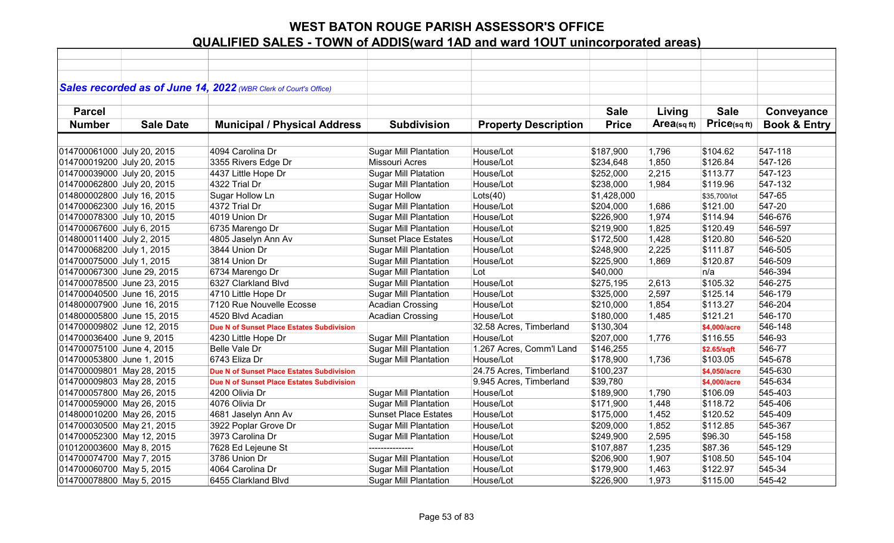|                            |                  | Sales recorded as of June 14, 2022 (WBR Clerk of Court's Office) |                              |                             |              |            |              |                         |
|----------------------------|------------------|------------------------------------------------------------------|------------------------------|-----------------------------|--------------|------------|--------------|-------------------------|
|                            |                  |                                                                  |                              |                             |              |            |              |                         |
| <b>Parcel</b>              |                  |                                                                  |                              |                             | <b>Sale</b>  | Living     | <b>Sale</b>  | Conveyance              |
| <b>Number</b>              | <b>Sale Date</b> | <b>Municipal / Physical Address</b>                              | <b>Subdivision</b>           | <b>Property Description</b> | <b>Price</b> | Area(sqft) | Price(sqft)  | <b>Book &amp; Entry</b> |
|                            |                  |                                                                  |                              |                             |              |            |              |                         |
| 014700061000 July 20, 2015 |                  | 4094 Carolina Dr                                                 | <b>Sugar Mill Plantation</b> | House/Lot                   | \$187,900    | 1,796      | \$104.62     | 547-118                 |
| 014700019200 July 20, 2015 |                  | 3355 Rivers Edge Dr                                              | Missouri Acres               | House/Lot                   | \$234,648    | 1,850      | \$126.84     | 547-126                 |
| 014700039000 July 20, 2015 |                  | 4437 Little Hope Dr                                              | <b>Sugar Mill Platation</b>  | House/Lot                   | \$252,000    | 2,215      | \$113.77     | 547-123                 |
| 014700062800 July 20, 2015 |                  | 4322 Trial Dr                                                    | <b>Sugar Mill Plantation</b> | House/Lot                   | \$238,000    | 1,984      | \$119.96     | 547-132                 |
| 014800002800 July 16, 2015 |                  | Sugar Hollow Ln                                                  | <b>Sugar Hollow</b>          | Lots(40)                    | \$1,428,000  |            | \$35,700/lot | 547-65                  |
| 014700062300 July 16, 2015 |                  | 4372 Trial Dr                                                    | <b>Sugar Mill Plantation</b> | House/Lot                   | \$204,000    | 1,686      | \$121.00     | 547-20                  |
| 014700078300 July 10, 2015 |                  | 4019 Union Dr                                                    | <b>Sugar Mill Plantation</b> | House/Lot                   | \$226,900    | 1,974      | \$114.94     | 546-676                 |
| 014700067600 July 6, 2015  |                  | 6735 Marengo Dr                                                  | <b>Sugar Mill Plantation</b> | House/Lot                   | \$219,900    | 1,825      | \$120.49     | 546-597                 |
| 014800011400 July 2, 2015  |                  | 4805 Jaselyn Ann Av                                              | <b>Sunset Place Estates</b>  | House/Lot                   | \$172,500    | 1,428      | \$120.80     | 546-520                 |
| 014700068200 July 1, 2015  |                  | 3844 Union Dr                                                    | <b>Sugar Mill Plantation</b> | House/Lot                   | \$248,900    | 2,225      | \$111.87     | 546-505                 |
| 014700075000 July 1, 2015  |                  | 3814 Union Dr                                                    | <b>Sugar Mill Plantation</b> | House/Lot                   | \$225,900    | 1,869      | \$120.87     | 546-509                 |
| 014700067300 June 29, 2015 |                  | 6734 Marengo Dr                                                  | <b>Sugar Mill Plantation</b> | Lot                         | \$40,000     |            | n/a          | 546-394                 |
| 014700078500 June 23, 2015 |                  | 6327 Clarkland Blvd                                              | <b>Sugar Mill Plantation</b> | House/Lot                   | \$275,195    | 2,613      | \$105.32     | 546-275                 |
| 014700040500 June 16, 2015 |                  | 4710 Little Hope Dr                                              | <b>Sugar Mill Plantation</b> | House/Lot                   | \$325,000    | 2,597      | \$125.14     | 546-179                 |
| 014800007900 June 16, 2015 |                  | 7120 Rue Nouvelle Ecosse                                         | Acadian Crossing             | House/Lot                   | \$210,000    | 1,854      | \$113.27     | 546-204                 |
| 014800005800 June 15, 2015 |                  | 4520 Blvd Acadian                                                | Acadian Crossing             | House/Lot                   | \$180,000    | 1,485      | \$121.21     | 546-170                 |
| 014700009802 June 12, 2015 |                  | Due N of Sunset Place Estates Subdivision                        |                              | 32.58 Acres, Timberland     | \$130,304    |            | \$4,000/acre | 546-148                 |
| 014700036400 June 9, 2015  |                  | 4230 Little Hope Dr                                              | <b>Sugar Mill Plantation</b> | House/Lot                   | \$207,000    | 1,776      | \$116.55     | 546-93                  |
| 014700075100 June 4, 2015  |                  | Belle Vale Dr                                                    | <b>Sugar Mill Plantation</b> | 1.267 Acres, Comm'l Land    | \$146,255    |            | \$2.65/sqft  | 546-77                  |
| 014700053800 June 1, 2015  |                  | 6743 Eliza Dr                                                    | <b>Sugar Mill Plantation</b> | House/Lot                   | \$178,900    | 1,736      | \$103.05     | 545-678                 |
| 014700009801 May 28, 2015  |                  | Due N of Sunset Place Estates Subdivision                        |                              | 24.75 Acres, Timberland     | \$100,237    |            | \$4,050/acre | 545-630                 |
| 014700009803 May 28, 2015  |                  | Due N of Sunset Place Estates Subdivision                        |                              | 9.945 Acres, Timberland     | \$39,780     |            | \$4,000/acre | 545-634                 |
| 014700057800 May 26, 2015  |                  | 4200 Olivia Dr                                                   | <b>Sugar Mill Plantation</b> | House/Lot                   | \$189,900    | 1,790      | \$106.09     | 545-403                 |
| 014700059000 May 26, 2015  |                  | 4076 Olivia Dr                                                   | <b>Sugar Mill Plantation</b> | House/Lot                   | \$171,900    | 1,448      | \$118.72     | 545-406                 |
| 014800010200 May 26, 2015  |                  | 4681 Jaselyn Ann Av                                              | <b>Sunset Place Estates</b>  | House/Lot                   | \$175,000    | 1,452      | \$120.52     | 545-409                 |
| 014700030500 May 21, 2015  |                  | 3922 Poplar Grove Dr                                             | <b>Sugar Mill Plantation</b> | House/Lot                   | \$209,000    | 1,852      | \$112.85     | 545-367                 |
| 014700052300 May 12, 2015  |                  | 3973 Carolina Dr                                                 | <b>Sugar Mill Plantation</b> | House/Lot                   | \$249,900    | 2,595      | \$96.30      | 545-158                 |
| 010120003600 May 8, 2015   |                  | 7628 Ed Lejeune St                                               | ---------------              | House/Lot                   | \$107,887    | 1,235      | \$87.36      | 545-129                 |
| 014700074700 May 7, 2015   |                  | 3786 Union Dr                                                    | <b>Sugar Mill Plantation</b> | House/Lot                   | \$206,900    | 1,907      | \$108.50     | 545-104                 |
| 014700060700 May 5, 2015   |                  | 4064 Carolina Dr                                                 | <b>Sugar Mill Plantation</b> | House/Lot                   | \$179,900    | 1,463      | \$122.97     | 545-34                  |
| 014700078800 May 5, 2015   |                  | 6455 Clarkland Blvd                                              | <b>Sugar Mill Plantation</b> | House/Lot                   | \$226,900    | 1,973      | \$115.00     | 545-42                  |
|                            |                  |                                                                  |                              |                             |              |            |              |                         |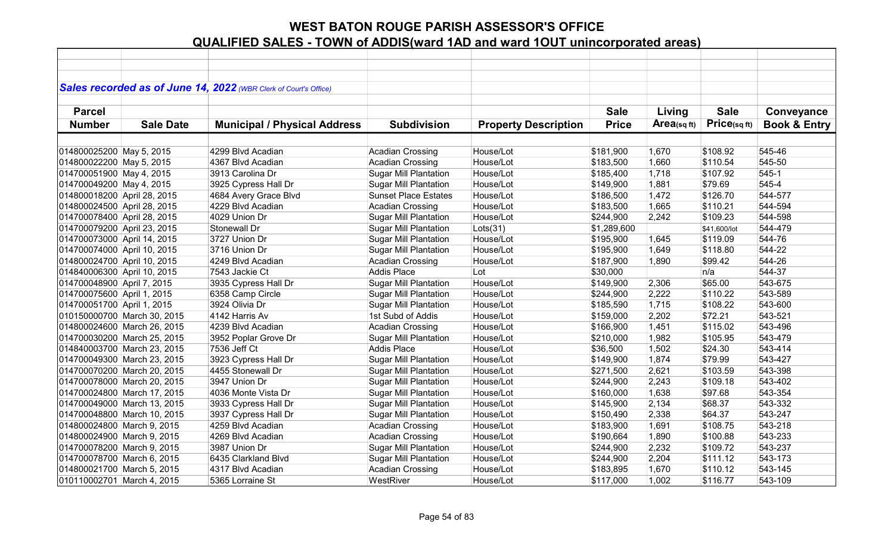|                             |                             | Sales recorded as of June 14, 2022 (WBR Clerk of Court's Office) |                              |                             |              |                |              |                         |
|-----------------------------|-----------------------------|------------------------------------------------------------------|------------------------------|-----------------------------|--------------|----------------|--------------|-------------------------|
|                             |                             |                                                                  |                              |                             |              |                |              |                         |
| <b>Parcel</b>               |                             |                                                                  |                              |                             | <b>Sale</b>  | Living         | <b>Sale</b>  | Conveyance              |
| <b>Number</b>               | <b>Sale Date</b>            | <b>Municipal / Physical Address</b>                              | <b>Subdivision</b>           | <b>Property Description</b> | <b>Price</b> | $Area$ (sq ft) | Price(sq ft) | <b>Book &amp; Entry</b> |
|                             |                             |                                                                  |                              |                             |              |                |              |                         |
| 014800025200 May 5, 2015    |                             | 4299 Blvd Acadian                                                | <b>Acadian Crossing</b>      | House/Lot                   | \$181,900    | 1,670          | \$108.92     | 545-46                  |
| 014800022200 May 5, 2015    |                             | 4367 Blvd Acadian                                                | Acadian Crossing             | House/Lot                   | \$183,500    | 1,660          | \$110.54     | 545-50                  |
| 014700051900 May 4, 2015    |                             | 3913 Carolina Dr                                                 | <b>Sugar Mill Plantation</b> | House/Lot                   | \$185,400    | 1,718          | \$107.92     | 545-1                   |
| 014700049200 May 4, 2015    |                             | 3925 Cypress Hall Dr                                             | <b>Sugar Mill Plantation</b> | House/Lot                   | \$149,900    | 1,881          | \$79.69      | 545-4                   |
| 014800018200 April 28, 2015 |                             | 4684 Avery Grace Blvd                                            | <b>Sunset Place Estates</b>  | House/Lot                   | \$186,500    | 1,472          | \$126.70     | 544-577                 |
| 014800024500 April 28, 2015 |                             | 4229 Blvd Acadian                                                | <b>Acadian Crossing</b>      | House/Lot                   | \$183,500    | 1,665          | \$110.21     | 544-594                 |
| 014700078400 April 28, 2015 |                             | 4029 Union Dr                                                    | <b>Sugar Mill Plantation</b> | House/Lot                   | \$244,900    | 2,242          | \$109.23     | 544-598                 |
| 014700079200 April 23, 2015 |                             | Stonewall Dr                                                     | <b>Sugar Mill Plantation</b> | Lots(31)                    | \$1,289,600  |                | \$41,600/lot | 544-479                 |
| 014700073000 April 14, 2015 |                             | 3727 Union Dr                                                    | <b>Sugar Mill Plantation</b> | House/Lot                   | \$195,900    | 1,645          | \$119.09     | 544-76                  |
| 014700074000 April 10, 2015 |                             | 3716 Union Dr                                                    | <b>Sugar Mill Plantation</b> | House/Lot                   | \$195,900    | 1,649          | \$118.80     | 544-22                  |
| 014800024700 April 10, 2015 |                             | 4249 Blvd Acadian                                                | <b>Acadian Crossing</b>      | House/Lot                   | \$187,900    | 1,890          | \$99.42      | 544-26                  |
| 014840006300 April 10, 2015 |                             | 7543 Jackie Ct                                                   | Addis Place                  | Lot                         | \$30,000     |                | n/a          | 544-37                  |
| 014700048900 April 7, 2015  |                             | 3935 Cypress Hall Dr                                             | Sugar Mill Plantation        | House/Lot                   | \$149,900    | 2,306          | \$65.00      | 543-675                 |
| 014700075600 April 1, 2015  |                             | 6358 Camp Circle                                                 | <b>Sugar Mill Plantation</b> | House/Lot                   | \$244,900    | 2,222          | \$110.22     | 543-589                 |
| 014700051700 April 1, 2015  |                             | 3924 Olivia Dr                                                   | <b>Sugar Mill Plantation</b> | House/Lot                   | \$185,590    | 1,715          | \$108.22     | 543-600                 |
|                             | 010150000700 March 30, 2015 | 4142 Harris Av                                                   | 1st Subd of Addis            | House/Lot                   | \$159,000    | 2,202          | \$72.21      | 543-521                 |
|                             | 014800024600 March 26, 2015 | 4239 Blvd Acadian                                                | <b>Acadian Crossing</b>      | House/Lot                   | \$166,900    | 1,451          | \$115.02     | 543-496                 |
|                             | 014700030200 March 25, 2015 | 3952 Poplar Grove Dr                                             | <b>Sugar Mill Plantation</b> | House/Lot                   | \$210,000    | 1,982          | \$105.95     | 543-479                 |
|                             | 014840003700 March 23, 2015 | 7536 Jeff Ct                                                     | <b>Addis Place</b>           | House/Lot                   | \$36,500     | 1,502          | \$24.30      | 543-414                 |
|                             | 014700049300 March 23, 2015 | 3923 Cypress Hall Dr                                             | <b>Sugar Mill Plantation</b> | House/Lot                   | \$149,900    | 1,874          | \$79.99      | 543-427                 |
|                             | 014700070200 March 20, 2015 | 4455 Stonewall Dr                                                | <b>Sugar Mill Plantation</b> | House/Lot                   | \$271,500    | 2,621          | \$103.59     | 543-398                 |
|                             | 014700078000 March 20, 2015 | 3947 Union Dr                                                    | <b>Sugar Mill Plantation</b> | House/Lot                   | \$244,900    | 2,243          | \$109.18     | 543-402                 |
|                             | 014700024800 March 17, 2015 | 4036 Monte Vista Dr                                              | <b>Sugar Mill Plantation</b> | House/Lot                   | \$160,000    | 1,638          | \$97.68      | 543-354                 |
|                             | 014700049000 March 13, 2015 | 3933 Cypress Hall Dr                                             | <b>Sugar Mill Plantation</b> | House/Lot                   | \$145,900    | 2,134          | \$68.37      | 543-332                 |
|                             | 014700048800 March 10, 2015 | 3937 Cypress Hall Dr                                             | <b>Sugar Mill Plantation</b> | House/Lot                   | \$150,490    | 2,338          | \$64.37      | 543-247                 |
| 014800024800 March 9, 2015  |                             | 4259 Blvd Acadian                                                | Acadian Crossing             | House/Lot                   | \$183,900    | 1,691          | \$108.75     | 543-218                 |
| 014800024900 March 9, 2015  |                             | 4269 Blvd Acadian                                                | Acadian Crossing             | House/Lot                   | \$190,664    | 1,890          | \$100.88     | 543-233                 |
| 014700078200 March 9, 2015  |                             | 3987 Union Dr                                                    | <b>Sugar Mill Plantation</b> | House/Lot                   | \$244,900    | 2,232          | \$109.72     | 543-237                 |
| 014700078700 March 6, 2015  |                             | 6435 Clarkland Blvd                                              | <b>Sugar Mill Plantation</b> | House/Lot                   | \$244,900    | 2,204          | \$111.12     | 543-173                 |
| 014800021700 March 5, 2015  |                             | 4317 Blvd Acadian                                                | <b>Acadian Crossing</b>      | House/Lot                   | \$183,895    | 1,670          | \$110.12     | 543-145                 |
| 010110002701 March 4, 2015  |                             | 5365 Lorraine St                                                 | WestRiver                    | House/Lot                   | \$117,000    | 1,002          | \$116.77     | 543-109                 |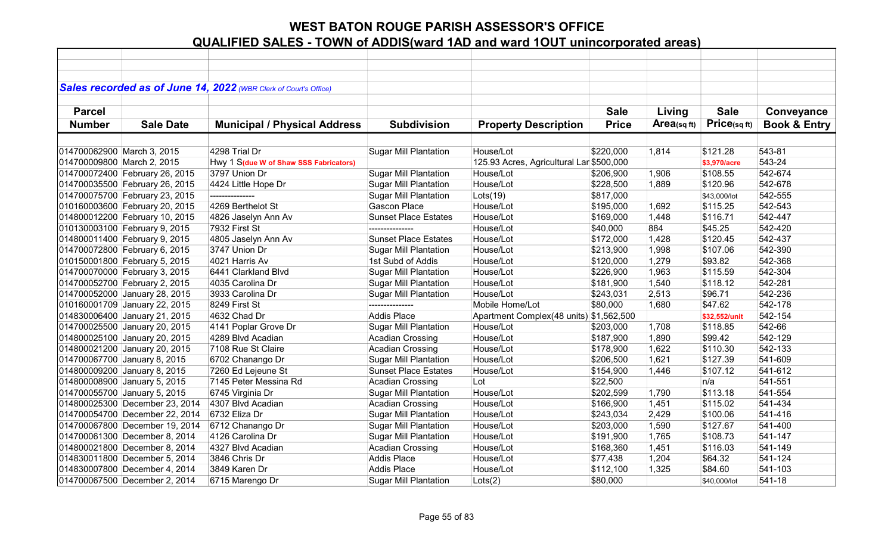|                            |                                | Sales recorded as of June 14, 2022 (WBR Clerk of Court's Office) |                              |                                          |              |            |               |                         |
|----------------------------|--------------------------------|------------------------------------------------------------------|------------------------------|------------------------------------------|--------------|------------|---------------|-------------------------|
|                            |                                |                                                                  |                              |                                          |              |            |               |                         |
| <b>Parcel</b>              |                                |                                                                  |                              |                                          | <b>Sale</b>  | Living     | <b>Sale</b>   | Conveyance              |
| <b>Number</b>              | <b>Sale Date</b>               | <b>Municipal / Physical Address</b>                              | <b>Subdivision</b>           | <b>Property Description</b>              | <b>Price</b> | Area(sqft) | Price(sq ft)  | <b>Book &amp; Entry</b> |
|                            |                                |                                                                  |                              |                                          |              |            |               |                         |
| 014700062900 March 3, 2015 |                                | 4298 Trial Dr                                                    | <b>Sugar Mill Plantation</b> | House/Lot                                | \$220,000    | 1,814      | \$121.28      | 543-81                  |
| 014700009800 March 2, 2015 |                                | Hwy 1 S(due W of Shaw SSS Fabricators)                           |                              | 125.93 Acres, Agricultural Lar \$500,000 |              |            | \$3,970/acre  | 543-24                  |
|                            | 014700072400 February 26, 2015 | 3797 Union Dr                                                    | <b>Sugar Mill Plantation</b> | House/Lot                                | \$206,900    | 1,906      | \$108.55      | 542-674                 |
|                            | 014700035500 February 26, 2015 | 4424 Little Hope Dr                                              | <b>Sugar Mill Plantation</b> | House/Lot                                | \$228,500    | 1,889      | \$120.96      | 542-678                 |
|                            | 014700075700 February 23, 2015 | ---------------                                                  | <b>Sugar Mill Plantation</b> | Lots(19)                                 | \$817,000    |            | \$43,000/lot  | 542-555                 |
|                            | 010160003600 February 20, 2015 | 4269 Berthelot St                                                | <b>Gascon Place</b>          | House/Lot                                | \$195,000    | 1,692      | \$115.25      | 542-543                 |
|                            | 014800012200 February 10, 2015 | 4826 Jaselyn Ann Av                                              | <b>Sunset Place Estates</b>  | House/Lot                                | \$169,000    | 1,448      | \$116.71      | 542-447                 |
|                            | 010130003100 February 9, 2015  | 7932 First St                                                    | ---------------              | House/Lot                                | \$40,000     | 884        | \$45.25       | 542-420                 |
|                            | 014800011400 February 9, 2015  | 4805 Jaselyn Ann Av                                              | <b>Sunset Place Estates</b>  | House/Lot                                | \$172,000    | 1,428      | \$120.45      | 542-437                 |
|                            | 014700072800 February 6, 2015  | 3747 Union Dr                                                    | <b>Sugar Mill Plantation</b> | House/Lot                                | \$213,900    | 1,998      | \$107.06      | 542-390                 |
|                            | 010150001800 February 5, 2015  | 4021 Harris Av                                                   | 1st Subd of Addis            | House/Lot                                | \$120,000    | 1,279      | \$93.82       | 542-368                 |
|                            | 014700070000 February 3, 2015  | 6441 Clarkland Blvd                                              | <b>Sugar Mill Plantation</b> | House/Lot                                | \$226,900    | 1,963      | \$115.59      | 542-304                 |
|                            | 014700052700 February 2, 2015  | 4035 Carolina Dr                                                 | <b>Sugar Mill Plantation</b> | House/Lot                                | \$181,900    | 1,540      | \$118.12      | 542-281                 |
|                            | 014700052000 January 28, 2015  | 3933 Carolina Dr                                                 | <b>Sugar Mill Plantation</b> | House/Lot                                | \$243,031    | 2,513      | \$96.71       | 542-236                 |
|                            | 010160001709 January 22, 2015  | 8249 First St                                                    |                              | Mobile Home/Lot                          | \$80,000     | 1,680      | \$47.62       | 542-178                 |
|                            | 014830006400 January 21, 2015  | 4632 Chad Dr                                                     | <b>Addis Place</b>           | Apartment Complex(48 units) \$1,562,500  |              |            | \$32,552/unit | 542-154                 |
|                            | 014700025500 January 20, 2015  | 4141 Poplar Grove Dr                                             | <b>Sugar Mill Plantation</b> | House/Lot                                | \$203,000    | 1,708      | \$118.85      | 542-66                  |
|                            | 014800025100 January 20, 2015  | 4289 Blvd Acadian                                                | <b>Acadian Crossing</b>      | House/Lot                                | \$187,900    | 1,890      | \$99.42       | 542-129                 |
|                            | 014800021200 January 20, 2015  | 7108 Rue St Claire                                               | <b>Acadian Crossing</b>      | House/Lot                                | \$178,900    | 1,622      | \$110.30      | 542-133                 |
|                            | 014700067700 January 8, 2015   | 6702 Chanango Dr                                                 | <b>Sugar Mill Plantation</b> | House/Lot                                | \$206,500    | 1,621      | \$127.39      | 541-609                 |
|                            | 014800009200 January 8, 2015   | 7260 Ed Lejeune St                                               | <b>Sunset Place Estates</b>  | House/Lot                                | \$154,900    | 1,446      | \$107.12      | 541-612                 |
|                            | 014800008900 January 5, 2015   | 7145 Peter Messina Rd                                            | <b>Acadian Crossing</b>      | Lot                                      | \$22,500     |            | n/a           | 541-551                 |
|                            | 014700055700 January 5, 2015   | 6745 Virginia Dr                                                 | <b>Sugar Mill Plantation</b> | House/Lot                                | \$202,599    | 1,790      | \$113.18      | 541-554                 |
|                            | 014800025300 December 23, 2014 | 4307 Blvd Acadian                                                | <b>Acadian Crossing</b>      | House/Lot                                | \$166,900    | 1,451      | \$115.02      | 541-434                 |
|                            | 014700054700 December 22, 2014 | 6732 Eliza Dr                                                    | <b>Sugar Mill Plantation</b> | House/Lot                                | \$243,034    | 2,429      | \$100.06      | 541-416                 |
|                            | 014700067800 December 19, 2014 | 6712 Chanango Dr                                                 | Sugar Mill Plantation        | House/Lot                                | \$203,000    | 1,590      | \$127.67      | 541-400                 |
|                            | 014700061300 December 8, 2014  | 4126 Carolina Dr                                                 | <b>Sugar Mill Plantation</b> | House/Lot                                | \$191,900    | 1,765      | \$108.73      | 541-147                 |
|                            | 014800021800 December 8, 2014  | 4327 Blvd Acadian                                                | Acadian Crossing             | House/Lot                                | \$168,360    | 1,451      | \$116.03      | 541-149                 |
|                            | 014830011800 December 5, 2014  | 3846 Chris Dr                                                    | <b>Addis Place</b>           | House/Lot                                | \$77,438     | 1,204      | \$64.32       | 541-124                 |
|                            | 014830007800 December 4, 2014  | 3849 Karen Dr                                                    | <b>Addis Place</b>           | House/Lot                                | \$112,100    | 1,325      | \$84.60       | 541-103                 |
|                            | 014700067500 December 2, 2014  | 6715 Marengo Dr                                                  | <b>Sugar Mill Plantation</b> | Lots(2)                                  | \$80,000     |            | \$40,000/lot  | 541-18                  |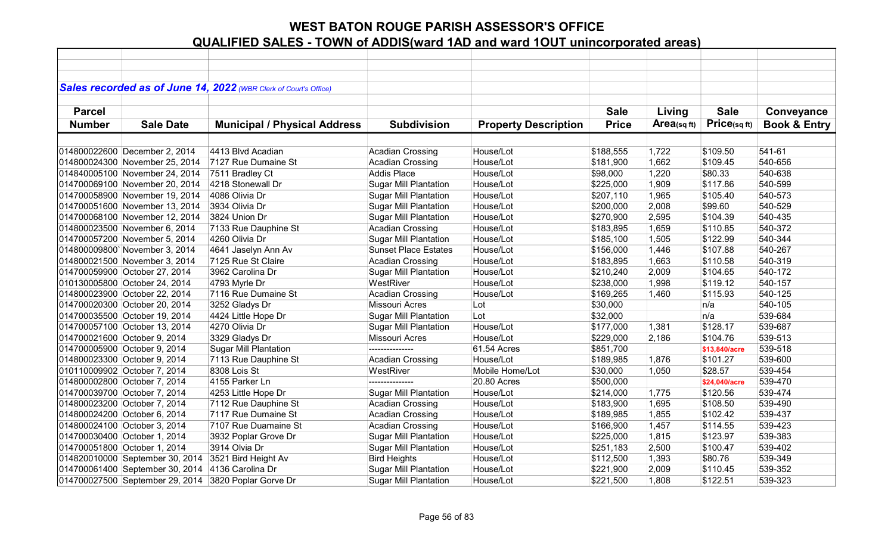|               |                                 | Sales recorded as of June 14, 2022 (WBR Clerk of Court's Office) |                              |                             |              |            |               |                         |
|---------------|---------------------------------|------------------------------------------------------------------|------------------------------|-----------------------------|--------------|------------|---------------|-------------------------|
|               |                                 |                                                                  |                              |                             |              |            |               |                         |
| <b>Parcel</b> |                                 |                                                                  |                              |                             | <b>Sale</b>  | Living     | <b>Sale</b>   | Conveyance              |
| <b>Number</b> | <b>Sale Date</b>                | <b>Municipal / Physical Address</b>                              | <b>Subdivision</b>           | <b>Property Description</b> | <b>Price</b> | Area(sqft) | Price(sqft)   | <b>Book &amp; Entry</b> |
|               |                                 |                                                                  |                              |                             |              |            |               |                         |
|               | 014800022600 December 2, 2014   | 4413 Blvd Acadian                                                | <b>Acadian Crossing</b>      | House/Lot                   | \$188,555    | 1,722      | \$109.50      | 541-61                  |
|               | 014800024300 November 25, 2014  | 7127 Rue Dumaine St                                              | <b>Acadian Crossing</b>      | House/Lot                   | \$181,900    | 1,662      | \$109.45      | 540-656                 |
|               | 014840005100 November 24, 2014  | 7511 Bradley Ct                                                  | <b>Addis Place</b>           | House/Lot                   | \$98,000     | 1,220      | \$80.33       | 540-638                 |
|               | 014700069100 November 20, 2014  | 4218 Stonewall Dr                                                | <b>Sugar Mill Plantation</b> | House/Lot                   | \$225,000    | 1,909      | \$117.86      | 540-599                 |
|               | 014700058900 November 19, 2014  | 4086 Olivia Dr                                                   | <b>Sugar Mill Plantation</b> | House/Lot                   | \$207,110    | 1,965      | \$105.40      | 540-573                 |
|               | 014700051600 November 13, 2014  | 3934 Olivia Dr                                                   | <b>Sugar Mill Plantation</b> | House/Lot                   | \$200,000    | 2,008      | \$99.60       | 540-529                 |
|               | 014700068100 November 12, 2014  | 3824 Union Dr                                                    | <b>Sugar Mill Plantation</b> | House/Lot                   | \$270,900    | 2,595      | \$104.39      | 540-435                 |
|               | 014800023500 November 6, 2014   | 7133 Rue Dauphine St                                             | <b>Acadian Crossing</b>      | House/Lot                   | \$183,895    | 1,659      | \$110.85      | 540-372                 |
|               | 014700057200 November 5, 2014   | 4260 Olivia Dr                                                   | <b>Sugar Mill Plantation</b> | House/Lot                   | \$185,100    | 1,505      | \$122.99      | 540-344                 |
|               | 014800009800'November 3, 2014   | 4641 Jaselyn Ann Av                                              | <b>Sunset Place Estates</b>  | House/Lot                   | \$156,000    | 1,446      | \$107.88      | 540-267                 |
|               | 014800021500 November 3, 2014   | 7125 Rue St Claire                                               | Acadian Crossing             | House/Lot                   | \$183,895    | 1,663      | \$110.58      | 540-319                 |
|               | 014700059900 October 27, 2014   | 3962 Carolina Dr                                                 | <b>Sugar Mill Plantation</b> | House/Lot                   | \$210,240    | 2,009      | \$104.65      | 540-172                 |
|               | 010130005800 October 24, 2014   | 4793 Myrle Dr                                                    | WestRiver                    | House/Lot                   | \$238,000    | 1,998      | \$119.12      | 540-157                 |
|               | 014800023900 October 22, 2014   | 7116 Rue Dumaine St                                              | <b>Acadian Crossing</b>      | House/Lot                   | \$169,265    | 1,460      | \$115.93      | 540-125                 |
|               | 014700020300 October 20, 2014   | 3252 Gladys Dr                                                   | Missouri Acres               | Lot                         | \$30,000     |            | n/a           | 540-105                 |
|               | 014700035500 October 19, 2014   | 4424 Little Hope Dr                                              | <b>Sugar Mill Plantation</b> | Lot                         | \$32,000     |            | n/a           | 539-684                 |
|               | 014700057100 October 13, 2014   | 4270 Olivia Dr                                                   | <b>Sugar Mill Plantation</b> | House/Lot                   | \$177,000    | 1,381      | \$128.17      | 539-687                 |
|               | 014700021600 October 9, 2014    | 3329 Gladys Dr                                                   | <b>Missouri Acres</b>        | House/Lot                   | \$229,000    | 2,186      | \$104.76      | 539-513                 |
|               | 014700005900 October 9, 2014    | <b>Sugar Mill Plantation</b>                                     | ---------------              | 61.54 Acres                 | \$851,700    |            | \$13,840/acre | 539-518                 |
|               | 014800023300 October 9, 2014    | 7113 Rue Dauphine St                                             | <b>Acadian Crossing</b>      | House/Lot                   | \$189,985    | 1,876      | \$101.27      | 539-600                 |
|               | 010110009902 October 7, 2014    | 8308 Lois St                                                     | WestRiver                    | Mobile Home/Lot             | \$30,000     | 1,050      | \$28.57       | 539-454                 |
|               | 014800002800 October 7, 2014    | 4155 Parker Ln                                                   | ---------------              | 20.80 Acres                 | \$500,000    |            | \$24,040/acre | 539-470                 |
|               | 014700039700 October 7, 2014    | 4253 Little Hope Dr                                              | <b>Sugar Mill Plantation</b> | House/Lot                   | \$214,000    | 1,775      | \$120.56      | 539-474                 |
|               | 014800023200 October 7, 2014    | 7112 Rue Dauphine St                                             | <b>Acadian Crossing</b>      | House/Lot                   | \$183,900    | 1,695      | \$108.50      | 539-490                 |
|               | 014800024200 October 6, 2014    | 7117 Rue Dumaine St                                              | <b>Acadian Crossing</b>      | House/Lot                   | \$189,985    | 1,855      | \$102.42      | 539-437                 |
|               | 014800024100 October 3, 2014    | 7107 Rue Duamaine St                                             | Acadian Crossing             | House/Lot                   | \$166,900    | 1,457      | \$114.55      | 539-423                 |
|               | 014700030400 October 1, 2014    | 3932 Poplar Grove Dr                                             | <b>Sugar Mill Plantation</b> | House/Lot                   | \$225,000    | 1,815      | \$123.97      | 539-383                 |
|               | 014700051800 October 1, 2014    | 3914 Olvia Dr                                                    | <b>Sugar Mill Plantation</b> | House/Lot                   | \$251,183    | 2,500      | \$100.47      | 539-402                 |
|               | 014820010000 September 30, 2014 | 3521 Bird Height Av                                              | <b>Bird Heights</b>          | House/Lot                   | \$112,500    | 1,393      | \$80.76       | 539-349                 |
|               | 014700061400 September 30, 2014 | 4136 Carolina Dr                                                 | <b>Sugar Mill Plantation</b> | House/Lot                   | \$221,900    | 2,009      | \$110.45      | 539-352                 |
|               | 014700027500 September 29, 2014 | 3820 Poplar Gorve Dr                                             | <b>Sugar Mill Plantation</b> | House/Lot                   | \$221,500    | 1,808      | \$122.51      | 539-323                 |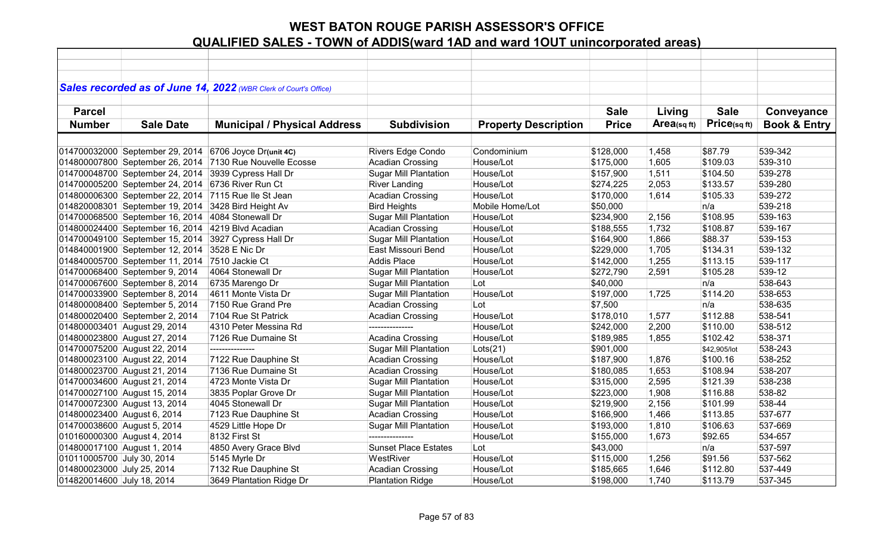|                             |                                 | Sales recorded as of June 14, 2022 (WBR Clerk of Court's Office) |                              |                             |              |            |              |                         |
|-----------------------------|---------------------------------|------------------------------------------------------------------|------------------------------|-----------------------------|--------------|------------|--------------|-------------------------|
|                             |                                 |                                                                  |                              |                             |              |            |              |                         |
| <b>Parcel</b>               |                                 |                                                                  |                              |                             | <b>Sale</b>  | Living     | <b>Sale</b>  | Conveyance              |
| <b>Number</b>               | <b>Sale Date</b>                | <b>Municipal / Physical Address</b>                              | <b>Subdivision</b>           | <b>Property Description</b> | <b>Price</b> | Area(sqft) | Price(sq ft) | <b>Book &amp; Entry</b> |
|                             |                                 |                                                                  |                              |                             |              |            |              |                         |
|                             | 014700032000 September 29, 2014 | 6706 Joyce Dr(unit 4C)                                           | Rivers Edge Condo            | Condominium                 | \$128,000    | 1,458      | \$87.79      | 539-342                 |
|                             | 014800007800 September 26, 2014 | 7130 Rue Nouvelle Ecosse                                         | <b>Acadian Crossing</b>      | House/Lot                   | \$175,000    | 1,605      | \$109.03     | 539-310                 |
|                             | 014700048700 September 24, 2014 | 3939 Cypress Hall Dr                                             | <b>Sugar Mill Plantation</b> | House/Lot                   | \$157,900    | 1,511      | \$104.50     | 539-278                 |
|                             | 014700005200 September 24, 2014 | 6736 River Run Ct                                                | <b>River Landing</b>         | House/Lot                   | \$274,225    | 2,053      | \$133.57     | 539-280                 |
|                             | 014800006300 September 22, 2014 | 7115 Rue Ile St Jean                                             | <b>Acadian Crossing</b>      | House/Lot                   | \$170,000    | 1,614      | \$105.33     | 539-272                 |
|                             | 014820008301 September 19, 2014 | 3428 Bird Height Av                                              | <b>Bird Heights</b>          | Mobile Home/Lot             | \$50,000     |            | n/a          | 539-218                 |
|                             | 014700068500 September 16, 2014 | 4084 Stonewall Dr                                                | <b>Sugar Mill Plantation</b> | House/Lot                   | \$234,900    | 2,156      | \$108.95     | 539-163                 |
|                             | 014800024400 September 16, 2014 | 4219 Blvd Acadian                                                | <b>Acadian Crossing</b>      | House/Lot                   | \$188,555    | 1,732      | \$108.87     | 539-167                 |
|                             | 014700049100 September 15, 2014 | 3927 Cypress Hall Dr                                             | <b>Sugar Mill Plantation</b> | House/Lot                   | \$164,900    | 1,866      | \$88.37      | 539-153                 |
|                             | 014840001900 September 12, 2014 | 3528 E Nic Dr                                                    | East Missouri Bend           | House/Lot                   | \$229,000    | 1,705      | \$134.31     | 539-132                 |
|                             | 014840005700 September 11, 2014 | 7510 Jackie Ct                                                   | <b>Addis Place</b>           | House/Lot                   | \$142,000    | 1,255      | \$113.15     | 539-117                 |
|                             | 014700068400 September 9, 2014  | 4064 Stonewall Dr                                                | <b>Sugar Mill Plantation</b> | House/Lot                   | \$272,790    | 2,591      | \$105.28     | 539-12                  |
|                             | 014700067600 September 8, 2014  | 6735 Marengo Dr                                                  | <b>Sugar Mill Plantation</b> | Lot                         | \$40,000     |            | n/a          | 538-643                 |
|                             | 014700033900 September 8, 2014  | 4611 Monte Vista Dr                                              | <b>Sugar Mill Plantation</b> | House/Lot                   | \$197,000    | 1,725      | \$114.20     | 538-653                 |
|                             | 014800008400 September 5, 2014  | 7150 Rue Grand Pre                                               | <b>Acadian Crossing</b>      | Lot                         | \$7,500      |            | n/a          | 538-635                 |
|                             | 014800020400 September 2, 2014  | 7104 Rue St Patrick                                              | <b>Acadian Crossing</b>      | House/Lot                   | \$178,010    | 1,577      | \$112.88     | 538-541                 |
|                             | 014800003401 August 29, 2014    | 4310 Peter Messina Rd                                            |                              | House/Lot                   | \$242,000    | 2,200      | \$110.00     | 538-512                 |
|                             | 014800023800 August 27, 2014    | 7126 Rue Dumaine St                                              | Acadina Crossing             | House/Lot                   | \$189,985    | 1,855      | \$102.42     | 538-371                 |
|                             | 014700075200 August 22, 2014    | ---------------                                                  | <b>Sugar Mill Plantation</b> | Lots(21)                    | \$901,000    |            | \$42,905/lot | 538-243                 |
|                             | 014800023100 August 22, 2014    | 7122 Rue Dauphine St                                             | <b>Acadian Crossing</b>      | House/Lot                   | \$187,900    | 1,876      | \$100.16     | 538-252                 |
|                             | 014800023700 August 21, 2014    | 7136 Rue Dumaine St                                              | <b>Acadian Crossing</b>      | House/Lot                   | \$180,085    | 1,653      | \$108.94     | 538-207                 |
|                             | 014700034600 August 21, 2014    | 4723 Monte Vista Dr                                              | <b>Sugar Mill Plantation</b> | House/Lot                   | \$315,000    | 2,595      | \$121.39     | 538-238                 |
|                             | 014700027100 August 15, 2014    | 3835 Poplar Grove Dr                                             | <b>Sugar Mill Plantation</b> | House/Lot                   | \$223,000    | 1,908      | \$116.88     | 538-82                  |
|                             | 014700072300 August 13, 2014    | 4045 Stonewall Dr                                                | <b>Sugar Mill Plantation</b> | House/Lot                   | \$219,900    | 2,156      | \$101.99     | 538-44                  |
| 014800023400 August 6, 2014 |                                 | 7123 Rue Dauphine St                                             | <b>Acadian Crossing</b>      | House/Lot                   | \$166,900    | 1,466      | \$113.85     | 537-677                 |
| 014700038600 August 5, 2014 |                                 | 4529 Little Hope Dr                                              | <b>Sugar Mill Plantation</b> | House/Lot                   | \$193,000    | 1,810      | \$106.63     | 537-669                 |
| 010160000300 August 4, 2014 |                                 | 8132 First St                                                    | ---------------              | House/Lot                   | \$155,000    | 1,673      | \$92.65      | 534-657                 |
| 014800017100 August 1, 2014 |                                 | 4850 Avery Grace Blvd                                            | <b>Sunset Place Estates</b>  | Lot                         | \$43,000     |            | n/a          | 537-597                 |
| 010110005700 July 30, 2014  |                                 | 5145 Myrle Dr                                                    | WestRiver                    | House/Lot                   | \$115,000    | 1,256      | \$91.56      | 537-562                 |
| 014800023000 July 25, 2014  |                                 | 7132 Rue Dauphine St                                             | <b>Acadian Crossing</b>      | House/Lot                   | \$185,665    | 1,646      | \$112.80     | 537-449                 |
| 014820014600 July 18, 2014  |                                 | 3649 Plantation Ridge Dr                                         | <b>Plantation Ridge</b>      | House/Lot                   | \$198,000    | 1,740      | \$113.79     | 537-345                 |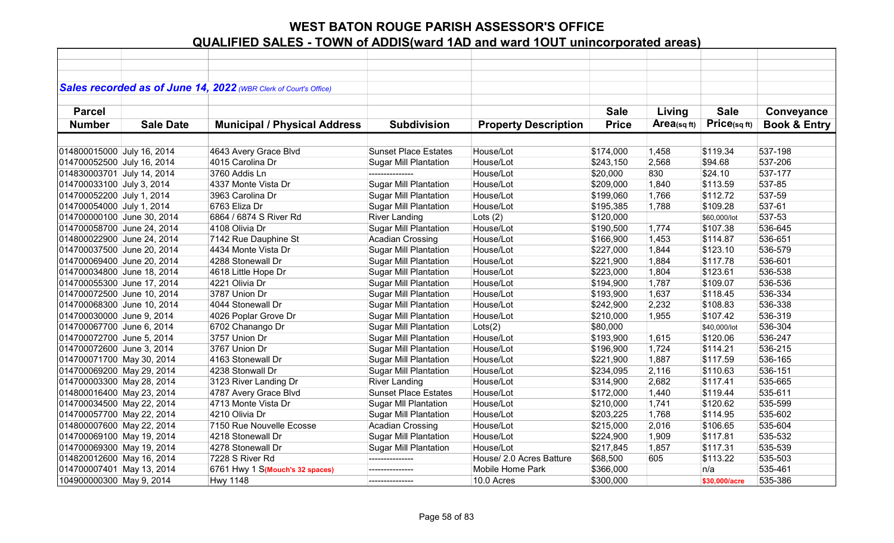|                            |                  | Sales recorded as of June 14, 2022 (WBR Clerk of Court's Office) |                              |                             |              |            |               |                         |
|----------------------------|------------------|------------------------------------------------------------------|------------------------------|-----------------------------|--------------|------------|---------------|-------------------------|
| <b>Parcel</b>              |                  |                                                                  |                              |                             | <b>Sale</b>  | Living     | <b>Sale</b>   | Conveyance              |
| <b>Number</b>              | <b>Sale Date</b> | <b>Municipal / Physical Address</b>                              | <b>Subdivision</b>           | <b>Property Description</b> | <b>Price</b> | Area(sqft) | Price(sqft)   | <b>Book &amp; Entry</b> |
|                            |                  |                                                                  |                              |                             |              |            |               |                         |
| 014800015000 July 16, 2014 |                  | 4643 Avery Grace Blvd                                            | <b>Sunset Place Estates</b>  | House/Lot                   | \$174,000    | 1,458      | \$119.34      | 537-198                 |
| 014700052500 July 16, 2014 |                  | 4015 Carolina Dr                                                 | <b>Sugar Mill Plantation</b> | House/Lot                   | \$243,150    | 2,568      | \$94.68       | 537-206                 |
| 014830003701 July 14, 2014 |                  | 3760 Addis Ln                                                    | ---------------              | House/Lot                   | \$20,000     | 830        | \$24.10       | 537-177                 |
| 014700033100 July 3, 2014  |                  | 4337 Monte Vista Dr                                              | <b>Sugar Mill Plantation</b> | House/Lot                   | \$209,000    | 1,840      | \$113.59      | 537-85                  |
| 014700052200 July 1, 2014  |                  | 3963 Carolina Dr                                                 | <b>Sugar Mill Plantation</b> | House/Lot                   | \$199,060    | 1,766      | \$112.72      | 537-59                  |
| 014700054000 July 1, 2014  |                  | 6763 Eliza Dr                                                    | <b>Sugar Mill Plantation</b> | House/Lot                   | \$195,385    | 1,788      | \$109.28      | 537-61                  |
| 014700000100 June 30, 2014 |                  | 6864 / 6874 S River Rd                                           | <b>River Landing</b>         | Lots $(2)$                  | \$120,000    |            | \$60,000/lot  | 537-53                  |
| 014700058700 June 24, 2014 |                  | 4108 Olivia Dr                                                   | <b>Sugar Mill Plantation</b> | House/Lot                   | \$190,500    | 1,774      | \$107.38      | 536-645                 |
| 014800022900 June 24, 2014 |                  | 7142 Rue Dauphine St                                             | <b>Acadian Crossing</b>      | House/Lot                   | \$166,900    | 1,453      | \$114.87      | 536-651                 |
| 014700037500 June 20, 2014 |                  | 4434 Monte Vista Dr                                              | <b>Sugar Mill Plantation</b> | House/Lot                   | \$227,000    | 1,844      | \$123.10      | 536-579                 |
| 014700069400 June 20, 2014 |                  | 4288 Stonewall Dr                                                | <b>Sugar Mill Plantation</b> | House/Lot                   | \$221,900    | 1,884      | \$117.78      | 536-601                 |
| 014700034800 June 18, 2014 |                  | 4618 Little Hope Dr                                              | <b>Sugar Mill Plantation</b> | House/Lot                   | \$223,000    | 1,804      | \$123.61      | 536-538                 |
| 014700055300 June 17, 2014 |                  | 4221 Olivia Dr                                                   | <b>Sugar Mill Plantation</b> | House/Lot                   | \$194,900    | 1,787      | \$109.07      | 536-536                 |
| 014700072500 June 10, 2014 |                  | 3787 Union Dr                                                    | <b>Sugar Mill Plantation</b> | House/Lot                   | \$193,900    | 1,637      | \$118.45      | 536-334                 |
| 014700068300 June 10, 2014 |                  | 4044 Stonewall Dr                                                | <b>Sugar Mill Plantation</b> | House/Lot                   | \$242,900    | 2,232      | \$108.83      | 536-338                 |
| 014700030000 June 9, 2014  |                  | 4026 Poplar Grove Dr                                             | <b>Sugar Mill Plantation</b> | House/Lot                   | \$210,000    | 1,955      | \$107.42      | 536-319                 |
| 014700067700 June 6, 2014  |                  | 6702 Chanango Dr                                                 | <b>Sugar Mill Plantation</b> | Lots(2)                     | \$80,000     |            | \$40,000/lot  | 536-304                 |
| 014700072700 June 5, 2014  |                  | 3757 Union Dr                                                    | <b>Sugar Mill Plantation</b> | House/Lot                   | \$193,900    | 1,615      | \$120.06      | 536-247                 |
| 014700072600 June 3, 2014  |                  | 3767 Union Dr                                                    | <b>Sugar Mill Plantation</b> | House/Lot                   | \$196,900    | 1,724      | \$114.21      | 536-215                 |
| 014700071700 May 30, 2014  |                  | 4163 Stonewall Dr                                                | <b>Sugar Mill Plantation</b> | House/Lot                   | \$221,900    | 1,887      | \$117.59      | 536-165                 |
| 014700069200 May 29, 2014  |                  | 4238 Stonwall Dr                                                 | <b>Sugar Mill Plantation</b> | House/Lot                   | \$234,095    | 2,116      | \$110.63      | 536-151                 |
| 014700003300 May 28, 2014  |                  | 3123 River Landing Dr                                            | <b>River Landing</b>         | House/Lot                   | \$314,900    | 2,682      | \$117.41      | 535-665                 |
| 014800016400 May 23, 2014  |                  | 4787 Avery Grace Blvd                                            | <b>Sunset Place Estates</b>  | House/Lot                   | \$172,000    | 1,440      | \$119.44      | 535-611                 |
| 014700034500 May 22, 2014  |                  | 4713 Monte Vista Dr                                              | <b>Sugar MII Plantation</b>  | House/Lot                   | \$210,000    | 1,741      | \$120.62      | 535-599                 |
| 014700057700 May 22, 2014  |                  | 4210 Olivia Dr                                                   | <b>Sugar Mill Plantation</b> | House/Lot                   | \$203,225    | 1,768      | \$114.95      | 535-602                 |
| 014800007600 May 22, 2014  |                  | 7150 Rue Nouvelle Ecosse                                         | <b>Acadian Crossing</b>      | House/Lot                   | \$215,000    | 2,016      | \$106.65      | 535-604                 |
| 014700069100 May 19, 2014  |                  | 4218 Stonewall Dr                                                | <b>Sugar Mill Plantation</b> | House/Lot                   | \$224,900    | 1,909      | \$117.81      | 535-532                 |
| 014700069300 May 19, 2014  |                  | 4278 Stonewall Dr                                                | <b>Sugar Mill Plantation</b> | House/Lot                   | \$217,845    | 1,857      | \$117.31      | 535-539                 |
| 014820012600 May 16, 2014  |                  | 7228 S River Rd                                                  | ---------------              | House/ 2.0 Acres Batture    | \$68,500     | 605        | \$113.22      | 535-503                 |
| 014700007401 May 13, 2014  |                  | 6761 Hwy 1 S(Mouch's 32 spaces)                                  | ---------------              | Mobile Home Park            | \$366,000    |            | n/a           | 535-461                 |
| 104900000300 May 9, 2014   |                  | <b>Hwy 1148</b>                                                  | ---------------              | 10.0 Acres                  | \$300,000    |            | \$30,000/acre | 535-386                 |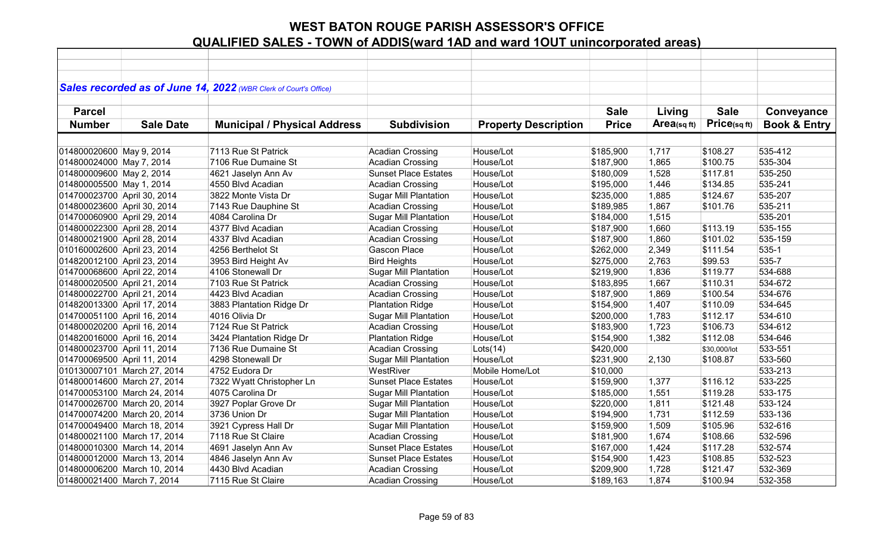|                             |                             | Sales recorded as of June 14, 2022 (WBR Clerk of Court's Office) |                              |                             |              |                |              |                         |
|-----------------------------|-----------------------------|------------------------------------------------------------------|------------------------------|-----------------------------|--------------|----------------|--------------|-------------------------|
|                             |                             |                                                                  |                              |                             |              |                |              |                         |
| <b>Parcel</b>               |                             |                                                                  |                              |                             | <b>Sale</b>  | Living         | <b>Sale</b>  | Conveyance              |
| <b>Number</b>               | <b>Sale Date</b>            | <b>Municipal / Physical Address</b>                              | <b>Subdivision</b>           | <b>Property Description</b> | <b>Price</b> | Area(sq $ft$ ) | Price(sqft)  | <b>Book &amp; Entry</b> |
|                             |                             |                                                                  |                              |                             |              |                |              |                         |
| 014800020600 May 9, 2014    |                             | 7113 Rue St Patrick                                              | <b>Acadian Crossing</b>      | House/Lot                   | \$185,900    | 1,717          | \$108.27     | 535-412                 |
| 014800024000 May 7, 2014    |                             | 7106 Rue Dumaine St                                              | <b>Acadian Crossing</b>      | House/Lot                   | \$187,900    | 1,865          | \$100.75     | 535-304                 |
| 014800009600 May 2, 2014    |                             | 4621 Jaselyn Ann Av                                              | <b>Sunset Place Estates</b>  | House/Lot                   | \$180,009    | 1,528          | \$117.81     | 535-250                 |
| 014800005500 May 1, 2014    |                             | 4550 Blvd Acadian                                                | <b>Acadian Crossing</b>      | House/Lot                   | \$195,000    | 1,446          | \$134.85     | 535-241                 |
| 014700023700 April 30, 2014 |                             | 3822 Monte Vista Dr                                              | <b>Sugar Mill Plantation</b> | House/Lot                   | \$235,000    | 1,885          | \$124.67     | 535-207                 |
| 014800023600 April 30, 2014 |                             | 7143 Rue Dauphine St                                             | <b>Acadian Crossing</b>      | House/Lot                   | \$189,985    | 1,867          | \$101.76     | 535-211                 |
| 014700060900 April 29, 2014 |                             | 4084 Carolina Dr                                                 | <b>Sugar Mill Plantation</b> | House/Lot                   | \$184,000    | 1,515          |              | 535-201                 |
| 014800022300 April 28, 2014 |                             | 4377 Blvd Acadian                                                | <b>Acadian Crossing</b>      | House/Lot                   | \$187,900    | 1,660          | \$113.19     | 535-155                 |
| 014800021900 April 28, 2014 |                             | 4337 Blvd Acadian                                                | <b>Acadian Crossing</b>      | House/Lot                   | \$187,900    | 1,860          | \$101.02     | 535-159                 |
| 010160002600 April 23, 2014 |                             | 4256 Berthelot St                                                | <b>Gascon Place</b>          | House/Lot                   | \$262,000    | 2,349          | \$111.54     | 535-1                   |
| 014820012100 April 23, 2014 |                             | 3953 Bird Height Av                                              | <b>Bird Heights</b>          | House/Lot                   | \$275,000    | 2,763          | \$99.53      | 535-7                   |
| 014700068600 April 22, 2014 |                             | 4106 Stonewall Dr                                                | <b>Sugar Mill Plantation</b> | House/Lot                   | \$219,900    | 1,836          | \$119.77     | 534-688                 |
| 014800020500 April 21, 2014 |                             | 7103 Rue St Patrick                                              | <b>Acadian Crossing</b>      | House/Lot                   | \$183,895    | 1,667          | \$110.31     | 534-672                 |
| 014800022700 April 21, 2014 |                             | 4423 Blvd Acadian                                                | <b>Acadian Crossing</b>      | House/Lot                   | \$187,900    | 1,869          | \$100.54     | 534-676                 |
| 014820013300 April 17, 2014 |                             | 3883 Plantation Ridge Dr                                         | <b>Plantation Ridge</b>      | House/Lot                   | \$154,900    | 1,407          | \$110.09     | 534-645                 |
| 014700051100 April 16, 2014 |                             | 4016 Olivia Dr                                                   | <b>Sugar Mill Plantation</b> | House/Lot                   | \$200,000    | 1,783          | \$112.17     | 534-610                 |
| 014800020200 April 16, 2014 |                             | 7124 Rue St Patrick                                              | <b>Acadian Crossing</b>      | House/Lot                   | \$183,900    | 1,723          | \$106.73     | 534-612                 |
| 014820016000 April 16, 2014 |                             | 3424 Plantation Ridge Dr                                         | <b>Plantation Ridge</b>      | House/Lot                   | \$154,900    | 1,382          | \$112.08     | 534-646                 |
| 014800023700 April 11, 2014 |                             | 7136 Rue Dumaine St                                              | <b>Acadian Crossing</b>      | Lots(14)                    | \$420,000    |                | \$30,000/lot | 533-551                 |
| 014700069500 April 11, 2014 |                             | 4298 Stonewall Dr                                                | <b>Sugar Mill Plantation</b> | House/Lot                   | \$231,900    | 2,130          | \$108.87     | 533-560                 |
|                             | 010130007101 March 27, 2014 | 4752 Eudora Dr                                                   | WestRiver                    | Mobile Home/Lot             | \$10,000     |                |              | 533-213                 |
|                             | 014800014600 March 27, 2014 | 7322 Wyatt Christopher Ln                                        | <b>Sunset Place Estates</b>  | House/Lot                   | \$159,900    | 1,377          | \$116.12     | 533-225                 |
|                             | 014700053100 March 24, 2014 | 4075 Carolina Dr                                                 | <b>Sugar Mill Plantation</b> | House/Lot                   | \$185,000    | 1,551          | \$119.28     | 533-175                 |
|                             | 014700026700 March 20, 2014 | 3927 Poplar Grove Dr                                             | <b>Sugar Mill Plantation</b> | House/Lot                   | \$220,000    | 1,811          | \$121.48     | 533-124                 |
|                             | 014700074200 March 20, 2014 | 3736 Union Dr                                                    | <b>Sugar Mill Plantation</b> | House/Lot                   | \$194,900    | 1,731          | \$112.59     | 533-136                 |
|                             | 014700049400 March 18, 2014 | 3921 Cypress Hall Dr                                             | <b>Sugar Mill Plantation</b> | House/Lot                   | \$159,900    | 1,509          | \$105.96     | 532-616                 |
|                             | 014800021100 March 17, 2014 | 7118 Rue St Claire                                               | <b>Acadian Crossing</b>      | House/Lot                   | \$181,900    | 1,674          | \$108.66     | 532-596                 |
|                             | 014800010300 March 14, 2014 | 4691 Jaselyn Ann Av                                              | <b>Sunset Place Estates</b>  | House/Lot                   | \$167,000    | 1,424          | \$117.28     | 532-574                 |
|                             | 014800012000 March 13, 2014 | 4846 Jaselyn Ann Av                                              | <b>Sunset Place Estates</b>  | House/Lot                   | \$154,900    | 1,423          | \$108.85     | 532-523                 |
|                             | 014800006200 March 10, 2014 | 4430 Blvd Acadian                                                | <b>Acadian Crossing</b>      | House/Lot                   | \$209,900    | 1,728          | \$121.47     | 532-369                 |
| 014800021400 March 7, 2014  |                             | 7115 Rue St Claire                                               | <b>Acadian Crossing</b>      | House/Lot                   | \$189,163    | 1,874          | \$100.94     | 532-358                 |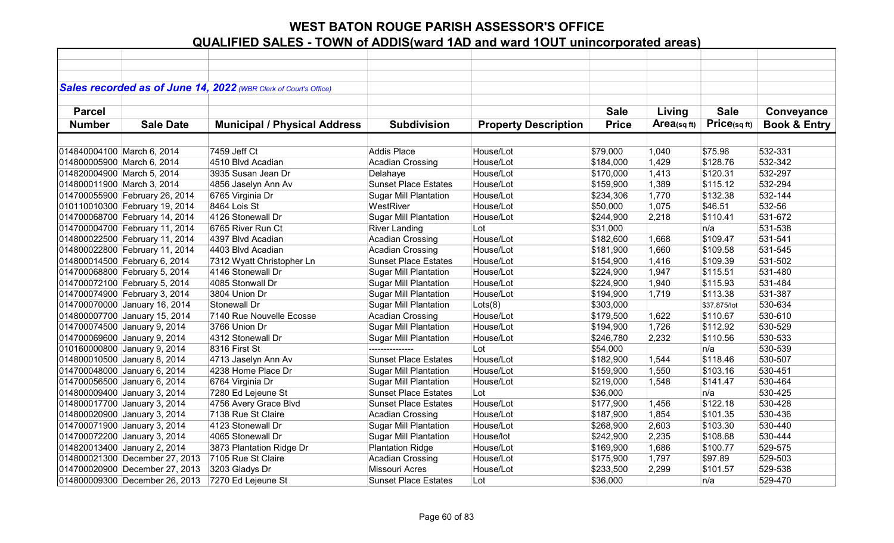|                            |                                | Sales recorded as of June 14, 2022 (WBR Clerk of Court's Office) |                              |                             |              |             |              |                         |
|----------------------------|--------------------------------|------------------------------------------------------------------|------------------------------|-----------------------------|--------------|-------------|--------------|-------------------------|
| <b>Parcel</b>              |                                |                                                                  |                              |                             | <b>Sale</b>  | Living      | <b>Sale</b>  | Conveyance              |
| <b>Number</b>              | <b>Sale Date</b>               | <b>Municipal / Physical Address</b>                              | <b>Subdivision</b>           | <b>Property Description</b> | <b>Price</b> | Area(sq ft) | Price(sqft)  | <b>Book &amp; Entry</b> |
|                            |                                |                                                                  |                              |                             |              |             |              |                         |
| 014840004100 March 6, 2014 |                                | 7459 Jeff Ct                                                     | <b>Addis Place</b>           | House/Lot                   | \$79,000     | 1,040       | \$75.96      | 532-331                 |
| 014800005900 March 6, 2014 |                                | 4510 Blvd Acadian                                                | <b>Acadian Crossing</b>      | House/Lot                   | \$184,000    | 1,429       | \$128.76     | 532-342                 |
| 014820004900 March 5, 2014 |                                | 3935 Susan Jean Dr                                               | Delahaye                     | House/Lot                   | \$170,000    | 1,413       | \$120.31     | 532-297                 |
| 014800011900 March 3, 2014 |                                | 4856 Jaselyn Ann Av                                              | <b>Sunset Place Estates</b>  | House/Lot                   | \$159,900    | 1,389       | \$115.12     | 532-294                 |
|                            | 014700055900 February 26, 2014 | 6765 Virginia Dr                                                 | <b>Sugar Mill Plantation</b> | House/Lot                   | \$234,306    | 1,770       | \$132.38     | 532-144                 |
|                            | 010110010300 February 19, 2014 | 8464 Lois St                                                     | WestRiver                    | House/Lot                   | \$50,000     | 1,075       | \$46.51      | 532-56                  |
|                            | 014700068700 February 14, 2014 | 4126 Stonewall Dr                                                | <b>Sugar Mill Plantation</b> | House/Lot                   | \$244,900    | 2,218       | \$110.41     | 531-672                 |
|                            | 014700004700 February 11, 2014 | 6765 River Run Ct                                                | <b>River Landing</b>         | Lot                         | \$31,000     |             | n/a          | 531-538                 |
|                            | 014800022500 February 11, 2014 | 4397 Blvd Acadian                                                | <b>Acadian Crossing</b>      | House/Lot                   | \$182,600    | 1,668       | \$109.47     | 531-541                 |
|                            | 014800022800 February 11, 2014 | 4403 Blvd Acadian                                                | <b>Acadian Crossing</b>      | House/Lot                   | \$181,900    | 1,660       | \$109.58     | 531-545                 |
|                            | 014800014500 February 6, 2014  | 7312 Wyatt Christopher Ln                                        | <b>Sunset Place Estates</b>  | House/Lot                   | \$154,900    | 1,416       | \$109.39     | 531-502                 |
|                            | 014700068800 February 5, 2014  | 4146 Stonewall Dr                                                | <b>Sugar Mill Plantation</b> | House/Lot                   | \$224,900    | 1,947       | \$115.51     | 531-480                 |
|                            | 014700072100 February 5, 2014  | 4085 Stonwall Dr                                                 | <b>Sugar Mill Plantation</b> | House/Lot                   | \$224,900    | 1,940       | \$115.93     | 531-484                 |
|                            | 014700074900 February 3, 2014  | 3804 Union Dr                                                    | <b>Sugar Mill Plantation</b> | House/Lot                   | \$194,900    | 1,719       | \$113.38     | 531-387                 |
|                            | 014700070000 January 16, 2014  | Stonewall Dr                                                     | <b>Sugar Mill Plantation</b> | Lots(8)                     | \$303,000    |             | \$37,875/lot | 530-634                 |
|                            | 014800007700 January 15, 2014  | 7140 Rue Nouvelle Ecosse                                         | <b>Acadian Crossing</b>      | House/Lot                   | \$179,500    | 1,622       | \$110.67     | 530-610                 |
|                            | 014700074500 January 9, 2014   | 3766 Union Dr                                                    | <b>Sugar Mill Plantation</b> | House/Lot                   | \$194,900    | 1,726       | \$112.92     | 530-529                 |
|                            | 014700069600 January 9, 2014   | 4312 Stonewall Dr                                                | <b>Sugar Mill Plantation</b> | House/Lot                   | \$246,780    | 2,232       | \$110.56     | 530-533                 |
|                            | 010160000800 January 9, 2014   | 8316 First St                                                    |                              | Lot                         | \$54,000     |             | n/a          | 530-539                 |
|                            | 014800010500 January 8, 2014   | 4713 Jaselyn Ann Av                                              | <b>Sunset Place Estates</b>  | House/Lot                   | \$182,900    | 1,544       | \$118.46     | 530-507                 |
|                            | 014700048000 January 6, 2014   | 4238 Home Place Dr                                               | <b>Sugar Mill Plantation</b> | House/Lot                   | \$159,900    | 1,550       | \$103.16     | 530-451                 |
|                            | 014700056500 January 6, 2014   | 6764 Virginia Dr                                                 | <b>Sugar Mill Plantation</b> | House/Lot                   | \$219,000    | 1,548       | \$141.47     | 530-464                 |
|                            | 014800009400 January 3, 2014   | 7280 Ed Lejeune St                                               | <b>Sunset Place Estates</b>  | Lot                         | \$36,000     |             | n/a          | 530-425                 |
|                            | 014800017700 January 3, 2014   | 4756 Avery Grace Blvd                                            | <b>Sunset Place Estates</b>  | House/Lot                   | \$177,900    | 1,456       | \$122.18     | 530-428                 |
|                            | 014800020900 January 3, 2014   | 7138 Rue St Claire                                               | <b>Acadian Crossing</b>      | House/Lot                   | \$187,900    | 1,854       | \$101.35     | 530-436                 |
|                            | 014700071900 January 3, 2014   | 4123 Stonewall Dr                                                | <b>Sugar Mill Plantation</b> | House/Lot                   | \$268,900    | 2,603       | \$103.30     | 530-440                 |
|                            | 014700072200 January 3, 2014   | 4065 Stonewall Dr                                                | <b>Sugar Mill Plantation</b> | House/lot                   | \$242,900    | 2,235       | \$108.68     | 530-444                 |
|                            | 014820013400 January 2, 2014   | 3873 Plantation Ridge Dr                                         | <b>Plantation Ridge</b>      | House/Lot                   | \$169,900    | 1,686       | \$100.77     | 529-575                 |
|                            | 014800021300 December 27, 2013 | 7105 Rue St Claire                                               | Acadian Crossing             | House/Lot                   | \$175,900    | 1,797       | \$97.89      | 529-503                 |
|                            | 014700020900 December 27, 2013 | 3203 Gladys Dr                                                   | <b>Missouri Acres</b>        | House/Lot                   | \$233,500    | 2,299       | \$101.57     | 529-538                 |
|                            | 014800009300 December 26, 2013 | 7270 Ed Lejeune St                                               | <b>Sunset Place Estates</b>  | Lot                         | \$36,000     |             | n/a          | 529-470                 |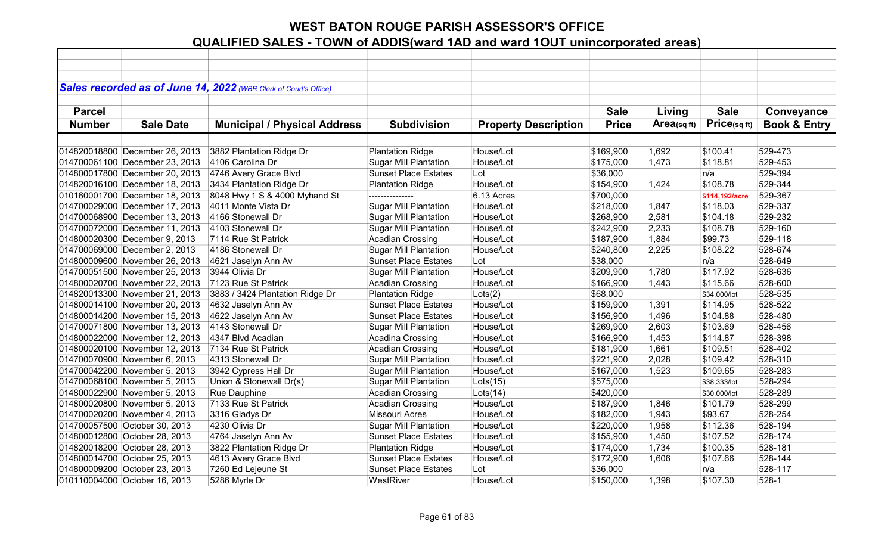|               |                                | Sales recorded as of June 14, 2022 (WBR Clerk of Court's Office) |                              |                             |              |                |                |                         |
|---------------|--------------------------------|------------------------------------------------------------------|------------------------------|-----------------------------|--------------|----------------|----------------|-------------------------|
|               |                                |                                                                  |                              |                             |              |                |                |                         |
| <b>Parcel</b> |                                |                                                                  |                              |                             | <b>Sale</b>  | Living         | <b>Sale</b>    | Conveyance              |
| <b>Number</b> | <b>Sale Date</b>               | <b>Municipal / Physical Address</b>                              | <b>Subdivision</b>           | <b>Property Description</b> | <b>Price</b> | Area(sq $ft$ ) | Price(sqft)    | <b>Book &amp; Entry</b> |
|               |                                |                                                                  |                              |                             |              |                |                |                         |
|               | 014820018800 December 26, 2013 | 3882 Plantation Ridge Dr                                         | <b>Plantation Ridge</b>      | House/Lot                   | \$169,900    | 1,692          | \$100.41       | 529-473                 |
|               | 014700061100 December 23, 2013 | 4106 Carolina Dr                                                 | <b>Sugar Mill Plantation</b> | House/Lot                   | \$175,000    | 1,473          | \$118.81       | 529-453                 |
|               | 014800017800 December 20, 2013 | 4746 Avery Grace Blvd                                            | <b>Sunset Place Estates</b>  | Lot                         | \$36,000     |                | n/a            | 529-394                 |
|               | 014820016100 December 18, 2013 | 3434 Plantation Ridge Dr                                         | <b>Plantation Ridge</b>      | House/Lot                   | \$154,900    | 1,424          | \$108.78       | 529-344                 |
|               | 010160001700 December 18, 2013 | 8048 Hwy 1 S & 4000 Myhand St                                    |                              | 6.13 Acres                  | \$700,000    |                | \$114,192/acre | 529-367                 |
|               | 014700029000 December 17, 2013 | 4011 Monte Vista Dr                                              | <b>Sugar Mill Plantation</b> | House/Lot                   | \$218,000    | 1,847          | \$118.03       | 529-337                 |
|               | 014700068900 December 13, 2013 | 4166 Stonewall Dr                                                | <b>Sugar Mill Plantation</b> | House/Lot                   | \$268,900    | 2,581          | \$104.18       | 529-232                 |
|               | 014700072000 December 11, 2013 | 4103 Stonewall Dr                                                | <b>Sugar Mill Plantation</b> | House/Lot                   | \$242,900    | 2,233          | \$108.78       | 529-160                 |
|               | 014800020300 December 9, 2013  | 7114 Rue St Patrick                                              | <b>Acadian Crossing</b>      | House/Lot                   | \$187,900    | 1,884          | \$99.73        | 529-118                 |
|               | 014700069000 December 2, 2013  | 4186 Stonewall Dr                                                | <b>Sugar Mill Plantation</b> | House/Lot                   | \$240,800    | 2,225          | \$108.22       | 528-674                 |
|               | 014800009600 November 26, 2013 | 4621 Jaselyn Ann Av                                              | <b>Sunset Place Estates</b>  | Lot                         | \$38,000     |                | n/a            | 528-649                 |
|               | 014700051500 November 25, 2013 | 3944 Olivia Dr                                                   | <b>Sugar Mill Plantation</b> | House/Lot                   | \$209,900    | 1,780          | \$117.92       | 528-636                 |
|               | 014800020700 November 22, 2013 | 7123 Rue St Patrick                                              | <b>Acadian Crossing</b>      | House/Lot                   | \$166,900    | 1,443          | \$115.66       | 528-600                 |
|               | 014820013300 November 21, 2013 | 3883 / 3424 Plantation Ridge Dr                                  | <b>Plantation Ridge</b>      | Lots(2)                     | \$68,000     |                | \$34,000/lot   | 528-535                 |
|               | 014800014100 November 20, 2013 | 4632 Jaselyn Ann Av                                              | <b>Sunset Place Estates</b>  | House/Lot                   | \$159,900    | 1,391          | \$114.95       | 528-522                 |
|               | 014800014200 November 15, 2013 | 4622 Jaselyn Ann Av                                              | <b>Sunset Place Estates</b>  | House/Lot                   | \$156,900    | 1,496          | \$104.88       | 528-480                 |
|               | 014700071800 November 13, 2013 | 4143 Stonewall Dr                                                | <b>Sugar Mill Plantation</b> | House/Lot                   | \$269,900    | 2,603          | \$103.69       | 528-456                 |
|               | 014800022000 November 12, 2013 | 4347 Blvd Acadian                                                | Acadina Crossing             | House/Lot                   | \$166,900    | 1,453          | \$114.87       | 528-398                 |
|               | 014800020100 November 12, 2013 | 7134 Rue St Patrick                                              | <b>Acadian Crossing</b>      | House/Lot                   | \$181,900    | 1,661          | \$109.51       | 528-402                 |
|               | 014700070900 November 6, 2013  | 4313 Stonewall Dr                                                | <b>Sugar Mill Plantation</b> | House/Lot                   | \$221,900    | 2,028          | \$109.42       | 528-310                 |
|               | 014700042200 November 5, 2013  | 3942 Cypress Hall Dr                                             | <b>Sugar Mill Plantation</b> | House/Lot                   | \$167,000    | 1,523          | \$109.65       | 528-283                 |
|               | 014700068100 November 5, 2013  | Union & Stonewall Dr(s)                                          | <b>Sugar Mill Plantation</b> | Lots(15)                    | \$575,000    |                | \$38,333/lot   | 528-294                 |
|               | 014800022900 November 5, 2013  | Rue Dauphine                                                     | <b>Acadian Crossing</b>      | Lots(14)                    | \$420,000    |                | \$30,000/lot   | 528-289                 |
|               | 014800020800 November 5, 2013  | 7133 Rue St Patrick                                              | <b>Acadian Crossing</b>      | House/Lot                   | \$187,900    | 1,846          | \$101.79       | 528-299                 |
|               | 014700020200 November 4, 2013  | 3316 Gladys Dr                                                   | <b>Missouri Acres</b>        | House/Lot                   | \$182,000    | 1,943          | \$93.67        | 528-254                 |
|               | 014700057500 October 30, 2013  | 4230 Olivia Dr                                                   | <b>Sugar Mill Plantation</b> | House/Lot                   | \$220,000    | 1,958          | \$112.36       | 528-194                 |
|               | 014800012800 October 28, 2013  | 4764 Jaselyn Ann Av                                              | <b>Sunset Place Estates</b>  | House/Lot                   | \$155,900    | 1,450          | \$107.52       | 528-174                 |
|               | 014820018200 October 28, 2013  | 3822 Plantation Ridge Dr                                         | <b>Plantation Ridge</b>      | House/Lot                   | \$174,000    | 1,734          | \$100.35       | 528-181                 |
|               | 014800014700 October 25, 2013  | 4613 Avery Grace Blvd                                            | <b>Sunset Place Estates</b>  | House/Lot                   | \$172,900    | 1,606          | \$107.66       | 528-144                 |
|               | 014800009200 October 23, 2013  | 7260 Ed Lejeune St                                               | <b>Sunset Place Estates</b>  | Lot                         | \$36,000     |                | n/a            | 528-117                 |
|               | 010110004000 October 16, 2013  | 5286 Myrle Dr                                                    | WestRiver                    | House/Lot                   | \$150,000    | 1,398          | \$107.30       | $528-1$                 |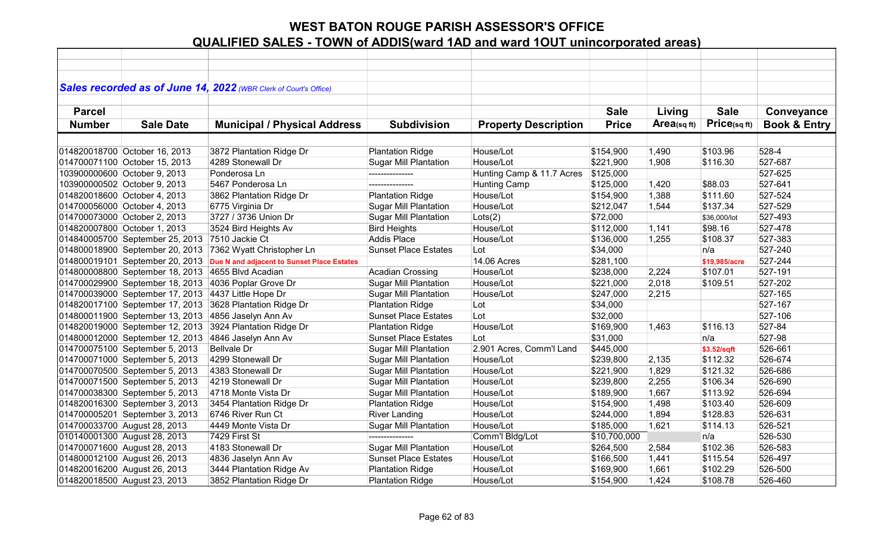|               |                                 | Sales recorded as of June 14, 2022 (WBR Clerk of Court's Office) |                              |                             |              |            |               |                         |
|---------------|---------------------------------|------------------------------------------------------------------|------------------------------|-----------------------------|--------------|------------|---------------|-------------------------|
| <b>Parcel</b> |                                 |                                                                  |                              |                             | <b>Sale</b>  | Living     | <b>Sale</b>   | Conveyance              |
| <b>Number</b> | <b>Sale Date</b>                | <b>Municipal / Physical Address</b>                              | <b>Subdivision</b>           | <b>Property Description</b> | <b>Price</b> | Area(sqft) | Price(sq ft)  | <b>Book &amp; Entry</b> |
|               |                                 |                                                                  |                              |                             |              |            |               |                         |
|               | 014820018700 October 16, 2013   | 3872 Plantation Ridge Dr                                         | <b>Plantation Ridge</b>      | House/Lot                   | \$154,900    | 1,490      | \$103.96      | 528-4                   |
|               | 014700071100 October 15, 2013   | 4289 Stonewall Dr                                                | <b>Sugar Mill Plantation</b> | House/Lot                   | \$221,900    | 1,908      | \$116.30      | 527-687                 |
|               | 103900000600 October 9, 2013    | Ponderosa Ln                                                     | ---------------              | Hunting Camp & 11.7 Acres   | \$125,000    |            |               | 527-625                 |
|               | 103900000502 October 9, 2013    | 5467 Ponderosa Ln                                                | ---------------              | <b>Hunting Camp</b>         | \$125,000    | 1,420      | \$88.03       | 527-641                 |
|               | 014820018600 October 4, 2013    | 3862 Plantation Ridge Dr                                         | <b>Plantation Ridge</b>      | House/Lot                   | \$154,900    | 1,388      | \$111.60      | 527-524                 |
|               | 014700056000 October 4, 2013    | 6775 Virginia Dr                                                 | <b>Sugar Mill Plantation</b> | House/Lot                   | \$212,047    | 1,544      | \$137.34      | 527-529                 |
|               | 014700073000 October 2, 2013    | 3727 / 3736 Union Dr                                             | <b>Sugar Mill Plantation</b> | Lots(2)                     | \$72,000     |            | \$36,000/lot  | 527-493                 |
|               | 014820007800 October 1, 2013    | 3524 Bird Heights Av                                             | <b>Bird Heights</b>          | House/Lot                   | \$112,000    | 1,141      | \$98.16       | 527-478                 |
|               | 014840005700 September 25, 2013 | 7510 Jackie Ct                                                   | <b>Addis Place</b>           | House/Lot                   | \$136,000    | 1,255      | \$108.37      | 527-383                 |
|               | 014800018900 September 20, 2013 | 7362 Wyatt Christopher Ln                                        | <b>Sunset Place Estates</b>  | Lot                         | \$34,000     |            | n/a           | 527-240                 |
|               | 014800019101 September 20, 2013 | Due N and adjacent to Sunset Place Estates                       |                              | 14.06 Acres                 | \$281,100    |            | \$19,985/acre | 527-244                 |
|               | 014800008800 September 18, 2013 | 4655 Blvd Acadian                                                | <b>Acadian Crossing</b>      | House/Lot                   | \$238,000    | 2,224      | \$107.01      | 527-191                 |
|               | 014700029900 September 18, 2013 | 4036 Poplar Grove Dr                                             | <b>Sugar Mill Plantation</b> | House/Lot                   | \$221,000    | 2,018      | \$109.51      | 527-202                 |
|               | 014700039000 September 17, 2013 | 4437 Little Hope Dr                                              | <b>Sugar Mill Plantation</b> | House/Lot                   | \$247,000    | 2,215      |               | 527-165                 |
|               | 014820017100 September 17, 2013 | 3628 Plantation Ridge Dr                                         | <b>Plantation Ridge</b>      | Lot                         | \$34,000     |            |               | 527-167                 |
|               | 014800011900 September 13, 2013 | 4856 Jaselyn Ann Av                                              | <b>Sunset Place Estates</b>  | Lot                         | \$32,000     |            |               | 527-106                 |
|               | 014820019000 September 12, 2013 | 3924 Plantation Ridge Dr                                         | <b>Plantation Ridge</b>      | House/Lot                   | \$169,900    | 1,463      | \$116.13      | 527-84                  |
|               | 014800012000 September 12, 2013 | 4846 Jaselyn Ann Av                                              | <b>Sunset Place Estates</b>  | Lot                         | \$31,000     |            | n/a           | 527-98                  |
|               | 014700075100 September 5, 2013  | <b>Bellvale Dr</b>                                               | <b>Sugar Mill Plantation</b> | 2.901 Acres, Comm'l Land    | \$445,000    |            | \$3.52/sqft   | 526-661                 |
|               | 014700071000 September 5, 2013  | 4299 Stonewall Dr                                                | <b>Sugar Mill Plantation</b> | House/Lot                   | \$239,800    | 2,135      | \$112.32      | 526-674                 |
|               | 014700070500 September 5, 2013  | 4383 Stonewall Dr                                                | <b>Sugar Mill Plantation</b> | House/Lot                   | \$221,900    | 1,829      | \$121.32      | 526-686                 |
|               | 014700071500 September 5, 2013  | 4219 Stonewall Dr                                                | <b>Sugar Mill Plantation</b> | House/Lot                   | \$239,800    | 2,255      | \$106.34      | 526-690                 |
|               | 014700038300 September 5, 2013  | 4718 Monte Vista Dr                                              | <b>Sugar Mill Plantation</b> | House/Lot                   | \$189,900    | 1,667      | \$113.92      | 526-694                 |
|               | 014820016300 September 3, 2013  | 3454 Plantation Ridge Dr                                         | <b>Plantation Ridge</b>      | House/Lot                   | \$154,900    | 1,498      | \$103.40      | 526-609                 |
|               | 014700005201 September 3, 2013  | 6746 River Run Ct                                                | <b>River Landing</b>         | House/Lot                   | \$244,000    | 1,894      | \$128.83      | 526-631                 |
|               | 014700033700 August 28, 2013    | 4449 Monte Vista Dr                                              | <b>Sugar Mill Plantation</b> | House/Lot                   | \$185,000    | 1,621      | \$114.13      | 526-521                 |
|               | 010140001300 August 28, 2013    | 7429 First St                                                    | ---------------              | Comm'l Bldg/Lot             | \$10,700,000 |            | n/a           | 526-530                 |
|               | 014700071600 August 28, 2013    | 4183 Stonewall Dr                                                | <b>Sugar Mill Plantation</b> | House/Lot                   | \$264,500    | 2,584      | \$102.36      | 526-583                 |
|               | 014800012100 August 26, 2013    | 4836 Jaselyn Ann Av                                              | <b>Sunset Place Estates</b>  | House/Lot                   | \$166,500    | 1,441      | \$115.54      | 526-497                 |
|               | 014820016200 August 26, 2013    | 3444 Plantation Ridge Av                                         | <b>Plantation Ridge</b>      | House/Lot                   | \$169,900    | 1,661      | \$102.29      | 526-500                 |
|               | 014820018500 August 23, 2013    | 3852 Plantation Ridge Dr                                         | <b>Plantation Ridge</b>      | House/Lot                   | \$154,900    | 1,424      | \$108.78      | 526-460                 |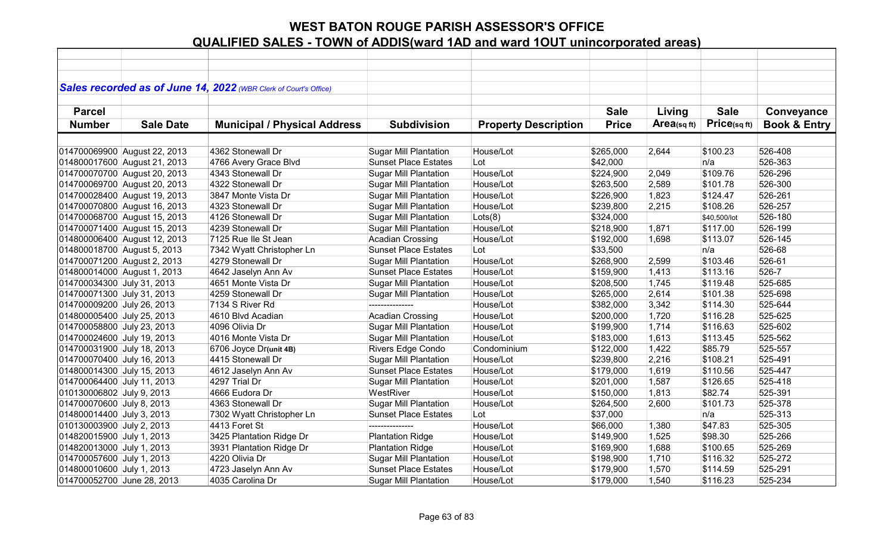|                             |                              | Sales recorded as of June 14, 2022 (WBR Clerk of Court's Office) |                              |                             |              |            |              |                         |
|-----------------------------|------------------------------|------------------------------------------------------------------|------------------------------|-----------------------------|--------------|------------|--------------|-------------------------|
|                             |                              |                                                                  |                              |                             |              |            |              |                         |
| <b>Parcel</b>               |                              |                                                                  |                              |                             | <b>Sale</b>  | Living     | <b>Sale</b>  | Conveyance              |
| <b>Number</b>               | <b>Sale Date</b>             | <b>Municipal / Physical Address</b>                              | <b>Subdivision</b>           | <b>Property Description</b> | <b>Price</b> | Area(sqft) | Price(sqft)  | <b>Book &amp; Entry</b> |
|                             |                              |                                                                  |                              |                             |              |            |              |                         |
|                             | 014700069900 August 22, 2013 | 4362 Stonewall Dr                                                | <b>Sugar Mill Plantation</b> | House/Lot                   | \$265,000    | 2,644      | \$100.23     | 526-408                 |
|                             | 014800017600 August 21, 2013 | 4766 Avery Grace Blvd                                            | <b>Sunset Place Estates</b>  | Lot                         | \$42,000     |            | n/a          | 526-363                 |
|                             | 014700070700 August 20, 2013 | 4343 Stonewall Dr                                                | <b>Sugar Mill Plantation</b> | House/Lot                   | \$224,900    | 2,049      | \$109.76     | 526-296                 |
|                             | 014700069700 August 20, 2013 | 4322 Stonewall Dr                                                | <b>Sugar Mill Plantation</b> | House/Lot                   | \$263,500    | 2,589      | \$101.78     | 526-300                 |
|                             | 014700028400 August 19, 2013 | 3847 Monte Vista Dr                                              | <b>Sugar Mill Plantation</b> | House/Lot                   | \$226,900    | 1,823      | \$124.47     | 526-261                 |
|                             | 014700070800 August 16, 2013 | 4323 Stonewall Dr                                                | <b>Sugar Mill Plantation</b> | House/Lot                   | \$239,800    | 2,215      | \$108.26     | 526-257                 |
|                             | 014700068700 August 15, 2013 | 4126 Stonewall Dr                                                | <b>Sugar Mill Plantation</b> | Lots(8)                     | \$324,000    |            | \$40,500/lot | 526-180                 |
|                             | 014700071400 August 15, 2013 | 4239 Stonewall Dr                                                | <b>Sugar Mill Plantation</b> | House/Lot                   | \$218,900    | 1,871      | \$117.00     | 526-199                 |
|                             | 014800006400 August 12, 2013 | 7125 Rue Ile St Jean                                             | <b>Acadian Crossing</b>      | House/Lot                   | \$192,000    | 1,698      | \$113.07     | 526-145                 |
| 014800018700 August 5, 2013 |                              | 7342 Wyatt Christopher Ln                                        | <b>Sunset Place Estates</b>  | Lot                         | \$33,500     |            | n/a          | 526-68                  |
| 014700071200 August 2, 2013 |                              | 4279 Stonewall Dr                                                | <b>Sugar Mill Plantation</b> | House/Lot                   | \$268,900    | 2,599      | \$103.46     | 526-61                  |
| 014800014000 August 1, 2013 |                              | 4642 Jaselyn Ann Av                                              | <b>Sunset Place Estates</b>  | House/Lot                   | \$159,900    | 1,413      | \$113.16     | 526-7                   |
| 014700034300 July 31, 2013  |                              | 4651 Monte Vista Dr                                              | <b>Sugar Mill Plantation</b> | House/Lot                   | \$208,500    | 1,745      | \$119.48     | 525-685                 |
| 014700071300 July 31, 2013  |                              | 4259 Stonewall Dr                                                | <b>Sugar Mill Plantation</b> | House/Lot                   | \$265,000    | 2,614      | \$101.38     | 525-698                 |
| 014700009200 July 26, 2013  |                              | 7134 S River Rd                                                  |                              | House/Lot                   | \$382,000    | 3,342      | \$114.30     | 525-644                 |
| 014800005400 July 25, 2013  |                              | 4610 Blvd Acadian                                                | <b>Acadian Crossing</b>      | House/Lot                   | \$200,000    | 1,720      | \$116.28     | 525-625                 |
| 014700058800 July 23, 2013  |                              | 4096 Olivia Dr                                                   | <b>Sugar Mill Plantation</b> | House/Lot                   | \$199,900    | 1,714      | \$116.63     | 525-602                 |
| 014700024600 July 19, 2013  |                              | 4016 Monte Vista Dr                                              | <b>Sugar Mill Plantation</b> | House/Lot                   | \$183,000    | 1,613      | \$113.45     | 525-562                 |
| 014700031900 July 18, 2013  |                              | 6706 Joyce Dr(unit 4B)                                           | Rivers Edge Condo            | Condominium                 | \$122,000    | 1,422      | \$85.79      | 525-557                 |
| 014700070400 July 16, 2013  |                              | 4415 Stonewall Dr                                                | <b>Sugar Mill Plantation</b> | House/Lot                   | \$239,800    | 2,216      | \$108.21     | 525-491                 |
| 014800014300 July 15, 2013  |                              | 4612 Jaselyn Ann Av                                              | <b>Sunset Place Estates</b>  | House/Lot                   | \$179,000    | 1,619      | \$110.56     | 525-447                 |
| 014700064400 July 11, 2013  |                              | 4297 Trial Dr                                                    | <b>Sugar Mill Plantation</b> | House/Lot                   | \$201,000    | 1,587      | \$126.65     | 525-418                 |
| 010130006802 July 9, 2013   |                              | 4666 Eudora Dr                                                   | WestRiver                    | House/Lot                   | \$150,000    | 1,813      | \$82.74      | 525-391                 |
| 014700070600 July 8, 2013   |                              | 4363 Stonewall Dr                                                | <b>Sugar Mill Plantation</b> | House/Lot                   | \$264,500    | 2,600      | \$101.73     | 525-378                 |
| 014800014400 July 3, 2013   |                              | 7302 Wyatt Christopher Ln                                        | <b>Sunset Place Estates</b>  | Lot                         | \$37,000     |            | n/a          | 525-313                 |
| 010130003900 July 2, 2013   |                              | 4413 Foret St                                                    | ---------------              | House/Lot                   | \$66,000     | 1,380      | \$47.83      | 525-305                 |
| 014820015900 July 1, 2013   |                              | 3425 Plantation Ridge Dr                                         | <b>Plantation Ridge</b>      | House/Lot                   | \$149,900    | 1,525      | \$98.30      | 525-266                 |
| 014820013000 July 1, 2013   |                              | 3931 Plantation Ridge Dr                                         | <b>Plantation Ridge</b>      | House/Lot                   | \$169,900    | 1,688      | \$100.65     | 525-269                 |
| 014700057600 July 1, 2013   |                              | 4220 Olivia Dr                                                   | <b>Sugar Mill Plantation</b> | House/Lot                   | \$198,900    | 1,710      | \$116.32     | 525-272                 |
| 014800010600 July 1, 2013   |                              | 4723 Jaselyn Ann Av                                              | <b>Sunset Place Estates</b>  | House/Lot                   | \$179,900    | 1,570      | \$114.59     | 525-291                 |
| 014700052700 June 28, 2013  |                              | 4035 Carolina Dr                                                 | <b>Sugar Mill Plantation</b> | House/Lot                   | \$179,000    | 1,540      | \$116.23     | 525-234                 |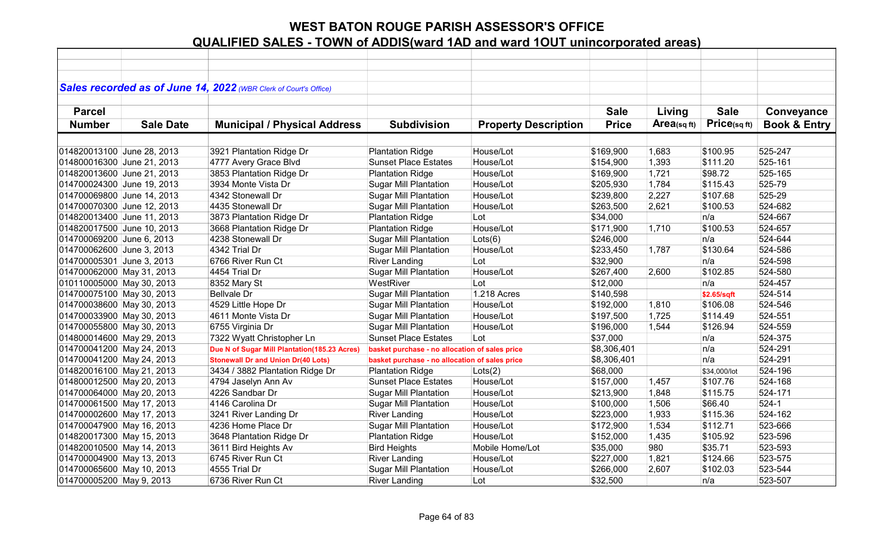|                            |                  | Sales recorded as of June 14, 2022 (WBR Clerk of Court's Office) |                                                |                             |              |                |              |                         |
|----------------------------|------------------|------------------------------------------------------------------|------------------------------------------------|-----------------------------|--------------|----------------|--------------|-------------------------|
|                            |                  |                                                                  |                                                |                             |              |                |              |                         |
| <b>Parcel</b>              |                  |                                                                  |                                                |                             | <b>Sale</b>  | Living         | <b>Sale</b>  | Conveyance              |
| <b>Number</b>              | <b>Sale Date</b> | <b>Municipal / Physical Address</b>                              | <b>Subdivision</b>                             | <b>Property Description</b> | <b>Price</b> | Area(sq $ft$ ) | Price(sqft)  | <b>Book &amp; Entry</b> |
|                            |                  |                                                                  |                                                |                             |              |                |              |                         |
| 014820013100 June 28, 2013 |                  | 3921 Plantation Ridge Dr                                         | <b>Plantation Ridge</b>                        | House/Lot                   | \$169,900    | 1,683          | \$100.95     | 525-247                 |
| 014800016300 June 21, 2013 |                  | 4777 Avery Grace Blvd                                            | <b>Sunset Place Estates</b>                    | House/Lot                   | \$154,900    | 1,393          | \$111.20     | 525-161                 |
| 014820013600 June 21, 2013 |                  | 3853 Plantation Ridge Dr                                         | <b>Plantation Ridge</b>                        | House/Lot                   | \$169,900    | 1,721          | \$98.72      | 525-165                 |
| 014700024300 June 19, 2013 |                  | 3934 Monte Vista Dr                                              | <b>Sugar Mill Plantation</b>                   | House/Lot                   | \$205,930    | 1,784          | \$115.43     | 525-79                  |
| 014700069800 June 14, 2013 |                  | 4342 Stonewall Dr                                                | <b>Sugar Mill Plantation</b>                   | House/Lot                   | \$239,800    | 2,227          | \$107.68     | 525-29                  |
| 014700070300 June 12, 2013 |                  | 4435 Stonewall Dr                                                | <b>Sugar Mill Plantation</b>                   | House/Lot                   | \$263,500    | 2,621          | \$100.53     | 524-682                 |
| 014820013400 June 11, 2013 |                  | 3873 Plantation Ridge Dr                                         | <b>Plantation Ridge</b>                        | Lot                         | \$34,000     |                | n/a          | 524-667                 |
| 014820017500 June 10, 2013 |                  | 3668 Plantation Ridge Dr                                         | <b>Plantation Ridge</b>                        | House/Lot                   | \$171,900    | 1,710          | \$100.53     | 524-657                 |
| 014700069200 June 6, 2013  |                  | 4238 Stonewall Dr                                                | <b>Sugar Mill Plantation</b>                   | Lots(6)                     | \$246,000    |                | n/a          | 524-644                 |
| 014700062600 June 3, 2013  |                  | 4342 Trial Dr                                                    | <b>Sugar Mill Plantation</b>                   | House/Lot                   | \$233,450    | 1,787          | \$130.64     | 524-586                 |
| 014700005301 June 3, 2013  |                  | 6766 River Run Ct                                                | <b>River Landing</b>                           | Lot                         | \$32,900     |                | n/a          | 524-598                 |
| 014700062000 May 31, 2013  |                  | 4454 Trial Dr                                                    | <b>Sugar Mill Plantation</b>                   | House/Lot                   | \$267,400    | 2,600          | \$102.85     | 524-580                 |
| 010110005000 May 30, 2013  |                  | 8352 Mary St                                                     | WestRiver                                      | Lot                         | \$12,000     |                | n/a          | 524-457                 |
| 014700075100 May 30, 2013  |                  | <b>Bellvale Dr</b>                                               | <b>Sugar Mill Plantation</b>                   | 1.218 Acres                 | \$140,598    |                | \$2.65/sqft  | 524-514                 |
| 014700038600 May 30, 2013  |                  | 4529 Little Hope Dr                                              | <b>Sugar Mill Plantation</b>                   | House/Lot                   | \$192,000    | 1,810          | \$106.08     | 524-546                 |
| 014700033900 May 30, 2013  |                  | 4611 Monte Vista Dr                                              | <b>Sugar Mill Plantation</b>                   | House/Lot                   | \$197,500    | 1,725          | \$114.49     | 524-551                 |
| 014700055800 May 30, 2013  |                  | 6755 Virginia Dr                                                 | <b>Sugar Mill Plantation</b>                   | House/Lot                   | \$196,000    | 1,544          | \$126.94     | 524-559                 |
| 014800014600 May 29, 2013  |                  | 7322 Wyatt Christopher Ln                                        | <b>Sunset Place Estates</b>                    | Lot                         | \$37,000     |                | n/a          | 524-375                 |
| 014700041200 May 24, 2013  |                  | Due N of Sugar Mill Plantation(185.23 Acres)                     | basket purchase - no allocation of sales price |                             | \$8,306,401  |                | n/a          | 524-291                 |
| 014700041200 May 24, 2013  |                  | <b>Stonewall Dr and Union Dr(40 Lots)</b>                        | basket purchase - no allocation of sales price |                             | \$8,306,401  |                | n/a          | 524-291                 |
| 014820016100 May 21, 2013  |                  | 3434 / 3882 Plantation Ridge Dr                                  | <b>Plantation Ridge</b>                        | Lots(2)                     | \$68,000     |                | \$34,000/lot | 524-196                 |
| 014800012500 May 20, 2013  |                  | 4794 Jaselyn Ann Av                                              | <b>Sunset Place Estates</b>                    | House/Lot                   | \$157,000    | 1,457          | \$107.76     | 524-168                 |
| 014700064000 May 20, 2013  |                  | 4226 Sandbar Dr                                                  | <b>Sugar Mill Plantation</b>                   | House/Lot                   | \$213,900    | 1,848          | \$115.75     | 524-171                 |
| 014700061500 May 17, 2013  |                  | 4146 Carolina Dr                                                 | <b>Sugar Mill Plantation</b>                   | House/Lot                   | \$100,000    | 1,506          | \$66.40      | $524-1$                 |
| 014700002600 May 17, 2013  |                  | 3241 River Landing Dr                                            | <b>River Landing</b>                           | House/Lot                   | \$223,000    | 1,933          | \$115.36     | 524-162                 |
| 014700047900 May 16, 2013  |                  | 4236 Home Place Dr                                               | <b>Sugar Mill Plantation</b>                   | House/Lot                   | \$172,900    | 1,534          | \$112.71     | 523-666                 |
| 014820017300 May 15, 2013  |                  | 3648 Plantation Ridge Dr                                         | <b>Plantation Ridge</b>                        | House/Lot                   | \$152,000    | 1,435          | \$105.92     | 523-596                 |
| 014820010500 May 14, 2013  |                  | 3611 Bird Heights Av                                             | <b>Bird Heights</b>                            | Mobile Home/Lot             | \$35,000     | 980            | \$35.71      | 523-593                 |
| 014700004900 May 13, 2013  |                  | 6745 River Run Ct                                                | <b>River Landing</b>                           | House/Lot                   | \$227,000    | 1,821          | \$124.66     | 523-575                 |
| 014700065600 May 10, 2013  |                  | 4555 Trial Dr                                                    | <b>Sugar Mill Plantation</b>                   | House/Lot                   | \$266,000    | 2,607          | \$102.03     | 523-544                 |
| 014700005200 May 9, 2013   |                  | 6736 River Run Ct                                                | <b>River Landing</b>                           | Lot                         | \$32,500     |                | n/a          | 523-507                 |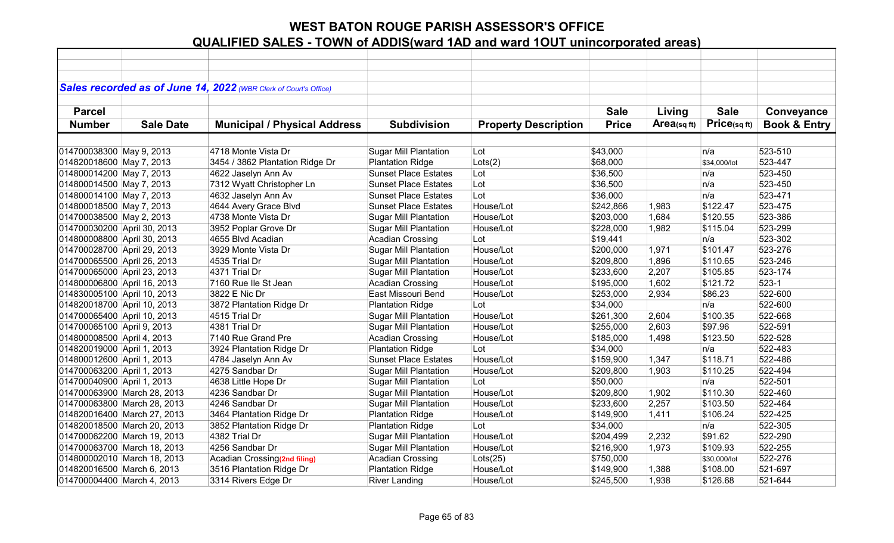|                             |                             | Sales recorded as of June 14, 2022 (WBR Clerk of Court's Office) |                              |                             |              |             |              |                         |
|-----------------------------|-----------------------------|------------------------------------------------------------------|------------------------------|-----------------------------|--------------|-------------|--------------|-------------------------|
|                             |                             |                                                                  |                              |                             |              |             |              |                         |
| <b>Parcel</b>               |                             |                                                                  |                              |                             | <b>Sale</b>  | Living      | <b>Sale</b>  | Conveyance              |
| <b>Number</b>               | <b>Sale Date</b>            | <b>Municipal / Physical Address</b>                              | <b>Subdivision</b>           | <b>Property Description</b> | <b>Price</b> | Area(sq ft) | Price(sq ft) | <b>Book &amp; Entry</b> |
|                             |                             |                                                                  |                              |                             |              |             |              |                         |
| 014700038300 May 9, 2013    |                             | 4718 Monte Vista Dr                                              | <b>Sugar Mill Plantation</b> | Lot                         | \$43,000     |             | n/a          | 523-510                 |
| 014820018600 May 7, 2013    |                             | 3454 / 3862 Plantation Ridge Dr                                  | <b>Plantation Ridge</b>      | Lots(2)                     | \$68,000     |             | \$34,000/lot | 523-447                 |
| 014800014200 May 7, 2013    |                             | 4622 Jaselyn Ann Av                                              | <b>Sunset Place Estates</b>  | Lot                         | \$36,500     |             | n/a          | 523-450                 |
| 014800014500 May 7, 2013    |                             | 7312 Wyatt Christopher Ln                                        | <b>Sunset Place Estates</b>  | Lot                         | \$36,500     |             | n/a          | 523-450                 |
| 014800014100 May 7, 2013    |                             | 4632 Jaselyn Ann Av                                              | <b>Sunset Place Estates</b>  | Lot                         | \$36,000     |             | n/a          | 523-471                 |
| 014800018500 May 7, 2013    |                             | 4644 Avery Grace Blvd                                            | <b>Sunset Place Estates</b>  | House/Lot                   | \$242,866    | 1,983       | \$122.47     | 523-475                 |
| 014700038500 May 2, 2013    |                             | 4738 Monte Vista Dr                                              | <b>Sugar Mill Plantation</b> | House/Lot                   | \$203,000    | 1,684       | \$120.55     | 523-386                 |
| 014700030200 April 30, 2013 |                             | 3952 Poplar Grove Dr                                             | <b>Sugar Mill Plantation</b> | House/Lot                   | \$228,000    | 1,982       | \$115.04     | 523-299                 |
| 014800008800 April 30, 2013 |                             | 4655 Blvd Acadian                                                | <b>Acadian Crossing</b>      | Lot                         | \$19,441     |             | n/a          | 523-302                 |
| 014700028700 April 29, 2013 |                             | 3929 Monte Vista Dr                                              | <b>Sugar Mill Plantation</b> | House/Lot                   | \$200,000    | 1,971       | \$101.47     | 523-276                 |
| 014700065500 April 26, 2013 |                             | 4535 Trial Dr                                                    | <b>Sugar Mill Plantation</b> | House/Lot                   | \$209,800    | 1,896       | \$110.65     | 523-246                 |
| 014700065000 April 23, 2013 |                             | 4371 Trial Dr                                                    | <b>Sugar Mill Plantation</b> | House/Lot                   | \$233,600    | 2,207       | \$105.85     | 523-174                 |
| 014800006800 April 16, 2013 |                             | 7160 Rue Ile St Jean                                             | <b>Acadian Crossing</b>      | House/Lot                   | \$195,000    | 1,602       | \$121.72     | $523-1$                 |
| 014830005100 April 10, 2013 |                             | 3822 E Nic Dr                                                    | East Missouri Bend           | House/Lot                   | \$253,000    | 2,934       | \$86.23      | 522-600                 |
| 014820018700 April 10, 2013 |                             | 3872 Plantation Ridge Dr                                         | <b>Plantation Ridge</b>      | Lot                         | \$34,000     |             | n/a          | 522-600                 |
| 014700065400 April 10, 2013 |                             | 4515 Trial Dr                                                    | <b>Sugar Mill Plantation</b> | House/Lot                   | \$261,300    | 2,604       | \$100.35     | 522-668                 |
| 014700065100 April 9, 2013  |                             | 4381 Trial Dr                                                    | <b>Sugar Mill Plantation</b> | House/Lot                   | \$255,000    | 2,603       | \$97.96      | 522-591                 |
| 014800008500 April 4, 2013  |                             | 7140 Rue Grand Pre                                               | <b>Acadian Crossing</b>      | House/Lot                   | \$185,000    | 1,498       | \$123.50     | 522-528                 |
| 014820019000 April 1, 2013  |                             | 3924 Plantation Ridge Dr                                         | <b>Plantation Ridge</b>      | Lot                         | \$34,000     |             | n/a          | 522-483                 |
| 014800012600 April 1, 2013  |                             | 4784 Jaselyn Ann Av                                              | <b>Sunset Place Estates</b>  | House/Lot                   | \$159,900    | 1,347       | \$118.71     | 522-486                 |
| 014700063200 April 1, 2013  |                             | 4275 Sandbar Dr                                                  | <b>Sugar Mill Plantation</b> | House/Lot                   | \$209,800    | 1,903       | \$110.25     | 522-494                 |
| 014700040900 April 1, 2013  |                             | 4638 Little Hope Dr                                              | <b>Sugar Mill Plantation</b> | Lot                         | \$50,000     |             | n/a          | 522-501                 |
|                             | 014700063900 March 28, 2013 | 4236 Sandbar Dr                                                  | <b>Sugar Mill Plantation</b> | House/Lot                   | \$209,800    | 1,902       | \$110.30     | 522-460                 |
|                             | 014700063800 March 28, 2013 | 4246 Sandbar Dr                                                  | <b>Sugar Mill Plantation</b> | House/Lot                   | \$233,600    | 2,257       | \$103.50     | 522-464                 |
|                             | 014820016400 March 27, 2013 | 3464 Plantation Ridge Dr                                         | <b>Plantation Ridge</b>      | House/Lot                   | \$149,900    | 1,411       | \$106.24     | 522-425                 |
|                             | 014820018500 March 20, 2013 | 3852 Plantation Ridge Dr                                         | <b>Plantation Ridge</b>      | Lot                         | \$34,000     |             | n/a          | 522-305                 |
|                             | 014700062200 March 19, 2013 | 4382 Trial Dr                                                    | <b>Sugar Mill Plantation</b> | House/Lot                   | \$204,499    | 2,232       | \$91.62      | 522-290                 |
|                             | 014700063700 March 18, 2013 | 4256 Sandbar Dr                                                  | <b>Sugar Mill Plantation</b> | House/Lot                   | \$216,900    | 1,973       | \$109.93     | 522-255                 |
|                             | 014800002010 March 18, 2013 | Acadian Crossing(2nd filing)                                     | <b>Acadian Crossing</b>      | Lots(25)                    | \$750,000    |             | \$30,000/lot | 522-276                 |
| 014820016500 March 6, 2013  |                             | 3516 Plantation Ridge Dr                                         | <b>Plantation Ridge</b>      | House/Lot                   | \$149,900    | 1,388       | \$108.00     | 521-697                 |
| 014700004400 March 4, 2013  |                             | 3314 Rivers Edge Dr                                              | <b>River Landing</b>         | House/Lot                   | \$245,500    | 1,938       | \$126.68     | 521-644                 |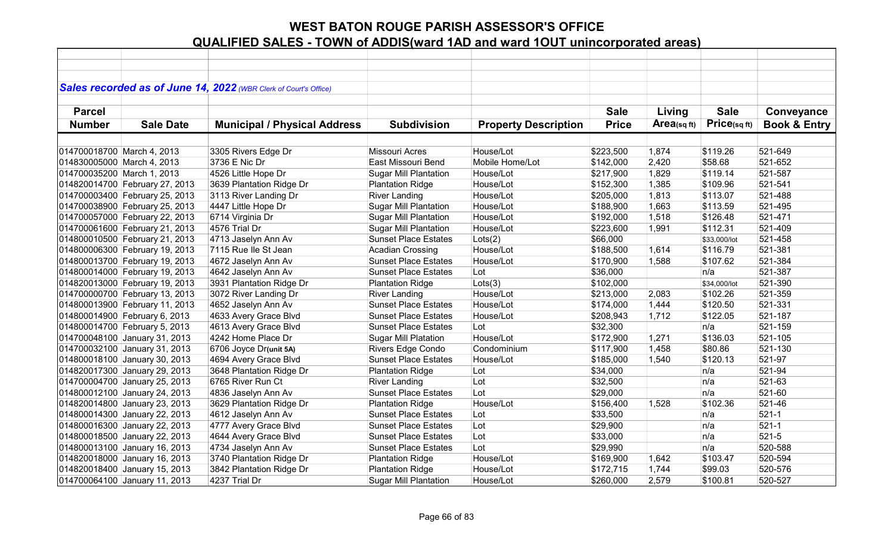|                            |                                | Sales recorded as of June 14, 2022 (WBR Clerk of Court's Office) |                              |                             |              |            |              |                         |
|----------------------------|--------------------------------|------------------------------------------------------------------|------------------------------|-----------------------------|--------------|------------|--------------|-------------------------|
|                            |                                |                                                                  |                              |                             |              |            |              |                         |
| <b>Parcel</b>              |                                |                                                                  |                              |                             | <b>Sale</b>  | Living     | <b>Sale</b>  | Conveyance              |
| <b>Number</b>              | <b>Sale Date</b>               | <b>Municipal / Physical Address</b>                              | <b>Subdivision</b>           | <b>Property Description</b> | <b>Price</b> | Area(sqft) | Price(sqft)  | <b>Book &amp; Entry</b> |
|                            |                                |                                                                  |                              |                             |              |            |              |                         |
| 014700018700 March 4, 2013 |                                | 3305 Rivers Edge Dr                                              | <b>Missouri Acres</b>        | House/Lot                   | \$223,500    | 1,874      | \$119.26     | 521-649                 |
| 014830005000 March 4, 2013 |                                | 3736 E Nic Dr                                                    | East Missouri Bend           | Mobile Home/Lot             | \$142,000    | 2,420      | \$58.68      | 521-652                 |
| 014700035200 March 1, 2013 |                                | 4526 Little Hope Dr                                              | <b>Sugar Mill Plantation</b> | House/Lot                   | \$217,900    | 1,829      | \$119.14     | 521-587                 |
|                            | 014820014700 February 27, 2013 | 3639 Plantation Ridge Dr                                         | <b>Plantation Ridge</b>      | House/Lot                   | \$152,300    | 1,385      | \$109.96     | 521-541                 |
|                            | 014700003400 February 25, 2013 | 3113 River Landing Dr                                            | <b>River Landing</b>         | House/Lot                   | \$205,000    | 1,813      | \$113.07     | 521-488                 |
|                            | 014700038900 February 25, 2013 | 4447 Little Hope Dr                                              | Sugar Mill Plantation        | House/Lot                   | \$188,900    | 1,663      | \$113.59     | 521-495                 |
|                            | 014700057000 February 22, 2013 | 6714 Virginia Dr                                                 | <b>Sugar Mill Plantation</b> | House/Lot                   | \$192,000    | 1,518      | \$126.48     | 521-471                 |
|                            | 014700061600 February 21, 2013 | 4576 Trial Dr                                                    | <b>Sugar Mill Plantation</b> | House/Lot                   | \$223,600    | 1,991      | \$112.31     | 521-409                 |
|                            | 014800010500 February 21, 2013 | 4713 Jaselyn Ann Av                                              | <b>Sunset Place Estates</b>  | Lots(2)                     | \$66,000     |            | \$33,000/lot | 521-458                 |
|                            | 014800006300 February 19, 2013 | 7115 Rue Ile St Jean                                             | <b>Acadian Crossing</b>      | House/Lot                   | \$188,500    | 1,614      | \$116.79     | 521-381                 |
|                            | 014800013700 February 19, 2013 | 4672 Jaselyn Ann Av                                              | <b>Sunset Place Estates</b>  | House/Lot                   | \$170,900    | 1,588      | \$107.62     | 521-384                 |
|                            | 014800014000 February 19, 2013 | 4642 Jaselyn Ann Av                                              | <b>Sunset Place Estates</b>  | Lot                         | \$36,000     |            | n/a          | 521-387                 |
|                            | 014820013000 February 19, 2013 | 3931 Plantation Ridge Dr                                         | <b>Plantation Ridge</b>      | Lots(3)                     | \$102,000    |            | \$34,000/lot | 521-390                 |
|                            | 014700000700 February 13, 2013 | 3072 River Landing Dr                                            | <b>River Landing</b>         | House/Lot                   | \$213,000    | 2,083      | \$102.26     | 521-359                 |
|                            | 014800013900 February 11, 2013 | 4652 Jaselyn Ann Av                                              | <b>Sunset Place Estates</b>  | House/Lot                   | \$174,000    | 1,444      | \$120.50     | 521-331                 |
|                            | 014800014900 February 6, 2013  | 4633 Avery Grace Blvd                                            | <b>Sunset Place Estates</b>  | House/Lot                   | \$208,943    | 1,712      | \$122.05     | 521-187                 |
|                            | 014800014700 February 5, 2013  | 4613 Avery Grace Blvd                                            | <b>Sunset Place Estates</b>  | Lot                         | \$32,300     |            | n/a          | 521-159                 |
|                            | 014700048100 January 31, 2013  | 4242 Home Place Dr                                               | <b>Sugar Mill Platation</b>  | House/Lot                   | \$172,900    | 1,271      | \$136.03     | 521-105                 |
|                            | 014700032100 January 31, 2013  | 6706 Joyce Dr(unit 5A)                                           | Rivers Edge Condo            | Condominium                 | \$117,900    | 1,458      | \$80.86      | 521-130                 |
|                            | 014800018100 January 30, 2013  | 4694 Avery Grace Blvd                                            | <b>Sunset Place Estates</b>  | House/Lot                   | \$185,000    | 1,540      | \$120.13     | 521-97                  |
|                            | 014820017300 January 29, 2013  | 3648 Plantation Ridge Dr                                         | <b>Plantation Ridge</b>      | Lot                         | \$34,000     |            | n/a          | 521-94                  |
|                            | 014700004700 January 25, 2013  | 6765 River Run Ct                                                | <b>River Landing</b>         | Lot                         | \$32,500     |            | n/a          | 521-63                  |
|                            | 014800012100 January 24, 2013  | 4836 Jaselyn Ann Av                                              | <b>Sunset Place Estates</b>  | Lot                         | \$29,000     |            | n/a          | 521-60                  |
|                            | 014820014800 January 23, 2013  | 3629 Plantation Ridge Dr                                         | <b>Plantation Ridge</b>      | House/Lot                   | \$156,400    | 1,528      | \$102.36     | 521-46                  |
|                            | 014800014300 January 22, 2013  | 4612 Jaselyn Ann Av                                              | <b>Sunset Place Estates</b>  | Lot                         | \$33,500     |            | n/a          | $521 - 1$               |
|                            | 014800016300 January 22, 2013  | 4777 Avery Grace Blvd                                            | <b>Sunset Place Estates</b>  | Lot                         | \$29,900     |            | n/a          | $521 - 1$               |
|                            | 014800018500 January 22, 2013  | 4644 Avery Grace Blvd                                            | <b>Sunset Place Estates</b>  | Lot                         | \$33,000     |            | n/a          | $521 - 5$               |
|                            | 014800013100 January 16, 2013  | 4734 Jaselyn Ann Av                                              | <b>Sunset Place Estates</b>  | Lot                         | \$29,990     |            | n/a          | 520-588                 |
|                            | 014820018000 January 16, 2013  | 3740 Plantation Ridge Dr                                         | <b>Plantation Ridge</b>      | House/Lot                   | \$169,900    | 1,642      | \$103.47     | 520-594                 |
|                            | 014820018400 January 15, 2013  | 3842 Plantation Ridge Dr                                         | <b>Plantation Ridge</b>      | House/Lot                   | \$172,715    | 1,744      | \$99.03      | 520-576                 |
|                            | 014700064100 January 11, 2013  | 4237 Trial Dr                                                    | <b>Sugar Mill Plantation</b> | House/Lot                   | \$260,000    | 2,579      | \$100.81     | 520-527                 |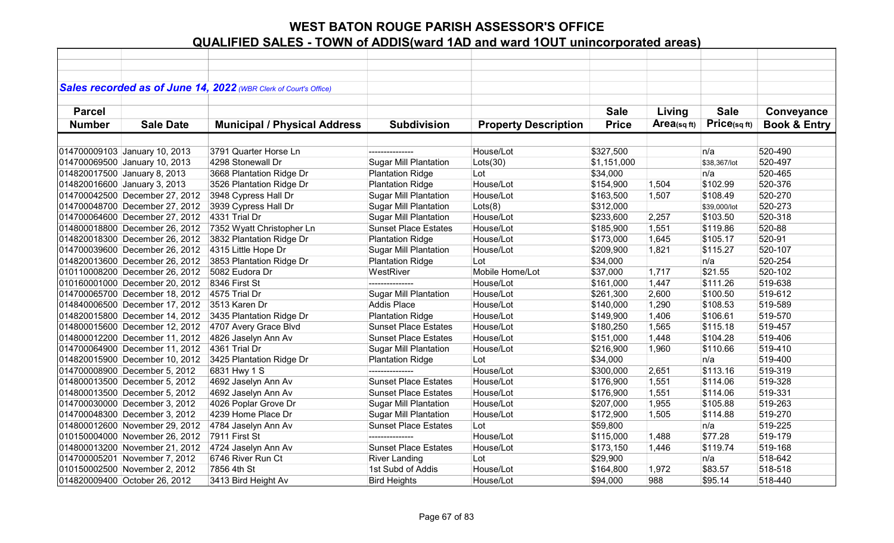| Sales recorded as of June 14, 2022 (WBR Clerk of Court's Office)<br><b>Sale</b><br><b>Parcel</b><br><b>Sale</b><br>Living<br>Conveyance<br>Price(sqft)<br>$Area_{(sq\,ft)}$<br><b>Book &amp; Entry</b><br><b>Number</b><br><b>Sale Date</b><br><b>Municipal / Physical Address</b><br><b>Subdivision</b><br><b>Property Description</b><br><b>Price</b><br>3791 Quarter Horse Ln<br>House/Lot<br>520-490<br>\$327,500<br>n/a<br>---------------<br>4298 Stonewall Dr<br><b>Sugar Mill Plantation</b><br>$ $ Lots $(30)$<br>520-497<br>\$1,151,000<br>\$38,367/lot<br>3668 Plantation Ridge Dr<br><b>Plantation Ridge</b><br>Lot<br>n/a<br>520-465<br>\$34,000<br>House/Lot<br>520-376<br><b>Plantation Ridge</b><br>\$102.99<br>3526 Plantation Ridge Dr<br>\$154,900<br>1,504<br>3948 Cypress Hall Dr<br><b>Sugar Mill Plantation</b><br>House/Lot<br>520-270<br>\$163,500<br>1,507<br>\$108.49<br>Lots(8)<br>520-273<br>3939 Cypress Hall Dr<br><b>Sugar Mill Plantation</b><br>\$312,000<br>\$39,000/lot<br>4331 Trial Dr<br><b>Sugar Mill Plantation</b><br>House/Lot<br>\$233,600<br>2,257<br>\$103.50<br>520-318<br>7352 Wyatt Christopher Ln<br><b>Sunset Place Estates</b><br>House/Lot<br>1,551<br>\$119.86<br>520-88<br>\$185,900<br>3832 Plantation Ridge Dr<br>House/Lot<br>1,645<br>\$105.17<br>520-91<br><b>Plantation Ridge</b><br>\$173,000<br><b>Sugar Mill Plantation</b><br>House/Lot<br>1,821<br>\$115.27<br>520-107<br>4315 Little Hope Dr<br>\$209,900<br><b>Plantation Ridge</b><br>n/a<br>520-254<br>3853 Plantation Ridge Dr<br>Lot<br>\$34,000<br>Mobile Home/Lot<br>5082 Eudora Dr<br>WestRiver<br>\$21.55<br>520-102<br>\$37,000<br>1,717<br>519-638<br>8346 First St<br>---------------<br>House/Lot<br>1,447<br>\$111.26<br>\$161,000<br><b>Sugar Mill Plantation</b><br>House/Lot<br>2,600<br>519-612<br>4575 Trial Dr<br>\$261,300<br>\$100.50<br>House/Lot<br>Addis Place<br>1,290<br>\$108.53<br>519-589<br>3513 Karen Dr<br>\$140,000<br>House/Lot<br>1,406<br>\$106.61<br>519-570<br>3435 Plantation Ridge Dr<br><b>Plantation Ridge</b><br>\$149,900<br>House/Lot<br>1,565<br>519-457<br>4707 Avery Grace Blvd<br><b>Sunset Place Estates</b><br>\$115.18<br>\$180,250<br>4826 Jaselyn Ann Av<br><b>Sunset Place Estates</b><br>House/Lot<br>1,448<br>\$104.28<br>519-406<br>\$151,000<br>519-410<br>4361 Trial Dr<br><b>Sugar Mill Plantation</b><br>House/Lot<br>\$216,900<br>1,960<br>\$110.66<br>n/a<br>519-400<br>3425 Plantation Ridge Dr<br>Lot<br>\$34,000<br><b>Plantation Ridge</b><br>519-319<br>6831 Hwy 1 S<br>House/Lot<br>2,651<br>\$113.16<br>\$300,000<br>House/Lot<br>4692 Jaselyn Ann Av<br><b>Sunset Place Estates</b><br>1,551<br>519-328<br>\$176,900<br>\$114.06 |  |  |  |  |  |
|------------------------------------------------------------------------------------------------------------------------------------------------------------------------------------------------------------------------------------------------------------------------------------------------------------------------------------------------------------------------------------------------------------------------------------------------------------------------------------------------------------------------------------------------------------------------------------------------------------------------------------------------------------------------------------------------------------------------------------------------------------------------------------------------------------------------------------------------------------------------------------------------------------------------------------------------------------------------------------------------------------------------------------------------------------------------------------------------------------------------------------------------------------------------------------------------------------------------------------------------------------------------------------------------------------------------------------------------------------------------------------------------------------------------------------------------------------------------------------------------------------------------------------------------------------------------------------------------------------------------------------------------------------------------------------------------------------------------------------------------------------------------------------------------------------------------------------------------------------------------------------------------------------------------------------------------------------------------------------------------------------------------------------------------------------------------------------------------------------------------------------------------------------------------------------------------------------------------------------------------------------------------------------------------------------------------------------------------------------------------------------------------------------------------------------------------------------------------------------------------------------------------------------------------------------------------------------------------------------------------------------------------------------------------------------------------------------------------------|--|--|--|--|--|
| 014700009103 January 10, 2013<br>014700069500 January 10, 2013<br>014820017500 January 8, 2013<br>014820016600 January 3, 2013<br>014700042500 December 27, 2012<br>014700048700 December 27, 2012<br>014700064600 December 27, 2012<br>014800018800 December 26, 2012<br>014820018300 December 26, 2012<br>014700039600 December 26, 2012<br>014820013600 December 26, 2012<br>010110008200 December 26, 2012<br>010160001000 December 20, 2012<br>014700065700 December 18, 2012<br>014840006500 December 17, 2012<br>014820015800 December 14, 2012<br>014800015600 December 12, 2012<br>014800012200 December 11, 2012<br>014700064900 December 11, 2012<br>014820015900 December 10, 2012<br>014700008900 December 5, 2012<br>014800013500 December 5, 2012                                                                                                                                                                                                                                                                                                                                                                                                                                                                                                                                                                                                                                                                                                                                                                                                                                                                                                                                                                                                                                                                                                                                                                                                                                                                                                                                                                                                                                                                                                                                                                                                                                                                                                                                                                                                                                                                                                                                                             |  |  |  |  |  |
|                                                                                                                                                                                                                                                                                                                                                                                                                                                                                                                                                                                                                                                                                                                                                                                                                                                                                                                                                                                                                                                                                                                                                                                                                                                                                                                                                                                                                                                                                                                                                                                                                                                                                                                                                                                                                                                                                                                                                                                                                                                                                                                                                                                                                                                                                                                                                                                                                                                                                                                                                                                                                                                                                                                              |  |  |  |  |  |
|                                                                                                                                                                                                                                                                                                                                                                                                                                                                                                                                                                                                                                                                                                                                                                                                                                                                                                                                                                                                                                                                                                                                                                                                                                                                                                                                                                                                                                                                                                                                                                                                                                                                                                                                                                                                                                                                                                                                                                                                                                                                                                                                                                                                                                                                                                                                                                                                                                                                                                                                                                                                                                                                                                                              |  |  |  |  |  |
|                                                                                                                                                                                                                                                                                                                                                                                                                                                                                                                                                                                                                                                                                                                                                                                                                                                                                                                                                                                                                                                                                                                                                                                                                                                                                                                                                                                                                                                                                                                                                                                                                                                                                                                                                                                                                                                                                                                                                                                                                                                                                                                                                                                                                                                                                                                                                                                                                                                                                                                                                                                                                                                                                                                              |  |  |  |  |  |
|                                                                                                                                                                                                                                                                                                                                                                                                                                                                                                                                                                                                                                                                                                                                                                                                                                                                                                                                                                                                                                                                                                                                                                                                                                                                                                                                                                                                                                                                                                                                                                                                                                                                                                                                                                                                                                                                                                                                                                                                                                                                                                                                                                                                                                                                                                                                                                                                                                                                                                                                                                                                                                                                                                                              |  |  |  |  |  |
|                                                                                                                                                                                                                                                                                                                                                                                                                                                                                                                                                                                                                                                                                                                                                                                                                                                                                                                                                                                                                                                                                                                                                                                                                                                                                                                                                                                                                                                                                                                                                                                                                                                                                                                                                                                                                                                                                                                                                                                                                                                                                                                                                                                                                                                                                                                                                                                                                                                                                                                                                                                                                                                                                                                              |  |  |  |  |  |
|                                                                                                                                                                                                                                                                                                                                                                                                                                                                                                                                                                                                                                                                                                                                                                                                                                                                                                                                                                                                                                                                                                                                                                                                                                                                                                                                                                                                                                                                                                                                                                                                                                                                                                                                                                                                                                                                                                                                                                                                                                                                                                                                                                                                                                                                                                                                                                                                                                                                                                                                                                                                                                                                                                                              |  |  |  |  |  |
|                                                                                                                                                                                                                                                                                                                                                                                                                                                                                                                                                                                                                                                                                                                                                                                                                                                                                                                                                                                                                                                                                                                                                                                                                                                                                                                                                                                                                                                                                                                                                                                                                                                                                                                                                                                                                                                                                                                                                                                                                                                                                                                                                                                                                                                                                                                                                                                                                                                                                                                                                                                                                                                                                                                              |  |  |  |  |  |
|                                                                                                                                                                                                                                                                                                                                                                                                                                                                                                                                                                                                                                                                                                                                                                                                                                                                                                                                                                                                                                                                                                                                                                                                                                                                                                                                                                                                                                                                                                                                                                                                                                                                                                                                                                                                                                                                                                                                                                                                                                                                                                                                                                                                                                                                                                                                                                                                                                                                                                                                                                                                                                                                                                                              |  |  |  |  |  |
|                                                                                                                                                                                                                                                                                                                                                                                                                                                                                                                                                                                                                                                                                                                                                                                                                                                                                                                                                                                                                                                                                                                                                                                                                                                                                                                                                                                                                                                                                                                                                                                                                                                                                                                                                                                                                                                                                                                                                                                                                                                                                                                                                                                                                                                                                                                                                                                                                                                                                                                                                                                                                                                                                                                              |  |  |  |  |  |
|                                                                                                                                                                                                                                                                                                                                                                                                                                                                                                                                                                                                                                                                                                                                                                                                                                                                                                                                                                                                                                                                                                                                                                                                                                                                                                                                                                                                                                                                                                                                                                                                                                                                                                                                                                                                                                                                                                                                                                                                                                                                                                                                                                                                                                                                                                                                                                                                                                                                                                                                                                                                                                                                                                                              |  |  |  |  |  |
|                                                                                                                                                                                                                                                                                                                                                                                                                                                                                                                                                                                                                                                                                                                                                                                                                                                                                                                                                                                                                                                                                                                                                                                                                                                                                                                                                                                                                                                                                                                                                                                                                                                                                                                                                                                                                                                                                                                                                                                                                                                                                                                                                                                                                                                                                                                                                                                                                                                                                                                                                                                                                                                                                                                              |  |  |  |  |  |
|                                                                                                                                                                                                                                                                                                                                                                                                                                                                                                                                                                                                                                                                                                                                                                                                                                                                                                                                                                                                                                                                                                                                                                                                                                                                                                                                                                                                                                                                                                                                                                                                                                                                                                                                                                                                                                                                                                                                                                                                                                                                                                                                                                                                                                                                                                                                                                                                                                                                                                                                                                                                                                                                                                                              |  |  |  |  |  |
|                                                                                                                                                                                                                                                                                                                                                                                                                                                                                                                                                                                                                                                                                                                                                                                                                                                                                                                                                                                                                                                                                                                                                                                                                                                                                                                                                                                                                                                                                                                                                                                                                                                                                                                                                                                                                                                                                                                                                                                                                                                                                                                                                                                                                                                                                                                                                                                                                                                                                                                                                                                                                                                                                                                              |  |  |  |  |  |
|                                                                                                                                                                                                                                                                                                                                                                                                                                                                                                                                                                                                                                                                                                                                                                                                                                                                                                                                                                                                                                                                                                                                                                                                                                                                                                                                                                                                                                                                                                                                                                                                                                                                                                                                                                                                                                                                                                                                                                                                                                                                                                                                                                                                                                                                                                                                                                                                                                                                                                                                                                                                                                                                                                                              |  |  |  |  |  |
|                                                                                                                                                                                                                                                                                                                                                                                                                                                                                                                                                                                                                                                                                                                                                                                                                                                                                                                                                                                                                                                                                                                                                                                                                                                                                                                                                                                                                                                                                                                                                                                                                                                                                                                                                                                                                                                                                                                                                                                                                                                                                                                                                                                                                                                                                                                                                                                                                                                                                                                                                                                                                                                                                                                              |  |  |  |  |  |
|                                                                                                                                                                                                                                                                                                                                                                                                                                                                                                                                                                                                                                                                                                                                                                                                                                                                                                                                                                                                                                                                                                                                                                                                                                                                                                                                                                                                                                                                                                                                                                                                                                                                                                                                                                                                                                                                                                                                                                                                                                                                                                                                                                                                                                                                                                                                                                                                                                                                                                                                                                                                                                                                                                                              |  |  |  |  |  |
|                                                                                                                                                                                                                                                                                                                                                                                                                                                                                                                                                                                                                                                                                                                                                                                                                                                                                                                                                                                                                                                                                                                                                                                                                                                                                                                                                                                                                                                                                                                                                                                                                                                                                                                                                                                                                                                                                                                                                                                                                                                                                                                                                                                                                                                                                                                                                                                                                                                                                                                                                                                                                                                                                                                              |  |  |  |  |  |
|                                                                                                                                                                                                                                                                                                                                                                                                                                                                                                                                                                                                                                                                                                                                                                                                                                                                                                                                                                                                                                                                                                                                                                                                                                                                                                                                                                                                                                                                                                                                                                                                                                                                                                                                                                                                                                                                                                                                                                                                                                                                                                                                                                                                                                                                                                                                                                                                                                                                                                                                                                                                                                                                                                                              |  |  |  |  |  |
|                                                                                                                                                                                                                                                                                                                                                                                                                                                                                                                                                                                                                                                                                                                                                                                                                                                                                                                                                                                                                                                                                                                                                                                                                                                                                                                                                                                                                                                                                                                                                                                                                                                                                                                                                                                                                                                                                                                                                                                                                                                                                                                                                                                                                                                                                                                                                                                                                                                                                                                                                                                                                                                                                                                              |  |  |  |  |  |
|                                                                                                                                                                                                                                                                                                                                                                                                                                                                                                                                                                                                                                                                                                                                                                                                                                                                                                                                                                                                                                                                                                                                                                                                                                                                                                                                                                                                                                                                                                                                                                                                                                                                                                                                                                                                                                                                                                                                                                                                                                                                                                                                                                                                                                                                                                                                                                                                                                                                                                                                                                                                                                                                                                                              |  |  |  |  |  |
|                                                                                                                                                                                                                                                                                                                                                                                                                                                                                                                                                                                                                                                                                                                                                                                                                                                                                                                                                                                                                                                                                                                                                                                                                                                                                                                                                                                                                                                                                                                                                                                                                                                                                                                                                                                                                                                                                                                                                                                                                                                                                                                                                                                                                                                                                                                                                                                                                                                                                                                                                                                                                                                                                                                              |  |  |  |  |  |
|                                                                                                                                                                                                                                                                                                                                                                                                                                                                                                                                                                                                                                                                                                                                                                                                                                                                                                                                                                                                                                                                                                                                                                                                                                                                                                                                                                                                                                                                                                                                                                                                                                                                                                                                                                                                                                                                                                                                                                                                                                                                                                                                                                                                                                                                                                                                                                                                                                                                                                                                                                                                                                                                                                                              |  |  |  |  |  |
|                                                                                                                                                                                                                                                                                                                                                                                                                                                                                                                                                                                                                                                                                                                                                                                                                                                                                                                                                                                                                                                                                                                                                                                                                                                                                                                                                                                                                                                                                                                                                                                                                                                                                                                                                                                                                                                                                                                                                                                                                                                                                                                                                                                                                                                                                                                                                                                                                                                                                                                                                                                                                                                                                                                              |  |  |  |  |  |
|                                                                                                                                                                                                                                                                                                                                                                                                                                                                                                                                                                                                                                                                                                                                                                                                                                                                                                                                                                                                                                                                                                                                                                                                                                                                                                                                                                                                                                                                                                                                                                                                                                                                                                                                                                                                                                                                                                                                                                                                                                                                                                                                                                                                                                                                                                                                                                                                                                                                                                                                                                                                                                                                                                                              |  |  |  |  |  |
|                                                                                                                                                                                                                                                                                                                                                                                                                                                                                                                                                                                                                                                                                                                                                                                                                                                                                                                                                                                                                                                                                                                                                                                                                                                                                                                                                                                                                                                                                                                                                                                                                                                                                                                                                                                                                                                                                                                                                                                                                                                                                                                                                                                                                                                                                                                                                                                                                                                                                                                                                                                                                                                                                                                              |  |  |  |  |  |
|                                                                                                                                                                                                                                                                                                                                                                                                                                                                                                                                                                                                                                                                                                                                                                                                                                                                                                                                                                                                                                                                                                                                                                                                                                                                                                                                                                                                                                                                                                                                                                                                                                                                                                                                                                                                                                                                                                                                                                                                                                                                                                                                                                                                                                                                                                                                                                                                                                                                                                                                                                                                                                                                                                                              |  |  |  |  |  |
|                                                                                                                                                                                                                                                                                                                                                                                                                                                                                                                                                                                                                                                                                                                                                                                                                                                                                                                                                                                                                                                                                                                                                                                                                                                                                                                                                                                                                                                                                                                                                                                                                                                                                                                                                                                                                                                                                                                                                                                                                                                                                                                                                                                                                                                                                                                                                                                                                                                                                                                                                                                                                                                                                                                              |  |  |  |  |  |
|                                                                                                                                                                                                                                                                                                                                                                                                                                                                                                                                                                                                                                                                                                                                                                                                                                                                                                                                                                                                                                                                                                                                                                                                                                                                                                                                                                                                                                                                                                                                                                                                                                                                                                                                                                                                                                                                                                                                                                                                                                                                                                                                                                                                                                                                                                                                                                                                                                                                                                                                                                                                                                                                                                                              |  |  |  |  |  |
| House/Lot<br>519-331<br>014800013500 December 5, 2012<br>4692 Jaselyn Ann Av<br><b>Sunset Place Estates</b><br>\$176,900<br>1,551<br>\$114.06                                                                                                                                                                                                                                                                                                                                                                                                                                                                                                                                                                                                                                                                                                                                                                                                                                                                                                                                                                                                                                                                                                                                                                                                                                                                                                                                                                                                                                                                                                                                                                                                                                                                                                                                                                                                                                                                                                                                                                                                                                                                                                                                                                                                                                                                                                                                                                                                                                                                                                                                                                                |  |  |  |  |  |
| House/Lot<br>1,955<br>519-263<br>014700030000 December 3, 2012<br>4026 Poplar Grove Dr<br><b>Sugar Mill Plantation</b><br>\$207,000<br>\$105.88                                                                                                                                                                                                                                                                                                                                                                                                                                                                                                                                                                                                                                                                                                                                                                                                                                                                                                                                                                                                                                                                                                                                                                                                                                                                                                                                                                                                                                                                                                                                                                                                                                                                                                                                                                                                                                                                                                                                                                                                                                                                                                                                                                                                                                                                                                                                                                                                                                                                                                                                                                              |  |  |  |  |  |
| 4239 Home Place Dr<br>519-270<br>014700048300 December 3, 2012<br><b>Sugar Mill Plantation</b><br>House/Lot<br>1,505<br>\$114.88<br>\$172,900                                                                                                                                                                                                                                                                                                                                                                                                                                                                                                                                                                                                                                                                                                                                                                                                                                                                                                                                                                                                                                                                                                                                                                                                                                                                                                                                                                                                                                                                                                                                                                                                                                                                                                                                                                                                                                                                                                                                                                                                                                                                                                                                                                                                                                                                                                                                                                                                                                                                                                                                                                                |  |  |  |  |  |
| 014800012600 November 29, 2012<br>4784 Jaselyn Ann Av<br><b>Sunset Place Estates</b><br>Lot<br>n/a<br>519-225<br>\$59,800                                                                                                                                                                                                                                                                                                                                                                                                                                                                                                                                                                                                                                                                                                                                                                                                                                                                                                                                                                                                                                                                                                                                                                                                                                                                                                                                                                                                                                                                                                                                                                                                                                                                                                                                                                                                                                                                                                                                                                                                                                                                                                                                                                                                                                                                                                                                                                                                                                                                                                                                                                                                    |  |  |  |  |  |
| House/Lot<br>\$77.28<br>519-179<br>010150004000 November 26, 2012<br>7911 First St<br>\$115,000<br>1,488<br>---------------                                                                                                                                                                                                                                                                                                                                                                                                                                                                                                                                                                                                                                                                                                                                                                                                                                                                                                                                                                                                                                                                                                                                                                                                                                                                                                                                                                                                                                                                                                                                                                                                                                                                                                                                                                                                                                                                                                                                                                                                                                                                                                                                                                                                                                                                                                                                                                                                                                                                                                                                                                                                  |  |  |  |  |  |
| House/Lot<br>1,446<br>\$119.74<br>519-168<br>014800013200 November 21, 2012<br>4724 Jaselyn Ann Av<br><b>Sunset Place Estates</b><br>\$173,150                                                                                                                                                                                                                                                                                                                                                                                                                                                                                                                                                                                                                                                                                                                                                                                                                                                                                                                                                                                                                                                                                                                                                                                                                                                                                                                                                                                                                                                                                                                                                                                                                                                                                                                                                                                                                                                                                                                                                                                                                                                                                                                                                                                                                                                                                                                                                                                                                                                                                                                                                                               |  |  |  |  |  |
| Lot<br>518-642<br>014700005201 November 7, 2012<br>6746 River Run Ct<br><b>River Landing</b><br>\$29,900<br>n/a                                                                                                                                                                                                                                                                                                                                                                                                                                                                                                                                                                                                                                                                                                                                                                                                                                                                                                                                                                                                                                                                                                                                                                                                                                                                                                                                                                                                                                                                                                                                                                                                                                                                                                                                                                                                                                                                                                                                                                                                                                                                                                                                                                                                                                                                                                                                                                                                                                                                                                                                                                                                              |  |  |  |  |  |
| 1st Subd of Addis<br>House/Lot<br>518-518<br>010150002500 November 2, 2012<br>7856 4th St<br>1,972<br>\$83.57<br>\$164,800                                                                                                                                                                                                                                                                                                                                                                                                                                                                                                                                                                                                                                                                                                                                                                                                                                                                                                                                                                                                                                                                                                                                                                                                                                                                                                                                                                                                                                                                                                                                                                                                                                                                                                                                                                                                                                                                                                                                                                                                                                                                                                                                                                                                                                                                                                                                                                                                                                                                                                                                                                                                   |  |  |  |  |  |
| 014820009400 October 26, 2012<br>House/Lot<br>\$94,000<br>988<br>\$95.14<br>518-440<br>3413 Bird Height Av<br><b>Bird Heights</b>                                                                                                                                                                                                                                                                                                                                                                                                                                                                                                                                                                                                                                                                                                                                                                                                                                                                                                                                                                                                                                                                                                                                                                                                                                                                                                                                                                                                                                                                                                                                                                                                                                                                                                                                                                                                                                                                                                                                                                                                                                                                                                                                                                                                                                                                                                                                                                                                                                                                                                                                                                                            |  |  |  |  |  |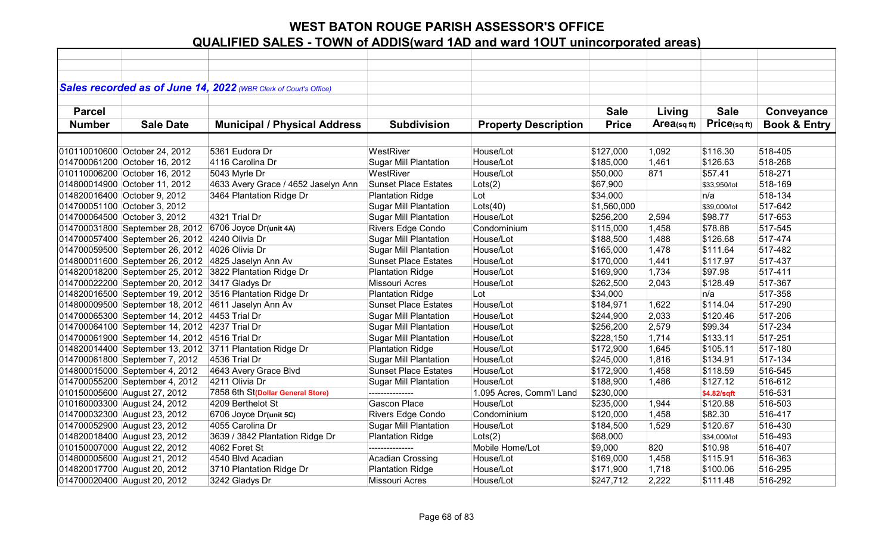|               |                                                | Sales recorded as of June 14, 2022 (WBR Clerk of Court's Office) |                              |                             |              |            |              |                         |
|---------------|------------------------------------------------|------------------------------------------------------------------|------------------------------|-----------------------------|--------------|------------|--------------|-------------------------|
|               |                                                |                                                                  |                              |                             |              |            |              |                         |
| <b>Parcel</b> |                                                |                                                                  |                              |                             | <b>Sale</b>  | Living     | <b>Sale</b>  | Conveyance              |
| <b>Number</b> | <b>Sale Date</b>                               | <b>Municipal / Physical Address</b>                              | <b>Subdivision</b>           | <b>Property Description</b> | <b>Price</b> | Area(sqft) | Price(sqft)  | <b>Book &amp; Entry</b> |
|               |                                                |                                                                  |                              |                             |              |            |              |                         |
|               | 010110010600 October 24, 2012                  | 5361 Eudora Dr                                                   | WestRiver                    | House/Lot                   | \$127,000    | 1,092      | \$116.30     | 518-405                 |
|               | 014700061200 October 16, 2012                  | 4116 Carolina Dr                                                 | <b>Sugar Mill Plantation</b> | House/Lot                   | \$185,000    | 1,461      | \$126.63     | 518-268                 |
|               | 010110006200 October 16, 2012                  | 5043 Myrle Dr                                                    | WestRiver                    | House/Lot                   | \$50,000     | 871        | \$57.41      | 518-271                 |
|               | 014800014900 October 11, 2012                  | 4633 Avery Grace / 4652 Jaselyn Ann                              | <b>Sunset Place Estates</b>  | Lots(2)                     | \$67,900     |            | \$33,950/lot | 518-169                 |
|               | 014820016400 October 9, 2012                   | 3464 Plantation Ridge Dr                                         | <b>Plantation Ridge</b>      | Lot                         | \$34,000     |            | n/a          | 518-134                 |
|               | 014700051100 October 3, 2012                   |                                                                  | <b>Sugar Mill Plantation</b> | Lots(40)                    | \$1,560,000  |            | \$39,000/lot | 517-642                 |
|               | 014700064500 October 3, 2012                   | 4321 Trial Dr                                                    | <b>Sugar Mill Plantation</b> | House/Lot                   | \$256,200    | 2,594      | \$98.77      | 517-653                 |
|               | 014700031800 September 28, 2012                | 6706 Joyce Dr(unit 4A)                                           | Rivers Edge Condo            | Condominium                 | \$115,000    | 1,458      | \$78.88      | 517-545                 |
|               | 014700057400 September 26, 2012                | 4240 Olivia Dr                                                   | <b>Sugar Mill Plantation</b> | House/Lot                   | \$188,500    | 1,488      | \$126.68     | 517-474                 |
|               | 014700059500 September 26, 2012                | 4026 Olivia Dr                                                   | <b>Sugar Mill Plantation</b> | House/Lot                   | \$165,000    | 1,478      | \$111.64     | 517-482                 |
|               |                                                | 014800011600 September 26, 2012 4825 Jaselyn Ann Av              | <b>Sunset Place Estates</b>  | House/Lot                   | \$170,000    | 1,441      | \$117.97     | 517-437                 |
|               | 014820018200 September 25, 2012                | 3822 Plantation Ridge Dr                                         | <b>Plantation Ridge</b>      | House/Lot                   | \$169,900    | 1,734      | \$97.98      | 517-411                 |
|               | 014700022200 September 20, 2012 3417 Gladys Dr |                                                                  | <b>Missouri Acres</b>        | House/Lot                   | \$262,500    | 2,043      | \$128.49     | 517-367                 |
|               |                                                | 014820016500 September 19, 2012 3516 Plantation Ridge Dr         | <b>Plantation Ridge</b>      | Lot                         | \$34,000     |            | n/a          | 517-358                 |
|               |                                                | 014800009500 September 18, 2012 4611 Jaselyn Ann Av              | <b>Sunset Place Estates</b>  | House/Lot                   | \$184,971    | 1,622      | \$114.04     | 517-290                 |
|               | 014700065300 September 14, 2012 4453 Trial Dr  |                                                                  | <b>Sugar Mill Plantation</b> | House/Lot                   | \$244,900    | 2,033      | \$120.46     | 517-206                 |
|               | 014700064100 September 14, 2012 4237 Trial Dr  |                                                                  | <b>Sugar Mill Plantation</b> | House/Lot                   | \$256,200    | 2,579      | \$99.34      | 517-234                 |
|               | 014700061900 September 14, 2012 4516 Trial Dr  |                                                                  | <b>Sugar Mill Plantation</b> | House/Lot                   | \$228,150    | 1,714      | \$133.11     | 517-251                 |
|               |                                                | 014820014400 September 13, 2012 3711 Plantation Ridge Dr         | <b>Plantation Ridge</b>      | House/Lot                   | \$172,900    | 1,645      | \$105.11     | 517-180                 |
|               | 014700061800 September 7, 2012                 | 4536 Trial Dr                                                    | <b>Sugar Mill Plantation</b> | House/Lot                   | \$245,000    | 1,816      | \$134.91     | 517-134                 |
|               | 014800015000 September 4, 2012                 | 4643 Avery Grace Blvd                                            | <b>Sunset Place Estates</b>  | House/Lot                   | \$172,900    | 1,458      | \$118.59     | 516-545                 |
|               | 014700055200 September 4, 2012                 | 4211 Olivia Dr                                                   | <b>Sugar Mill Plantation</b> | House/Lot                   | \$188,900    | 1,486      | \$127.12     | 516-612                 |
|               | 010150005600 August 27, 2012                   | 7858 6th St(Dollar General Store)                                | ---------------              | 1.095 Acres, Comm'l Land    | \$230,000    |            | \$4.82/sqft  | 516-531                 |
|               | 010160003300 August 24, 2012                   | 4209 Berthelot St                                                | <b>Gascon Place</b>          | House/Lot                   | \$235,000    | 1,944      | \$120.88     | 516-503                 |
|               | 014700032300 August 23, 2012                   | 6706 Joyce Dr(unit 5C)                                           | Rivers Edge Condo            | Condominium                 | \$120,000    | 1,458      | \$82.30      | 516-417                 |
|               | 014700052900 August 23, 2012                   | 4055 Carolina Dr                                                 | <b>Sugar Mill Plantation</b> | House/Lot                   | \$184,500    | 1,529      | \$120.67     | 516-430                 |
|               | 014820018400 August 23, 2012                   | 3639 / 3842 Plantation Ridge Dr                                  | <b>Plantation Ridge</b>      | Lots(2)                     | \$68,000     |            | \$34,000/lot | 516-493                 |
|               | 010150007000 August 22, 2012                   | 4062 Foret St                                                    | ---------------              | Mobile Home/Lot             | \$9,000      | 820        | \$10.98      | 516-407                 |
|               | 014800005600 August 21, 2012                   | 4540 Blvd Acadian                                                | <b>Acadian Crossing</b>      | House/Lot                   | \$169,000    | 1,458      | \$115.91     | 516-363                 |
|               | 014820017700 August 20, 2012                   | 3710 Plantation Ridge Dr                                         | <b>Plantation Ridge</b>      | House/Lot                   | \$171,900    | 1,718      | \$100.06     | 516-295                 |
|               | 014700020400 August 20, 2012                   | 3242 Gladys Dr                                                   | <b>Missouri Acres</b>        | House/Lot                   | \$247,712    | 2,222      | \$111.48     | 516-292                 |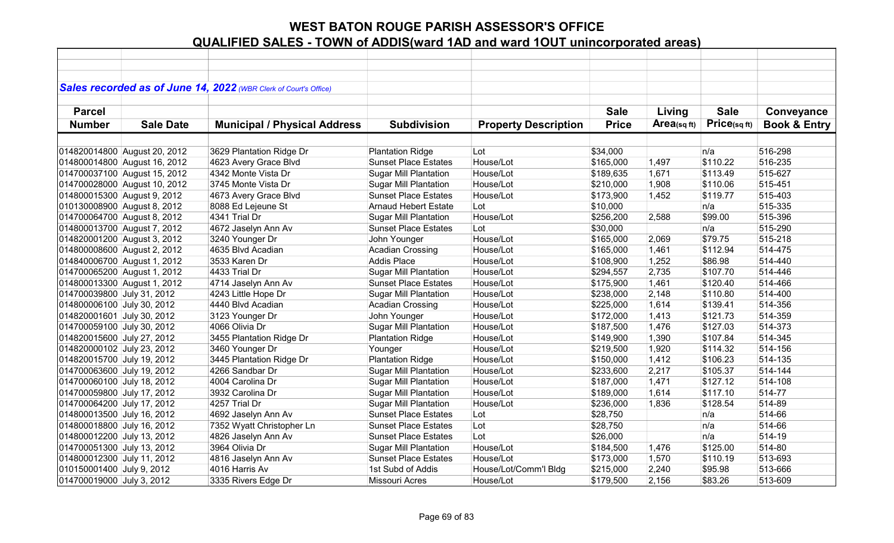|                             |                              | Sales recorded as of June 14, 2022 (WBR Clerk of Court's Office) |                              |                             |              |                |             |                         |
|-----------------------------|------------------------------|------------------------------------------------------------------|------------------------------|-----------------------------|--------------|----------------|-------------|-------------------------|
|                             |                              |                                                                  |                              |                             |              |                |             |                         |
| <b>Parcel</b>               |                              |                                                                  |                              |                             | <b>Sale</b>  | Living         | <b>Sale</b> | Conveyance              |
| <b>Number</b>               | <b>Sale Date</b>             | <b>Municipal / Physical Address</b>                              | <b>Subdivision</b>           | <b>Property Description</b> | <b>Price</b> | Area(sq $ft$ ) | Price(sqft) | <b>Book &amp; Entry</b> |
|                             |                              |                                                                  |                              |                             |              |                |             |                         |
|                             |                              |                                                                  |                              |                             |              |                |             |                         |
|                             | 014820014800 August 20, 2012 | 3629 Plantation Ridge Dr                                         | <b>Plantation Ridge</b>      | Lot                         | \$34,000     |                | n/a         | 516-298                 |
|                             | 014800014800 August 16, 2012 | 4623 Avery Grace Blvd                                            | <b>Sunset Place Estates</b>  | House/Lot                   | \$165,000    | 1,497          | \$110.22    | 516-235                 |
|                             | 014700037100 August 15, 2012 | 4342 Monte Vista Dr                                              | <b>Sugar Mill Plantation</b> | House/Lot                   | \$189,635    | 1,671          | \$113.49    | 515-627                 |
|                             | 014700028000 August 10, 2012 | 3745 Monte Vista Dr                                              | <b>Sugar Mill Plantation</b> | House/Lot                   | \$210,000    | 1,908          | \$110.06    | 515-451                 |
| 014800015300 August 9, 2012 |                              | 4673 Avery Grace Blvd                                            | <b>Sunset Place Estates</b>  | House/Lot                   | \$173,900    | 1,452          | \$119.77    | 515-403                 |
| 010130008900 August 8, 2012 |                              | 8088 Ed Lejeune St                                               | <b>Arnaud Hebert Estate</b>  | Lot                         | \$10,000     |                | n/a         | 515-335                 |
| 014700064700 August 8, 2012 |                              | 4341 Trial Dr                                                    | <b>Sugar Mill Plantation</b> | House/Lot                   | \$256,200    | 2,588          | \$99.00     | 515-396                 |
| 014800013700 August 7, 2012 |                              | 4672 Jaselyn Ann Av                                              | <b>Sunset Place Estates</b>  | Lot                         | \$30,000     |                | n/a         | 515-290                 |
| 014820001200 August 3, 2012 |                              | 3240 Younger Dr                                                  | John Younger                 | House/Lot                   | \$165,000    | 2,069          | \$79.75     | 515-218                 |
| 014800008600 August 2, 2012 |                              | 4635 Blvd Acadian                                                | <b>Acadian Crossing</b>      | House/Lot                   | \$165,000    | 1,461          | \$112.94    | 514-475                 |
| 014840006700 August 1, 2012 |                              | 3533 Karen Dr                                                    | <b>Addis Place</b>           | House/Lot                   | \$108,900    | 1,252          | \$86.98     | 514-440                 |
| 014700065200 August 1, 2012 |                              | 4433 Trial Dr                                                    | <b>Sugar Mill Plantation</b> | House/Lot                   | \$294,557    | 2,735          | \$107.70    | 514-446                 |
| 014800013300 August 1, 2012 |                              | 4714 Jaselyn Ann Av                                              | <b>Sunset Place Estates</b>  | House/Lot                   | \$175,900    | 1,461          | \$120.40    | 514-466                 |
| 014700039800 July 31, 2012  |                              | 4243 Little Hope Dr                                              | <b>Sugar Mill Plantation</b> | House/Lot                   | \$238,000    | 2,148          | \$110.80    | 514-400                 |
| 014800006100 July 30, 2012  |                              | 4440 Blvd Acadian                                                | <b>Acadian Crossing</b>      | House/Lot                   | \$225,000    | 1,614          | \$139.41    | 514-356                 |
| 014820001601 July 30, 2012  |                              | 3123 Younger Dr                                                  | John Younger                 | House/Lot                   | \$172,000    | 1,413          | \$121.73    | 514-359                 |
| 014700059100 July 30, 2012  |                              | 4066 Olivia Dr                                                   | Sugar Mill Plantation        | House/Lot                   | \$187,500    | 1,476          | \$127.03    | 514-373                 |
| 014820015600 July 27, 2012  |                              | 3455 Plantation Ridge Dr                                         | <b>Plantation Ridge</b>      | House/Lot                   | \$149,900    | 1,390          | \$107.84    | 514-345                 |
| 014820000102 July 23, 2012  |                              | 3460 Younger Dr                                                  | Younger                      | House/Lot                   | \$219,500    | 1,920          | \$114.32    | 514-156                 |
| 014820015700 July 19, 2012  |                              | 3445 Plantation Ridge Dr                                         | <b>Plantation Ridge</b>      | House/Lot                   | \$150,000    | 1,412          | \$106.23    | 514-135                 |
| 014700063600 July 19, 2012  |                              | 4266 Sandbar Dr                                                  | <b>Sugar Mill Plantation</b> | House/Lot                   | \$233,600    | 2,217          | \$105.37    | 514-144                 |
| 014700060100 July 18, 2012  |                              | 4004 Carolina Dr                                                 | <b>Sugar Mill Plantation</b> | House/Lot                   | \$187,000    | 1,471          | \$127.12    | 514-108                 |
| 014700059800 July 17, 2012  |                              | 3932 Carolina Dr                                                 | <b>Sugar Mill Plantation</b> | House/Lot                   | \$189,000    | 1,614          | \$117.10    | 514-77                  |
| 014700064200 July 17, 2012  |                              | 4257 Trial Dr                                                    | <b>Sugar Mill Plantation</b> | House/Lot                   | \$236,000    | 1,836          | \$128.54    | 514-89                  |
| 014800013500 July 16, 2012  |                              | 4692 Jaselyn Ann Av                                              | <b>Sunset Place Estates</b>  | Lot                         | \$28,750     |                | n/a         | 514-66                  |
| 014800018800 July 16, 2012  |                              | 7352 Wyatt Christopher Ln                                        | <b>Sunset Place Estates</b>  | Lot                         | \$28,750     |                | n/a         | 514-66                  |
| 014800012200 July 13, 2012  |                              | 4826 Jaselyn Ann Av                                              | <b>Sunset Place Estates</b>  | Lot                         | \$26,000     |                | n/a         | 514-19                  |
| 014700051300 July 13, 2012  |                              | 3964 Olivia Dr                                                   | <b>Sugar Mill Plantation</b> | House/Lot                   | \$184,500    | 1,476          | \$125.00    | 514-80                  |
| 014800012300 July 11, 2012  |                              | 4816 Jaselyn Ann Av                                              | <b>Sunset Place Estates</b>  | House/Lot                   | \$173,000    | 1,570          | \$110.19    | 513-693                 |
| 010150001400 July 9, 2012   |                              | 4016 Harris Av                                                   | 1st Subd of Addis            | House/Lot/Comm'l Bldg       | \$215,000    | 2,240          | \$95.98     | 513-666                 |
| 014700019000 July 3, 2012   |                              | 3335 Rivers Edge Dr                                              | <b>Missouri Acres</b>        | House/Lot                   | \$179,500    | 2,156          | \$83.26     | 513-609                 |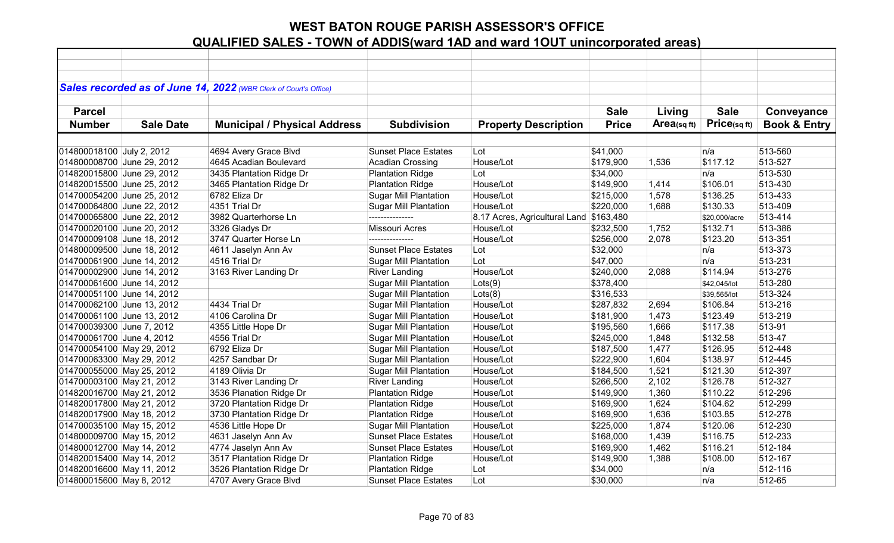|                            |                  | Sales recorded as of June 14, 2022 (WBR Clerk of Court's Office) |                              |                                         |              |             |               |                         |
|----------------------------|------------------|------------------------------------------------------------------|------------------------------|-----------------------------------------|--------------|-------------|---------------|-------------------------|
|                            |                  |                                                                  |                              |                                         |              |             |               |                         |
| <b>Parcel</b>              |                  |                                                                  |                              |                                         | <b>Sale</b>  | Living      | <b>Sale</b>   | Conveyance              |
| <b>Number</b>              | <b>Sale Date</b> | <b>Municipal / Physical Address</b>                              | <b>Subdivision</b>           | <b>Property Description</b>             | <b>Price</b> | Area(sq ft) | Price(sqft)   | <b>Book &amp; Entry</b> |
|                            |                  |                                                                  |                              |                                         |              |             |               |                         |
| 014800018100 July 2, 2012  |                  | 4694 Avery Grace Blvd                                            | <b>Sunset Place Estates</b>  | Lot                                     | \$41,000     |             | n/a           | 513-560                 |
| 014800008700 June 29, 2012 |                  | 4645 Acadian Boulevard                                           | <b>Acadian Crossing</b>      | House/Lot                               | \$179,900    | 1,536       | \$117.12      | 513-527                 |
| 014820015800 June 29, 2012 |                  | 3435 Plantation Ridge Dr                                         | <b>Plantation Ridge</b>      | Lot                                     | \$34,000     |             | n/a           | 513-530                 |
| 014820015500 June 25, 2012 |                  | 3465 Plantation Ridge Dr                                         | <b>Plantation Ridge</b>      | House/Lot                               | \$149,900    | 1,414       | \$106.01      | 513-430                 |
| 014700054200 June 25, 2012 |                  | 6782 Eliza Dr                                                    | <b>Sugar Mill Plantation</b> | House/Lot                               | \$215,000    | 1,578       | \$136.25      | 513-433                 |
| 014700064800 June 22, 2012 |                  | 4351 Trial Dr                                                    | <b>Sugar Mill Plantation</b> | House/Lot                               | \$220,000    | 1,688       | \$130.33      | 513-409                 |
| 014700065800 June 22, 2012 |                  | 3982 Quarterhorse Ln                                             | ---------------              | 8.17 Acres, Agricultural Land \$163,480 |              |             | \$20,000/acre | 513-414                 |
| 014700020100 June 20, 2012 |                  | 3326 Gladys Dr                                                   | <b>Missouri Acres</b>        | House/Lot                               | \$232,500    | 1,752       | \$132.71      | 513-386                 |
| 014700009108 June 18, 2012 |                  | 3747 Quarter Horse Ln                                            |                              | House/Lot                               | \$256,000    | 2,078       | \$123.20      | 513-351                 |
| 014800009500 June 18, 2012 |                  | 4611 Jaselyn Ann Av                                              | <b>Sunset Place Estates</b>  | Lot                                     | \$32,000     |             | n/a           | 513-373                 |
| 014700061900 June 14, 2012 |                  | 4516 Trial Dr                                                    | <b>Sugar Mill Plantation</b> | Lot                                     | \$47,000     |             | n/a           | 513-231                 |
| 014700002900 June 14, 2012 |                  | 3163 River Landing Dr                                            | <b>River Landing</b>         | House/Lot                               | \$240,000    | 2,088       | \$114.94      | 513-276                 |
| 014700061600 June 14, 2012 |                  |                                                                  | <b>Sugar Mill Plantation</b> | Lots(9)                                 | \$378,400    |             | \$42,045/lot  | 513-280                 |
| 014700051100 June 14, 2012 |                  |                                                                  | Sugar Mill Plantation        | Lots(8)                                 | \$316,533    |             | \$39,565/lot  | 513-324                 |
| 014700062100 June 13, 2012 |                  | 4434 Trial Dr                                                    | <b>Sugar Mill Plantation</b> | House/Lot                               | \$287,832    | 2,694       | \$106.84      | 513-216                 |
| 014700061100 June 13, 2012 |                  | 4106 Carolina Dr                                                 | <b>Sugar Mill Plantation</b> | House/Lot                               | \$181,900    | 1,473       | \$123.49      | 513-219                 |
| 014700039300 June 7, 2012  |                  | 4355 Little Hope Dr                                              | <b>Sugar Mill Plantation</b> | House/Lot                               | \$195,560    | 1,666       | \$117.38      | 513-91                  |
| 014700061700 June 4, 2012  |                  | 4556 Trial Dr                                                    | <b>Sugar Mill Plantation</b> | House/Lot                               | \$245,000    | 1,848       | \$132.58      | 513-47                  |
| 014700054100 May 29, 2012  |                  | 6792 Eliza Dr                                                    | <b>Sugar Mill Plantation</b> | House/Lot                               | \$187,500    | 1,477       | \$126.95      | 512-448                 |
| 014700063300 May 29, 2012  |                  | 4257 Sandbar Dr                                                  | <b>Sugar Mill Plantation</b> | House/Lot                               | \$222,900    | 1,604       | \$138.97      | 512-445                 |
| 014700055000 May 25, 2012  |                  | 4189 Olivia Dr                                                   | <b>Sugar Mill Plantation</b> | House/Lot                               | \$184,500    | 1,521       | \$121.30      | 512-397                 |
| 014700003100 May 21, 2012  |                  | 3143 River Landing Dr                                            | <b>River Landing</b>         | House/Lot                               | \$266,500    | 2,102       | \$126.78      | 512-327                 |
| 014820016700 May 21, 2012  |                  | 3536 Planation Ridge Dr                                          | <b>Plantation Ridge</b>      | House/Lot                               | \$149,900    | 1,360       | \$110.22      | 512-296                 |
| 014820017800 May 21, 2012  |                  | 3720 Plantation Ridge Dr                                         | <b>Plantation Ridge</b>      | House/Lot                               | \$169,900    | 1,624       | \$104.62      | 512-299                 |
| 014820017900 May 18, 2012  |                  | 3730 Plantation Ridge Dr                                         | <b>Plantation Ridge</b>      | House/Lot                               | \$169,900    | 1,636       | \$103.85      | 512-278                 |
| 014700035100 May 15, 2012  |                  | 4536 Little Hope Dr                                              | <b>Sugar Mill Plantation</b> | House/Lot                               | \$225,000    | 1,874       | \$120.06      | 512-230                 |
| 014800009700 May 15, 2012  |                  | 4631 Jaselyn Ann Av                                              | <b>Sunset Place Estates</b>  | House/Lot                               | \$168,000    | 1,439       | \$116.75      | 512-233                 |
| 014800012700 May 14, 2012  |                  | 4774 Jaselyn Ann Av                                              | <b>Sunset Place Estates</b>  | House/Lot                               | \$169,900    | 1,462       | \$116.21      | 512-184                 |
| 014820015400 May 14, 2012  |                  | 3517 Plantation Ridge Dr                                         | <b>Plantation Ridge</b>      | House/Lot                               | \$149,900    | 1,388       | \$108.00      | 512-167                 |
| 014820016600 May 11, 2012  |                  | 3526 Plantation Ridge Dr                                         | <b>Plantation Ridge</b>      | Lot                                     | \$34,000     |             | n/a           | 512-116                 |
| 014800015600 May 8, 2012   |                  | 4707 Avery Grace Blvd                                            | <b>Sunset Place Estates</b>  | Lot                                     | \$30,000     |             | n/a           | 512-65                  |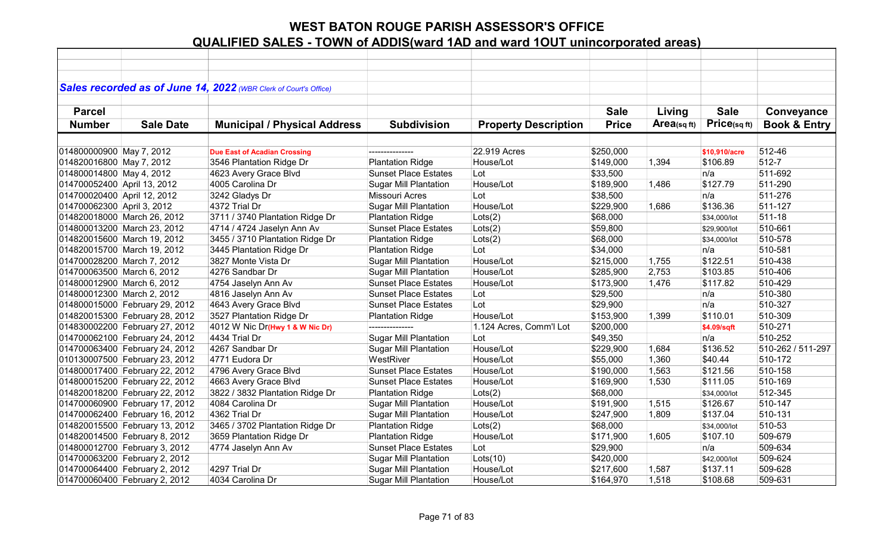|                             |                                | Sales recorded as of June 14, 2022 (WBR Clerk of Court's Office) |                              |                             |              |            |               |                         |
|-----------------------------|--------------------------------|------------------------------------------------------------------|------------------------------|-----------------------------|--------------|------------|---------------|-------------------------|
|                             |                                |                                                                  |                              |                             |              |            |               |                         |
| <b>Parcel</b>               |                                |                                                                  |                              |                             | <b>Sale</b>  | Living     | <b>Sale</b>   | Conveyance              |
| <b>Number</b>               | <b>Sale Date</b>               | <b>Municipal / Physical Address</b>                              | <b>Subdivision</b>           | <b>Property Description</b> | <b>Price</b> | Area(sqft) | Price(sq ft)  | <b>Book &amp; Entry</b> |
|                             |                                |                                                                  |                              |                             |              |            |               |                         |
| 014800000900 May 7, 2012    |                                | <b>Due East of Acadian Crossing</b>                              |                              | 22.919 Acres                | \$250,000    |            | \$10,910/acre | 512-46                  |
| 014820016800 May 7, 2012    |                                | 3546 Plantation Ridge Dr                                         | <b>Plantation Ridge</b>      | House/Lot                   | \$149,000    | 1,394      | \$106.89      | 512-7                   |
| 014800014800 May 4, 2012    |                                | 4623 Avery Grace Blvd                                            | <b>Sunset Place Estates</b>  | Lot                         | \$33,500     |            | n/a           | 511-692                 |
| 014700052400 April 13, 2012 |                                | 4005 Carolina Dr                                                 | <b>Sugar Mill Plantation</b> | House/Lot                   | \$189,900    | 1,486      | \$127.79      | 511-290                 |
| 014700020400 April 12, 2012 |                                | 3242 Gladys Dr                                                   | <b>Missouri Acres</b>        | Lot                         | \$38,500     |            | n/a           | 511-276                 |
| 014700062300 April 3, 2012  |                                | 4372 Trial Dr                                                    | <b>Sugar Mill Plantation</b> | House/Lot                   | \$229,900    | 1,686      | \$136.36      | 511-127                 |
|                             | 014820018000 March 26, 2012    | 3711 / 3740 Plantation Ridge Dr                                  | <b>Plantation Ridge</b>      | Lots(2)                     | \$68,000     |            | \$34,000/lot  | 511-18                  |
|                             | 014800013200 March 23, 2012    | 4714 / 4724 Jaselyn Ann Av                                       | <b>Sunset Place Estates</b>  | Lots(2)                     | \$59,800     |            | \$29,900/lot  | 510-661                 |
|                             | 014820015600 March 19, 2012    | 3455 / 3710 Plantation Ridge Dr                                  | <b>Plantation Ridge</b>      | Lots(2)                     | \$68,000     |            | \$34,000/lot  | 510-578                 |
|                             | 014820015700 March 19, 2012    | 3445 Plantation Ridge Dr                                         | <b>Plantation Ridge</b>      | Lot                         | \$34,000     |            | n/a           | 510-581                 |
| 014700028200 March 7, 2012  |                                | 3827 Monte Vista Dr                                              | <b>Sugar Mill Plantation</b> | House/Lot                   | \$215,000    | 1,755      | \$122.51      | 510-438                 |
| 014700063500 March 6, 2012  |                                | 4276 Sandbar Dr                                                  | <b>Sugar Mill Plantation</b> | House/Lot                   | \$285,900    | 2,753      | \$103.85      | 510-406                 |
| 014800012900 March 6, 2012  |                                | 4754 Jaselyn Ann Av                                              | <b>Sunset Place Estates</b>  | House/Lot                   | \$173,900    | 1,476      | \$117.82      | 510-429                 |
| 014800012300 March 2, 2012  |                                | 4816 Jaselyn Ann Av                                              | <b>Sunset Place Estates</b>  | Lot                         | \$29,500     |            | n/a           | 510-380                 |
|                             | 014800015000 February 29, 2012 | 4643 Avery Grace Blvd                                            | <b>Sunset Place Estates</b>  | Lot                         | \$29,900     |            | n/a           | 510-327                 |
|                             | 014820015300 February 28, 2012 | 3527 Plantation Ridge Dr                                         | <b>Plantation Ridge</b>      | House/Lot                   | \$153,900    | 1,399      | \$110.01      | 510-309                 |
|                             | 014830002200 February 27, 2012 | 4012 W Nic Dr(Hwy 1 & W Nic Dr)                                  | ---------------              | 1.124 Acres, Comm'l Lot     | \$200,000    |            | \$4.09/sqft   | 510-271                 |
|                             | 014700062100 February 24, 2012 | 4434 Trial Dr                                                    | <b>Sugar Mill Plantation</b> | Lot                         | \$49,350     |            | n/a           | 510-252                 |
|                             | 014700063400 February 24, 2012 | 4267 Sandbar Dr                                                  | <b>Sugar Mill Plantation</b> | House/Lot                   | \$229,900    | 1,684      | \$136.52      | 510-262 / 511-297       |
|                             | 010130007500 February 23, 2012 | 4771 Eudora Dr                                                   | WestRiver                    | House/Lot                   | \$55,000     | 1,360      | \$40.44       | 510-172                 |
|                             | 014800017400 February 22, 2012 | 4796 Avery Grace Blvd                                            | <b>Sunset Place Estates</b>  | House/Lot                   | \$190,000    | 1,563      | \$121.56      | 510-158                 |
|                             | 014800015200 February 22, 2012 | 4663 Avery Grace Blvd                                            | <b>Sunset Place Estates</b>  | House/Lot                   | \$169,900    | 1,530      | \$111.05      | 510-169                 |
|                             | 014820018200 February 22, 2012 | 3822 / 3832 Plantation Ridge Dr                                  | <b>Plantation Ridge</b>      | Lots(2)                     | \$68,000     |            | \$34,000/lot  | 512-345                 |
|                             | 014700060900 February 17, 2012 | 4084 Carolina Dr                                                 | <b>Sugar Mill Plantation</b> | House/Lot                   | \$191,900    | 1,515      | \$126.67      | 510-147                 |
|                             | 014700062400 February 16, 2012 | 4362 Trial Dr                                                    | <b>Sugar Mill Plantation</b> | House/Lot                   | \$247,900    | 1,809      | \$137.04      | 510-131                 |
|                             | 014820015500 February 13, 2012 | 3465 / 3702 Plantation Ridge Dr                                  | <b>Plantation Ridge</b>      | Lots(2)                     | \$68,000     |            | \$34,000/lot  | 510-53                  |
|                             | 014820014500 February 8, 2012  | 3659 Plantation Ridge Dr                                         | <b>Plantation Ridge</b>      | House/Lot                   | \$171,900    | 1,605      | \$107.10      | 509-679                 |
|                             | 014800012700 February 3, 2012  | 4774 Jaselyn Ann Av                                              | <b>Sunset Place Estates</b>  | Lot                         | \$29,900     |            | n/a           | 509-634                 |
|                             | 014700063200 February 2, 2012  |                                                                  | <b>Sugar Mill Plantation</b> | $ $ Lots $(10)$             | \$420,000    |            | \$42,000/lot  | 509-624                 |
|                             | 014700064400 February 2, 2012  | 4297 Trial Dr                                                    | <b>Sugar Mill Plantation</b> | House/Lot                   | \$217,600    | 1,587      | \$137.11      | 509-628                 |
|                             | 014700060400 February 2, 2012  | 4034 Carolina Dr                                                 | <b>Sugar Mill Plantation</b> | House/Lot                   | \$164,970    | 1,518      | \$108.68      | 509-631                 |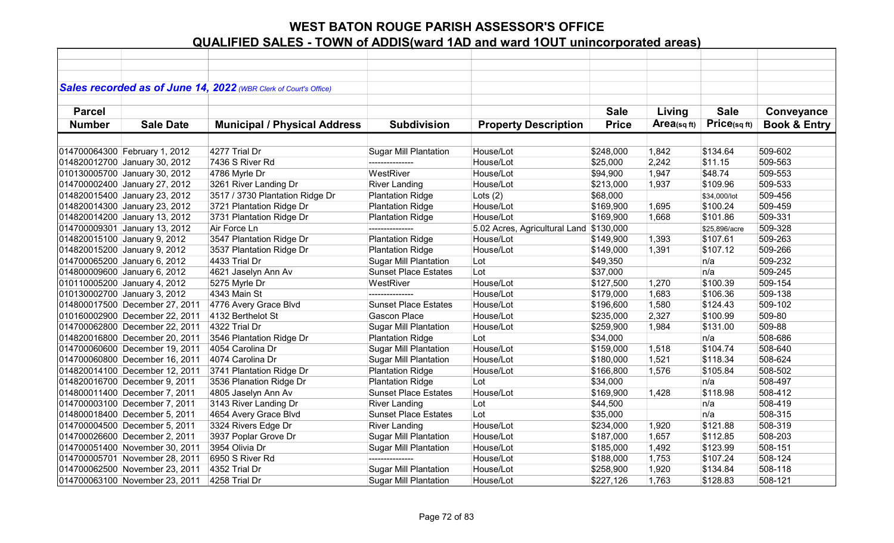|               |                                | Sales recorded as of June 14, 2022 (WBR Clerk of Court's Office) |                              |                                         |                      |             |               |                         |
|---------------|--------------------------------|------------------------------------------------------------------|------------------------------|-----------------------------------------|----------------------|-------------|---------------|-------------------------|
| <b>Parcel</b> |                                |                                                                  |                              |                                         | <b>Sale</b>          | Living      | <b>Sale</b>   | Conveyance              |
| <b>Number</b> | <b>Sale Date</b>               | <b>Municipal / Physical Address</b>                              | <b>Subdivision</b>           | <b>Property Description</b>             | <b>Price</b>         | Area(sq ft) | Price(sqft)   | <b>Book &amp; Entry</b> |
|               |                                |                                                                  |                              |                                         |                      |             |               |                         |
|               | 014700064300 February 1, 2012  | 4277 Trial Dr                                                    | <b>Sugar Mill Plantation</b> | House/Lot                               | \$248,000            | 1,842       | \$134.64      | 509-602                 |
|               | 014820012700 January 30, 2012  | 7436 S River Rd                                                  |                              | House/Lot                               | \$25,000             | 2,242       | \$11.15       | 509-563                 |
|               | 010130005700 January 30, 2012  | 4786 Myrle Dr                                                    | WestRiver                    | House/Lot                               | \$94,900             | 1,947       | \$48.74       | 509-553                 |
|               | 014700002400 January 27, 2012  | 3261 River Landing Dr                                            | <b>River Landing</b>         | House/Lot                               | \$213,000            | 1,937       | \$109.96      | 509-533                 |
|               | 014820015400 January 23, 2012  | 3517 / 3730 Plantation Ridge Dr                                  | <b>Plantation Ridge</b>      | Lots $(2)$                              | \$68,000             |             | \$34,000/lot  | 509-456                 |
|               | 014820014300 January 23, 2012  | 3721 Plantation Ridge Dr                                         | <b>Plantation Ridge</b>      | House/Lot                               | \$169,900            | 1,695       | \$100.24      | 509-459                 |
|               | 014820014200 January 13, 2012  | 3731 Plantation Ridge Dr                                         | <b>Plantation Ridge</b>      | House/Lot                               | \$169,900            | 1,668       | \$101.86      | 509-331                 |
|               | 014700009301 January 13, 2012  | Air Force Ln                                                     | ---------------              | 5.02 Acres, Agricultural Land \$130,000 |                      |             | \$25,896/acre | 509-328                 |
|               | 014820015100 January 9, 2012   | 3547 Plantation Ridge Dr                                         | <b>Plantation Ridge</b>      | House/Lot                               | \$149,900            | 1,393       | \$107.61      | 509-263                 |
|               | 014820015200 January 9, 2012   | 3537 Plantation Ridge Dr                                         | <b>Plantation Ridge</b>      | House/Lot                               | \$149,000            | 1,391       | \$107.12      | 509-266                 |
|               | 014700065200 January 6, 2012   | 4433 Trial Dr                                                    | <b>Sugar Mill Plantation</b> | Lot                                     | \$49,350             |             | n/a           | 509-232                 |
|               | 014800009600 January 6, 2012   | 4621 Jaselyn Ann Av                                              | <b>Sunset Place Estates</b>  | Lot                                     | \$37,000             |             | n/a           | 509-245                 |
|               | 010110005200 January 4, 2012   | 5275 Myrle Dr                                                    | WestRiver                    | House/Lot                               | \$127,500            | 1,270       | \$100.39      | 509-154                 |
|               | 010130002700 January 3, 2012   | 4343 Main St                                                     | ---------------              | House/Lot                               | \$179,000            | 1,683       | \$106.36      | 509-138                 |
|               | 014800017500 December 27, 2011 | 4776 Avery Grace Blvd                                            | <b>Sunset Place Estates</b>  | House/Lot                               | \$196,600            | 1,580       | \$124.43      | 509-102                 |
|               | 010160002900 December 22, 2011 | 4132 Berthelot St                                                | <b>Gascon Place</b>          | House/Lot                               | \$235,000            | 2,327       | \$100.99      | 509-80                  |
|               | 014700062800 December 22, 2011 | 4322 Trial Dr                                                    | <b>Sugar Mill Plantation</b> | House/Lot                               | \$259,900            | 1,984       | \$131.00      | 509-88                  |
|               | 014820016800 December 20, 2011 | 3546 Plantation Ridge Dr                                         | <b>Plantation Ridge</b>      | Lot                                     | \$34,000             |             | n/a           | 508-686                 |
|               | 014700060600 December 19, 2011 | 4054 Carolina Dr                                                 | <b>Sugar Mill Plantation</b> | House/Lot                               | $\frac{1}{3}159,000$ | 1,518       | \$104.74      | 508-640                 |
|               | 014700060800 December 16, 2011 | 4074 Carolina Dr                                                 | <b>Sugar Mill Plantation</b> | House/Lot                               | \$180,000            | 1,521       | \$118.34      | 508-624                 |
|               | 014820014100 December 12, 2011 | 3741 Plantation Ridge Dr                                         | <b>Plantation Ridge</b>      | House/Lot                               | \$166,800            | 1,576       | \$105.84      | 508-502                 |
|               | 014820016700 December 9, 2011  | 3536 Planation Ridge Dr                                          | <b>Plantation Ridge</b>      | Lot                                     | \$34,000             |             | n/a           | 508-497                 |
|               | 014800011400 December 7, 2011  | 4805 Jaselyn Ann Av                                              | <b>Sunset Place Estates</b>  | House/Lot                               | \$169,900            | 1,428       | \$118.98      | 508-412                 |
|               | 014700003100 December 7, 2011  | 3143 River Landing Dr                                            | <b>River Landing</b>         | Lot                                     | \$44,500             |             | n/a           | 508-419                 |
|               | 014800018400 December 5, 2011  | 4654 Avery Grace Blvd                                            | <b>Sunset Place Estates</b>  | Lot                                     | \$35,000             |             | n/a           | 508-315                 |
|               | 014700004500 December 5, 2011  | 3324 Rivers Edge Dr                                              | <b>River Landing</b>         | House/Lot                               | \$234,000            | 1,920       | \$121.88      | 508-319                 |
|               | 014700026600 December 2, 2011  | 3937 Poplar Grove Dr                                             | <b>Sugar Mill Plantation</b> | House/Lot                               | \$187,000            | 1,657       | \$112.85      | 508-203                 |
|               | 014700051400 November 30, 2011 | 3954 Olivia Dr                                                   | <b>Sugar Mill Plantation</b> | House/Lot                               | \$185,000            | 1,492       | \$123.99      | 508-151                 |
|               | 014700005701 November 28, 2011 | 6950 S River Rd                                                  | ---------------              | House/Lot                               | \$188,000            | 1,753       | \$107.24      | 508-124                 |
|               | 014700062500 November 23, 2011 | 4352 Trial Dr                                                    | <b>Sugar Mill Plantation</b> | House/Lot                               | \$258,900            | 1,920       | \$134.84      | 508-118                 |
|               | 014700063100 November 23, 2011 | 4258 Trial Dr                                                    | <b>Sugar Mill Plantation</b> | House/Lot                               | \$227,126            | 1,763       | \$128.83      | 508-121                 |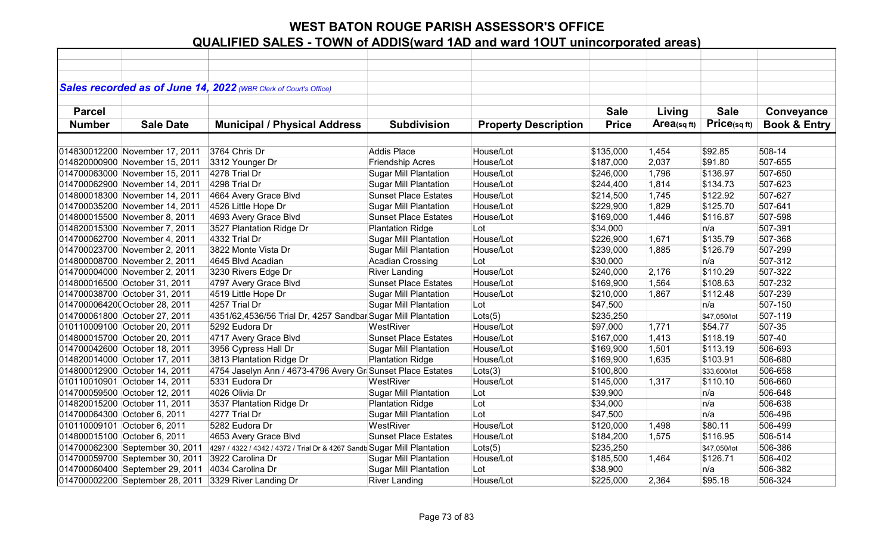| Sales recorded as of June 14, 2022 (WBR Clerk of Court's Office)<br><b>Sale</b><br><b>Sale</b><br>Conveyance<br><b>Parcel</b><br>Living<br>Price(sqft)<br>$Area$ (sq ft)<br><b>Book &amp; Entry</b><br><b>Number</b><br><b>Sale Date</b><br><b>Municipal / Physical Address</b><br><b>Subdivision</b><br><b>Property Description</b><br><b>Price</b><br>508-14<br>3764 Chris Dr<br>Addis Place<br>House/Lot<br>1,454<br>\$92.85<br>\$135,000<br>House/Lot<br>507-655<br>3312 Younger Dr<br>\$187,000<br>2,037<br>\$91.80<br><b>Friendship Acres</b><br>House/Lot<br>4278 Trial Dr<br><b>Sugar Mill Plantation</b><br>1,796<br>\$136.97<br>507-650<br>\$246,000<br>4298 Trial Dr<br><b>Sugar Mill Plantation</b><br>House/Lot<br>\$134.73<br>507-623<br>\$244,400<br>1,814<br><b>Sunset Place Estates</b><br>House/Lot<br>\$122.92<br>507-627<br>4664 Avery Grace Blvd<br>\$214,500<br>1,745<br>House/Lot<br>\$125.70<br>507-641<br>4526 Little Hope Dr<br><b>Sugar Mill Plantation</b><br>\$229,900<br>1,829<br>4693 Avery Grace Blvd<br>House/Lot<br><b>Sunset Place Estates</b><br>\$169,000<br>1,446<br>\$116.87<br>507-598<br>3527 Plantation Ridge Dr<br><b>Plantation Ridge</b><br>Lot<br>507-391<br>\$34,000<br>n/a<br>House/Lot<br>4332 Trial Dr<br><b>Sugar Mill Plantation</b><br>1,671<br>\$135.79<br>507-368<br>\$226,900<br>\$126.79<br>507-299<br>3822 Monte Vista Dr<br><b>Sugar Mill Plantation</b><br>House/Lot<br>\$239,000<br>1,885<br><b>Acadian Crossing</b><br>507-312<br>4645 Blvd Acadian<br>Lot<br>\$30,000<br>n/a<br>House/Lot<br>\$110.29<br>507-322<br>3230 Rivers Edge Dr<br><b>River Landing</b><br>\$240,000<br>2,176<br><b>Sunset Place Estates</b><br>House/Lot<br>507-232<br>4797 Avery Grace Blvd<br>1,564<br>\$108.63<br>\$169,900<br>507-239<br>Sugar Mill Plantation<br>House/Lot<br>4519 Little Hope Dr<br>\$210,000<br>1,867<br>\$112.48<br>4257 Trial Dr<br>507-150<br><b>Sugar Mill Plantation</b><br>Lot<br>\$47,500<br>n/a<br>4351/62,4536/56 Trial Dr, 4257 Sandbar Sugar Mill Plantation<br>Lots(5)<br>\$235,250<br>507-119<br>\$47,050/lot<br>WestRiver<br>House/Lot<br>507-35<br>5292 Eudora Dr<br>1,771<br>\$54.77<br>\$97,000<br>507-40<br>4717 Avery Grace Blvd<br><b>Sunset Place Estates</b><br>House/Lot<br>1,413<br>\$118.19<br>\$167,000<br>3956 Cypress Hall Dr<br><b>Sugar Mill Plantation</b><br>House/Lot<br>1,501<br>\$113.19<br>506-693<br>\$169,900<br>3813 Plantation Ridge Dr<br>House/Lot<br>506-680<br><b>Plantation Ridge</b><br>1,635<br>\$103.91<br>\$169,900<br>Lots(3)<br>4754 Jaselyn Ann / 4673-4796 Avery Gr Sunset Place Estates<br>506-658<br>\$100,800<br>\$33,600/lot |
|------------------------------------------------------------------------------------------------------------------------------------------------------------------------------------------------------------------------------------------------------------------------------------------------------------------------------------------------------------------------------------------------------------------------------------------------------------------------------------------------------------------------------------------------------------------------------------------------------------------------------------------------------------------------------------------------------------------------------------------------------------------------------------------------------------------------------------------------------------------------------------------------------------------------------------------------------------------------------------------------------------------------------------------------------------------------------------------------------------------------------------------------------------------------------------------------------------------------------------------------------------------------------------------------------------------------------------------------------------------------------------------------------------------------------------------------------------------------------------------------------------------------------------------------------------------------------------------------------------------------------------------------------------------------------------------------------------------------------------------------------------------------------------------------------------------------------------------------------------------------------------------------------------------------------------------------------------------------------------------------------------------------------------------------------------------------------------------------------------------------------------------------------------------------------------------------------------------------------------------------------------------------------------------------------------------------------------------------------------------------------------------------------------------------------------------------------------------------------------------------------------------------------------------------------------------------------------------------------------------------------------------------------|
|                                                                                                                                                                                                                                                                                                                                                                                                                                                                                                                                                                                                                                                                                                                                                                                                                                                                                                                                                                                                                                                                                                                                                                                                                                                                                                                                                                                                                                                                                                                                                                                                                                                                                                                                                                                                                                                                                                                                                                                                                                                                                                                                                                                                                                                                                                                                                                                                                                                                                                                                                                                                                                                      |
|                                                                                                                                                                                                                                                                                                                                                                                                                                                                                                                                                                                                                                                                                                                                                                                                                                                                                                                                                                                                                                                                                                                                                                                                                                                                                                                                                                                                                                                                                                                                                                                                                                                                                                                                                                                                                                                                                                                                                                                                                                                                                                                                                                                                                                                                                                                                                                                                                                                                                                                                                                                                                                                      |
|                                                                                                                                                                                                                                                                                                                                                                                                                                                                                                                                                                                                                                                                                                                                                                                                                                                                                                                                                                                                                                                                                                                                                                                                                                                                                                                                                                                                                                                                                                                                                                                                                                                                                                                                                                                                                                                                                                                                                                                                                                                                                                                                                                                                                                                                                                                                                                                                                                                                                                                                                                                                                                                      |
|                                                                                                                                                                                                                                                                                                                                                                                                                                                                                                                                                                                                                                                                                                                                                                                                                                                                                                                                                                                                                                                                                                                                                                                                                                                                                                                                                                                                                                                                                                                                                                                                                                                                                                                                                                                                                                                                                                                                                                                                                                                                                                                                                                                                                                                                                                                                                                                                                                                                                                                                                                                                                                                      |
| 014830012200 November 17, 2011<br>014820000900 November 15, 2011<br>014700063000 November 15, 2011<br>014700062900 November 14, 2011<br>014800018300 November 14, 2011<br>014700035200 November 14, 2011<br>014800015500 November 8, 2011<br>014820015300 November 7, 2011<br>014700062700 November 4, 2011<br>014700023700 November 2, 2011<br>014800008700 November 2, 2011<br>014700004000 November 2, 2011<br>014800016500 October 31, 2011<br>014700038700 October 31, 2011<br>0147000064200 October 28, 2011<br>014700061800 October 27, 2011<br>010110009100 October 20, 2011<br>014800015700 October 20, 2011<br>014700042600 October 18, 2011<br>014820014000 October 17, 2011<br>014800012900 October 14, 2011                                                                                                                                                                                                                                                                                                                                                                                                                                                                                                                                                                                                                                                                                                                                                                                                                                                                                                                                                                                                                                                                                                                                                                                                                                                                                                                                                                                                                                                                                                                                                                                                                                                                                                                                                                                                                                                                                                                             |
|                                                                                                                                                                                                                                                                                                                                                                                                                                                                                                                                                                                                                                                                                                                                                                                                                                                                                                                                                                                                                                                                                                                                                                                                                                                                                                                                                                                                                                                                                                                                                                                                                                                                                                                                                                                                                                                                                                                                                                                                                                                                                                                                                                                                                                                                                                                                                                                                                                                                                                                                                                                                                                                      |
|                                                                                                                                                                                                                                                                                                                                                                                                                                                                                                                                                                                                                                                                                                                                                                                                                                                                                                                                                                                                                                                                                                                                                                                                                                                                                                                                                                                                                                                                                                                                                                                                                                                                                                                                                                                                                                                                                                                                                                                                                                                                                                                                                                                                                                                                                                                                                                                                                                                                                                                                                                                                                                                      |
|                                                                                                                                                                                                                                                                                                                                                                                                                                                                                                                                                                                                                                                                                                                                                                                                                                                                                                                                                                                                                                                                                                                                                                                                                                                                                                                                                                                                                                                                                                                                                                                                                                                                                                                                                                                                                                                                                                                                                                                                                                                                                                                                                                                                                                                                                                                                                                                                                                                                                                                                                                                                                                                      |
|                                                                                                                                                                                                                                                                                                                                                                                                                                                                                                                                                                                                                                                                                                                                                                                                                                                                                                                                                                                                                                                                                                                                                                                                                                                                                                                                                                                                                                                                                                                                                                                                                                                                                                                                                                                                                                                                                                                                                                                                                                                                                                                                                                                                                                                                                                                                                                                                                                                                                                                                                                                                                                                      |
|                                                                                                                                                                                                                                                                                                                                                                                                                                                                                                                                                                                                                                                                                                                                                                                                                                                                                                                                                                                                                                                                                                                                                                                                                                                                                                                                                                                                                                                                                                                                                                                                                                                                                                                                                                                                                                                                                                                                                                                                                                                                                                                                                                                                                                                                                                                                                                                                                                                                                                                                                                                                                                                      |
|                                                                                                                                                                                                                                                                                                                                                                                                                                                                                                                                                                                                                                                                                                                                                                                                                                                                                                                                                                                                                                                                                                                                                                                                                                                                                                                                                                                                                                                                                                                                                                                                                                                                                                                                                                                                                                                                                                                                                                                                                                                                                                                                                                                                                                                                                                                                                                                                                                                                                                                                                                                                                                                      |
|                                                                                                                                                                                                                                                                                                                                                                                                                                                                                                                                                                                                                                                                                                                                                                                                                                                                                                                                                                                                                                                                                                                                                                                                                                                                                                                                                                                                                                                                                                                                                                                                                                                                                                                                                                                                                                                                                                                                                                                                                                                                                                                                                                                                                                                                                                                                                                                                                                                                                                                                                                                                                                                      |
|                                                                                                                                                                                                                                                                                                                                                                                                                                                                                                                                                                                                                                                                                                                                                                                                                                                                                                                                                                                                                                                                                                                                                                                                                                                                                                                                                                                                                                                                                                                                                                                                                                                                                                                                                                                                                                                                                                                                                                                                                                                                                                                                                                                                                                                                                                                                                                                                                                                                                                                                                                                                                                                      |
|                                                                                                                                                                                                                                                                                                                                                                                                                                                                                                                                                                                                                                                                                                                                                                                                                                                                                                                                                                                                                                                                                                                                                                                                                                                                                                                                                                                                                                                                                                                                                                                                                                                                                                                                                                                                                                                                                                                                                                                                                                                                                                                                                                                                                                                                                                                                                                                                                                                                                                                                                                                                                                                      |
|                                                                                                                                                                                                                                                                                                                                                                                                                                                                                                                                                                                                                                                                                                                                                                                                                                                                                                                                                                                                                                                                                                                                                                                                                                                                                                                                                                                                                                                                                                                                                                                                                                                                                                                                                                                                                                                                                                                                                                                                                                                                                                                                                                                                                                                                                                                                                                                                                                                                                                                                                                                                                                                      |
|                                                                                                                                                                                                                                                                                                                                                                                                                                                                                                                                                                                                                                                                                                                                                                                                                                                                                                                                                                                                                                                                                                                                                                                                                                                                                                                                                                                                                                                                                                                                                                                                                                                                                                                                                                                                                                                                                                                                                                                                                                                                                                                                                                                                                                                                                                                                                                                                                                                                                                                                                                                                                                                      |
|                                                                                                                                                                                                                                                                                                                                                                                                                                                                                                                                                                                                                                                                                                                                                                                                                                                                                                                                                                                                                                                                                                                                                                                                                                                                                                                                                                                                                                                                                                                                                                                                                                                                                                                                                                                                                                                                                                                                                                                                                                                                                                                                                                                                                                                                                                                                                                                                                                                                                                                                                                                                                                                      |
|                                                                                                                                                                                                                                                                                                                                                                                                                                                                                                                                                                                                                                                                                                                                                                                                                                                                                                                                                                                                                                                                                                                                                                                                                                                                                                                                                                                                                                                                                                                                                                                                                                                                                                                                                                                                                                                                                                                                                                                                                                                                                                                                                                                                                                                                                                                                                                                                                                                                                                                                                                                                                                                      |
|                                                                                                                                                                                                                                                                                                                                                                                                                                                                                                                                                                                                                                                                                                                                                                                                                                                                                                                                                                                                                                                                                                                                                                                                                                                                                                                                                                                                                                                                                                                                                                                                                                                                                                                                                                                                                                                                                                                                                                                                                                                                                                                                                                                                                                                                                                                                                                                                                                                                                                                                                                                                                                                      |
|                                                                                                                                                                                                                                                                                                                                                                                                                                                                                                                                                                                                                                                                                                                                                                                                                                                                                                                                                                                                                                                                                                                                                                                                                                                                                                                                                                                                                                                                                                                                                                                                                                                                                                                                                                                                                                                                                                                                                                                                                                                                                                                                                                                                                                                                                                                                                                                                                                                                                                                                                                                                                                                      |
|                                                                                                                                                                                                                                                                                                                                                                                                                                                                                                                                                                                                                                                                                                                                                                                                                                                                                                                                                                                                                                                                                                                                                                                                                                                                                                                                                                                                                                                                                                                                                                                                                                                                                                                                                                                                                                                                                                                                                                                                                                                                                                                                                                                                                                                                                                                                                                                                                                                                                                                                                                                                                                                      |
|                                                                                                                                                                                                                                                                                                                                                                                                                                                                                                                                                                                                                                                                                                                                                                                                                                                                                                                                                                                                                                                                                                                                                                                                                                                                                                                                                                                                                                                                                                                                                                                                                                                                                                                                                                                                                                                                                                                                                                                                                                                                                                                                                                                                                                                                                                                                                                                                                                                                                                                                                                                                                                                      |
|                                                                                                                                                                                                                                                                                                                                                                                                                                                                                                                                                                                                                                                                                                                                                                                                                                                                                                                                                                                                                                                                                                                                                                                                                                                                                                                                                                                                                                                                                                                                                                                                                                                                                                                                                                                                                                                                                                                                                                                                                                                                                                                                                                                                                                                                                                                                                                                                                                                                                                                                                                                                                                                      |
|                                                                                                                                                                                                                                                                                                                                                                                                                                                                                                                                                                                                                                                                                                                                                                                                                                                                                                                                                                                                                                                                                                                                                                                                                                                                                                                                                                                                                                                                                                                                                                                                                                                                                                                                                                                                                                                                                                                                                                                                                                                                                                                                                                                                                                                                                                                                                                                                                                                                                                                                                                                                                                                      |
|                                                                                                                                                                                                                                                                                                                                                                                                                                                                                                                                                                                                                                                                                                                                                                                                                                                                                                                                                                                                                                                                                                                                                                                                                                                                                                                                                                                                                                                                                                                                                                                                                                                                                                                                                                                                                                                                                                                                                                                                                                                                                                                                                                                                                                                                                                                                                                                                                                                                                                                                                                                                                                                      |
|                                                                                                                                                                                                                                                                                                                                                                                                                                                                                                                                                                                                                                                                                                                                                                                                                                                                                                                                                                                                                                                                                                                                                                                                                                                                                                                                                                                                                                                                                                                                                                                                                                                                                                                                                                                                                                                                                                                                                                                                                                                                                                                                                                                                                                                                                                                                                                                                                                                                                                                                                                                                                                                      |
|                                                                                                                                                                                                                                                                                                                                                                                                                                                                                                                                                                                                                                                                                                                                                                                                                                                                                                                                                                                                                                                                                                                                                                                                                                                                                                                                                                                                                                                                                                                                                                                                                                                                                                                                                                                                                                                                                                                                                                                                                                                                                                                                                                                                                                                                                                                                                                                                                                                                                                                                                                                                                                                      |
|                                                                                                                                                                                                                                                                                                                                                                                                                                                                                                                                                                                                                                                                                                                                                                                                                                                                                                                                                                                                                                                                                                                                                                                                                                                                                                                                                                                                                                                                                                                                                                                                                                                                                                                                                                                                                                                                                                                                                                                                                                                                                                                                                                                                                                                                                                                                                                                                                                                                                                                                                                                                                                                      |
| 010110010901 October 14, 2011<br>5331 Eudora Dr<br>WestRiver<br>House/Lot<br>506-660<br>\$145,000<br>1,317<br>\$110.10                                                                                                                                                                                                                                                                                                                                                                                                                                                                                                                                                                                                                                                                                                                                                                                                                                                                                                                                                                                                                                                                                                                                                                                                                                                                                                                                                                                                                                                                                                                                                                                                                                                                                                                                                                                                                                                                                                                                                                                                                                                                                                                                                                                                                                                                                                                                                                                                                                                                                                                               |
| 4026 Olivia Dr<br>506-648<br>014700059500 October 12, 2011<br><b>Sugar Mill Plantation</b><br>Lot<br>\$39,900<br>n/a                                                                                                                                                                                                                                                                                                                                                                                                                                                                                                                                                                                                                                                                                                                                                                                                                                                                                                                                                                                                                                                                                                                                                                                                                                                                                                                                                                                                                                                                                                                                                                                                                                                                                                                                                                                                                                                                                                                                                                                                                                                                                                                                                                                                                                                                                                                                                                                                                                                                                                                                 |
| Lot<br>014820015200 October 11, 2011<br>3537 Plantation Ridge Dr<br><b>Plantation Ridge</b><br>\$34,000<br>506-638<br>n/a                                                                                                                                                                                                                                                                                                                                                                                                                                                                                                                                                                                                                                                                                                                                                                                                                                                                                                                                                                                                                                                                                                                                                                                                                                                                                                                                                                                                                                                                                                                                                                                                                                                                                                                                                                                                                                                                                                                                                                                                                                                                                                                                                                                                                                                                                                                                                                                                                                                                                                                            |
| <b>Sugar Mill Plantation</b><br>Lot<br>014700064300 October 6, 2011<br>4277 Trial Dr<br>\$47,500<br>n/a<br>506-496                                                                                                                                                                                                                                                                                                                                                                                                                                                                                                                                                                                                                                                                                                                                                                                                                                                                                                                                                                                                                                                                                                                                                                                                                                                                                                                                                                                                                                                                                                                                                                                                                                                                                                                                                                                                                                                                                                                                                                                                                                                                                                                                                                                                                                                                                                                                                                                                                                                                                                                                   |
| WestRiver<br>House/Lot<br>010110009101 October 6, 2011<br>5282 Eudora Dr<br>1,498<br>\$80.11<br>506-499<br>\$120,000                                                                                                                                                                                                                                                                                                                                                                                                                                                                                                                                                                                                                                                                                                                                                                                                                                                                                                                                                                                                                                                                                                                                                                                                                                                                                                                                                                                                                                                                                                                                                                                                                                                                                                                                                                                                                                                                                                                                                                                                                                                                                                                                                                                                                                                                                                                                                                                                                                                                                                                                 |
| House/Lot<br>1,575<br>\$116.95<br>506-514<br>014800015100 October 6, 2011<br>4653 Avery Grace Blvd<br><b>Sunset Place Estates</b><br>\$184,200                                                                                                                                                                                                                                                                                                                                                                                                                                                                                                                                                                                                                                                                                                                                                                                                                                                                                                                                                                                                                                                                                                                                                                                                                                                                                                                                                                                                                                                                                                                                                                                                                                                                                                                                                                                                                                                                                                                                                                                                                                                                                                                                                                                                                                                                                                                                                                                                                                                                                                       |
| Lots(5)<br>506-386<br>014700062300 September 30, 2011<br>4297 / 4322 / 4342 / 4372 / Trial Dr & 4267 Sandb Sugar Mill Plantation<br>\$235,250<br>\$47,050/lot                                                                                                                                                                                                                                                                                                                                                                                                                                                                                                                                                                                                                                                                                                                                                                                                                                                                                                                                                                                                                                                                                                                                                                                                                                                                                                                                                                                                                                                                                                                                                                                                                                                                                                                                                                                                                                                                                                                                                                                                                                                                                                                                                                                                                                                                                                                                                                                                                                                                                        |
| 3922 Carolina Dr<br>\$126.71<br>014700059700 September 30, 2011<br><b>Sugar Mill Plantation</b><br>House/Lot<br>\$185,500<br>1,464<br>506-402                                                                                                                                                                                                                                                                                                                                                                                                                                                                                                                                                                                                                                                                                                                                                                                                                                                                                                                                                                                                                                                                                                                                                                                                                                                                                                                                                                                                                                                                                                                                                                                                                                                                                                                                                                                                                                                                                                                                                                                                                                                                                                                                                                                                                                                                                                                                                                                                                                                                                                        |
| <b>Sugar Mill Plantation</b><br>506-382<br>014700060400 September 29, 2011<br>4034 Carolina Dr<br>Lot<br>\$38,900<br>n/a                                                                                                                                                                                                                                                                                                                                                                                                                                                                                                                                                                                                                                                                                                                                                                                                                                                                                                                                                                                                                                                                                                                                                                                                                                                                                                                                                                                                                                                                                                                                                                                                                                                                                                                                                                                                                                                                                                                                                                                                                                                                                                                                                                                                                                                                                                                                                                                                                                                                                                                             |
| 014700002200 September 28, 2011<br><b>River Landing</b><br>House/Lot<br>\$225,000<br>2,364<br>\$95.18<br>506-324<br>3329 River Landing Dr                                                                                                                                                                                                                                                                                                                                                                                                                                                                                                                                                                                                                                                                                                                                                                                                                                                                                                                                                                                                                                                                                                                                                                                                                                                                                                                                                                                                                                                                                                                                                                                                                                                                                                                                                                                                                                                                                                                                                                                                                                                                                                                                                                                                                                                                                                                                                                                                                                                                                                            |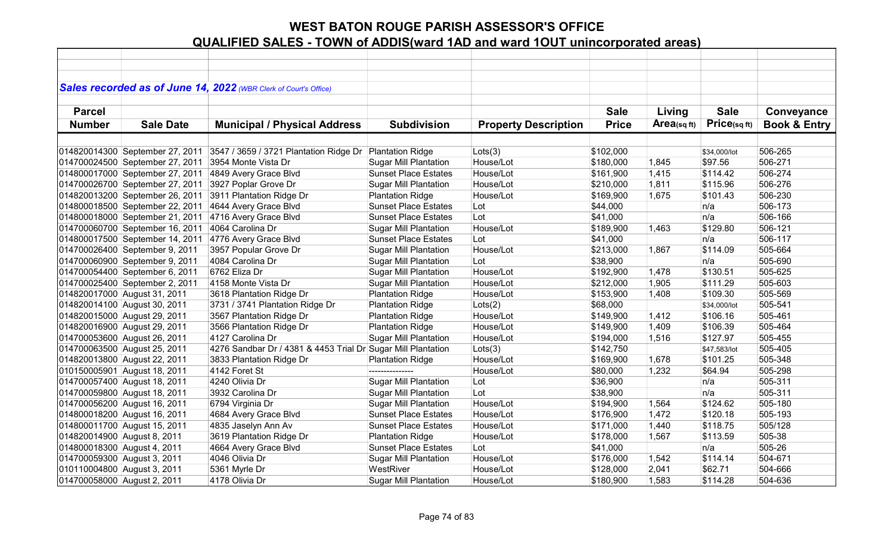|                             |                                 | Sales recorded as of June 14, 2022 (WBR Clerk of Court's Office) |                              |                             |              |            |              |                         |
|-----------------------------|---------------------------------|------------------------------------------------------------------|------------------------------|-----------------------------|--------------|------------|--------------|-------------------------|
|                             |                                 |                                                                  |                              |                             |              |            |              |                         |
| <b>Parcel</b>               |                                 |                                                                  |                              |                             | <b>Sale</b>  | Living     | <b>Sale</b>  | Conveyance              |
| <b>Number</b>               | <b>Sale Date</b>                | <b>Municipal / Physical Address</b>                              | <b>Subdivision</b>           | <b>Property Description</b> | <b>Price</b> | Area(sqft) | Price(sqft)  | <b>Book &amp; Entry</b> |
|                             |                                 |                                                                  |                              |                             |              |            |              |                         |
|                             | 014820014300 September 27, 2011 | 3547 / 3659 / 3721 Plantation Ridge Dr                           | <b>Plantation Ridge</b>      | Lots(3)                     | \$102,000    |            | \$34,000/lot | 506-265                 |
|                             | 014700024500 September 27, 2011 | 3954 Monte Vista Dr                                              | <b>Sugar Mill Plantation</b> | House/Lot                   | \$180,000    | 1,845      | \$97.56      | 506-271                 |
|                             | 014800017000 September 27, 2011 | 4849 Avery Grace Blvd                                            | <b>Sunset Place Estates</b>  | House/Lot                   | \$161,900    | 1,415      | \$114.42     | 506-274                 |
|                             | 014700026700 September 27, 2011 | 3927 Poplar Grove Dr                                             | <b>Sugar Mill Plantation</b> | House/Lot                   | \$210,000    | 1,811      | \$115.96     | 506-276                 |
|                             | 014820013200 September 26, 2011 | 3911 Plantation Ridge Dr                                         | <b>Plantation Ridge</b>      | House/Lot                   | \$169,900    | 1,675      | \$101.43     | 506-230                 |
|                             | 014800018500 September 22, 2011 | 4644 Avery Grace Blvd                                            | <b>Sunset Place Estates</b>  | Lot                         | \$44,000     |            | n/a          | 506-173                 |
|                             | 014800018000 September 21, 2011 | 4716 Avery Grace Blvd                                            | <b>Sunset Place Estates</b>  | Lot                         | \$41,000     |            | n/a          | 506-166                 |
|                             | 014700060700 September 16, 2011 | 4064 Carolina Dr                                                 | <b>Sugar Mill Plantation</b> | House/Lot                   | \$189,900    | 1,463      | \$129.80     | 506-121                 |
|                             | 014800017500 September 14, 2011 | 4776 Avery Grace Blvd                                            | <b>Sunset Place Estates</b>  | Lot                         | \$41,000     |            | n/a          | 506-117                 |
|                             | 014700026400 September 9, 2011  | 3957 Popular Grove Dr                                            | <b>Sugar Mill Plantation</b> | House/Lot                   | \$213,000    | 1,867      | \$114.09     | 505-664                 |
|                             | 014700060900 September 9, 2011  | 4084 Carolina Dr                                                 | <b>Sugar Mill Plantation</b> | Lot                         | \$38,900     |            | n/a          | 505-690                 |
|                             | 014700054400 September 6, 2011  | 6762 Eliza Dr                                                    | <b>Sugar Mill Plantation</b> | House/Lot                   | \$192,900    | 1,478      | \$130.51     | 505-625                 |
|                             | 014700025400 September 2, 2011  | 4158 Monte Vista Dr                                              | <b>Sugar Mill Plantation</b> | House/Lot                   | \$212,000    | 1,905      | \$111.29     | 505-603                 |
|                             | 014820017000 August 31, 2011    | 3618 Plantation Ridge Dr                                         | <b>Plantation Ridge</b>      | House/Lot                   | \$153,900    | 1,408      | \$109.30     | 505-569                 |
|                             | 014820014100 August 30, 2011    | 3731 / 3741 Plantation Ridge Dr                                  | <b>Plantation Ridge</b>      | Lots(2)                     | \$68,000     |            | \$34,000/lot | 505-541                 |
|                             | 014820015000 August 29, 2011    | 3567 Plantation Ridge Dr                                         | <b>Plantation Ridge</b>      | House/Lot                   | \$149,900    | 1,412      | \$106.16     | 505-461                 |
|                             | 014820016900 August 29, 2011    | 3566 Plantation Ridge Dr                                         | <b>Plantation Ridge</b>      | House/Lot                   | \$149,900    | 1,409      | \$106.39     | 505-464                 |
|                             | 014700053600 August 26, 2011    | 4127 Carolina Dr                                                 | <b>Sugar Mill Plantation</b> | House/Lot                   | \$194,000    | 1,516      | \$127.97     | 505-455                 |
|                             | 014700063500 August 25, 2011    | 4276 Sandbar Dr / 4381 & 4453 Trial Dr Sugar Mill Plantation     |                              | Lots(3)                     | \$142,750    |            | \$47,583/lot | 505-405                 |
|                             | 014820013800 August 22, 2011    | 3833 Plantation Ridge Dr                                         | <b>Plantation Ridge</b>      | House/Lot                   | \$169,900    | 1,678      | \$101.25     | 505-348                 |
|                             | 010150005901 August 18, 2011    | 4142 Foret St                                                    |                              | House/Lot                   | \$80,000     | 1,232      | \$64.94      | 505-298                 |
|                             | 014700057400 August 18, 2011    | 4240 Olivia Dr                                                   | <b>Sugar Mill Plantation</b> | Lot                         | \$36,900     |            | n/a          | 505-311                 |
|                             | 014700059800 August 18, 2011    | 3932 Carolina Dr                                                 | <b>Sugar Mill Plantation</b> | Lot                         | \$38,900     |            | n/a          | 505-311                 |
|                             | 014700056200 August 16, 2011    | 6794 Virginia Dr                                                 | <b>Sugar Mill Plantation</b> | House/Lot                   | \$194,900    | 1,564      | \$124.62     | 505-180                 |
|                             | 014800018200 August 16, 2011    | 4684 Avery Grace Blvd                                            | <b>Sunset Place Estates</b>  | House/Lot                   | \$176,900    | 1,472      | \$120.18     | 505-193                 |
|                             | 014800011700 August 15, 2011    | 4835 Jaselyn Ann Av                                              | <b>Sunset Place Estates</b>  | House/Lot                   | \$171,000    | 1,440      | \$118.75     | 505/128                 |
| 014820014900 August 8, 2011 |                                 | 3619 Plantation Ridge Dr                                         | <b>Plantation Ridge</b>      | House/Lot                   | \$178,000    | 1,567      | \$113.59     | 505-38                  |
| 014800018300 August 4, 2011 |                                 | 4664 Avery Grace Blvd                                            | <b>Sunset Place Estates</b>  | Lot                         | \$41,000     |            | n/a          | 505-26                  |
| 014700059300 August 3, 2011 |                                 | 4046 Olivia Dr                                                   | <b>Sugar Mill Plantation</b> | House/Lot                   | \$176,000    | 1,542      | \$114.14     | 504-671                 |
| 010110004800 August 3, 2011 |                                 | 5361 Myrle Dr                                                    | WestRiver                    | House/Lot                   | \$128,000    | 2,041      | \$62.71      | 504-666                 |
| 014700058000 August 2, 2011 |                                 | 4178 Olivia Dr                                                   | <b>Sugar Mill Plantation</b> | House/Lot                   | \$180,900    | 1,583      | \$114.28     | 504-636                 |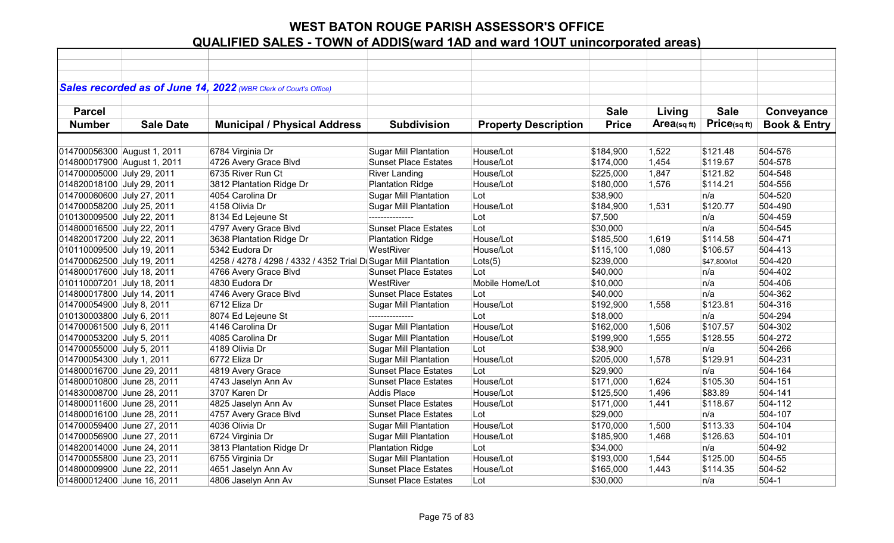|                             |                  | Sales recorded as of June 14, 2022 (WBR Clerk of Court's Office) |                              |                             |              |                |                   |                         |
|-----------------------------|------------------|------------------------------------------------------------------|------------------------------|-----------------------------|--------------|----------------|-------------------|-------------------------|
|                             |                  |                                                                  |                              |                             |              |                |                   |                         |
| <b>Parcel</b>               |                  |                                                                  |                              |                             | <b>Sale</b>  | Living         | <b>Sale</b>       | Conveyance              |
| <b>Number</b>               | <b>Sale Date</b> | <b>Municipal / Physical Address</b>                              | <b>Subdivision</b>           | <b>Property Description</b> | <b>Price</b> | Area(sq $ft$ ) | $Price_{(sq ft)}$ | <b>Book &amp; Entry</b> |
|                             |                  |                                                                  |                              |                             |              |                |                   |                         |
| 014700056300 August 1, 2011 |                  | 6784 Virginia Dr                                                 | <b>Sugar Mill Plantation</b> | House/Lot                   | \$184,900    | 1,522          | \$121.48          | 504-576                 |
| 014800017900 August 1, 2011 |                  | 4726 Avery Grace Blvd                                            | <b>Sunset Place Estates</b>  | House/Lot                   | \$174,000    | 1,454          | \$119.67          | 504-578                 |
| 014700005000 July 29, 2011  |                  | 6735 River Run Ct                                                | <b>River Landing</b>         | House/Lot                   | \$225,000    | 1,847          | \$121.82          | 504-548                 |
|                             |                  |                                                                  |                              | House/Lot                   |              |                |                   | 504-556                 |
| 014820018100 July 29, 2011  |                  | 3812 Plantation Ridge Dr<br>4054 Carolina Dr                     | <b>Plantation Ridge</b>      | Lot                         | \$180,000    | 1,576          | \$114.21<br>n/a   |                         |
| 014700060600 July 27, 2011  |                  |                                                                  | <b>Sugar Mill Plantation</b> |                             | \$38,900     |                |                   | 504-520<br>504-490      |
| 014700058200 July 25, 2011  |                  | 4158 Olivia Dr                                                   | <b>Sugar Mill Plantation</b> | House/Lot                   | \$184,900    | 1,531          | \$120.77          |                         |
| 010130009500 July 22, 2011  |                  | 8134 Ed Lejeune St                                               |                              | Lot                         | \$7,500      |                | n/a               | 504-459                 |
| 014800016500 July 22, 2011  |                  | 4797 Avery Grace Blvd                                            | <b>Sunset Place Estates</b>  | Lot                         | \$30,000     |                | n/a               | 504-545                 |
| 014820017200 July 22, 2011  |                  | 3638 Plantation Ridge Dr                                         | <b>Plantation Ridge</b>      | House/Lot                   | \$185,500    | 1,619          | \$114.58          | 504-471                 |
| 010110009500 July 19, 2011  |                  | 5342 Eudora Dr                                                   | WestRiver                    | House/Lot                   | \$115,100    | 1,080          | \$106.57          | 504-413                 |
| 014700062500 July 19, 2011  |                  | 4258 / 4278 / 4298 / 4332 / 4352 Trial D Sugar Mill Plantation   |                              | Lots(5)                     | \$239,000    |                | \$47,800/lot      | 504-420                 |
| 014800017600 July 18, 2011  |                  | 4766 Avery Grace Blvd                                            | <b>Sunset Place Estates</b>  | Lot                         | \$40,000     |                | n/a               | 504-402                 |
| 010110007201 July 18, 2011  |                  | 4830 Eudora Dr                                                   | WestRiver                    | Mobile Home/Lot             | \$10,000     |                | n/a               | 504-406                 |
| 014800017800 July 14, 2011  |                  | 4746 Avery Grace Blvd                                            | <b>Sunset Place Estates</b>  | Lot                         | \$40,000     |                | n/a               | 504-362                 |
| 014700054900 July 8, 2011   |                  | 6712 Eliza Dr                                                    | <b>Sugar Mill Plantation</b> | House/Lot                   | \$192,900    | 1,558          | \$123.81          | 504-316                 |
| 010130003800 July 6, 2011   |                  | 8074 Ed Lejeune St                                               | ---------------              | Lot                         | \$18,000     |                | n/a               | 504-294                 |
| 014700061500 July 6, 2011   |                  | 4146 Carolina Dr                                                 | <b>Sugar Mill Plantation</b> | House/Lot                   | \$162,000    | 1,506          | \$107.57          | 504-302                 |
| 014700053200 July 5, 2011   |                  | 4085 Carolina Dr                                                 | <b>Sugar Mill Plantation</b> | House/Lot                   | \$199,900    | 1,555          | \$128.55          | 504-272                 |
| 014700055000 July 5, 2011   |                  | 4189 Olivia Dr                                                   | <b>Sugar Mill Plantation</b> | Lot                         | \$38,900     |                | n/a               | 504-266                 |
| 014700054300 July 1, 2011   |                  | 6772 Eliza Dr                                                    | <b>Sugar Mill Plantation</b> | House/Lot                   | \$205,000    | 1,578          | \$129.91          | 504-231                 |
| 014800016700 June 29, 2011  |                  | 4819 Avery Grace                                                 | <b>Sunset Place Estates</b>  | Lot                         | \$29,900     |                | n/a               | 504-164                 |
| 014800010800 June 28, 2011  |                  | 4743 Jaselyn Ann Av                                              | <b>Sunset Place Estates</b>  | House/Lot                   | \$171,000    | 1,624          | \$105.30          | 504-151                 |
| 014830008700 June 28, 2011  |                  | 3707 Karen Dr                                                    | Addis Place                  | House/Lot                   | \$125,500    | 1,496          | \$83.89           | 504-141                 |
| 014800011600 June 28, 2011  |                  | 4825 Jaselyn Ann Av                                              | <b>Sunset Place Estates</b>  | House/Lot                   | \$171,000    | 1,441          | \$118.67          | 504-112                 |
| 014800016100 June 28, 2011  |                  | 4757 Avery Grace Blvd                                            | <b>Sunset Place Estates</b>  | Lot                         | \$29,000     |                | n/a               | 504-107                 |
| 014700059400 June 27, 2011  |                  | 4036 Olivia Dr                                                   | <b>Sugar Mill Plantation</b> | House/Lot                   | \$170,000    | 1,500          | \$113.33          | 504-104                 |
| 014700056900 June 27, 2011  |                  | 6724 Virginia Dr                                                 | <b>Sugar Mill Plantation</b> | House/Lot                   | \$185,900    | 1,468          | \$126.63          | 504-101                 |
| 014820014000 June 24, 2011  |                  | 3813 Plantation Ridge Dr                                         | <b>Plantation Ridge</b>      | Lot                         | \$34,000     |                | n/a               | 504-92                  |
| 014700055800 June 23, 2011  |                  | 6755 Virginia Dr                                                 | <b>Sugar Mill Plantation</b> | House/Lot                   | \$193,000    | 1,544          | \$125.00          | 504-55                  |
| 014800009900 June 22, 2011  |                  | 4651 Jaselyn Ann Av                                              | <b>Sunset Place Estates</b>  | House/Lot                   | \$165,000    | 1,443          | \$114.35          | 504-52                  |
| 014800012400 June 16, 2011  |                  | 4806 Jaselyn Ann Av                                              | <b>Sunset Place Estates</b>  | Lot                         | \$30,000     |                | n/a               | $504-1$                 |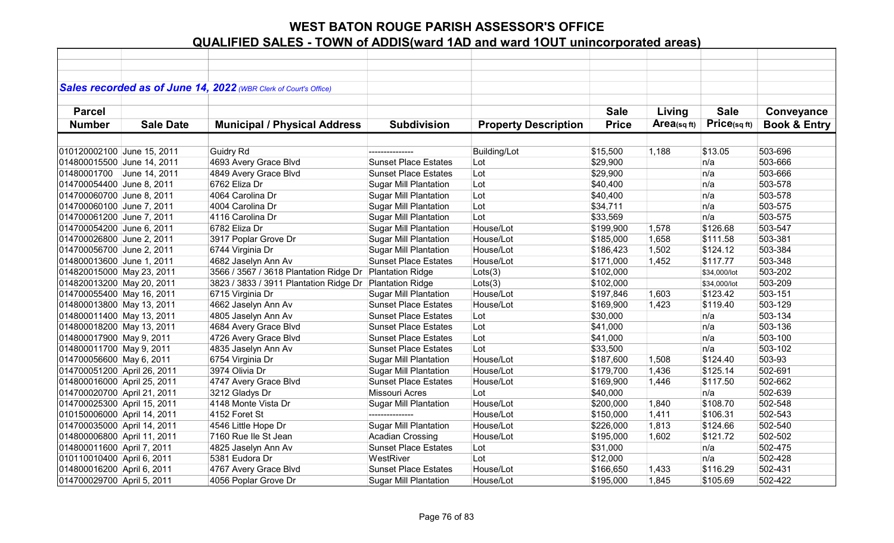|                             |                  | Sales recorded as of June 14, 2022 (WBR Clerk of Court's Office) |                              |                             |              |                |              |                         |
|-----------------------------|------------------|------------------------------------------------------------------|------------------------------|-----------------------------|--------------|----------------|--------------|-------------------------|
| <b>Parcel</b>               |                  |                                                                  |                              |                             | <b>Sale</b>  | Living         | <b>Sale</b>  | Conveyance              |
|                             |                  |                                                                  |                              |                             |              | Area(sq $ft$ ) | Price(sqft)  |                         |
| <b>Number</b>               | <b>Sale Date</b> | <b>Municipal / Physical Address</b>                              | <b>Subdivision</b>           | <b>Property Description</b> | <b>Price</b> |                |              | <b>Book &amp; Entry</b> |
|                             |                  |                                                                  |                              |                             |              |                |              |                         |
| 010120002100 June 15, 2011  |                  | Guidry Rd                                                        |                              | <b>Building/Lot</b>         | \$15,500     | 1,188          | \$13.05      | 503-696                 |
| 014800015500 June 14, 2011  |                  | 4693 Avery Grace Blvd                                            | <b>Sunset Place Estates</b>  | Lot                         | \$29,900     |                | n/a          | 503-666                 |
| 01480001700 June 14, 2011   |                  | 4849 Avery Grace Blvd                                            | <b>Sunset Place Estates</b>  | Lot                         | \$29,900     |                | n/a          | 503-666                 |
| 014700054400 June 8, 2011   |                  | 6762 Eliza Dr                                                    | <b>Sugar Mill Plantation</b> | Lot                         | \$40,400     |                | n/a          | 503-578                 |
| 014700060700 June 8, 2011   |                  | 4064 Carolina Dr                                                 | <b>Sugar Mill Plantation</b> | Lot                         | \$40,400     |                | n/a          | 503-578                 |
| 014700060100 June 7, 2011   |                  | 4004 Carolina Dr                                                 | <b>Sugar Mill Plantation</b> | Lot                         | \$34,711     |                | n/a          | 503-575                 |
| 014700061200 June 7, 2011   |                  | 4116 Carolina Dr                                                 | <b>Sugar Mill Plantation</b> | Lot                         | \$33,569     |                | n/a          | 503-575                 |
| 014700054200 June 6, 2011   |                  | 6782 Eliza Dr                                                    | Sugar Mill Plantation        | House/Lot                   | \$199,900    | 1,578          | \$126.68     | 503-547                 |
| 014700026800 June 2, 2011   |                  | 3917 Poplar Grove Dr                                             | Sugar Mill Plantation        | House/Lot                   | \$185,000    | 1,658          | \$111.58     | 503-381                 |
| 014700056700 June 2, 2011   |                  | 6744 Virginia Dr                                                 | <b>Sugar Mill Plantation</b> | House/Lot                   | \$186,423    | 1,502          | \$124.12     | 503-384                 |
| 014800013600 June 1, 2011   |                  | 4682 Jaselyn Ann Av                                              | <b>Sunset Place Estates</b>  | House/Lot                   | \$171,000    | 1,452          | \$117.77     | 503-348                 |
| 014820015000 May 23, 2011   |                  | 3566 / 3567 / 3618 Plantation Ridge Dr                           | <b>Plantation Ridge</b>      | Lots(3)                     | \$102,000    |                | \$34,000/lot | 503-202                 |
| 014820013200 May 20, 2011   |                  | 3823 / 3833 / 3911 Plantation Ridge Dr Plantation Ridge          |                              | Lots(3)                     | \$102,000    |                | \$34,000/lot | 503-209                 |
| 014700055400 May 16, 2011   |                  | 6715 Virginia Dr                                                 | <b>Sugar Mill Plantation</b> | House/Lot                   | \$197,846    | 1,603          | \$123.42     | 503-151                 |
| 014800013800 May 13, 2011   |                  | 4662 Jaselyn Ann Av                                              | <b>Sunset Place Estates</b>  | House/Lot                   | \$169,900    | 1,423          | \$119.40     | 503-129                 |
| 014800011400 May 13, 2011   |                  | 4805 Jaselyn Ann Av                                              | <b>Sunset Place Estates</b>  | Lot                         | \$30,000     |                | n/a          | 503-134                 |
| 014800018200 May 13, 2011   |                  | 4684 Avery Grace Blvd                                            | <b>Sunset Place Estates</b>  | Lot                         | \$41,000     |                | n/a          | 503-136                 |
| 014800017900 May 9, 2011    |                  | 4726 Avery Grace Blvd                                            | <b>Sunset Place Estates</b>  | Lot                         | \$41,000     |                | n/a          | 503-100                 |
| 014800011700 May 9, 2011    |                  | 4835 Jaselyn Ann Av                                              | <b>Sunset Place Estates</b>  | Lot                         | \$33,500     |                | n/a          | 503-102                 |
| 014700056600 May 6, 2011    |                  | 6754 Virginia Dr                                                 | <b>Sugar Mill Plantation</b> | House/Lot                   | \$187,600    | 1,508          | \$124.40     | 503-93                  |
| 014700051200 April 26, 2011 |                  | 3974 Olivia Dr                                                   | <b>Sugar Mill Plantation</b> | House/Lot                   | \$179,700    | 1,436          | \$125.14     | 502-691                 |
| 014800016000 April 25, 2011 |                  | 4747 Avery Grace Blvd                                            | <b>Sunset Place Estates</b>  | House/Lot                   | \$169,900    | 1,446          | \$117.50     | 502-662                 |
| 014700020700 April 21, 2011 |                  | 3212 Gladys Dr                                                   | Missouri Acres               | Lot                         | \$40,000     |                | n/a          | 502-639                 |
| 014700025300 April 15, 2011 |                  | 4148 Monte Vista Dr                                              | <b>Sugar Mill Plantation</b> | House/Lot                   | \$200,000    | 1,840          | \$108.70     | 502-548                 |
| 010150006000 April 14, 2011 |                  | 4152 Foret St                                                    | ---------------              | House/Lot                   | \$150,000    | 1,411          | \$106.31     | 502-543                 |
| 014700035000 April 14, 2011 |                  | 4546 Little Hope Dr                                              | <b>Sugar Mill Plantation</b> | House/Lot                   | \$226,000    | 1,813          | \$124.66     | 502-540                 |
| 014800006800 April 11, 2011 |                  | 7160 Rue Ile St Jean                                             | <b>Acadian Crossing</b>      | House/Lot                   | \$195,000    | 1,602          | \$121.72     | 502-502                 |
| 014800011600 April 7, 2011  |                  | 4825 Jaselyn Ann Av                                              | <b>Sunset Place Estates</b>  | Lot                         | \$31,000     |                | n/a          | 502-475                 |
| 010110010400 April 6, 2011  |                  | 5381 Eudora Dr                                                   | WestRiver                    | Lot                         | \$12,000     |                | n/a          | 502-428                 |
| 014800016200 April 6, 2011  |                  | 4767 Avery Grace Blvd                                            | <b>Sunset Place Estates</b>  | House/Lot                   | \$166,650    | 1,433          | \$116.29     | 502-431                 |
| 014700029700 April 5, 2011  |                  | 4056 Poplar Grove Dr                                             | <b>Sugar Mill Plantation</b> | House/Lot                   | \$195,000    | 1,845          | \$105.69     | 502-422                 |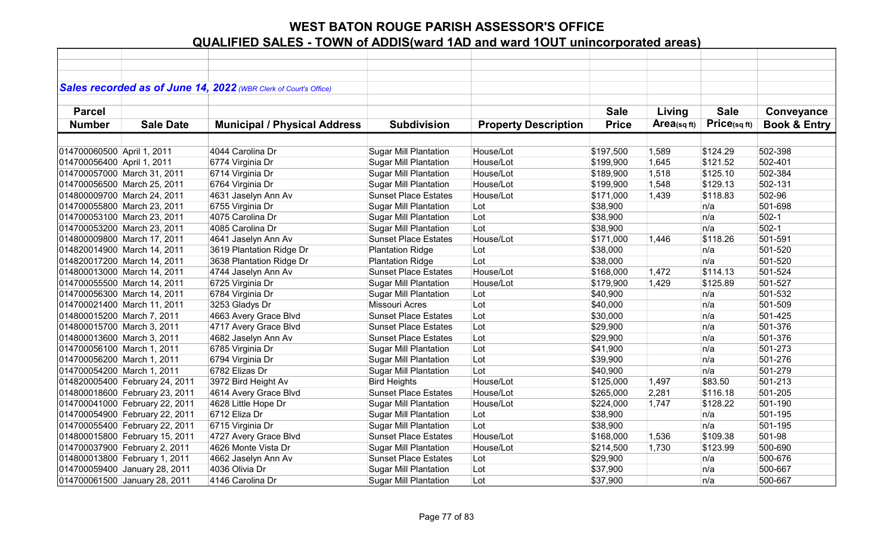|                            |                                | Sales recorded as of June 14, 2022 (WBR Clerk of Court's Office) |                              |                             |              |                |             |                         |
|----------------------------|--------------------------------|------------------------------------------------------------------|------------------------------|-----------------------------|--------------|----------------|-------------|-------------------------|
|                            |                                |                                                                  |                              |                             |              |                |             |                         |
| <b>Parcel</b>              |                                |                                                                  |                              |                             | <b>Sale</b>  | Living         | <b>Sale</b> | Conveyance              |
| <b>Number</b>              | <b>Sale Date</b>               | <b>Municipal / Physical Address</b>                              | <b>Subdivision</b>           | <b>Property Description</b> | <b>Price</b> | Area(sq $ft$ ) | Price(sqft) | <b>Book &amp; Entry</b> |
|                            |                                |                                                                  |                              |                             |              |                |             |                         |
| 014700060500 April 1, 2011 |                                | 4044 Carolina Dr                                                 | <b>Sugar Mill Plantation</b> | House/Lot                   | \$197,500    | 1,589          | \$124.29    | 502-398                 |
| 014700056400 April 1, 2011 |                                | 6774 Virginia Dr                                                 | <b>Sugar Mill Plantation</b> | House/Lot                   | \$199,900    | 1,645          | \$121.52    | 502-401                 |
|                            | 014700057000 March 31, 2011    | 6714 Virginia Dr                                                 | <b>Sugar Mill Plantation</b> | House/Lot                   | \$189,900    | 1,518          | \$125.10    | 502-384                 |
|                            | 014700056500 March 25, 2011    | 6764 Virginia Dr                                                 | <b>Sugar Mill Plantation</b> | House/Lot                   | \$199,900    | 1,548          | \$129.13    | 502-131                 |
|                            | 014800009700 March 24, 2011    | 4631 Jaselyn Ann Av                                              | <b>Sunset Place Estates</b>  | House/Lot                   | \$171,000    | 1,439          | \$118.83    | 502-96                  |
|                            | 014700055800 March 23, 2011    | 6755 Virginia Dr                                                 | <b>Sugar Mill Plantation</b> | Lot                         | \$38,900     |                | n/a         | 501-698                 |
|                            | 014700053100 March 23, 2011    | 4075 Carolina Dr                                                 | <b>Sugar Mill Plantation</b> | Lot                         | \$38,900     |                | n/a         | $502-1$                 |
|                            | 014700053200 March 23, 2011    | 4085 Carolina Dr                                                 | <b>Sugar Mill Plantation</b> | Lot                         | \$38,900     |                | n/a         | $502-1$                 |
|                            | 014800009800 March 17, 2011    | 4641 Jaselyn Ann Av                                              | <b>Sunset Place Estates</b>  | House/Lot                   | \$171,000    | 1,446          | \$118.26    | 501-591                 |
|                            | 014820014900 March 14, 2011    | 3619 Plantation Ridge Dr                                         | <b>Plantation Ridge</b>      | Lot                         | \$38,000     |                | n/a         | 501-520                 |
|                            | 014820017200 March 14, 2011    | 3638 Plantation Ridge Dr                                         | <b>Plantation Ridge</b>      | Lot                         | \$38,000     |                | n/a         | 501-520                 |
|                            | 014800013000 March 14, 2011    | 4744 Jaselyn Ann Av                                              | <b>Sunset Place Estates</b>  | House/Lot                   | \$168,000    | 1,472          | \$114.13    | 501-524                 |
|                            | 014700055500 March 14, 2011    | 6725 Virginia Dr                                                 | <b>Sugar Mill Plantation</b> | House/Lot                   | \$179,900    | 1,429          | \$125.89    | 501-527                 |
|                            | 014700056300 March 14, 2011    | 6784 Virginia Dr                                                 | <b>Sugar Mill Plantation</b> | Lot                         | \$40,900     |                | n/a         | 501-532                 |
|                            | 014700021400 March 11, 2011    | 3253 Gladys Dr                                                   | Missouri Acres               | Lot                         | \$40,000     |                | n/a         | 501-509                 |
| 014800015200 March 7, 2011 |                                | 4663 Avery Grace Blvd                                            | <b>Sunset Place Estates</b>  | Lot                         | \$30,000     |                | n/a         | 501-425                 |
| 014800015700 March 3, 2011 |                                | 4717 Avery Grace Blvd                                            | <b>Sunset Place Estates</b>  | Lot                         | \$29,900     |                | n/a         | 501-376                 |
| 014800013600 March 3, 2011 |                                | 4682 Jaselyn Ann Av                                              | <b>Sunset Place Estates</b>  | Lot                         | \$29,900     |                | n/a         | 501-376                 |
| 014700056100 March 1, 2011 |                                | 6785 Virginia Dr                                                 | <b>Sugar Mill Plantation</b> | Lot                         | \$41,900     |                | n/a         | 501-273                 |
| 014700056200 March 1, 2011 |                                | 6794 Virginia Dr                                                 | <b>Sugar Mill Plantation</b> | Lot                         | \$39,900     |                | n/a         | 501-276                 |
| 014700054200 March 1, 2011 |                                | 6782 Elizas Dr                                                   | <b>Sugar Mill Plantation</b> | Lot                         | \$40,900     |                | n/a         | 501-279                 |
|                            | 014820005400 February 24, 2011 | 3972 Bird Height Av                                              | <b>Bird Heights</b>          | House/Lot                   | \$125,000    | 1,497          | \$83.50     | 501-213                 |
|                            | 014800018600 February 23, 2011 | 4614 Avery Grace Blvd                                            | <b>Sunset Place Estates</b>  | House/Lot                   | \$265,000    | 2,281          | \$116.18    | 501-205                 |
|                            | 014700041000 February 22, 2011 | 4628 Little Hope Dr                                              | <b>Sugar Mill Plantation</b> | House/Lot                   | \$224,000    | 1,747          | \$128.22    | 501-190                 |
|                            | 014700054900 February 22, 2011 | 6712 Eliza Dr                                                    | <b>Sugar Mill Plantation</b> | Lot                         | \$38,900     |                | n/a         | 501-195                 |
|                            | 014700055400 February 22, 2011 | 6715 Virginia Dr                                                 | <b>Sugar Mill Plantation</b> | Lot                         | \$38,900     |                | n/a         | 501-195                 |
|                            | 014800015800 February 15, 2011 | 4727 Avery Grace Blvd                                            | <b>Sunset Place Estates</b>  | House/Lot                   | \$168,000    | 1,536          | \$109.38    | 501-98                  |
|                            | 014700037900 February 2, 2011  | 4626 Monte Vista Dr                                              | <b>Sugar Mill Plantation</b> | House/Lot                   | \$214,500    | 1,730          | \$123.99    | 500-690                 |
|                            | 014800013800 February 1, 2011  | 4662 Jaselyn Ann Av                                              | <b>Sunset Place Estates</b>  | Lot                         | \$29,900     |                | n/a         | 500-676                 |
|                            | 014700059400 January 28, 2011  | 4036 Olivia Dr                                                   | <b>Sugar Mill Plantation</b> | Lot                         | \$37,900     |                | n/a         | 500-667                 |
|                            | 014700061500 January 28, 2011  | 4146 Carolina Dr                                                 | <b>Sugar Mill Plantation</b> | Lot                         | \$37,900     |                | n/a         | 500-667                 |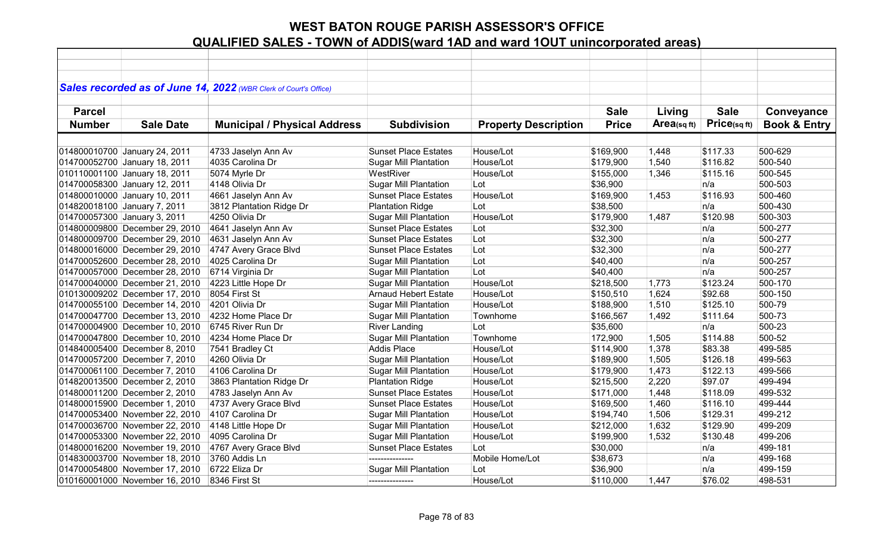|               |                                | Sales recorded as of June 14, 2022 (WBR Clerk of Court's Office) |                              |                             |              |             |             |                         |
|---------------|--------------------------------|------------------------------------------------------------------|------------------------------|-----------------------------|--------------|-------------|-------------|-------------------------|
|               |                                |                                                                  |                              |                             |              |             |             |                         |
| <b>Parcel</b> |                                |                                                                  |                              |                             | <b>Sale</b>  | Living      | <b>Sale</b> | Conveyance              |
| <b>Number</b> | <b>Sale Date</b>               | <b>Municipal / Physical Address</b>                              | <b>Subdivision</b>           | <b>Property Description</b> | <b>Price</b> | Area(sq ft) | Price(sqft) | <b>Book &amp; Entry</b> |
|               |                                |                                                                  |                              |                             |              |             |             |                         |
|               |                                |                                                                  |                              | House/Lot                   |              |             |             |                         |
|               | 014800010700 January 24, 2011  | 4733 Jaselyn Ann Av                                              | <b>Sunset Place Estates</b>  |                             | \$169,900    | 1,448       | \$117.33    | 500-629                 |
|               | 014700052700 January 18, 2011  | 4035 Carolina Dr                                                 | <b>Sugar Mill Plantation</b> | House/Lot                   | \$179,900    | 1,540       | \$116.82    | 500-540                 |
|               | 010110001100 January 18, 2011  | 5074 Myrle Dr                                                    | WestRiver                    | House/Lot                   | \$155,000    | 1,346       | \$115.16    | 500-545                 |
|               | 014700058300 January 12, 2011  | 4148 Olivia Dr                                                   | <b>Sugar Mill Plantation</b> | Lot                         | \$36,900     |             | n/a         | 500-503                 |
|               | 014800010000 January 10, 2011  | 4661 Jaselyn Ann Av                                              | <b>Sunset Place Estates</b>  | House/Lot                   | \$169,900    | 1,453       | \$116.93    | 500-460                 |
|               | 014820018100 January 7, 2011   | 3812 Plantation Ridge Dr                                         | <b>Plantation Ridge</b>      | Lot                         | \$38,500     |             | n/a         | 500-430                 |
|               | 014700057300 January 3, 2011   | 4250 Olivia Dr                                                   | Sugar Mill Plantation        | House/Lot                   | \$179,900    | 1,487       | \$120.98    | 500-303                 |
|               | 014800009800 December 29, 2010 | 4641 Jaselyn Ann Av                                              | <b>Sunset Place Estates</b>  | Lot                         | \$32,300     |             | n/a         | 500-277                 |
|               | 014800009700 December 29, 2010 | 4631 Jaselyn Ann Av                                              | <b>Sunset Place Estates</b>  | Lot                         | \$32,300     |             | n/a         | 500-277                 |
|               | 014800016000 December 29, 2010 | 4747 Avery Grace Blvd                                            | <b>Sunset Place Estates</b>  | Lot                         | \$32,300     |             | n/a         | 500-277                 |
|               | 014700052600 December 28, 2010 | 4025 Carolina Dr                                                 | <b>Sugar Mill Plantation</b> | Lot                         | \$40,400     |             | n/a         | 500-257                 |
|               | 014700057000 December 28, 2010 | 6714 Virginia Dr                                                 | <b>Sugar Mill Plantation</b> | Lot                         | \$40,400     |             | n/a         | 500-257                 |
|               | 014700040000 December 21, 2010 | 4223 Little Hope Dr                                              | <b>Sugar Mill Plantation</b> | House/Lot                   | \$218,500    | 1,773       | \$123.24    | 500-170                 |
|               | 010130009202 December 17, 2010 | 8054 First St                                                    | <b>Arnaud Hebert Estate</b>  | House/Lot                   | \$150,510    | 1,624       | \$92.68     | 500-150                 |
|               | 014700055100 December 14, 2010 | 4201 Olivia Dr                                                   | <b>Sugar Mill Plantation</b> | House/Lot                   | \$188,900    | 1,510       | \$125.10    | 500-79                  |
|               | 014700047700 December 13, 2010 | 4232 Home Place Dr                                               | <b>Sugar Mill Plantation</b> | Townhome                    | \$166,567    | 1,492       | \$111.64    | 500-73                  |
|               | 014700004900 December 10, 2010 | 6745 River Run Dr                                                | <b>River Landing</b>         | Lot                         | \$35,600     |             | n/a         | 500-23                  |
|               | 014700047800 December 10, 2010 | 4234 Home Place Dr                                               | <b>Sugar Mill Plantation</b> | Townhome                    | 172,900      | 1,505       | \$114.88    | 500-52                  |
|               | 014840005400 December 8, 2010  | 7541 Bradley Ct                                                  | <b>Addis Place</b>           | House/Lot                   | \$114,900    | 1,378       | \$83.38     | 499-585                 |
|               | 014700057200 December 7, 2010  | 4260 Olivia Dr                                                   | <b>Sugar Mill Plantation</b> | House/Lot                   | \$189,900    | 1,505       | \$126.18    | 499-563                 |
|               | 014700061100 December 7, 2010  | 4106 Carolina Dr                                                 | <b>Sugar Mill Plantation</b> | House/Lot                   | \$179,900    | 1,473       | \$122.13    | 499-566                 |
|               | 014820013500 December 2, 2010  | 3863 Plantation Ridge Dr                                         | <b>Plantation Ridge</b>      | House/Lot                   | \$215,500    | 2,220       | \$97.07     | 499-494                 |
|               | 014800011200 December 2, 2010  | 4783 Jaselyn Ann Av                                              | <b>Sunset Place Estates</b>  | House/Lot                   | \$171,000    | 1,448       | \$118.09    | 499-532                 |
|               | 014800015900 December 1, 2010  | 4737 Avery Grace Blvd                                            | <b>Sunset Place Estates</b>  | House/Lot                   | \$169,500    | 1,460       | \$116.10    | 499-444                 |
|               | 014700053400 November 22, 2010 | 4107 Carolina Dr                                                 | <b>Sugar Mill Plantation</b> | House/Lot                   | \$194,740    | 1,506       | \$129.31    | 499-212                 |
|               | 014700036700 November 22, 2010 | 4148 Little Hope Dr                                              | <b>Sugar Mill Plantation</b> | House/Lot                   | \$212,000    | 1,632       | \$129.90    | 499-209                 |
|               | 014700053300 November 22, 2010 | 4095 Carolina Dr                                                 | <b>Sugar Mill Plantation</b> | House/Lot                   | \$199,900    | 1,532       | \$130.48    | 499-206                 |
|               | 014800016200 November 19, 2010 | 4767 Avery Grace Blvd                                            | <b>Sunset Place Estates</b>  | Lot                         | \$30,000     |             | n/a         | 499-181                 |
|               | 014830003700 November 18, 2010 | 3760 Addis Ln                                                    | ---------------              | Mobile Home/Lot             | \$38,673     |             | n/a         | 499-168                 |
|               | 014700054800 November 17, 2010 | 6722 Eliza Dr                                                    | <b>Sugar Mill Plantation</b> | Lot                         | \$36,900     |             | n/a         | 499-159                 |
|               |                                |                                                                  | ---------------              |                             |              |             |             |                         |
|               | 010160001000 November 16, 2010 | 8346 First St                                                    |                              | House/Lot                   | \$110,000    | 1,447       | \$76.02     | 498-531                 |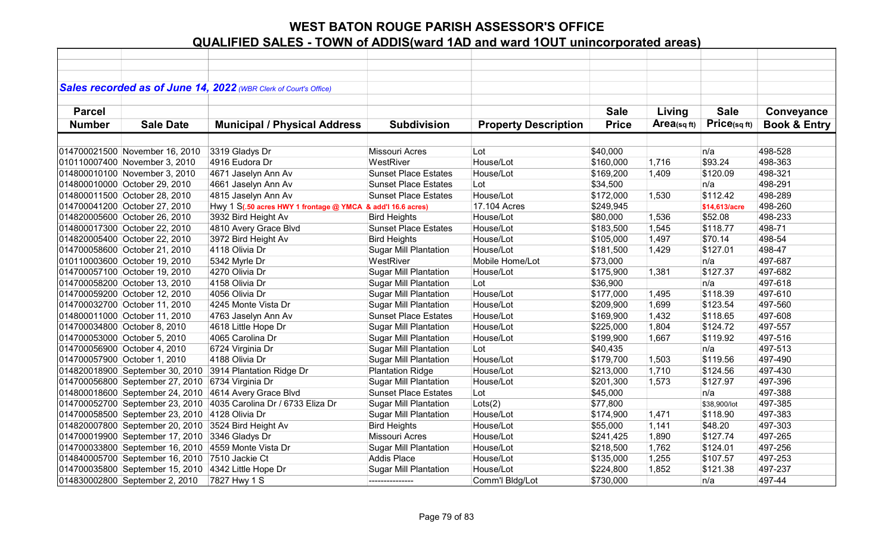|               |                                                     | Sales recorded as of June 14, 2022 (WBR Clerk of Court's Office) |                              |                             |              |             |               |                         |
|---------------|-----------------------------------------------------|------------------------------------------------------------------|------------------------------|-----------------------------|--------------|-------------|---------------|-------------------------|
| <b>Parcel</b> |                                                     |                                                                  |                              |                             | <b>Sale</b>  | Living      | <b>Sale</b>   | Conveyance              |
| <b>Number</b> | <b>Sale Date</b>                                    | <b>Municipal / Physical Address</b>                              | <b>Subdivision</b>           | <b>Property Description</b> | <b>Price</b> | Area(sq ft) | Price(sqft)   | <b>Book &amp; Entry</b> |
|               |                                                     |                                                                  |                              |                             |              |             |               |                         |
|               |                                                     |                                                                  |                              |                             |              |             |               |                         |
|               | 014700021500 November 16, 2010                      | 3319 Gladys Dr                                                   | <b>Missouri Acres</b>        | Lot                         | \$40,000     |             | n/a           | 498-528                 |
|               | 010110007400 November 3, 2010                       | 4916 Eudora Dr                                                   | WestRiver                    | House/Lot                   | \$160,000    | 1,716       | \$93.24       | 498-363                 |
|               | 014800010100 November 3, 2010                       | 4671 Jaselyn Ann Av                                              | <b>Sunset Place Estates</b>  | House/Lot                   | \$169,200    | 1,409       | \$120.09      | 498-321                 |
|               | 014800010000 October 29, 2010                       | 4661 Jaselyn Ann Av                                              | <b>Sunset Place Estates</b>  | Lot                         | \$34,500     |             | n/a           | 498-291                 |
|               | 014800011500 October 28, 2010                       | 4815 Jaselyn Ann Av                                              | <b>Sunset Place Estates</b>  | House/Lot                   | \$172,000    | 1,530       | \$112.42      | 498-289                 |
|               | 014700041200 October 27, 2010                       | Hwy 1 S(.50 acres HWY 1 frontage @ YMCA & add'l 16.6 acres)      |                              | 17.104 Acres                | \$249,945    |             | \$14,613/acre | 498-260                 |
|               | 014820005600 October 26, 2010                       | 3932 Bird Height Av                                              | <b>Bird Heights</b>          | House/Lot                   | \$80,000     | 1,536       | \$52.08       | 498-233                 |
|               | 014800017300 October 22, 2010                       | 4810 Avery Grace Blvd                                            | <b>Sunset Place Estates</b>  | House/Lot                   | \$183,500    | 1,545       | \$118.77      | 498-71                  |
|               | 014820005400 October 22, 2010                       | 3972 Bird Height Av                                              | <b>Bird Heights</b>          | House/Lot                   | \$105,000    | 1,497       | \$70.14       | 498-54                  |
|               | 014700058600 October 21, 2010                       | 4118 Olivia Dr                                                   | <b>Sugar Mill Plantation</b> | House/Lot                   | \$181,500    | 1,429       | \$127.01      | 498-47                  |
|               | 010110003600 October 19, 2010                       | 5342 Myrle Dr                                                    | WestRiver                    | Mobile Home/Lot             | \$73,000     |             | n/a           | 497-687                 |
|               | 014700057100 October 19, 2010                       | 4270 Olivia Dr                                                   | <b>Sugar Mill Plantation</b> | House/Lot                   | \$175,900    | 1,381       | \$127.37      | 497-682                 |
|               | 014700058200 October 13, 2010                       | 4158 Olivia Dr                                                   | <b>Sugar Mill Plantation</b> | Lot                         | \$36,900     |             | n/a           | 497-618                 |
|               | 014700059200 October 12, 2010                       | 4056 Olivia Dr                                                   | <b>Sugar Mill Plantation</b> | House/Lot                   | \$177,000    | 1,495       | \$118.39      | 497-610                 |
|               | 014700032700 October 11, 2010                       | 4245 Monte Vista Dr                                              | <b>Sugar Mill Plantation</b> | House/Lot                   | \$209,900    | 1,699       | \$123.54      | 497-560                 |
|               | 014800011000 October 11, 2010                       | 4763 Jaselyn Ann Av                                              | <b>Sunset Place Estates</b>  | House/Lot                   | \$169,900    | 1,432       | \$118.65      | 497-608                 |
|               | 014700034800 October 8, 2010                        | 4618 Little Hope Dr                                              | <b>Sugar Mill Plantation</b> | House/Lot                   | \$225,000    | 1,804       | \$124.72      | 497-557                 |
|               | 014700053000 October 5, 2010                        | 4065 Carolina Dr                                                 | <b>Sugar Mill Plantation</b> | House/Lot                   | \$199,900    | 1,667       | \$119.92      | 497-516                 |
|               | 014700056900 October 4, 2010                        | 6724 Virginia Dr                                                 | <b>Sugar Mill Plantation</b> | Lot                         | \$40,435     |             | n/a           | 497-513                 |
|               | 014700057900 October 1, 2010                        | 4188 Olivia Dr                                                   | <b>Sugar Mill Plantation</b> | House/Lot                   | \$179,700    | 1,503       | \$119.56      | 497-490                 |
|               | 014820018900 September 30, 2010                     | 3914 Plantation Ridge Dr                                         | <b>Plantation Ridge</b>      | House/Lot                   | \$213,000    | 1,710       | \$124.56      | 497-430                 |
|               | 014700056800 September 27, 2010                     | 6734 Virginia Dr                                                 | <b>Sugar Mill Plantation</b> | House/Lot                   | \$201,300    | 1,573       | \$127.97      | 497-396                 |
|               | 014800018600 September 24, 2010                     | 4614 Avery Grace Blvd                                            | <b>Sunset Place Estates</b>  | Lot                         | \$45,000     |             | n/a           | 497-388                 |
|               | 014700052700 September 23, 2010                     | 4035 Carolina Dr / 6733 Eliza Dr                                 | <b>Sugar Mill Plantation</b> | Lots(2)                     | \$77,800     |             | \$38,900/lot  | 497-385                 |
|               | 014700058500 September 23, 2010 4128 Olivia Dr      |                                                                  | <b>Sugar Mill Plantation</b> | House/Lot                   | \$174,900    | 1,471       | \$118.90      | 497-383                 |
|               | 014820007800 September 20, 2010 3524 Bird Height Av |                                                                  | <b>Bird Heights</b>          | House/Lot                   | \$55,000     | 1,141       | \$48.20       | 497-303                 |
|               | 014700019900 September 17, 2010                     | 3346 Gladys Dr                                                   | <b>Missouri Acres</b>        | House/Lot                   | \$241,425    | 1,890       | \$127.74      | 497-265                 |
|               |                                                     | 014700033800 September 16, 2010 4559 Monte Vista Dr              | <b>Sugar Mill Plantation</b> | House/Lot                   | \$218,500    | 1,762       | \$124.01      | 497-256                 |
|               | 014840005700 September 16, 2010 7510 Jackie Ct      |                                                                  | <b>Addis Place</b>           | House/Lot                   | \$135,000    | 1,255       | \$107.57      | 497-253                 |
|               | 014700035800 September 15, 2010 4342 Little Hope Dr |                                                                  | <b>Sugar Mill Plantation</b> | House/Lot                   | \$224,800    | 1,852       | \$121.38      | 497-237                 |
|               | 014830002800 September 2, 2010                      | 7827 Hwy 1 S                                                     | ---------------              | Comm'l Bldg/Lot             | \$730,000    |             | n/a           | 497-44                  |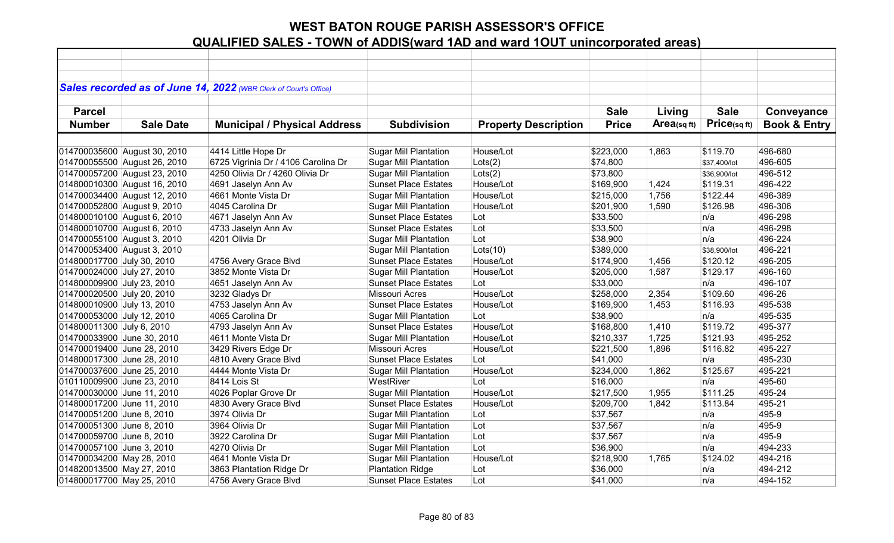|                             |                              | Sales recorded as of June 14, 2022 (WBR Clerk of Court's Office) |                              |                             |              |                |              |                         |
|-----------------------------|------------------------------|------------------------------------------------------------------|------------------------------|-----------------------------|--------------|----------------|--------------|-------------------------|
|                             |                              |                                                                  |                              |                             |              |                |              |                         |
| <b>Parcel</b>               |                              |                                                                  |                              |                             | <b>Sale</b>  | Living         | <b>Sale</b>  | Conveyance              |
| <b>Number</b>               | <b>Sale Date</b>             | <b>Municipal / Physical Address</b>                              | <b>Subdivision</b>           | <b>Property Description</b> | <b>Price</b> | Area(sq $ft$ ) | Price(sqft)  | <b>Book &amp; Entry</b> |
|                             |                              |                                                                  |                              |                             |              |                |              |                         |
|                             | 014700035600 August 30, 2010 | 4414 Little Hope Dr                                              | <b>Sugar Mill Plantation</b> | House/Lot                   | \$223,000    | 1,863          | \$119.70     | 496-680                 |
|                             | 014700055500 August 26, 2010 | 6725 Vigrinia Dr / 4106 Carolina Dr                              | <b>Sugar Mill Plantation</b> | Lots(2)                     | \$74,800     |                | \$37,400/lot | 496-605                 |
|                             | 014700057200 August 23, 2010 | 4250 Olivia Dr / 4260 Olivia Dr                                  | <b>Sugar Mill Plantation</b> | Lots(2)                     | \$73,800     |                | \$36,900/lot | 496-512                 |
|                             | 014800010300 August 16, 2010 | 4691 Jaselyn Ann Av                                              | <b>Sunset Place Estates</b>  | House/Lot                   | \$169,900    | 1,424          | \$119.31     | 496-422                 |
|                             | 014700034400 August 12, 2010 | 4661 Monte Vista Dr                                              | <b>Sugar Mill Plantation</b> | House/Lot                   | \$215,000    | 1,756          | \$122.44     | 496-389                 |
|                             | 014700052800 August 9, 2010  | 4045 Carolina Dr                                                 | <b>Sugar Mill Plantation</b> | House/Lot                   | \$201,900    | 1,590          | \$126.98     | 496-306                 |
|                             | 014800010100 August 6, 2010  | 4671 Jaselyn Ann Av                                              | <b>Sunset Place Estates</b>  | Lot                         | \$33,500     |                | n/a          | 496-298                 |
|                             | 014800010700 August 6, 2010  | 4733 Jaselyn Ann Av                                              | <b>Sunset Place Estates</b>  | Lot                         | \$33,500     |                | n/a          | 496-298                 |
| 014700055100 August 3, 2010 |                              | 4201 Olivia Dr                                                   | <b>Sugar Mill Plantation</b> | Lot                         | \$38,900     |                | n/a          | 496-224                 |
| 014700053400 August 3, 2010 |                              |                                                                  | <b>Sugar Mill Plantation</b> | Lots(10)                    | \$389,000    |                | \$38,900/lot | 496-221                 |
| 014800017700 July 30, 2010  |                              | 4756 Avery Grace Blvd                                            | <b>Sunset Place Estates</b>  | House/Lot                   | \$174,900    | 1,456          | \$120.12     | 496-205                 |
| 014700024000 July 27, 2010  |                              | 3852 Monte Vista Dr                                              | <b>Sugar Mill Plantation</b> | House/Lot                   | \$205,000    | 1,587          | \$129.17     | 496-160                 |
| 014800009900 July 23, 2010  |                              | 4651 Jaselyn Ann Av                                              | <b>Sunset Place Estates</b>  | Lot                         | \$33,000     |                | n/a          | 496-107                 |
| 014700020500 July 20, 2010  |                              | 3232 Gladys Dr                                                   | Missouri Acres               | House/Lot                   | \$258,000    | 2,354          | \$109.60     | 496-26                  |
| 014800010900 July 13, 2010  |                              | 4753 Jaselyn Ann Av                                              | <b>Sunset Place Estates</b>  | House/Lot                   | \$169,900    | 1,453          | \$116.93     | 495-538                 |
| 014700053000 July 12, 2010  |                              | 4065 Carolina Dr                                                 | <b>Sugar Mill Plantation</b> | Lot                         | \$38,900     |                | n/a          | 495-535                 |
| 014800011300 July 6, 2010   |                              | 4793 Jaselyn Ann Av                                              | <b>Sunset Place Estates</b>  | House/Lot                   | \$168,800    | 1,410          | \$119.72     | 495-377                 |
| 014700033900 June 30, 2010  |                              | 4611 Monte Vista Dr                                              | <b>Sugar Mill Plantation</b> | House/Lot                   | \$210,337    | 1,725          | \$121.93     | 495-252                 |
| 014700019400 June 28, 2010  |                              | 3429 Rivers Edge Dr                                              | <b>Missouri Acres</b>        | House/Lot                   | \$221,500    | 1,896          | \$116.82     | 495-227                 |
| 014800017300 June 28, 2010  |                              | 4810 Avery Grace Blvd                                            | <b>Sunset Place Estates</b>  | Lot                         | \$41,000     |                | n/a          | 495-230                 |
| 014700037600 June 25, 2010  |                              | 4444 Monte Vista Dr                                              | <b>Sugar Mill Plantation</b> | House/Lot                   | \$234,000    | 1,862          | \$125.67     | 495-221                 |
| 010110009900 June 23, 2010  |                              | 8414 Lois St                                                     | WestRiver                    | Lot                         | \$16,000     |                | n/a          | 495-60                  |
| 014700030000 June 11, 2010  |                              | 4026 Poplar Grove Dr                                             | <b>Sugar Mill Plantation</b> | House/Lot                   | \$217,500    | 1,955          | \$111.25     | 495-24                  |
| 014800017200 June 11, 2010  |                              | 4830 Avery Grace Blvd                                            | <b>Sunset Place Estates</b>  | House/Lot                   | \$209,700    | 1,842          | \$113.84     | 495-21                  |
| 014700051200 June 8, 2010   |                              | 3974 Olivia Dr                                                   | <b>Sugar Mill Plantation</b> | Lot                         | \$37,567     |                | n/a          | 495-9                   |
| 014700051300 June 8, 2010   |                              | 3964 Olivia Dr                                                   | <b>Sugar Mill Plantation</b> | Lot                         | \$37,567     |                | n/a          | 495-9                   |
| 014700059700 June 8, 2010   |                              | 3922 Carolina Dr                                                 | <b>Sugar Mill Plantation</b> | Lot                         | \$37,567     |                | n/a          | 495-9                   |
| 014700057100 June 3, 2010   |                              | 4270 Olivia Dr                                                   | <b>Sugar Mill Plantation</b> | Lot                         | \$36,900     |                | n/a          | 494-233                 |
| 014700034200 May 28, 2010   |                              | 4641 Monte Vista Dr                                              | <b>Sugar Mill Plantation</b> | House/Lot                   | \$218,900    | 1,765          | \$124.02     | 494-216                 |
| 014820013500 May 27, 2010   |                              | 3863 Plantation Ridge Dr                                         | <b>Plantation Ridge</b>      | Lot                         | \$36,000     |                | n/a          | 494-212                 |
| 014800017700 May 25, 2010   |                              | 4756 Avery Grace Blvd                                            | <b>Sunset Place Estates</b>  | Lot                         | \$41,000     |                | n/a          | 494-152                 |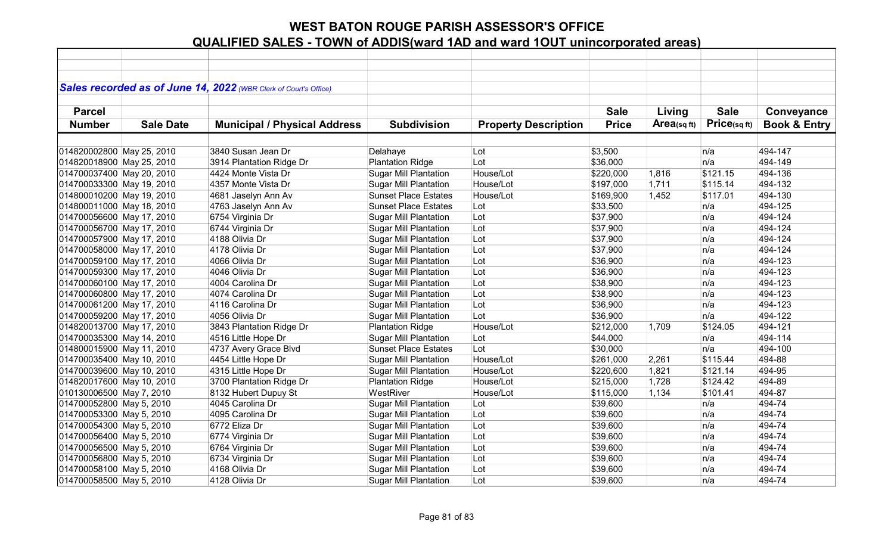| Sales recorded as of June 14, 2022 (WBR Clerk of Court's Office)                                                                                                                                          | Conveyance |
|-----------------------------------------------------------------------------------------------------------------------------------------------------------------------------------------------------------|------------|
|                                                                                                                                                                                                           |            |
|                                                                                                                                                                                                           |            |
|                                                                                                                                                                                                           |            |
|                                                                                                                                                                                                           |            |
| <b>Sale</b><br><b>Sale</b><br><b>Parcel</b><br>Living                                                                                                                                                     |            |
| Price(sqft)<br><b>Subdivision</b><br><b>Price</b><br>Area(sq $ft$ )<br><b>Book &amp; Entry</b><br><b>Number</b><br><b>Sale Date</b><br><b>Municipal / Physical Address</b><br><b>Property Description</b> |            |
|                                                                                                                                                                                                           |            |
| 494-147<br>3840 Susan Jean Dr<br>\$3,500<br>Lot<br>n/a                                                                                                                                                    |            |
| 014820002800 May 25, 2010<br>Delahaye<br>Lot<br>n/a<br>494-149<br>014820018900 May 25, 2010<br><b>Plantation Ridge</b><br>\$36,000                                                                        |            |
| 3914 Plantation Ridge Dr<br>494-136<br>House/Lot<br>\$220,000<br>\$121.15                                                                                                                                 |            |
| 014700037400 May 20, 2010<br><b>Sugar Mill Plantation</b><br>4424 Monte Vista Dr<br>1,816                                                                                                                 |            |
| 494-132<br>014700033300 May 19, 2010<br>House/Lot<br>1,711<br>\$115.14<br>4357 Monte Vista Dr<br><b>Sugar Mill Plantation</b><br>\$197,000                                                                |            |
| 014800010200 May 19, 2010<br>House/Lot<br>1,452<br>\$117.01<br>494-130<br>4681 Jaselyn Ann Av<br><b>Sunset Place Estates</b><br>\$169,900                                                                 |            |
| 494-125<br>014800011000 May 18, 2010<br>4763 Jaselyn Ann Av<br><b>Sunset Place Estates</b><br>Lot<br>\$33,500<br>n/a                                                                                      |            |
| 494-124<br>014700056600 May 17, 2010<br><b>Sugar Mill Plantation</b><br>Lot<br>\$37,900<br>n/a<br>6754 Virginia Dr                                                                                        |            |
| 014700056700 May 17, 2010<br>Lot<br>\$37,900<br>494-124<br>6744 Virginia Dr<br><b>Sugar Mill Plantation</b><br>n/a                                                                                        |            |
| 014700057900 May 17, 2010<br>4188 Olivia Dr<br>Lot<br>494-124<br><b>Sugar Mill Plantation</b><br>\$37,900<br>n/a                                                                                          |            |
| 014700058000 May 17, 2010<br>4178 Olivia Dr<br>Lot<br>\$37,900<br>n/a<br>494-124<br><b>Sugar Mill Plantation</b>                                                                                          |            |
| Lot<br>\$36,900<br>n/a<br>494-123<br>014700059100 May 17, 2010<br>4066 Olivia Dr<br><b>Sugar Mill Plantation</b>                                                                                          |            |
| 4046 Olivia Dr<br>Lot<br>\$36,900<br>494-123<br>014700059300 May 17, 2010<br><b>Sugar Mill Plantation</b><br>n/a                                                                                          |            |
| 494-123<br>014700060100 May 17, 2010<br>4004 Carolina Dr<br><b>Sugar Mill Plantation</b><br>Lot<br>\$38,900<br>n/a                                                                                        |            |
| 494-123<br>014700060800 May 17, 2010<br>4074 Carolina Dr<br><b>Sugar Mill Plantation</b><br>Lot<br>\$38,900<br>n/a                                                                                        |            |
| 014700061200 May 17, 2010<br><b>Sugar Mill Plantation</b><br>Lot<br>\$36,900<br>494-123<br>4116 Carolina Dr<br>n/a                                                                                        |            |
| Lot<br>\$36,900<br>494-122<br>014700059200 May 17, 2010<br>4056 Olivia Dr<br><b>Sugar Mill Plantation</b><br>n/a                                                                                          |            |
| House/Lot<br>494-121<br>014820013700 May 17, 2010<br>3843 Plantation Ridge Dr<br><b>Plantation Ridge</b><br>\$212,000<br>1,709<br>\$124.05                                                                |            |
| <b>Sugar Mill Plantation</b><br>494-114<br>014700035300 May 14, 2010<br>4516 Little Hope Dr<br>Lot<br>\$44,000<br>n/a                                                                                     |            |
| Lot<br>n/a<br>014800015900 May 11, 2010<br>4737 Avery Grace Blvd<br><b>Sunset Place Estates</b><br>\$30,000<br>494-100                                                                                    |            |
| 014700035400 May 10, 2010<br>4454 Little Hope Dr<br><b>Sugar Mill Plantation</b><br>House/Lot<br>\$261,000<br>2,261<br>\$115.44<br>494-88                                                                 |            |
| 014700039600 May 10, 2010<br>4315 Little Hope Dr<br><b>Sugar Mill Plantation</b><br>House/Lot<br>\$121.14<br>494-95<br>\$220,600<br>1,821                                                                 |            |
| 014820017600 May 10, 2010<br>House/Lot<br>1,728<br>\$124.42<br>494-89<br>3700 Plantation Ridge Dr<br><b>Plantation Ridge</b><br>\$215,000                                                                 |            |
| WestRiver<br>House/Lot<br>1,134<br>494-87<br>010130006500 May 7, 2010<br>8132 Hubert Dupuy St<br>\$115,000<br>\$101.41                                                                                    |            |
| 4045 Carolina Dr<br>494-74<br>014700052800 May 5, 2010<br><b>Sugar Mill Plantation</b><br>Lot<br>\$39,600<br>n/a                                                                                          |            |
| Lot<br>494-74<br>014700053300 May 5, 2010<br>4095 Carolina Dr<br><b>Sugar Mill Plantation</b><br>\$39,600<br>n/a                                                                                          |            |
| Lot<br>494-74<br>014700054300 May 5, 2010<br>6772 Eliza Dr<br><b>Sugar Mill Plantation</b><br>\$39,600<br>n/a                                                                                             |            |
| 014700056400 May 5, 2010<br>Lot<br>\$39,600<br>n/a<br>494-74<br>6774 Virginia Dr<br><b>Sugar Mill Plantation</b>                                                                                          |            |
| Lot<br>n/a<br>494-74<br>014700056500 May 5, 2010<br>6764 Virginia Dr<br><b>Sugar Mill Plantation</b><br>\$39,600                                                                                          |            |
| 6734 Virginia Dr<br>Lot<br>\$39,600<br>494-74<br>014700056800 May 5, 2010<br><b>Sugar Mill Plantation</b><br>n/a                                                                                          |            |
| 4168 Olivia Dr<br>Lot<br>494-74<br>014700058100 May 5, 2010<br><b>Sugar Mill Plantation</b><br>\$39,600<br>n/a                                                                                            |            |
| 014700058500 May 5, 2010<br>4128 Olivia Dr<br><b>Sugar Mill Plantation</b><br>Lot<br>\$39,600<br>494-74<br>n/a                                                                                            |            |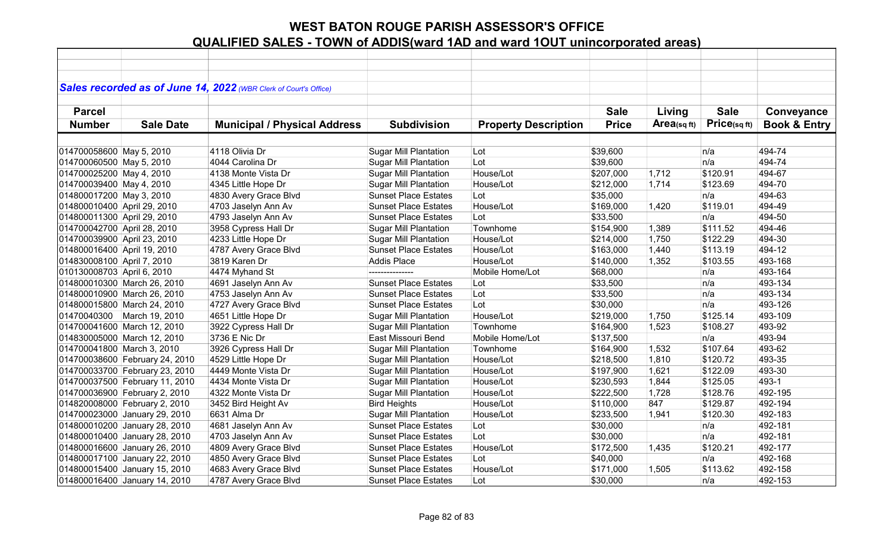|                             |                                | Sales recorded as of June 14, 2022 (WBR Clerk of Court's Office) |                              |                             |              |             |              |                         |
|-----------------------------|--------------------------------|------------------------------------------------------------------|------------------------------|-----------------------------|--------------|-------------|--------------|-------------------------|
|                             |                                |                                                                  |                              |                             |              |             |              |                         |
| <b>Parcel</b>               |                                |                                                                  |                              |                             | <b>Sale</b>  | Living      | <b>Sale</b>  | Conveyance              |
| <b>Number</b>               | <b>Sale Date</b>               | <b>Municipal / Physical Address</b>                              | <b>Subdivision</b>           | <b>Property Description</b> | <b>Price</b> | Area(sq ft) | Price(sq ft) | <b>Book &amp; Entry</b> |
|                             |                                |                                                                  |                              |                             |              |             |              |                         |
| 014700058600 May 5, 2010    |                                | 4118 Olivia Dr                                                   | <b>Sugar Mill Plantation</b> | Lot                         | \$39,600     |             | n/a          | 494-74                  |
| 014700060500 May 5, 2010    |                                | 4044 Carolina Dr                                                 | <b>Sugar Mill Plantation</b> | Lot                         | \$39,600     |             | n/a          | 494-74                  |
| 014700025200 May 4, 2010    |                                | 4138 Monte Vista Dr                                              | <b>Sugar Mill Plantation</b> | House/Lot                   | \$207,000    | 1,712       | \$120.91     | 494-67                  |
| 014700039400 May 4, 2010    |                                | 4345 Little Hope Dr                                              | <b>Sugar Mill Plantation</b> | House/Lot                   | \$212,000    | 1,714       | \$123.69     | 494-70                  |
| 014800017200 May 3, 2010    |                                | 4830 Avery Grace Blvd                                            | <b>Sunset Place Estates</b>  | Lot                         | \$35,000     |             | n/a          | 494-63                  |
| 014800010400 April 29, 2010 |                                | 4703 Jaselyn Ann Av                                              | <b>Sunset Place Estates</b>  | House/Lot                   | \$169,000    | 1,420       | \$119.01     | 494-49                  |
| 014800011300 April 29, 2010 |                                | 4793 Jaselyn Ann Av                                              | <b>Sunset Place Estates</b>  | Lot                         | \$33,500     |             | n/a          | 494-50                  |
| 014700042700 April 28, 2010 |                                | 3958 Cypress Hall Dr                                             | <b>Sugar Mill Plantation</b> | Townhome                    | \$154,900    | 1,389       | \$111.52     | 494-46                  |
| 014700039900 April 23, 2010 |                                | 4233 Little Hope Dr                                              | <b>Sugar Mill Plantation</b> | House/Lot                   | \$214,000    | 1,750       | \$122.29     | 494-30                  |
| 014800016400 April 19, 2010 |                                | 4787 Avery Grace Blvd                                            | <b>Sunset Place Estates</b>  | House/Lot                   | \$163,000    | 1,440       | \$113.19     | 494-12                  |
| 014830008100 April 7, 2010  |                                | 3819 Karen Dr                                                    | <b>Addis Place</b>           | House/Lot                   | \$140,000    | 1,352       | \$103.55     | 493-168                 |
| 010130008703 April 6, 2010  |                                | 4474 Myhand St                                                   | ---------------              | Mobile Home/Lot             | \$68,000     |             | n/a          | 493-164                 |
|                             | 014800010300 March 26, 2010    | 4691 Jaselyn Ann Av                                              | <b>Sunset Place Estates</b>  | Lot                         | \$33,500     |             | n/a          | 493-134                 |
|                             | 014800010900 March 26, 2010    | 4753 Jaselyn Ann Av                                              | <b>Sunset Place Estates</b>  | Lot                         | \$33,500     |             | n/a          | 493-134                 |
|                             | 014800015800 March 24, 2010    | 4727 Avery Grace Blvd                                            | <b>Sunset Place Estates</b>  | Lot                         | \$30,000     |             | n/a          | 493-126                 |
|                             | 01470040300 March 19, 2010     | 4651 Little Hope Dr                                              | <b>Sugar Mill Plantation</b> | House/Lot                   | \$219,000    | 1,750       | \$125.14     | 493-109                 |
|                             | 014700041600 March 12, 2010    | 3922 Cypress Hall Dr                                             | <b>Sugar Mill Plantation</b> | Townhome                    | \$164,900    | 1,523       | \$108.27     | 493-92                  |
|                             | 014830005000 March 12, 2010    | 3736 E Nic Dr                                                    | East Missouri Bend           | Mobile Home/Lot             | \$137,500    |             | n/a          | 493-94                  |
| 014700041800 March 3, 2010  |                                | 3926 Cypress Hall Dr                                             | <b>Sugar Mill Plantation</b> | Townhome                    | \$164,900    | 1,532       | \$107.64     | 493-62                  |
|                             | 014700038600 February 24, 2010 | 4529 Little Hope Dr                                              | <b>Sugar Mill Plantation</b> | House/Lot                   | \$218,500    | 1,810       | \$120.72     | 493-35                  |
|                             | 014700033700 February 23, 2010 | 4449 Monte Vista Dr                                              | <b>Sugar Mill Plantation</b> | House/Lot                   | \$197,900    | 1,621       | \$122.09     | 493-30                  |
|                             | 014700037500 February 11, 2010 | 4434 Monte Vista Dr                                              | <b>Sugar Mill Plantation</b> | House/Lot                   | \$230,593    | 1,844       | \$125.05     | 493-1                   |
|                             | 014700036900 February 2, 2010  | 4322 Monte Vista Dr                                              | <b>Sugar Mill Plantation</b> | House/Lot                   | \$222,500    | 1,728       | \$128.76     | 492-195                 |
|                             | 014820008000 February 2, 2010  | 3452 Bird Height Av                                              | <b>Bird Heights</b>          | House/Lot                   | \$110,000    | 847         | \$129.87     | 492-194                 |
|                             | 014700023000 January 29, 2010  | 6631 Alma Dr                                                     | <b>Sugar Mill Plantation</b> | House/Lot                   | \$233,500    | 1,941       | \$120.30     | 492-183                 |
|                             | 014800010200 January 28, 2010  | 4681 Jaselyn Ann Av                                              | <b>Sunset Place Estates</b>  | Lot                         | \$30,000     |             | n/a          | 492-181                 |
|                             | 014800010400 January 28, 2010  | 4703 Jaselyn Ann Av                                              | <b>Sunset Place Estates</b>  | Lot                         | \$30,000     |             | n/a          | 492-181                 |
|                             | 014800016600 January 26, 2010  | 4809 Avery Grace Blvd                                            | <b>Sunset Place Estates</b>  | House/Lot                   | \$172,500    | 1,435       | \$120.21     | 492-177                 |
|                             | 014800017100 January 22, 2010  | 4850 Avery Grace Blvd                                            | <b>Sunset Place Estates</b>  | Lot                         | \$40,000     |             | n/a          | 492-168                 |
|                             | 014800015400 January 15, 2010  | 4683 Avery Grace Blvd                                            | <b>Sunset Place Estates</b>  | House/Lot                   | \$171,000    | 1,505       | \$113.62     | 492-158                 |
|                             | 014800016400 January 14, 2010  | 4787 Avery Grace Blvd                                            | <b>Sunset Place Estates</b>  | Lot                         | \$30,000     |             | n/a          | 492-153                 |